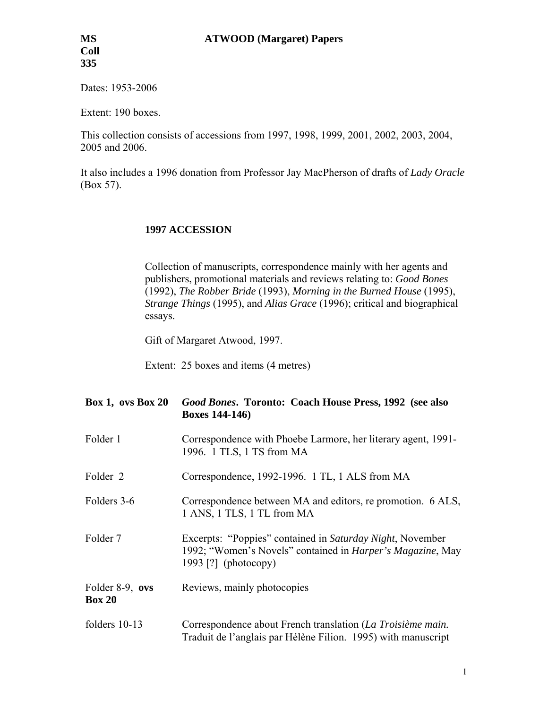Dates: 1953-2006

Extent: 190 boxes.

This collection consists of accessions from 1997, 1998, 1999, 2001, 2002, 2003, 2004, 2005 and 2006.

It also includes a 1996 donation from Professor Jay MacPherson of drafts of *Lady Oracle* (Box 57).

#### **1997 ACCESSION**

Collection of manuscripts, correspondence mainly with her agents and publishers, promotional materials and reviews relating to: *Good Bones*  (1992), *The Robber Bride* (1993), *Morning in the Burned House* (1995), *Strange Things* (1995), and *Alias Grace* (1996); critical and biographical essays.

Gift of Margaret Atwood, 1997.

Extent: 25 boxes and items (4 metres)

| Box 1, ovs Box 20                | Good Bones. Toronto: Coach House Press, 1992 (see also<br><b>Boxes 144-146)</b>                                                                         |
|----------------------------------|---------------------------------------------------------------------------------------------------------------------------------------------------------|
| Folder 1                         | Correspondence with Phoebe Larmore, her literary agent, 1991-<br>1996. 1 TLS, 1 TS from MA                                                              |
| Folder 2                         | Correspondence, 1992-1996. 1 TL, 1 ALS from MA                                                                                                          |
| Folders 3-6                      | Correspondence between MA and editors, re promotion. 6 ALS,<br>1 ANS, 1 TLS, 1 TL from MA                                                               |
| Folder 7                         | Excerpts: "Poppies" contained in Saturday Night, November<br>1992; "Women's Novels" contained in <i>Harper's Magazine</i> , May<br>1993 [?] (photocopy) |
| Folder 8-9, ovs<br><b>Box 20</b> | Reviews, mainly photocopies                                                                                                                             |
| folders 10-13                    | Correspondence about French translation (La Troisième main.<br>Traduit de l'anglais par Hélène Filion. 1995) with manuscript                            |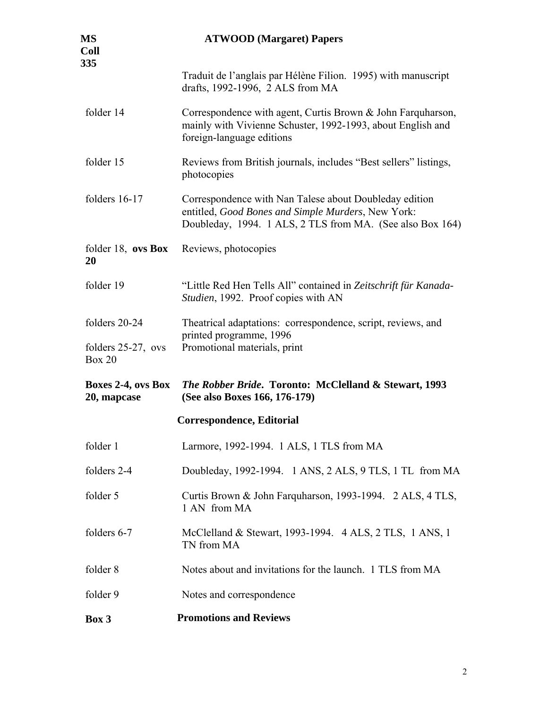| MS<br>Coll<br>335                      | <b>ATWOOD</b> (Margaret) Papers                                                                                                                                           |
|----------------------------------------|---------------------------------------------------------------------------------------------------------------------------------------------------------------------------|
|                                        | Traduit de l'anglais par Hélène Filion. 1995) with manuscript<br>drafts, 1992-1996, 2 ALS from MA                                                                         |
| folder 14                              | Correspondence with agent, Curtis Brown & John Farquharson,<br>mainly with Vivienne Schuster, 1992-1993, about English and<br>foreign-language editions                   |
| folder 15                              | Reviews from British journals, includes "Best sellers" listings,<br>photocopies                                                                                           |
| folders $16-17$                        | Correspondence with Nan Talese about Doubleday edition<br>entitled, Good Bones and Simple Murders, New York:<br>Doubleday, 1994. 1 ALS, 2 TLS from MA. (See also Box 164) |
| folder $18$ , ovs Box<br>20            | Reviews, photocopies                                                                                                                                                      |
| folder 19                              | "Little Red Hen Tells All" contained in Zeitschrift für Kanada-<br>Studien, 1992. Proof copies with AN                                                                    |
| folders 20-24                          | Theatrical adaptations: correspondence, script, reviews, and                                                                                                              |
| folders $25-27$ , ovs<br><b>Box 20</b> | printed programme, 1996<br>Promotional materials, print                                                                                                                   |
| Boxes 2-4, ovs Box<br>20, mapcase      | <i>The Robber Bride. Toronto: McClelland &amp; Stewart, 1993</i><br>(See also Boxes 166, 176-179)                                                                         |
|                                        | Correspondence, Editorial                                                                                                                                                 |
| folder 1                               | Larmore, 1992-1994. 1 ALS, 1 TLS from MA                                                                                                                                  |
| folders 2-4                            | Doubleday, 1992-1994. 1 ANS, 2 ALS, 9 TLS, 1 TL from MA                                                                                                                   |
| folder 5                               | Curtis Brown & John Farquharson, 1993-1994. 2 ALS, 4 TLS,<br>1 AN from MA                                                                                                 |
| folders 6-7                            | McClelland & Stewart, 1993-1994. 4 ALS, 2 TLS, 1 ANS, 1<br>TN from MA                                                                                                     |
| folder 8                               | Notes about and invitations for the launch. 1 TLS from MA                                                                                                                 |
| folder 9                               | Notes and correspondence                                                                                                                                                  |
| Box 3                                  | <b>Promotions and Reviews</b>                                                                                                                                             |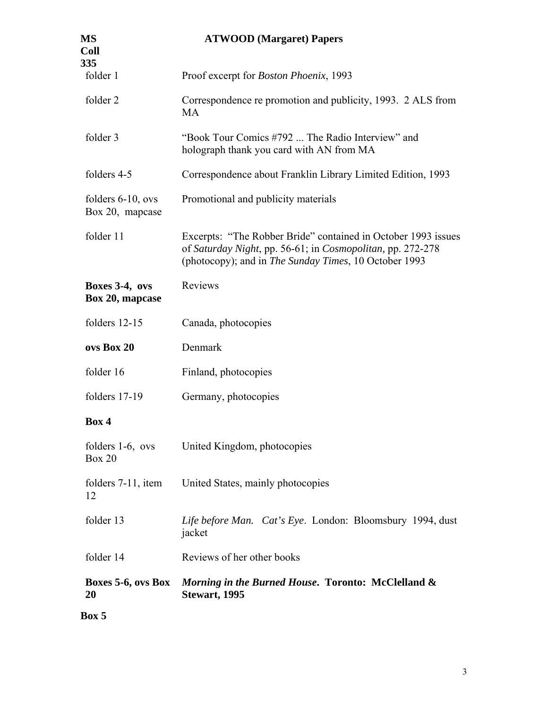| MS<br>Coll<br>335                       | <b>ATWOOD</b> (Margaret) Papers                                                                                                                                                      |
|-----------------------------------------|--------------------------------------------------------------------------------------------------------------------------------------------------------------------------------------|
| folder 1                                | Proof excerpt for <i>Boston Phoenix</i> , 1993                                                                                                                                       |
| folder 2                                | Correspondence re promotion and publicity, 1993. 2 ALS from<br>MA                                                                                                                    |
| folder 3                                | "Book Tour Comics #792  The Radio Interview" and<br>holograph thank you card with AN from MA                                                                                         |
| folders 4-5                             | Correspondence about Franklin Library Limited Edition, 1993                                                                                                                          |
| folders $6-10$ , ovs<br>Box 20, mapcase | Promotional and publicity materials                                                                                                                                                  |
| folder 11                               | Excerpts: "The Robber Bride" contained in October 1993 issues<br>of Saturday Night, pp. 56-61; in Cosmopolitan, pp. 272-278<br>(photocopy); and in The Sunday Times, 10 October 1993 |
| Boxes 3-4, ovs<br>Box 20, mapcase       | Reviews                                                                                                                                                                              |
| folders 12-15                           | Canada, photocopies                                                                                                                                                                  |
| ovs Box 20                              | Denmark                                                                                                                                                                              |
| folder 16                               | Finland, photocopies                                                                                                                                                                 |
| folders 17-19                           | Germany, photocopies                                                                                                                                                                 |
| Box 4                                   |                                                                                                                                                                                      |
| <b>Box 20</b>                           | folders 1-6, ovs United Kingdom, photocopies                                                                                                                                         |
| folders $7-11$ , item<br>12             | United States, mainly photocopies                                                                                                                                                    |
| folder 13                               | Life before Man. Cat's Eye. London: Bloomsbury 1994, dust<br>jacket                                                                                                                  |
| folder 14                               | Reviews of her other books                                                                                                                                                           |
| Boxes 5-6, ovs Box<br><b>20</b>         | Morning in the Burned House. Toronto: McClelland &<br>Stewart, 1995                                                                                                                  |
| Box 5                                   |                                                                                                                                                                                      |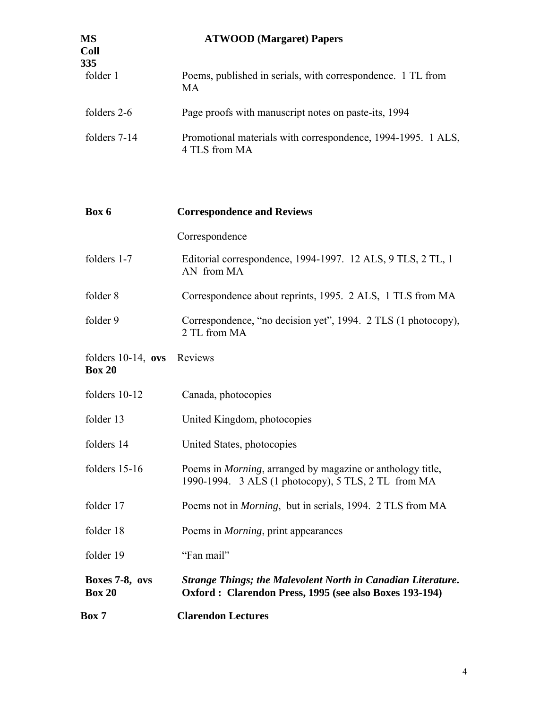| MS<br>Coll<br>335 | <b>ATWOOD</b> (Margaret) Papers                                               |
|-------------------|-------------------------------------------------------------------------------|
| folder 1          | Poems, published in serials, with correspondence. 1 TL from<br>МA             |
| folders 2-6       | Page proofs with manuscript notes on paste-its, 1994                          |
| folders 7-14      | Promotional materials with correspondence, 1994-1995. 1 ALS,<br>4 TLS from MA |

| Box 6                                  | <b>Correspondence and Reviews</b>                                                                                         |
|----------------------------------------|---------------------------------------------------------------------------------------------------------------------------|
|                                        | Correspondence                                                                                                            |
| folders 1-7                            | Editorial correspondence, 1994-1997. 12 ALS, 9 TLS, 2 TL, 1<br>AN from MA                                                 |
| folder 8                               | Correspondence about reprints, 1995. 2 ALS, 1 TLS from MA                                                                 |
| folder 9                               | Correspondence, "no decision yet", 1994. 2 TLS (1 photocopy),<br>2 TL from MA                                             |
| folders $10-14$ , ovs<br><b>Box 20</b> | Reviews                                                                                                                   |
| folders 10-12                          | Canada, photocopies                                                                                                       |
| folder 13                              | United Kingdom, photocopies                                                                                               |
| folders 14                             | United States, photocopies                                                                                                |
| folders 15-16                          | Poems in <i>Morning</i> , arranged by magazine or anthology title,<br>1990-1994. 3 ALS (1 photocopy), 5 TLS, 2 TL from MA |
| folder 17                              | Poems not in <i>Morning</i> , but in serials, 1994. 2 TLS from MA                                                         |
| folder 18                              | Poems in <i>Morning</i> , print appearances                                                                               |
| folder 19                              | "Fan mail"                                                                                                                |
| Boxes 7-8, ovs<br><b>Box 20</b>        | Strange Things; the Malevolent North in Canadian Literature.<br>Oxford: Clarendon Press, 1995 (see also Boxes 193-194)    |
| <b>Box 7</b>                           | <b>Clarendon Lectures</b>                                                                                                 |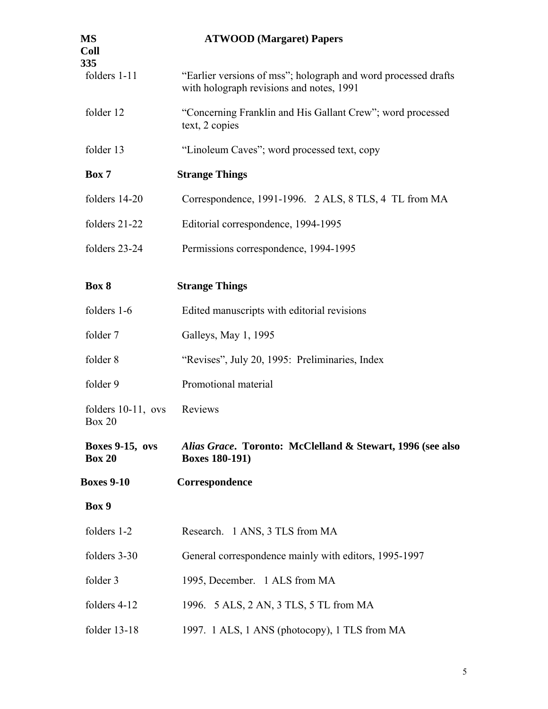| MS<br>Coll<br>335                       | <b>ATWOOD</b> (Margaret) Papers                                                                            |
|-----------------------------------------|------------------------------------------------------------------------------------------------------------|
| folders 1-11                            | "Earlier versions of mss"; holograph and word processed drafts<br>with holograph revisions and notes, 1991 |
| folder 12                               | "Concerning Franklin and His Gallant Crew"; word processed<br>text, 2 copies                               |
| folder 13                               | "Linoleum Caves"; word processed text, copy                                                                |
| Box 7                                   | <b>Strange Things</b>                                                                                      |
| folders 14-20                           | Correspondence, 1991-1996. 2 ALS, 8 TLS, 4 TL from MA                                                      |
| folders 21-22                           | Editorial correspondence, 1994-1995                                                                        |
| folders 23-24                           | Permissions correspondence, 1994-1995                                                                      |
| Box 8                                   | <b>Strange Things</b>                                                                                      |
| folders 1-6                             | Edited manuscripts with editorial revisions                                                                |
| folder 7                                | Galleys, May 1, 1995                                                                                       |
| folder 8                                | "Revises", July 20, 1995: Preliminaries, Index                                                             |
| folder 9                                | Promotional material                                                                                       |
| folders $10-11$ , ovs<br><b>Box 20</b>  | Reviews                                                                                                    |
| <b>Boxes 9-15, ovs</b><br><b>Box 20</b> | Alias Grace. Toronto: McClelland & Stewart, 1996 (see also<br><b>Boxes 180-191)</b>                        |
| <b>Boxes 9-10</b>                       | Correspondence                                                                                             |
| Box 9                                   |                                                                                                            |
| folders 1-2                             | Research. 1 ANS, 3 TLS from MA                                                                             |
| folders 3-30                            | General correspondence mainly with editors, 1995-1997                                                      |
| folder 3                                | 1995, December. 1 ALS from MA                                                                              |
| folders 4-12                            | 1996. 5 ALS, 2 AN, 3 TLS, 5 TL from MA                                                                     |
| folder 13-18                            | 1997. 1 ALS, 1 ANS (photocopy), 1 TLS from MA                                                              |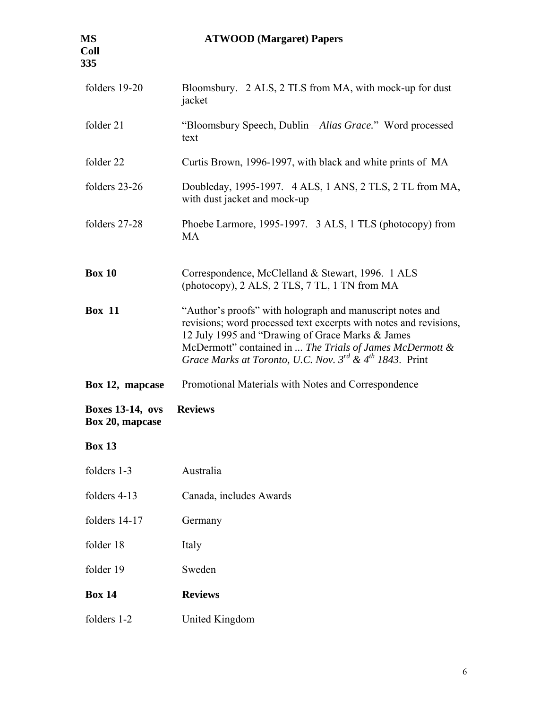## **MS ATWOOD (Margaret) Papers**

| folders 19-20                              | Bloomsbury. 2 ALS, 2 TLS from MA, with mock-up for dust<br>jacket                                                                                                                                                                                                                                                          |
|--------------------------------------------|----------------------------------------------------------------------------------------------------------------------------------------------------------------------------------------------------------------------------------------------------------------------------------------------------------------------------|
| folder 21                                  | "Bloomsbury Speech, Dublin—Alias Grace." Word processed<br>text                                                                                                                                                                                                                                                            |
| folder 22                                  | Curtis Brown, 1996-1997, with black and white prints of MA                                                                                                                                                                                                                                                                 |
| folders 23-26                              | Doubleday, 1995-1997. 4 ALS, 1 ANS, 2 TLS, 2 TL from MA,<br>with dust jacket and mock-up                                                                                                                                                                                                                                   |
| folders 27-28                              | Phoebe Larmore, 1995-1997. 3 ALS, 1 TLS (photocopy) from<br><b>MA</b>                                                                                                                                                                                                                                                      |
| <b>Box 10</b>                              | Correspondence, McClelland & Stewart, 1996. 1 ALS<br>(photocopy), 2 ALS, 2 TLS, 7 TL, 1 TN from MA                                                                                                                                                                                                                         |
| <b>Box 11</b>                              | "Author's proofs" with holograph and manuscript notes and<br>revisions; word processed text excerpts with notes and revisions,<br>12 July 1995 and "Drawing of Grace Marks & James<br>McDermott" contained in  The Trials of James McDermott &<br>Grace Marks at Toronto, U.C. Nov. $3^{rd}$ & 4 <sup>th</sup> 1843. Print |
| Box 12, mapcase                            | Promotional Materials with Notes and Correspondence                                                                                                                                                                                                                                                                        |
| <b>Boxes 13-14, ovs</b><br>Box 20, mapcase | <b>Reviews</b>                                                                                                                                                                                                                                                                                                             |
| <b>Box 13</b>                              |                                                                                                                                                                                                                                                                                                                            |
| folders 1-3                                | Australia                                                                                                                                                                                                                                                                                                                  |
| folders 4-13                               | Canada, includes Awards                                                                                                                                                                                                                                                                                                    |
| folders 14-17                              | Germany                                                                                                                                                                                                                                                                                                                    |
| folder 18                                  | Italy                                                                                                                                                                                                                                                                                                                      |
| folder 19                                  | Sweden                                                                                                                                                                                                                                                                                                                     |
| <b>Box 14</b>                              | <b>Reviews</b>                                                                                                                                                                                                                                                                                                             |
| folders 1-2                                | <b>United Kingdom</b>                                                                                                                                                                                                                                                                                                      |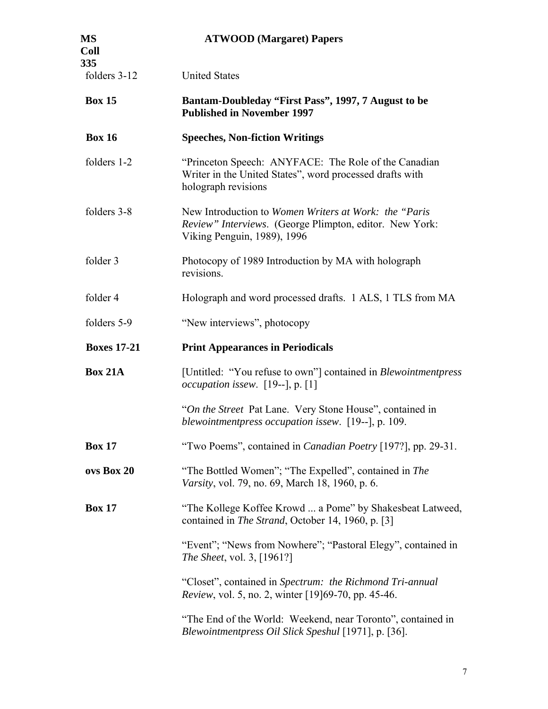| <b>MS</b><br><b>Coll</b> | <b>ATWOOD</b> (Margaret) Papers                                                                                                                  |
|--------------------------|--------------------------------------------------------------------------------------------------------------------------------------------------|
| 335<br>folders 3-12      | <b>United States</b>                                                                                                                             |
| <b>Box 15</b>            | Bantam-Doubleday "First Pass", 1997, 7 August to be<br><b>Published in November 1997</b>                                                         |
| <b>Box 16</b>            | <b>Speeches, Non-fiction Writings</b>                                                                                                            |
| folders 1-2              | "Princeton Speech: ANYFACE: The Role of the Canadian<br>Writer in the United States", word processed drafts with<br>holograph revisions          |
| folders 3-8              | New Introduction to Women Writers at Work: the "Paris"<br>Review" Interviews. (George Plimpton, editor. New York:<br>Viking Penguin, 1989), 1996 |
| folder 3                 | Photocopy of 1989 Introduction by MA with holograph<br>revisions.                                                                                |
| folder 4                 | Holograph and word processed drafts. 1 ALS, 1 TLS from MA                                                                                        |
| folders 5-9              | "New interviews", photocopy                                                                                                                      |
| <b>Boxes 17-21</b>       | <b>Print Appearances in Periodicals</b>                                                                                                          |
| <b>Box 21A</b>           | [Untitled: "You refuse to own"] contained in <i>Blewointmentpress</i><br><i>occupation issew.</i> $[19--], p. [1]$                               |
|                          | "On the Street Pat Lane. Very Stone House", contained in<br>blewointmentpress occupation issew. [19--], p. 109.                                  |
| <b>Box 17</b>            | "Two Poems", contained in <i>Canadian Poetry</i> [197?], pp. 29-31.                                                                              |
| ovs Box 20               | "The Bottled Women"; "The Expelled", contained in The<br>Varsity, vol. 79, no. 69, March 18, 1960, p. 6.                                         |
| <b>Box 17</b>            | "The Kollege Koffee Krowd  a Pome" by Shakesbeat Latweed,<br>contained in <i>The Strand</i> , October 14, 1960, p. [3]                           |
|                          | "Event"; "News from Nowhere"; "Pastoral Elegy", contained in<br><i>The Sheet, vol. 3,</i> [1961?]                                                |
|                          | "Closet", contained in Spectrum: the Richmond Tri-annual<br><i>Review</i> , vol. 5, no. 2, winter [19]69-70, pp. 45-46.                          |
|                          | "The End of the World: Weekend, near Toronto", contained in<br>Blewointmentpress Oil Slick Speshul [1971], p. [36].                              |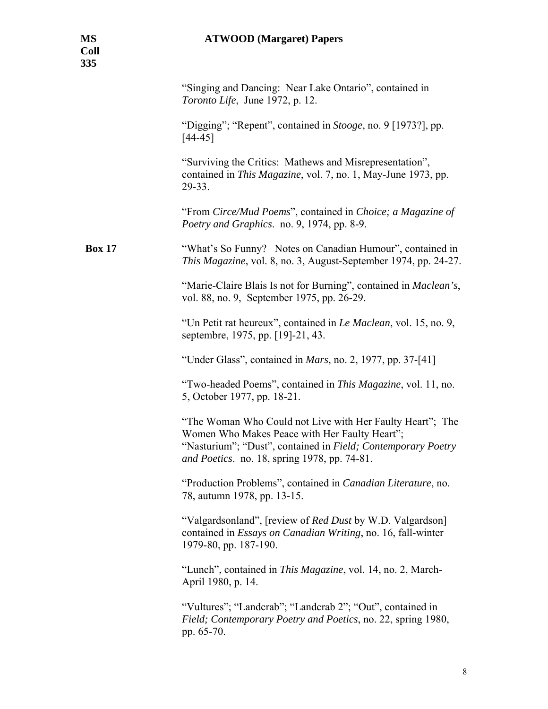|               | "Singing and Dancing: Near Lake Ontario", contained in<br>Toronto Life, June 1972, p. 12.                                                                                                                                  |
|---------------|----------------------------------------------------------------------------------------------------------------------------------------------------------------------------------------------------------------------------|
|               | "Digging"; "Repent", contained in <i>Stooge</i> , no. 9 [1973?], pp.<br>$[44 - 45]$                                                                                                                                        |
|               | "Surviving the Critics: Mathews and Misrepresentation",<br>contained in <i>This Magazine</i> , vol. 7, no. 1, May-June 1973, pp.<br>29-33.                                                                                 |
|               | "From Circe/Mud Poems", contained in Choice; a Magazine of<br>Poetry and Graphics. no. 9, 1974, pp. 8-9.                                                                                                                   |
| <b>Box 17</b> | "What's So Funny? Notes on Canadian Humour", contained in<br>This Magazine, vol. 8, no. 3, August-September 1974, pp. 24-27.                                                                                               |
|               | "Marie-Claire Blais Is not for Burning", contained in <i>Maclean's</i> ,<br>vol. 88, no. 9, September 1975, pp. 26-29.                                                                                                     |
|               | "Un Petit rat heureux", contained in <i>Le Maclean</i> , vol. 15, no. 9,<br>septembre, 1975, pp. [19]-21, 43.                                                                                                              |
|               | "Under Glass", contained in <i>Mars</i> , no. 2, 1977, pp. 37-[41]                                                                                                                                                         |
|               | "Two-headed Poems", contained in This Magazine, vol. 11, no.<br>5, October 1977, pp. 18-21.                                                                                                                                |
|               | "The Woman Who Could not Live with Her Faulty Heart"; The<br>Women Who Makes Peace with Her Faulty Heart";<br>"Nasturium"; "Dust", contained in Field; Contemporary Poetry<br>and Poetics. no. 18, spring 1978, pp. 74-81. |
|               | "Production Problems", contained in Canadian Literature, no.<br>78, autumn 1978, pp. 13-15.                                                                                                                                |
|               | "Valgardsonland", [review of <i>Red Dust</i> by W.D. Valgardson]<br>contained in Essays on Canadian Writing, no. 16, fall-winter<br>1979-80, pp. 187-190.                                                                  |
|               | "Lunch", contained in This Magazine, vol. 14, no. 2, March-<br>April 1980, p. 14.                                                                                                                                          |
|               | "Vultures"; "Landcrab"; "Landcrab 2"; "Out", contained in<br>Field; Contemporary Poetry and Poetics, no. 22, spring 1980,<br>pp. 65-70.                                                                                    |
|               |                                                                                                                                                                                                                            |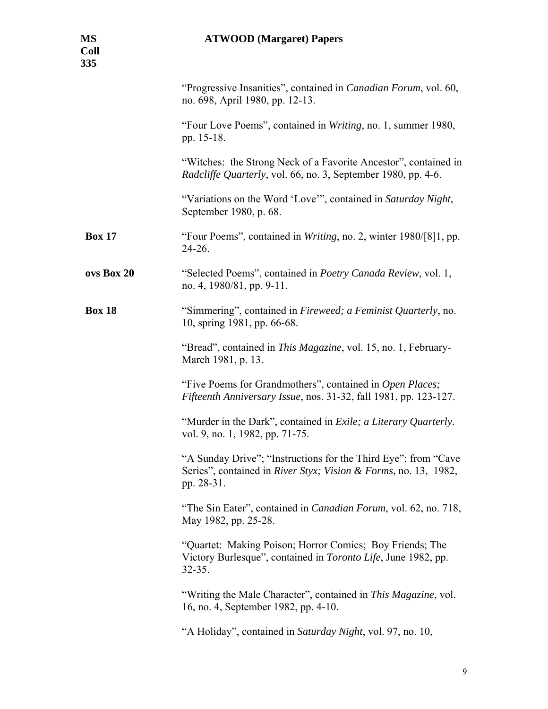| <b>MS</b><br><b>Coll</b><br>335 | <b>ATWOOD</b> (Margaret) Papers                                                                                                                 |
|---------------------------------|-------------------------------------------------------------------------------------------------------------------------------------------------|
|                                 | "Progressive Insanities", contained in <i>Canadian Forum</i> , vol. 60,<br>no. 698, April 1980, pp. 12-13.                                      |
|                                 | "Four Love Poems", contained in Writing, no. 1, summer 1980,<br>pp. 15-18.                                                                      |
|                                 | "Witches: the Strong Neck of a Favorite Ancestor", contained in<br><i>Radcliffe Quarterly, vol.</i> 66, no. 3, September 1980, pp. 4-6.         |
|                                 | "Variations on the Word 'Love'", contained in Saturday Night,<br>September 1980, p. 68.                                                         |
| <b>Box 17</b>                   | "Four Poems", contained in Writing, no. 2, winter 1980/[8]1, pp.<br>24-26.                                                                      |
| ovs Box 20                      | "Selected Poems", contained in Poetry Canada Review, vol. 1,<br>no. 4, 1980/81, pp. 9-11.                                                       |
| <b>Box 18</b>                   | "Simmering", contained in Fireweed; a Feminist Quarterly, no.<br>10, spring 1981, pp. 66-68.                                                    |
|                                 | "Bread", contained in <i>This Magazine</i> , vol. 15, no. 1, February-<br>March 1981, p. 13.                                                    |
|                                 | "Five Poems for Grandmothers", contained in Open Places;<br>Fifteenth Anniversary Issue, nos. 31-32, fall 1981, pp. 123-127.                    |
|                                 | "Murder in the Dark", contained in Exile; a Literary Quarterly.<br>vol. 9, no. 1, 1982, pp. 71-75.                                              |
|                                 | "A Sunday Drive"; "Instructions for the Third Eye"; from "Cave<br>Series", contained in River Styx; Vision & Forms, no. 13, 1982,<br>pp. 28-31. |
|                                 | "The Sin Eater", contained in <i>Canadian Forum</i> , vol. 62, no. 718,<br>May 1982, pp. 25-28.                                                 |
|                                 | "Quartet: Making Poison; Horror Comics; Boy Friends; The<br>Victory Burlesque", contained in Toronto Life, June 1982, pp.<br>$32 - 35.$         |
|                                 | "Writing the Male Character", contained in This Magazine, vol.<br>16, no. 4, September 1982, pp. 4-10.                                          |
|                                 | "A Holiday", contained in Saturday Night, vol. 97, no. 10,                                                                                      |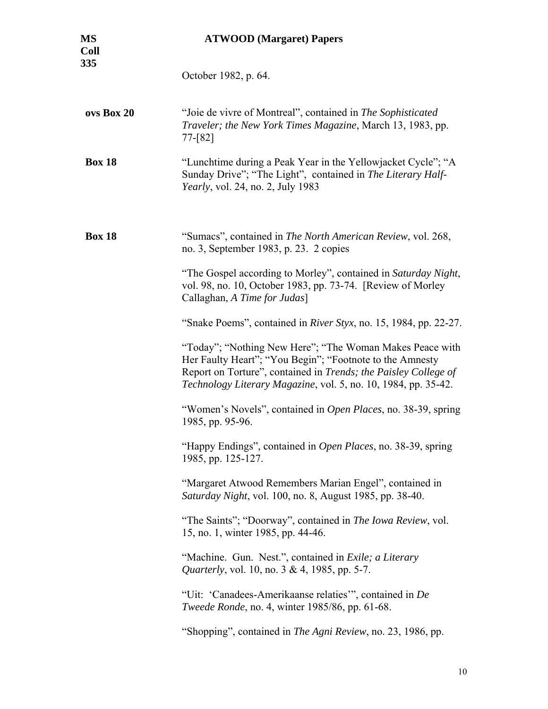| <b>MS</b><br><b>Coll</b><br>335 | <b>ATWOOD</b> (Margaret) Papers                                                                                                                                                                                                                           |
|---------------------------------|-----------------------------------------------------------------------------------------------------------------------------------------------------------------------------------------------------------------------------------------------------------|
|                                 | October 1982, p. 64.                                                                                                                                                                                                                                      |
| ovs Box 20                      | "Joie de vivre of Montreal", contained in The Sophisticated<br>Traveler; the New York Times Magazine, March 13, 1983, pp.<br>$77-[82]$                                                                                                                    |
| <b>Box 18</b>                   | "Lunchtime during a Peak Year in the Yellowjacket Cycle"; "A<br>Sunday Drive"; "The Light", contained in The Literary Half-<br><i>Yearly</i> , vol. 24, no. 2, July 1983                                                                                  |
| <b>Box 18</b>                   | "Sumacs", contained in The North American Review, vol. 268,<br>no. 3, September 1983, p. 23. 2 copies                                                                                                                                                     |
|                                 | "The Gospel according to Morley", contained in Saturday Night,<br>vol. 98, no. 10, October 1983, pp. 73-74. [Review of Morley<br>Callaghan, A Time for Judas]                                                                                             |
|                                 | "Snake Poems", contained in River Styx, no. 15, 1984, pp. 22-27.                                                                                                                                                                                          |
|                                 | "Today"; "Nothing New Here"; "The Woman Makes Peace with<br>Her Faulty Heart"; "You Begin"; "Footnote to the Amnesty<br>Report on Torture", contained in Trends; the Paisley College of<br>Technology Literary Magazine, vol. 5, no. 10, 1984, pp. 35-42. |
|                                 | "Women's Novels", contained in <i>Open Places</i> , no. 38-39, spring<br>1985, pp. 95-96.                                                                                                                                                                 |
|                                 | "Happy Endings", contained in <i>Open Places</i> , no. 38-39, spring<br>1985, pp. 125-127.                                                                                                                                                                |
|                                 | "Margaret Atwood Remembers Marian Engel", contained in<br>Saturday Night, vol. 100, no. 8, August 1985, pp. 38-40.                                                                                                                                        |
|                                 | "The Saints"; "Doorway", contained in The Iowa Review, vol.<br>15, no. 1, winter 1985, pp. 44-46.                                                                                                                                                         |
|                                 | "Machine. Gun. Nest.", contained in <i>Exile</i> ; a Literary<br><i>Quarterly, vol.</i> 10, no. 3 & 4, 1985, pp. 5-7.                                                                                                                                     |
|                                 | "Uit: 'Canadees-Amerikaanse relaties'", contained in De<br><i>Tweede Ronde</i> , no. 4, winter 1985/86, pp. 61-68.                                                                                                                                        |
|                                 | "Shopping", contained in <i>The Agni Review</i> , no. 23, 1986, pp.                                                                                                                                                                                       |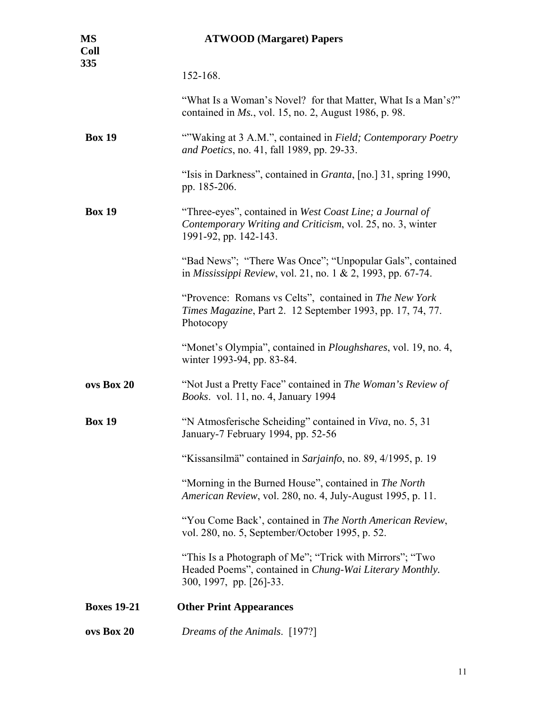| MS<br><b>Coll</b><br>335 | <b>ATWOOD</b> (Margaret) Papers                                                                                                                 |
|--------------------------|-------------------------------------------------------------------------------------------------------------------------------------------------|
|                          | 152-168.                                                                                                                                        |
|                          | "What Is a Woman's Novel? for that Matter, What Is a Man's?"<br>contained in $Ms$ , vol. 15, no. 2, August 1986, p. 98.                         |
| <b>Box 19</b>            | ""Waking at 3 A.M.", contained in Field; Contemporary Poetry<br><i>and Poetics</i> , no. 41, fall 1989, pp. 29-33.                              |
|                          | "Isis in Darkness", contained in <i>Granta</i> , [no.] 31, spring 1990,<br>pp. 185-206.                                                         |
| <b>Box 19</b>            | "Three-eyes", contained in West Coast Line; a Journal of<br>Contemporary Writing and Criticism, vol. 25, no. 3, winter<br>1991-92, pp. 142-143. |
|                          | "Bad News"; "There Was Once"; "Unpopular Gals", contained<br>in <i>Mississippi Review</i> , vol. 21, no. 1 & 2, 1993, pp. 67-74.                |
|                          | "Provence: Romans vs Celts", contained in The New York<br><i>Times Magazine</i> , Part 2. 12 September 1993, pp. 17, 74, 77.<br>Photocopy       |
|                          | "Monet's Olympia", contained in <i>Ploughshares</i> , vol. 19, no. 4,<br>winter 1993-94, pp. 83-84.                                             |
| ovs Box 20               | "Not Just a Pretty Face" contained in The Woman's Review of<br><i>Books.</i> vol. 11, no. 4, January 1994                                       |
| <b>Box 19</b>            | "N Atmosferische Scheiding" contained in Viva, no. 5, 31<br>January-7 February 1994, pp. 52-56                                                  |
|                          | "Kissansilmä" contained in Sarjainfo, no. 89, 4/1995, p. 19                                                                                     |
|                          | "Morning in the Burned House", contained in The North<br>American Review, vol. 280, no. 4, July-August 1995, p. 11.                             |
|                          | "You Come Back', contained in The North American Review,<br>vol. 280, no. 5, September/October 1995, p. 52.                                     |
|                          | "This Is a Photograph of Me"; "Trick with Mirrors"; "Two<br>Headed Poems", contained in Chung-Wai Literary Monthly.<br>300, 1997, pp. [26]-33.  |
| <b>Boxes 19-21</b>       | <b>Other Print Appearances</b>                                                                                                                  |
| ovs Box 20               | Dreams of the Animals. [197?]                                                                                                                   |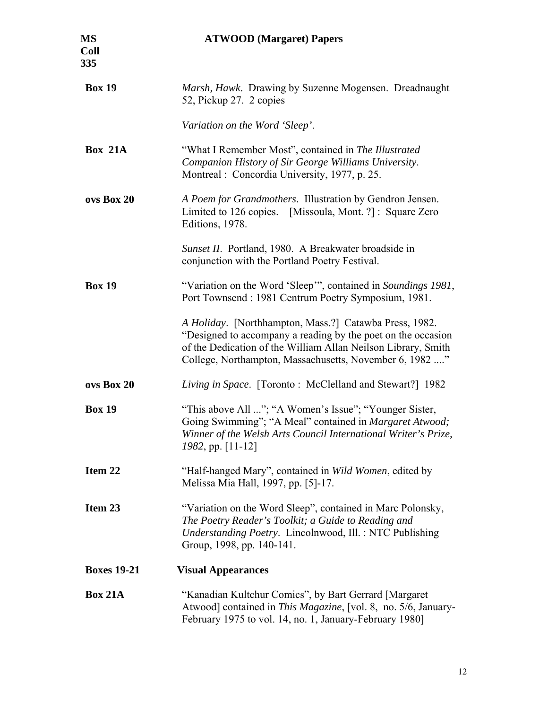| MS<br>Coll<br>335  | <b>ATWOOD</b> (Margaret) Papers                                                                                                                                                                                                                    |
|--------------------|----------------------------------------------------------------------------------------------------------------------------------------------------------------------------------------------------------------------------------------------------|
| <b>Box 19</b>      | Marsh, Hawk. Drawing by Suzenne Mogensen. Dreadnaught<br>52, Pickup 27. 2 copies                                                                                                                                                                   |
|                    | Variation on the Word 'Sleep'.                                                                                                                                                                                                                     |
| <b>Box 21A</b>     | "What I Remember Most", contained in The Illustrated<br>Companion History of Sir George Williams University.<br>Montreal: Concordia University, 1977, p. 25.                                                                                       |
| ovs Box 20         | A Poem for Grandmothers. Illustration by Gendron Jensen.<br>Limited to 126 copies. [Missoula, Mont. ?]: Square Zero<br>Editions, 1978.                                                                                                             |
|                    | Sunset II. Portland, 1980. A Breakwater broadside in<br>conjunction with the Portland Poetry Festival.                                                                                                                                             |
| <b>Box 19</b>      | "Variation on the Word 'Sleep'", contained in Soundings 1981,<br>Port Townsend: 1981 Centrum Poetry Symposium, 1981.                                                                                                                               |
|                    | A Holiday. [Northhampton, Mass.?] Catawba Press, 1982.<br>"Designed to accompany a reading by the poet on the occasion<br>of the Dedication of the William Allan Neilson Library, Smith<br>College, Northampton, Massachusetts, November 6, 1982 " |
| ovs Box 20         | Living in Space. [Toronto : McClelland and Stewart?] 1982                                                                                                                                                                                          |
| <b>Box 19</b>      | "This above All "; "A Women's Issue"; "Younger Sister,<br>Going Swimming"; "A Meal" contained in Margaret Atwood;<br>Winner of the Welsh Arts Council International Writer's Prize,<br>$1982$ , pp. [11-12]                                        |
| Item 22            | "Half-hanged Mary", contained in Wild Women, edited by<br>Melissa Mia Hall, 1997, pp. [5]-17.                                                                                                                                                      |
| Item 23            | "Variation on the Word Sleep", contained in Marc Polonsky,<br>The Poetry Reader's Toolkit; a Guide to Reading and<br>Understanding Poetry. Lincolnwood, Ill.: NTC Publishing<br>Group, 1998, pp. 140-141.                                          |
| <b>Boxes 19-21</b> | <b>Visual Appearances</b>                                                                                                                                                                                                                          |
| <b>Box 21A</b>     | "Kanadian Kultchur Comics", by Bart Gerrard [Margaret]<br>Atwood] contained in <i>This Magazine</i> , [vol. 8, no. 5/6, January-<br>February 1975 to vol. 14, no. 1, January-February 1980]                                                        |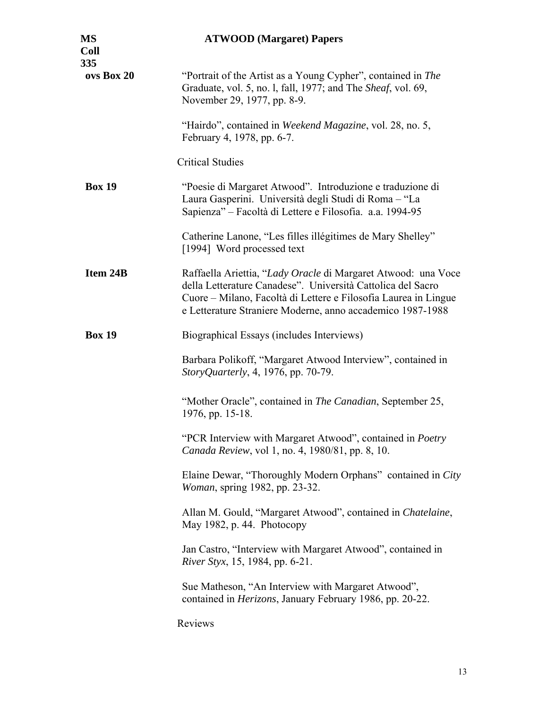| <b>MS</b><br><b>Coll</b><br>335 | <b>ATWOOD</b> (Margaret) Papers                                                                                                                                                                                                                               |
|---------------------------------|---------------------------------------------------------------------------------------------------------------------------------------------------------------------------------------------------------------------------------------------------------------|
| ovs Box 20                      | "Portrait of the Artist as a Young Cypher", contained in The<br>Graduate, vol. 5, no. 1, fall, 1977; and The Sheaf, vol. 69,<br>November 29, 1977, pp. 8-9.                                                                                                   |
|                                 | "Hairdo", contained in Weekend Magazine, vol. 28, no. 5,<br>February 4, 1978, pp. 6-7.                                                                                                                                                                        |
|                                 | <b>Critical Studies</b>                                                                                                                                                                                                                                       |
| <b>Box 19</b>                   | "Poesie di Margaret Atwood". Introduzione e traduzione di<br>Laura Gasperini. Università degli Studi di Roma – "La<br>Sapienza" - Facoltà di Lettere e Filosofia. a.a. 1994-95                                                                                |
|                                 | Catherine Lanone, "Les filles illégitimes de Mary Shelley"<br>[1994] Word processed text                                                                                                                                                                      |
| Item 24B                        | Raffaella Ariettia, "Lady Oracle di Margaret Atwood: una Voce<br>della Letterature Canadese". Università Cattolica del Sacro<br>Cuore – Milano, Facoltà di Lettere e Filosofia Laurea in Lingue<br>e Letterature Straniere Moderne, anno accademico 1987-1988 |
| <b>Box 19</b>                   | Biographical Essays (includes Interviews)                                                                                                                                                                                                                     |
|                                 | Barbara Polikoff, "Margaret Atwood Interview", contained in<br>StoryQuarterly, 4, 1976, pp. 70-79.                                                                                                                                                            |
|                                 | "Mother Oracle", contained in <i>The Canadian</i> , September 25,<br>1976, pp. 15-18.                                                                                                                                                                         |
|                                 | "PCR Interview with Margaret Atwood", contained in Poetry<br>Canada Review, vol 1, no. 4, 1980/81, pp. 8, 10.                                                                                                                                                 |
|                                 | Elaine Dewar, "Thoroughly Modern Orphans" contained in City<br><i>Woman</i> , spring 1982, pp. 23-32.                                                                                                                                                         |
|                                 | Allan M. Gould, "Margaret Atwood", contained in <i>Chatelaine</i> ,<br>May 1982, p. 44. Photocopy                                                                                                                                                             |
|                                 | Jan Castro, "Interview with Margaret Atwood", contained in<br>River Styx, 15, 1984, pp. 6-21.                                                                                                                                                                 |
|                                 | Sue Matheson, "An Interview with Margaret Atwood",<br>contained in <i>Herizons</i> , January February 1986, pp. 20-22.                                                                                                                                        |
|                                 | Reviews                                                                                                                                                                                                                                                       |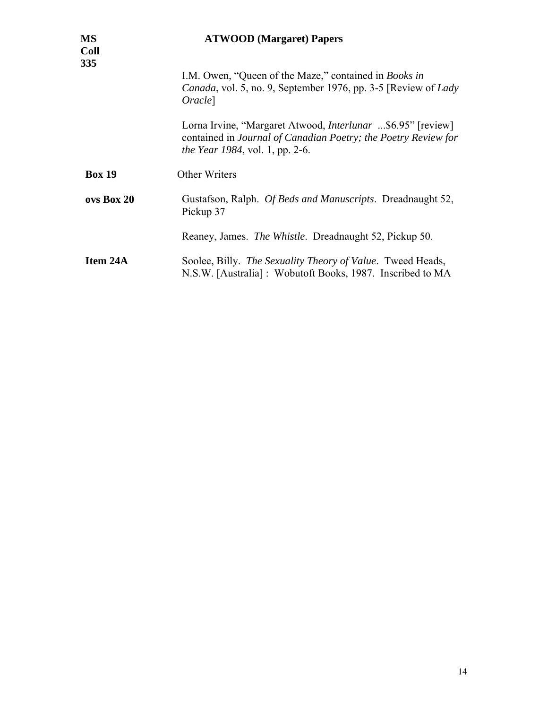| <b>MS</b><br><b>Coll</b><br>335 | <b>ATWOOD</b> (Margaret) Papers                                                                                                                                                 |
|---------------------------------|---------------------------------------------------------------------------------------------------------------------------------------------------------------------------------|
|                                 | I.M. Owen, "Queen of the Maze," contained in <i>Books in</i><br><i>Canada</i> , vol. 5, no. 9, September 1976, pp. 3-5 [Review of <i>Lady</i><br><i>Oracle</i>                  |
|                                 | Lorna Irvine, "Margaret Atwood, <i>Interlunar</i> \$6.95" [review]<br>contained in Journal of Canadian Poetry; the Poetry Review for<br><i>the Year 1984</i> , vol. 1, pp. 2-6. |
| <b>Box 19</b>                   | Other Writers                                                                                                                                                                   |
| ovs Box 20                      | Gustafson, Ralph. <i>Of Beds and Manuscripts</i> . Dreadnaught 52,<br>Pickup 37                                                                                                 |
|                                 | Reaney, James. The Whistle. Dreadnaught 52, Pickup 50.                                                                                                                          |
| Item 24A                        | Soolee, Billy. The Sexuality Theory of Value. Tweed Heads,<br>N.S.W. [Australia]: Wobutoft Books, 1987. Inscribed to MA                                                         |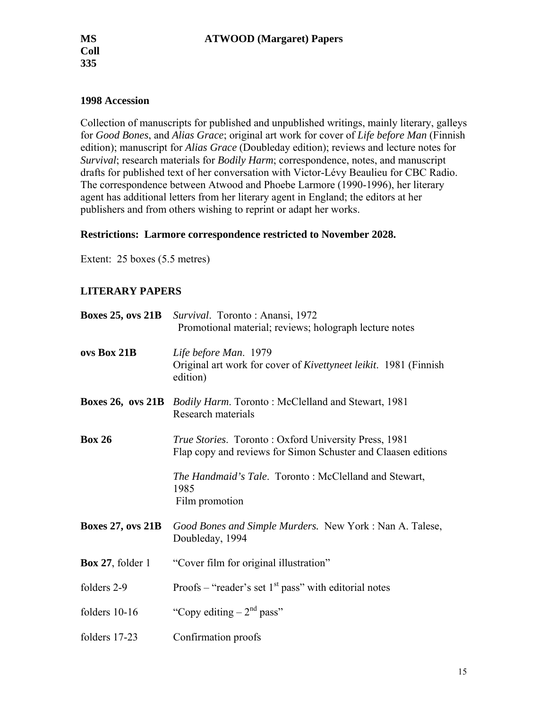### **1998 Accession**

Collection of manuscripts for published and unpublished writings, mainly literary, galleys for *Good Bones*, and *Alias Grace*; original art work for cover of *Life before Man* (Finnish edition); manuscript for *Alias Grace* (Doubleday edition); reviews and lecture notes for *Survival*; research materials for *Bodily Harm*; correspondence, notes, and manuscript drafts for published text of her conversation with Victor-Lévy Beaulieu for CBC Radio. The correspondence between Atwood and Phoebe Larmore (1990-1996), her literary agent has additional letters from her literary agent in England; the editors at her publishers and from others wishing to reprint or adapt her works.

### **Restrictions: Larmore correspondence restricted to November 2028.**

Extent: 25 boxes (5.5 metres)

### **LITERARY PAPERS**

| <b>Boxes 25, ovs 21B</b>   | Survival. Toronto: Anansi, 1972<br>Promotional material; reviews; holograph lecture notes                             |
|----------------------------|-----------------------------------------------------------------------------------------------------------------------|
| ovs Box 21B                | Life before Man. 1979<br>Original art work for cover of <i>Kivettyneet leikit</i> . 1981 (Finnish<br>edition)         |
| <b>Boxes 26, ovs 21B</b>   | <i>Bodily Harm.</i> Toronto: McClelland and Stewart, 1981<br>Research materials                                       |
| <b>Box 26</b>              | True Stories. Toronto: Oxford University Press, 1981<br>Flap copy and reviews for Simon Schuster and Claasen editions |
|                            | <i>The Handmaid's Tale.</i> Toronto: McClelland and Stewart,<br>1985<br>Film promotion                                |
| <b>Boxes 27, ovs 21B</b>   | Good Bones and Simple Murders. New York: Nan A. Talese,<br>Doubleday, 1994                                            |
| <b>Box 27</b> , folder $1$ | "Cover film for original illustration"                                                                                |
| folders 2-9                | Proofs – "reader's set $1st$ pass" with editorial notes                                                               |
| folders 10-16              | "Copy editing $-2nd$ pass"                                                                                            |
| folders 17-23              | Confirmation proofs                                                                                                   |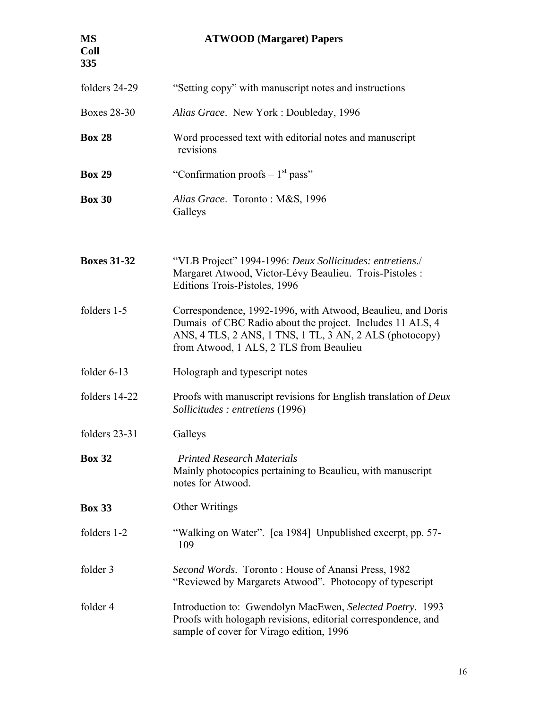| <b>MS</b><br><b>Coll</b><br>335 | <b>ATWOOD</b> (Margaret) Papers                                                                                                                                                                                                |
|---------------------------------|--------------------------------------------------------------------------------------------------------------------------------------------------------------------------------------------------------------------------------|
| folders 24-29                   | "Setting copy" with manuscript notes and instructions                                                                                                                                                                          |
| <b>Boxes 28-30</b>              | Alias Grace. New York: Doubleday, 1996                                                                                                                                                                                         |
| <b>Box 28</b>                   | Word processed text with editorial notes and manuscript<br>revisions                                                                                                                                                           |
| <b>Box 29</b>                   | "Confirmation proofs $-1st$ pass"                                                                                                                                                                                              |
| <b>Box 30</b>                   | Alias Grace. Toronto: M&S, 1996<br>Galleys                                                                                                                                                                                     |
| <b>Boxes 31-32</b>              | "VLB Project" 1994-1996: Deux Sollicitudes: entretiens./<br>Margaret Atwood, Victor-Lévy Beaulieu. Trois-Pistoles :<br>Editions Trois-Pistoles, 1996                                                                           |
| folders 1-5                     | Correspondence, 1992-1996, with Atwood, Beaulieu, and Doris<br>Dumais of CBC Radio about the project. Includes 11 ALS, 4<br>ANS, 4 TLS, 2 ANS, 1 TNS, 1 TL, 3 AN, 2 ALS (photocopy)<br>from Atwood, 1 ALS, 2 TLS from Beaulieu |
| folder $6-13$                   | Holograph and typescript notes                                                                                                                                                                                                 |
| folders 14-22                   | Proofs with manuscript revisions for English translation of Deux<br>Sollicitudes : entretiens (1996)                                                                                                                           |
| folders 23-31                   | Galleys                                                                                                                                                                                                                        |
| <b>Box 32</b>                   | <b>Printed Research Materials</b><br>Mainly photocopies pertaining to Beaulieu, with manuscript<br>notes for Atwood.                                                                                                           |
| <b>Box 33</b>                   | Other Writings                                                                                                                                                                                                                 |
| folders 1-2                     | "Walking on Water". [ca 1984] Unpublished excerpt, pp. 57-<br>109                                                                                                                                                              |
| folder 3                        | Second Words. Toronto: House of Anansi Press, 1982<br>"Reviewed by Margarets Atwood". Photocopy of typescript                                                                                                                  |
| folder 4                        | Introduction to: Gwendolyn MacEwen, Selected Poetry. 1993<br>Proofs with hologaph revisions, editorial correspondence, and<br>sample of cover for Virago edition, 1996                                                         |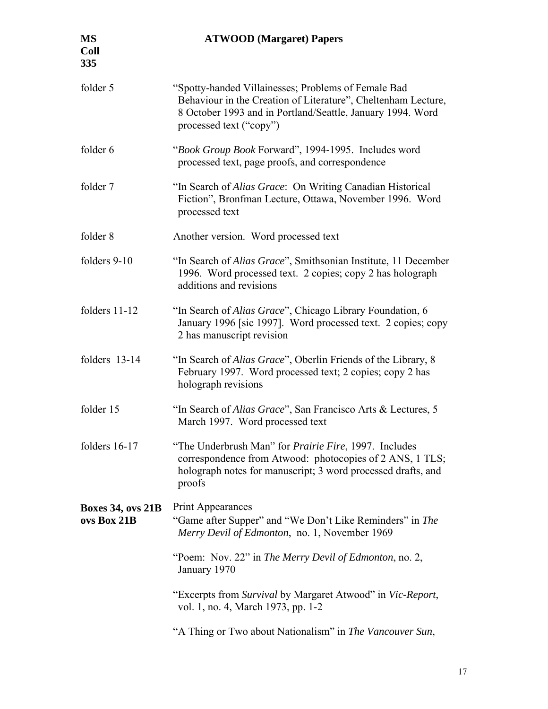| <b>MS</b><br><b>Coll</b><br>335         | <b>ATWOOD</b> (Margaret) Papers                                                                                                                                                                               |
|-----------------------------------------|---------------------------------------------------------------------------------------------------------------------------------------------------------------------------------------------------------------|
| folder 5                                | "Spotty-handed Villainesses; Problems of Female Bad<br>Behaviour in the Creation of Literature", Cheltenham Lecture,<br>8 October 1993 and in Portland/Seattle, January 1994. Word<br>processed text ("copy") |
| folder 6                                | "Book Group Book Forward", 1994-1995. Includes word<br>processed text, page proofs, and correspondence                                                                                                        |
| folder 7                                | "In Search of <i>Alias Grace</i> : On Writing Canadian Historical<br>Fiction", Bronfman Lecture, Ottawa, November 1996. Word<br>processed text                                                                |
| folder 8                                | Another version. Word processed text                                                                                                                                                                          |
| folders 9-10                            | "In Search of Alias Grace", Smithsonian Institute, 11 December<br>1996. Word processed text. 2 copies; copy 2 has holograph<br>additions and revisions                                                        |
| folders 11-12                           | "In Search of Alias Grace", Chicago Library Foundation, 6<br>January 1996 [sic 1997]. Word processed text. 2 copies; copy<br>2 has manuscript revision                                                        |
| folders 13-14                           | "In Search of Alias Grace", Oberlin Friends of the Library, 8<br>February 1997. Word processed text; 2 copies; copy 2 has<br>holograph revisions                                                              |
| folder 15                               | "In Search of Alias Grace", San Francisco Arts & Lectures, 5<br>March 1997. Word processed text                                                                                                               |
| folders $16-17$                         | "The Underbrush Man" for <i>Prairie Fire</i> , 1997. Includes<br>correspondence from Atwood: photocopies of 2 ANS, 1 TLS;<br>holograph notes for manuscript; 3 word processed drafts, and<br>proofs           |
| <b>Boxes 34, ovs 21B</b><br>ovs Box 21B | Print Appearances<br>"Game after Supper" and "We Don't Like Reminders" in The<br>Merry Devil of Edmonton, no. 1, November 1969                                                                                |
|                                         | "Poem: Nov. 22" in The Merry Devil of Edmonton, no. 2,<br>January 1970                                                                                                                                        |
|                                         | "Excerpts from Survival by Margaret Atwood" in Vic-Report,<br>vol. 1, no. 4, March 1973, pp. 1-2                                                                                                              |
|                                         | "A Thing or Two about Nationalism" in The Vancouver Sun,                                                                                                                                                      |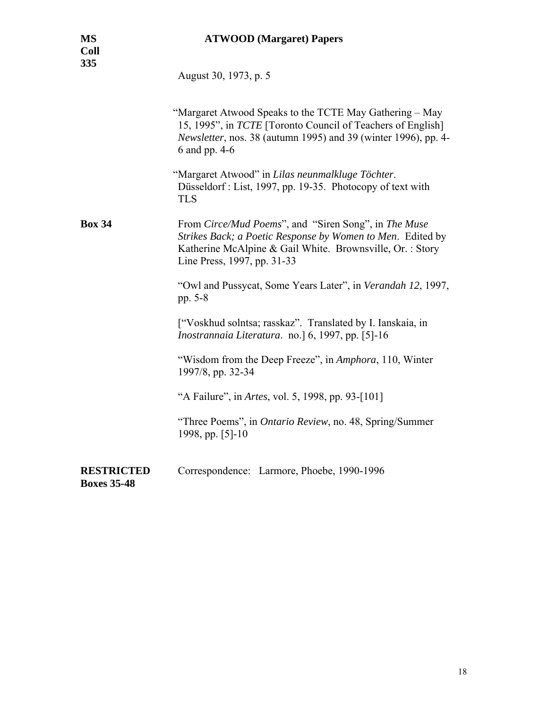August 30, 1973, p. 5

|                                         | "Margaret Atwood Speaks to the TCTE May Gathering – May<br>15, 1995", in TCTE [Toronto Council of Teachers of English]<br>Newsletter, nos. 38 (autumn 1995) and 39 (winter 1996), pp. 4-<br>6 and pp. 4-6<br>"Margaret Atwood" in Lilas neunmalkluge Töchter.<br>Düsseldorf: List, 1997, pp. 19-35. Photocopy of text with<br><b>TLS</b> |
|-----------------------------------------|------------------------------------------------------------------------------------------------------------------------------------------------------------------------------------------------------------------------------------------------------------------------------------------------------------------------------------------|
| <b>Box 34</b>                           | From Circe/Mud Poems", and "Siren Song", in The Muse<br>Strikes Back; a Poetic Response by Women to Men. Edited by<br>Katherine McAlpine & Gail White. Brownsville, Or.: Story<br>Line Press, 1997, pp. 31-33                                                                                                                            |
|                                         | "Owl and Pussycat, Some Years Later", in Verandah 12, 1997,<br>pp. 5-8                                                                                                                                                                                                                                                                   |
|                                         | ["Voskhud solntsa; rasskaz". Translated by I. Ianskaia, in<br><i>Inostrannaia Literatura.</i> no. [6, 1997, pp. [5]-16                                                                                                                                                                                                                   |
|                                         | "Wisdom from the Deep Freeze", in Amphora, 110, Winter<br>1997/8, pp. 32-34                                                                                                                                                                                                                                                              |
|                                         | "A Failure", in Artes, vol. 5, 1998, pp. 93-[101]                                                                                                                                                                                                                                                                                        |
|                                         | "Three Poems", in <i>Ontario Review</i> , no. 48, Spring/Summer<br>1998, pp. [5]-10                                                                                                                                                                                                                                                      |
| <b>RESTRICTED</b><br><b>Boxes 35-48</b> | Correspondence: Larmore, Phoebe, 1990-1996                                                                                                                                                                                                                                                                                               |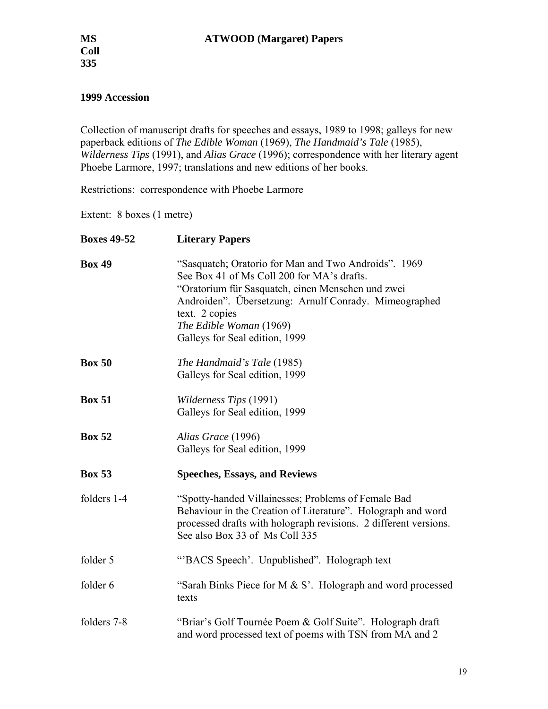### **1999 Accession**

Collection of manuscript drafts for speeches and essays, 1989 to 1998; galleys for new paperback editions of *The Edible Woman* (1969), *The Handmaid's Tale* (1985), *Wilderness Tips* (1991), and *Alias Grace* (1996); correspondence with her literary agent Phoebe Larmore, 1997; translations and new editions of her books.

Restrictions: correspondence with Phoebe Larmore

Extent: 8 boxes (1 metre)

| <b>Boxes 49-52</b> | <b>Literary Papers</b>                                                                                                                                                                                                                                                                          |
|--------------------|-------------------------------------------------------------------------------------------------------------------------------------------------------------------------------------------------------------------------------------------------------------------------------------------------|
| <b>Box 49</b>      | "Sasquatch; Oratorio for Man and Two Androids". 1969<br>See Box 41 of Ms Coll 200 for MA's drafts.<br>"Oratorium für Sasquatch, einen Menschen und zwei<br>Androiden". Übersetzung: Arnulf Conrady. Mimeographed<br>text. 2 copies<br>The Edible Woman (1969)<br>Galleys for Seal edition, 1999 |
| <b>Box 50</b>      | The Handmaid's Tale (1985)<br>Galleys for Seal edition, 1999                                                                                                                                                                                                                                    |
| <b>Box 51</b>      | Wilderness Tips (1991)<br>Galleys for Seal edition, 1999                                                                                                                                                                                                                                        |
| <b>Box 52</b>      | Alias Grace (1996)<br>Galleys for Seal edition, 1999                                                                                                                                                                                                                                            |
| <b>Box 53</b>      | <b>Speeches, Essays, and Reviews</b>                                                                                                                                                                                                                                                            |
| folders 1-4        | "Spotty-handed Villainesses; Problems of Female Bad<br>Behaviour in the Creation of Literature". Holograph and word<br>processed drafts with holograph revisions. 2 different versions.<br>See also Box 33 of Ms Coll 335                                                                       |
| folder 5           | "BACS Speech'. Unpublished". Holograph text                                                                                                                                                                                                                                                     |
| folder 6           | "Sarah Binks Piece for M $& S$ ". Holograph and word processed<br>texts                                                                                                                                                                                                                         |
| folders 7-8        | "Briar's Golf Tournée Poem & Golf Suite". Holograph draft<br>and word processed text of poems with TSN from MA and 2                                                                                                                                                                            |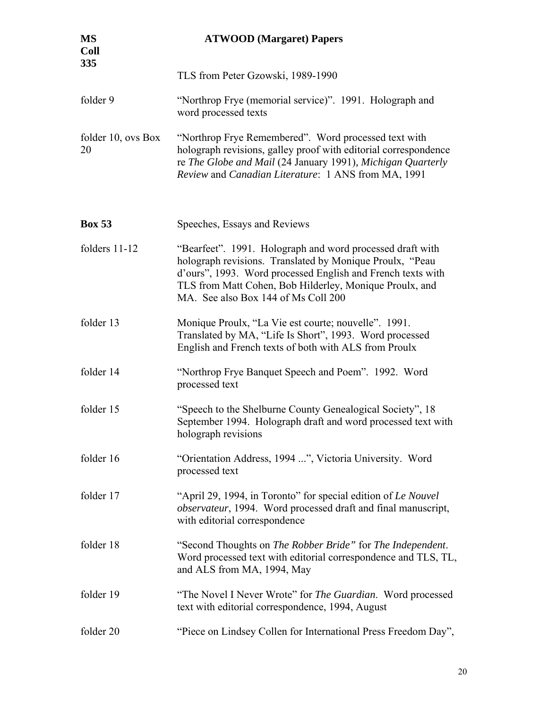| <b>MS</b><br><b>Coll</b><br>335 | <b>ATWOOD</b> (Margaret) Papers                                                                                                                                                                                                                                                        |
|---------------------------------|----------------------------------------------------------------------------------------------------------------------------------------------------------------------------------------------------------------------------------------------------------------------------------------|
|                                 | TLS from Peter Gzowski, 1989-1990                                                                                                                                                                                                                                                      |
| folder 9                        | "Northrop Frye (memorial service)". 1991. Holograph and<br>word processed texts                                                                                                                                                                                                        |
| folder 10, ovs Box<br>20        | "Northrop Frye Remembered". Word processed text with<br>holograph revisions, galley proof with editorial correspondence<br>re The Globe and Mail (24 January 1991), Michigan Quarterly<br>Review and Canadian Literature: 1 ANS from MA, 1991                                          |
| <b>Box 53</b>                   | Speeches, Essays and Reviews                                                                                                                                                                                                                                                           |
| folders 11-12                   | "Bearfeet". 1991. Holograph and word processed draft with<br>holograph revisions. Translated by Monique Proulx, "Peau<br>d'ours", 1993. Word processed English and French texts with<br>TLS from Matt Cohen, Bob Hilderley, Monique Proulx, and<br>MA. See also Box 144 of Ms Coll 200 |
| folder 13                       | Monique Proulx, "La Vie est courte; nouvelle". 1991.<br>Translated by MA, "Life Is Short", 1993. Word processed<br>English and French texts of both with ALS from Proulx                                                                                                               |
| folder 14                       | "Northrop Frye Banquet Speech and Poem". 1992. Word<br>processed text                                                                                                                                                                                                                  |
| folder 15                       | "Speech to the Shelburne County Genealogical Society", 18<br>September 1994. Holograph draft and word processed text with<br>holograph revisions                                                                                                                                       |
| folder 16                       | "Orientation Address, 1994 ", Victoria University. Word<br>processed text                                                                                                                                                                                                              |
| folder 17                       | "April 29, 1994, in Toronto" for special edition of Le Nouvel<br><i>observateur</i> , 1994. Word processed draft and final manuscript,<br>with editorial correspondence                                                                                                                |
| folder 18                       | "Second Thoughts on The Robber Bride" for The Independent.<br>Word processed text with editorial correspondence and TLS, TL,<br>and ALS from MA, 1994, May                                                                                                                             |
| folder 19                       | "The Novel I Never Wrote" for <i>The Guardian</i> . Word processed<br>text with editorial correspondence, 1994, August                                                                                                                                                                 |
| folder 20                       | "Piece on Lindsey Collen for International Press Freedom Day",                                                                                                                                                                                                                         |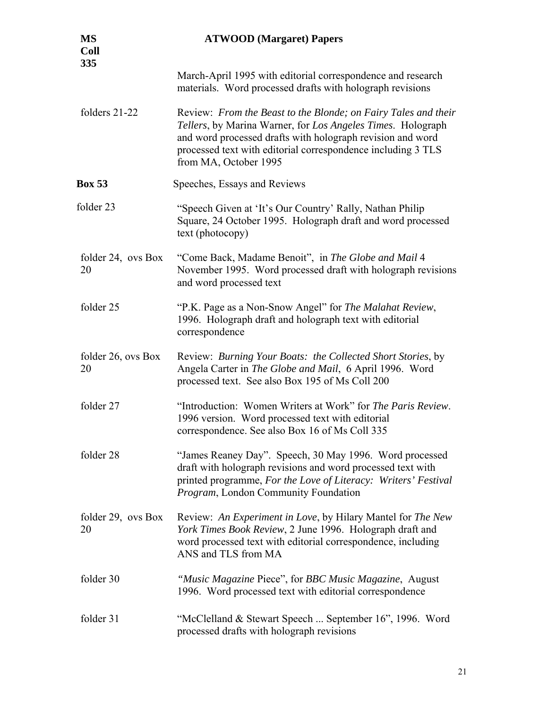| <b>MS</b><br><b>Coll</b><br>335 | <b>ATWOOD</b> (Margaret) Papers                                                                                                                                                                                                                                                      |
|---------------------------------|--------------------------------------------------------------------------------------------------------------------------------------------------------------------------------------------------------------------------------------------------------------------------------------|
|                                 | March-April 1995 with editorial correspondence and research<br>materials. Word processed drafts with holograph revisions                                                                                                                                                             |
| folders 21-22                   | Review: From the Beast to the Blonde; on Fairy Tales and their<br>Tellers, by Marina Warner, for Los Angeles Times. Holograph<br>and word processed drafts with holograph revision and word<br>processed text with editorial correspondence including 3 TLS<br>from MA, October 1995 |
| <b>Box 53</b>                   | Speeches, Essays and Reviews                                                                                                                                                                                                                                                         |
| folder 23                       | "Speech Given at 'It's Our Country' Rally, Nathan Philip<br>Square, 24 October 1995. Holograph draft and word processed<br>text (photocopy)                                                                                                                                          |
| folder 24, ovs Box<br>20        | "Come Back, Madame Benoit", in The Globe and Mail 4<br>November 1995. Word processed draft with holograph revisions<br>and word processed text                                                                                                                                       |
| folder 25                       | "P.K. Page as a Non-Snow Angel" for The Malahat Review,<br>1996. Holograph draft and holograph text with editorial<br>correspondence                                                                                                                                                 |
| folder 26, ovs Box<br>20        | Review: Burning Your Boats: the Collected Short Stories, by<br>Angela Carter in The Globe and Mail, 6 April 1996. Word<br>processed text. See also Box 195 of Ms Coll 200                                                                                                            |
| folder 27                       | "Introduction: Women Writers at Work" for The Paris Review.<br>1996 version. Word processed text with editorial<br>correspondence. See also Box 16 of Ms Coll 335                                                                                                                    |
| folder 28                       | "James Reaney Day". Speech, 30 May 1996. Word processed<br>draft with holograph revisions and word processed text with<br>printed programme, For the Love of Literacy: Writers' Festival<br>Program, London Community Foundation                                                     |
| folder 29, ovs Box<br>20        | Review: An Experiment in Love, by Hilary Mantel for The New<br>York Times Book Review, 2 June 1996. Holograph draft and<br>word processed text with editorial correspondence, including<br>ANS and TLS from MA                                                                       |
| folder 30                       | "Music Magazine Piece", for BBC Music Magazine, August<br>1996. Word processed text with editorial correspondence                                                                                                                                                                    |
| folder 31                       | "McClelland & Stewart Speech  September 16", 1996. Word<br>processed drafts with holograph revisions                                                                                                                                                                                 |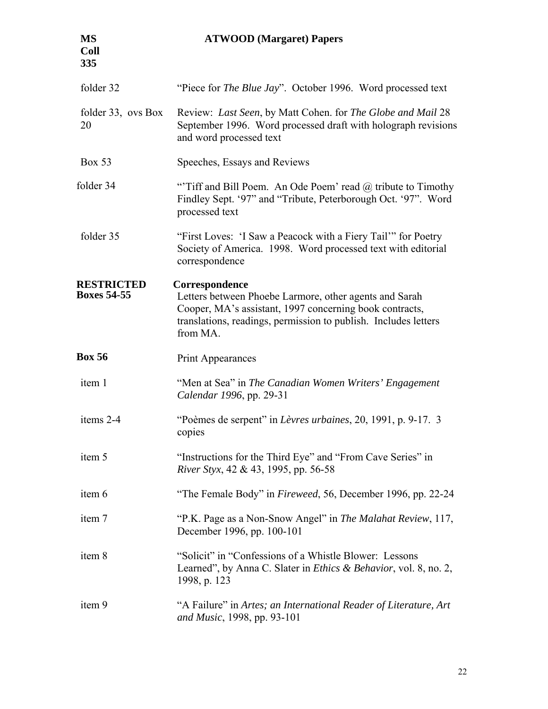## **MS ATWOOD (Margaret) Papers**

| folder 32                               | "Piece for The Blue Jay". October 1996. Word processed text                                                                                                                                                        |
|-----------------------------------------|--------------------------------------------------------------------------------------------------------------------------------------------------------------------------------------------------------------------|
| folder 33, ovs Box<br>20                | Review: Last Seen, by Matt Cohen. for The Globe and Mail 28<br>September 1996. Word processed draft with holograph revisions<br>and word processed text                                                            |
| <b>Box 53</b>                           | Speeches, Essays and Reviews                                                                                                                                                                                       |
| folder 34                               | "Tiff and Bill Poem. An Ode Poem' read @ tribute to Timothy<br>Findley Sept. '97" and "Tribute, Peterborough Oct. '97". Word<br>processed text                                                                     |
| folder 35                               | "First Loves: 'I Saw a Peacock with a Fiery Tail" for Poetry<br>Society of America. 1998. Word processed text with editorial<br>correspondence                                                                     |
| <b>RESTRICTED</b><br><b>Boxes 54-55</b> | Correspondence<br>Letters between Phoebe Larmore, other agents and Sarah<br>Cooper, MA's assistant, 1997 concerning book contracts,<br>translations, readings, permission to publish. Includes letters<br>from MA. |
| <b>Box 56</b>                           | <b>Print Appearances</b>                                                                                                                                                                                           |
| item 1                                  | "Men at Sea" in The Canadian Women Writers' Engagement<br>Calendar 1996, pp. 29-31                                                                                                                                 |
| items 2-4                               | "Poèmes de serpent" in Lèvres urbaines, 20, 1991, p. 9-17. 3<br>copies                                                                                                                                             |
| item 5                                  | "Instructions for the Third Eye" and "From Cave Series" in<br>River Styx, 42 & 43, 1995, pp. 56-58                                                                                                                 |
| item 6                                  | "The Female Body" in Fireweed, 56, December 1996, pp. 22-24                                                                                                                                                        |
| item 7                                  | "P.K. Page as a Non-Snow Angel" in The Malahat Review, 117,<br>December 1996, pp. 100-101                                                                                                                          |
| item 8                                  | "Solicit" in "Confessions of a Whistle Blower: Lessons"<br>Learned", by Anna C. Slater in <i>Ethics &amp; Behavior</i> , vol. 8, no. 2,<br>1998, p. 123                                                            |
| item 9                                  | "A Failure" in Artes; an International Reader of Literature, Art<br>and Music, 1998, pp. 93-101                                                                                                                    |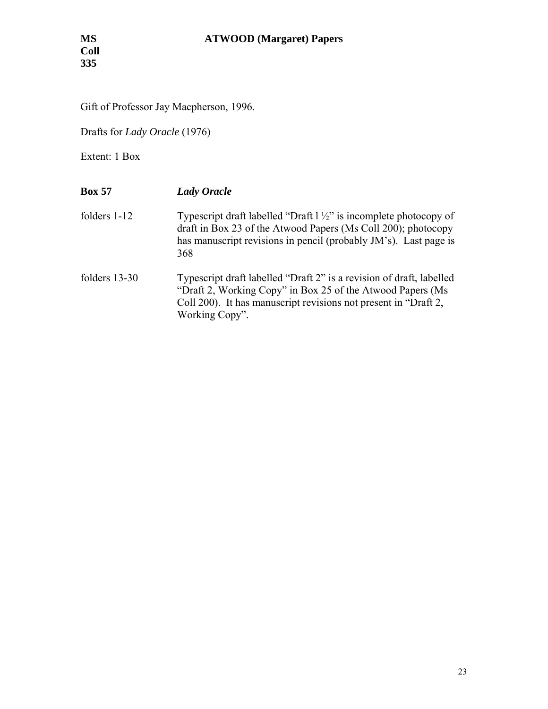Gift of Professor Jay Macpherson, 1996.

Drafts for *Lady Oracle* (1976)

Extent: 1 Box

| <b>Box 57</b>   | <b>Lady Oracle</b>                                                                                                                                                                                                       |
|-----------------|--------------------------------------------------------------------------------------------------------------------------------------------------------------------------------------------------------------------------|
| folders $1-12$  | Typescript draft labelled "Draft $1\frac{1}{2}$ " is incomplete photocopy of<br>draft in Box 23 of the Atwood Papers (Ms Coll 200); photocopy<br>has manuscript revisions in pencil (probably JM's). Last page is<br>368 |
| folders $13-30$ | Typescript draft labelled "Draft 2" is a revision of draft, labelled<br>"Draft 2, Working Copy" in Box 25 of the Atwood Papers (Ms)<br>Coll 200). It has manuscript revisions not present in "Draft 2,<br>Working Copy". |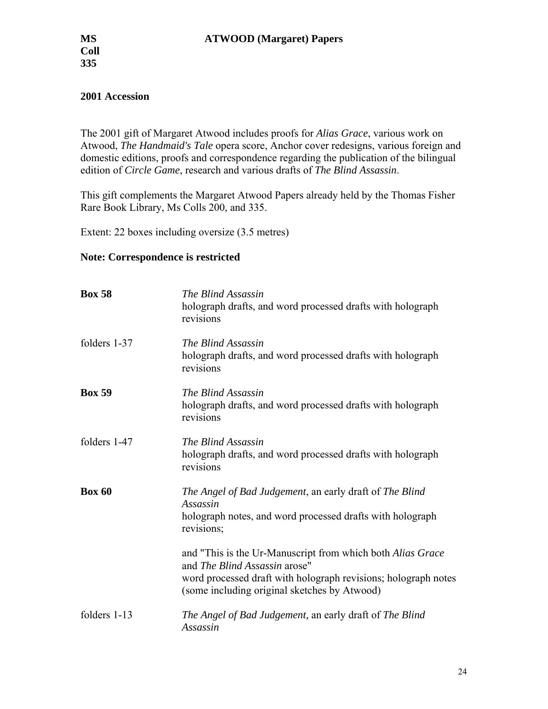### **2001 Accession**

The 2001 gift of Margaret Atwood includes proofs for *Alias Grace*, various work on Atwood, *The Handmaid's Tale* opera score, Anchor cover redesigns, various foreign and domestic editions, proofs and correspondence regarding the publication of the bilingual edition of *Circle Game*, research and various drafts of *The Blind Assassin*.

This gift complements the Margaret Atwood Papers already held by the Thomas Fisher Rare Book Library, Ms Colls 200, and 335.

Extent: 22 boxes including oversize (3.5 metres)

### **Note: Correspondence is restricted**

| <b>Box 58</b> | The Blind Assassin<br>holograph drafts, and word processed drafts with holograph<br>revisions                                                                                                                 |
|---------------|---------------------------------------------------------------------------------------------------------------------------------------------------------------------------------------------------------------|
| folders 1-37  | The Blind Assassin<br>holograph drafts, and word processed drafts with holograph<br>revisions                                                                                                                 |
| <b>Box 59</b> | The Blind Assassin<br>holograph drafts, and word processed drafts with holograph<br>revisions                                                                                                                 |
| folders 1-47  | The Blind Assassin<br>holograph drafts, and word processed drafts with holograph<br>revisions                                                                                                                 |
| <b>Box 60</b> | The Angel of Bad Judgement, an early draft of The Blind<br>Assassin<br>holograph notes, and word processed drafts with holograph<br>revisions;                                                                |
|               | and "This is the Ur-Manuscript from which both Alias Grace<br>and The Blind Assassin arose"<br>word processed draft with holograph revisions; holograph notes<br>(some including original sketches by Atwood) |
| folders 1-13  | The Angel of Bad Judgement, an early draft of The Blind<br>Assassin                                                                                                                                           |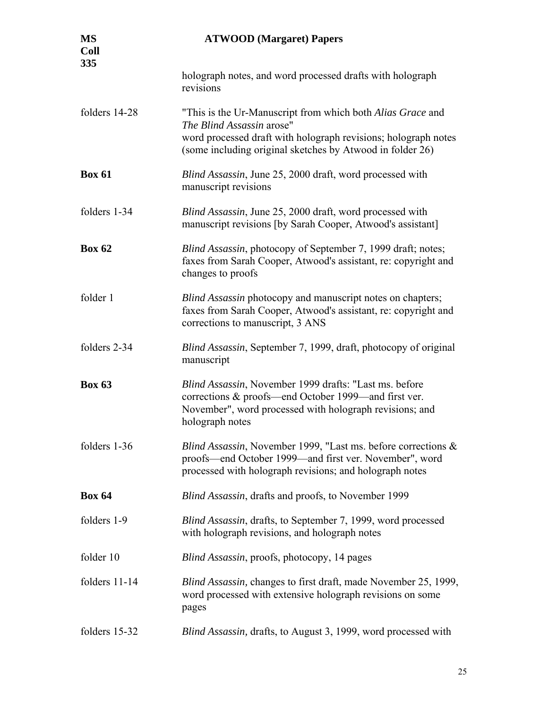| <b>MS</b><br><b>Coll</b><br>335 | <b>ATWOOD</b> (Margaret) Papers                                                                                                                                                                                        |
|---------------------------------|------------------------------------------------------------------------------------------------------------------------------------------------------------------------------------------------------------------------|
|                                 | holograph notes, and word processed drafts with holograph<br>revisions                                                                                                                                                 |
| folders 14-28                   | "This is the Ur-Manuscript from which both Alias Grace and<br>The Blind Assassin arose"<br>word processed draft with holograph revisions; holograph notes<br>(some including original sketches by Atwood in folder 26) |
| <b>Box 61</b>                   | Blind Assassin, June 25, 2000 draft, word processed with<br>manuscript revisions                                                                                                                                       |
| folders 1-34                    | Blind Assassin, June 25, 2000 draft, word processed with<br>manuscript revisions [by Sarah Cooper, Atwood's assistant]                                                                                                 |
| <b>Box 62</b>                   | Blind Assassin, photocopy of September 7, 1999 draft; notes;<br>faxes from Sarah Cooper, Atwood's assistant, re: copyright and<br>changes to proofs                                                                    |
| folder 1                        | Blind Assassin photocopy and manuscript notes on chapters;<br>faxes from Sarah Cooper, Atwood's assistant, re: copyright and<br>corrections to manuscript, 3 ANS                                                       |
| folders 2-34                    | Blind Assassin, September 7, 1999, draft, photocopy of original<br>manuscript                                                                                                                                          |
| <b>Box 63</b>                   | Blind Assassin, November 1999 drafts: "Last ms. before<br>corrections & proofs—end October 1999—and first ver.<br>November", word processed with holograph revisions; and<br>holograph notes                           |
| folders 1-36                    | Blind Assassin, November 1999, "Last ms. before corrections &<br>proofs—end October 1999—and first ver. November", word<br>processed with holograph revisions; and holograph notes                                     |
| <b>Box 64</b>                   | Blind Assassin, drafts and proofs, to November 1999                                                                                                                                                                    |
| folders 1-9                     | Blind Assassin, drafts, to September 7, 1999, word processed<br>with holograph revisions, and holograph notes                                                                                                          |
| folder 10                       | <i>Blind Assassin</i> , proofs, photocopy, 14 pages                                                                                                                                                                    |
| folders 11-14                   | Blind Assassin, changes to first draft, made November 25, 1999,<br>word processed with extensive holograph revisions on some<br>pages                                                                                  |
| folders 15-32                   | Blind Assassin, drafts, to August 3, 1999, word processed with                                                                                                                                                         |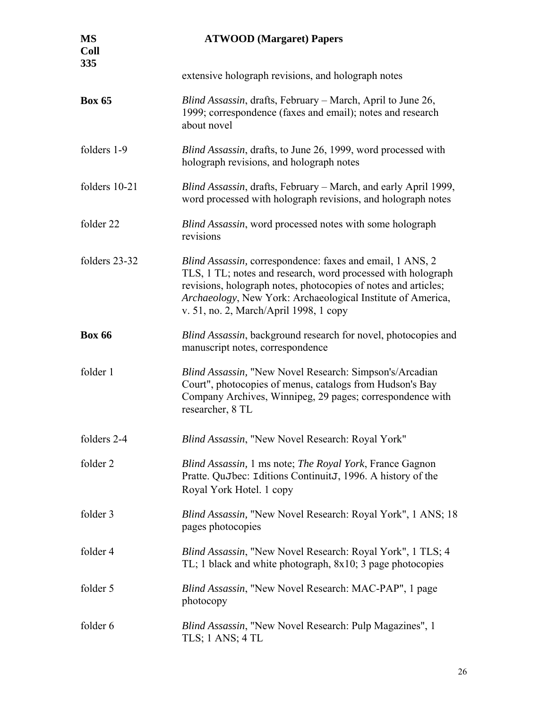| <b>MS</b><br><b>Coll</b><br>335 | <b>ATWOOD</b> (Margaret) Papers                                                                                                                                                                                                                                                                      |
|---------------------------------|------------------------------------------------------------------------------------------------------------------------------------------------------------------------------------------------------------------------------------------------------------------------------------------------------|
|                                 | extensive holograph revisions, and holograph notes                                                                                                                                                                                                                                                   |
| <b>Box 65</b>                   | Blind Assassin, drafts, February – March, April to June 26,<br>1999; correspondence (faxes and email); notes and research<br>about novel                                                                                                                                                             |
| folders 1-9                     | Blind Assassin, drafts, to June 26, 1999, word processed with<br>holograph revisions, and holograph notes                                                                                                                                                                                            |
| folders 10-21                   | Blind Assassin, drafts, February - March, and early April 1999,<br>word processed with holograph revisions, and holograph notes                                                                                                                                                                      |
| folder 22                       | Blind Assassin, word processed notes with some holograph<br>revisions                                                                                                                                                                                                                                |
| folders 23-32                   | Blind Assassin, correspondence: faxes and email, 1 ANS, 2<br>TLS, 1 TL; notes and research, word processed with holograph<br>revisions, holograph notes, photocopies of notes and articles;<br>Archaeology, New York: Archaeological Institute of America,<br>v. 51, no. 2, March/April 1998, 1 copy |
| <b>Box 66</b>                   | Blind Assassin, background research for novel, photocopies and<br>manuscript notes, correspondence                                                                                                                                                                                                   |
| folder 1                        | Blind Assassin, "New Novel Research: Simpson's/Arcadian<br>Court", photocopies of menus, catalogs from Hudson's Bay<br>Company Archives, Winnipeg, 29 pages; correspondence with<br>researcher, 8 TL                                                                                                 |
| folders 2-4                     | Blind Assassin, "New Novel Research: Royal York"                                                                                                                                                                                                                                                     |
| folder 2                        | Blind Assassin, 1 ms note; The Royal York, France Gagnon<br>Pratte. QuJbec: Iditions ContinuitJ, 1996. A history of the<br>Royal York Hotel. 1 copy                                                                                                                                                  |
| folder 3                        | <i>Blind Assassin, "New Novel Research: Royal York", 1 ANS; 18</i><br>pages photocopies                                                                                                                                                                                                              |
| folder 4                        | <i>Blind Assassin</i> , "New Novel Research: Royal York", 1 TLS; 4<br>TL; 1 black and white photograph, 8x10; 3 page photocopies                                                                                                                                                                     |
| folder 5                        | Blind Assassin, "New Novel Research: MAC-PAP", 1 page<br>photocopy                                                                                                                                                                                                                                   |
| folder 6                        | Blind Assassin, "New Novel Research: Pulp Magazines", 1<br>TLS; $1$ ANS; $4$ TL                                                                                                                                                                                                                      |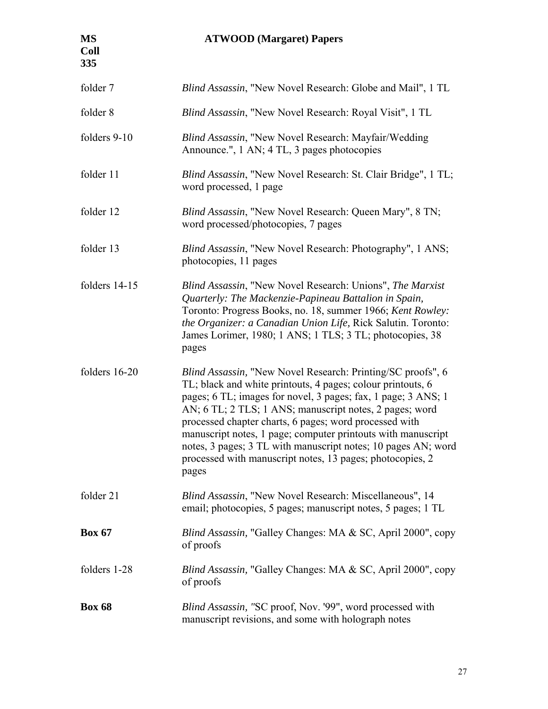# **MS ATWOOD (Margaret) Papers**

| folder 7      | <i>Blind Assassin</i> , "New Novel Research: Globe and Mail", 1 TL                                                                                                                                                                                                                                                                                                                                                                                                                                                             |
|---------------|--------------------------------------------------------------------------------------------------------------------------------------------------------------------------------------------------------------------------------------------------------------------------------------------------------------------------------------------------------------------------------------------------------------------------------------------------------------------------------------------------------------------------------|
| folder 8      | <i>Blind Assassin</i> , "New Novel Research: Royal Visit", 1 TL                                                                                                                                                                                                                                                                                                                                                                                                                                                                |
| folders 9-10  | Blind Assassin, "New Novel Research: Mayfair/Wedding<br>Announce.", 1 AN; 4 TL, 3 pages photocopies                                                                                                                                                                                                                                                                                                                                                                                                                            |
| folder 11     | Blind Assassin, "New Novel Research: St. Clair Bridge", 1 TL;<br>word processed, 1 page                                                                                                                                                                                                                                                                                                                                                                                                                                        |
| folder 12     | <i>Blind Assassin</i> , "New Novel Research: Queen Mary", 8 TN;<br>word processed/photocopies, 7 pages                                                                                                                                                                                                                                                                                                                                                                                                                         |
| folder 13     | <i>Blind Assassin</i> , "New Novel Research: Photography", 1 ANS;<br>photocopies, 11 pages                                                                                                                                                                                                                                                                                                                                                                                                                                     |
| folders 14-15 | <i>Blind Assassin</i> , "New Novel Research: Unions", <i>The Marxist</i><br>Quarterly: The Mackenzie-Papineau Battalion in Spain,<br>Toronto: Progress Books, no. 18, summer 1966; Kent Rowley:<br>the Organizer: a Canadian Union Life, Rick Salutin. Toronto:<br>James Lorimer, 1980; 1 ANS; 1 TLS; 3 TL; photocopies, 38<br>pages                                                                                                                                                                                           |
| folders 16-20 | <i>Blind Assassin,</i> "New Novel Research: Printing/SC proofs", 6<br>TL; black and white printouts, 4 pages; colour printouts, 6<br>pages; 6 TL; images for novel, 3 pages; fax, 1 page; 3 ANS; 1<br>AN; 6 TL; 2 TLS; 1 ANS; manuscript notes, 2 pages; word<br>processed chapter charts, 6 pages; word processed with<br>manuscript notes, 1 page; computer printouts with manuscript<br>notes, 3 pages; 3 TL with manuscript notes; 10 pages AN; word<br>processed with manuscript notes, 13 pages; photocopies, 2<br>pages |
| folder 21     | Blind Assassin, "New Novel Research: Miscellaneous", 14<br>email; photocopies, 5 pages; manuscript notes, 5 pages; 1 TL                                                                                                                                                                                                                                                                                                                                                                                                        |
| <b>Box 67</b> | <i>Blind Assassin,</i> "Galley Changes: MA & SC, April 2000", copy<br>of proofs                                                                                                                                                                                                                                                                                                                                                                                                                                                |
| folders 1-28  | <i>Blind Assassin,</i> "Galley Changes: MA & SC, April 2000", copy<br>of proofs                                                                                                                                                                                                                                                                                                                                                                                                                                                |
| <b>Box 68</b> | Blind Assassin, "SC proof, Nov. '99", word processed with<br>manuscript revisions, and some with holograph notes                                                                                                                                                                                                                                                                                                                                                                                                               |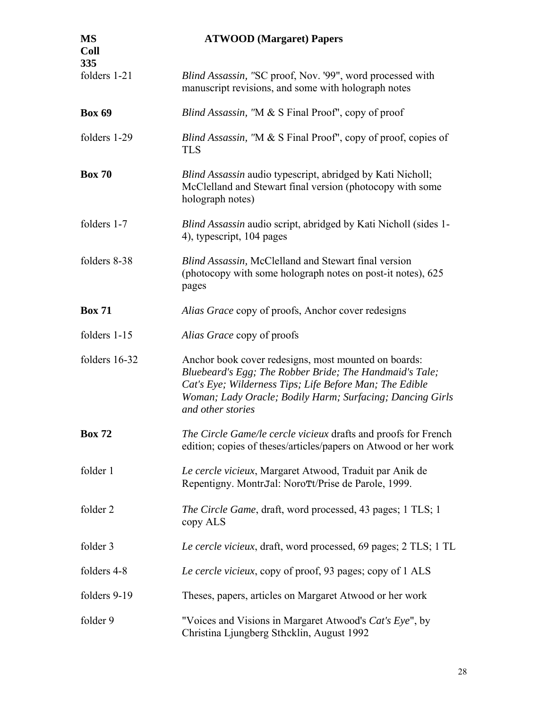| <b>MS</b><br><b>Coll</b><br>335 | <b>ATWOOD</b> (Margaret) Papers                                                                                                                                                                                                                              |
|---------------------------------|--------------------------------------------------------------------------------------------------------------------------------------------------------------------------------------------------------------------------------------------------------------|
| folders 1-21                    | Blind Assassin, "SC proof, Nov. '99", word processed with<br>manuscript revisions, and some with holograph notes                                                                                                                                             |
| <b>Box 69</b>                   | Blind Assassin, "M & S Final Proof", copy of proof                                                                                                                                                                                                           |
| folders 1-29                    | Blind Assassin, "M & S Final Proof", copy of proof, copies of<br><b>TLS</b>                                                                                                                                                                                  |
| <b>Box 70</b>                   | Blind Assassin audio typescript, abridged by Kati Nicholl;<br>McClelland and Stewart final version (photocopy with some<br>holograph notes)                                                                                                                  |
| folders 1-7                     | <i>Blind Assassin</i> audio script, abridged by Kati Nicholl (sides 1-<br>4), typescript, 104 pages                                                                                                                                                          |
| folders 8-38                    | Blind Assassin, McClelland and Stewart final version<br>(photocopy with some holograph notes on post-it notes), 625<br>pages                                                                                                                                 |
| <b>Box 71</b>                   | Alias Grace copy of proofs, Anchor cover redesigns                                                                                                                                                                                                           |
| folders 1-15                    | Alias Grace copy of proofs                                                                                                                                                                                                                                   |
| folders 16-32                   | Anchor book cover redesigns, most mounted on boards:<br>Bluebeard's Egg; The Robber Bride; The Handmaid's Tale;<br>Cat's Eye; Wilderness Tips; Life Before Man; The Edible<br>Woman; Lady Oracle; Bodily Harm; Surfacing; Dancing Girls<br>and other stories |
| <b>Box 72</b>                   | The Circle Game/le cercle vicieux drafts and proofs for French<br>edition; copies of theses/articles/papers on Atwood or her work                                                                                                                            |
| folder 1                        | Le cercle vicieux, Margaret Atwood, Traduit par Anik de<br>Repentigny. MontrJal: NoroTt/Prise de Parole, 1999.                                                                                                                                               |
| folder 2                        | <i>The Circle Game, draft, word processed, 43 pages; 1 TLS; 1</i><br>copy ALS                                                                                                                                                                                |
| folder 3                        | Le cercle vicieux, draft, word processed, 69 pages; 2 TLS; 1 TL                                                                                                                                                                                              |
| folders 4-8                     | Le cercle vicieux, copy of proof, 93 pages; copy of 1 ALS                                                                                                                                                                                                    |
| folders 9-19                    | Theses, papers, articles on Margaret Atwood or her work                                                                                                                                                                                                      |
| folder 9                        | "Voices and Visions in Margaret Atwood's Cat's Eye", by<br>Christina Ljungberg Sthcklin, August 1992                                                                                                                                                         |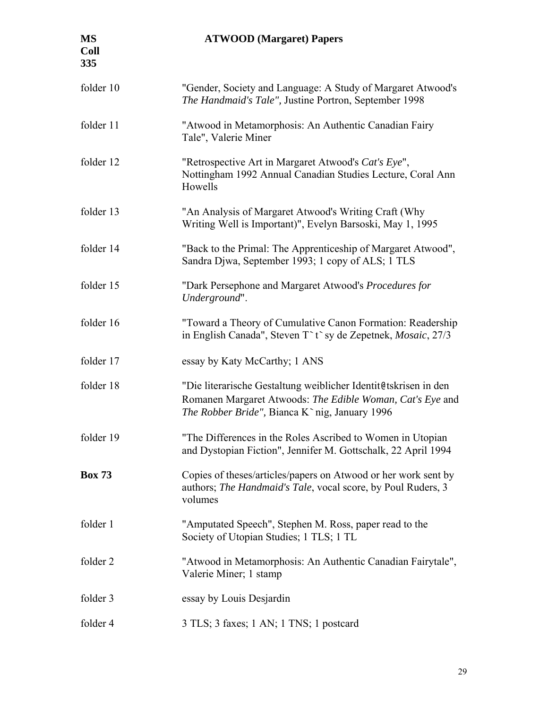| <b>MS</b><br><b>Coll</b><br>335 | <b>ATWOOD</b> (Margaret) Papers                                                                                                                                               |
|---------------------------------|-------------------------------------------------------------------------------------------------------------------------------------------------------------------------------|
| folder 10                       | "Gender, Society and Language: A Study of Margaret Atwood's<br>The Handmaid's Tale", Justine Portron, September 1998                                                          |
| folder 11                       | "Atwood in Metamorphosis: An Authentic Canadian Fairy<br>Tale", Valerie Miner                                                                                                 |
| folder 12                       | "Retrospective Art in Margaret Atwood's Cat's Eye",<br>Nottingham 1992 Annual Canadian Studies Lecture, Coral Ann<br>Howells                                                  |
| folder 13                       | "An Analysis of Margaret Atwood's Writing Craft (Why<br>Writing Well is Important)", Evelyn Barsoski, May 1, 1995                                                             |
| folder 14                       | "Back to the Primal: The Apprenticeship of Margaret Atwood",<br>Sandra Djwa, September 1993; 1 copy of ALS; 1 TLS                                                             |
| folder 15                       | "Dark Persephone and Margaret Atwood's Procedures for<br>Underground".                                                                                                        |
| folder 16                       | "Toward a Theory of Cumulative Canon Formation: Readership<br>in English Canada", Steven T t sy de Zepetnek, Mosaic, 27/3                                                     |
| folder 17                       | essay by Katy McCarthy; 1 ANS                                                                                                                                                 |
| folder 18                       | "Die literarische Gestaltung weiblicher Identit@tskrisen in den<br>Romanen Margaret Atwoods: The Edible Woman, Cat's Eye and<br>The Robber Bride", Bianca K`nig, January 1996 |
| folder 19                       | "The Differences in the Roles Ascribed to Women in Utopian<br>and Dystopian Fiction", Jennifer M. Gottschalk, 22 April 1994                                                   |
| <b>Box 73</b>                   | Copies of theses/articles/papers on Atwood or her work sent by<br>authors; The Handmaid's Tale, vocal score, by Poul Ruders, 3<br>volumes                                     |
| folder 1                        | "Amputated Speech", Stephen M. Ross, paper read to the<br>Society of Utopian Studies; 1 TLS; 1 TL                                                                             |
| folder 2                        | "Atwood in Metamorphosis: An Authentic Canadian Fairytale",<br>Valerie Miner; 1 stamp                                                                                         |
| folder 3                        | essay by Louis Desjardin                                                                                                                                                      |
| folder 4                        | 3 TLS; 3 faxes; 1 AN; 1 TNS; 1 postcard                                                                                                                                       |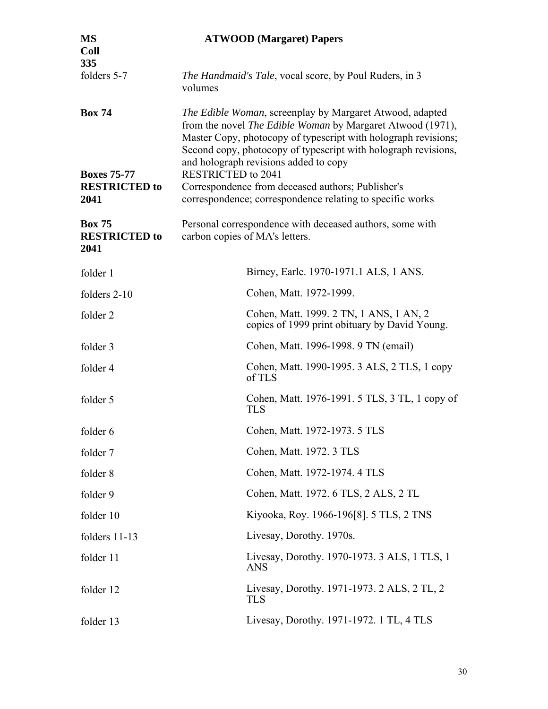| <b>MS</b><br><b>Coll</b><br>335               | <b>ATWOOD</b> (Margaret) Papers                                                                                                                                                                                                                                                                     |
|-----------------------------------------------|-----------------------------------------------------------------------------------------------------------------------------------------------------------------------------------------------------------------------------------------------------------------------------------------------------|
| folders 5-7                                   | The Handmaid's Tale, vocal score, by Poul Ruders, in 3<br>volumes                                                                                                                                                                                                                                   |
| <b>Box 74</b>                                 | The Edible Woman, screenplay by Margaret Atwood, adapted<br>from the novel The Edible Woman by Margaret Atwood (1971),<br>Master Copy, photocopy of typescript with holograph revisions;<br>Second copy, photocopy of typescript with holograph revisions,<br>and holograph revisions added to copy |
| <b>Boxes 75-77</b>                            | <b>RESTRICTED to 2041</b>                                                                                                                                                                                                                                                                           |
| <b>RESTRICTED to</b><br>2041                  | Correspondence from deceased authors; Publisher's<br>correspondence; correspondence relating to specific works                                                                                                                                                                                      |
| <b>Box 75</b><br><b>RESTRICTED to</b><br>2041 | Personal correspondence with deceased authors, some with<br>carbon copies of MA's letters.                                                                                                                                                                                                          |
| folder 1                                      | Birney, Earle. 1970-1971.1 ALS, 1 ANS.                                                                                                                                                                                                                                                              |
| folders 2-10                                  | Cohen, Matt. 1972-1999.                                                                                                                                                                                                                                                                             |
| folder 2                                      | Cohen, Matt. 1999. 2 TN, 1 ANS, 1 AN, 2<br>copies of 1999 print obituary by David Young.                                                                                                                                                                                                            |
| folder 3                                      | Cohen, Matt. 1996-1998. 9 TN (email)                                                                                                                                                                                                                                                                |
| folder 4                                      | Cohen, Matt. 1990-1995. 3 ALS, 2 TLS, 1 copy<br>of TLS                                                                                                                                                                                                                                              |
| folder 5                                      | Cohen, Matt. 1976-1991. 5 TLS, 3 TL, 1 copy of<br><b>TLS</b>                                                                                                                                                                                                                                        |
| folder 6                                      | Cohen, Matt. 1972-1973. 5 TLS                                                                                                                                                                                                                                                                       |
| folder 7                                      | Cohen, Matt. 1972. 3 TLS                                                                                                                                                                                                                                                                            |
| folder 8                                      | Cohen, Matt. 1972-1974. 4 TLS                                                                                                                                                                                                                                                                       |
| folder 9                                      | Cohen, Matt. 1972. 6 TLS, 2 ALS, 2 TL                                                                                                                                                                                                                                                               |
| folder 10                                     | Kiyooka, Roy. 1966-196[8]. 5 TLS, 2 TNS                                                                                                                                                                                                                                                             |
| folders 11-13                                 | Livesay, Dorothy. 1970s.                                                                                                                                                                                                                                                                            |
| folder 11                                     | Livesay, Dorothy. 1970-1973. 3 ALS, 1 TLS, 1<br><b>ANS</b>                                                                                                                                                                                                                                          |
| folder 12                                     | Livesay, Dorothy. 1971-1973. 2 ALS, 2 TL, 2<br><b>TLS</b>                                                                                                                                                                                                                                           |
| folder 13                                     | Livesay, Dorothy. 1971-1972. 1 TL, 4 TLS                                                                                                                                                                                                                                                            |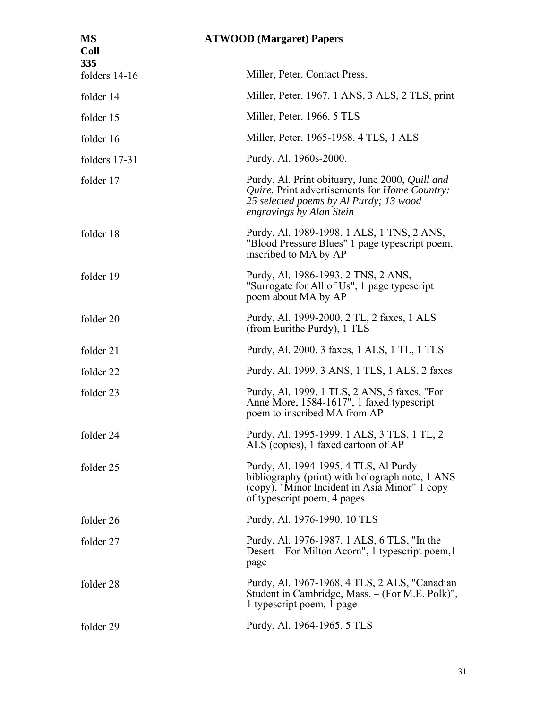| MS<br><b>Coll</b><br>335 | <b>ATWOOD</b> (Margaret) Papers                                                                                                                                                       |
|--------------------------|---------------------------------------------------------------------------------------------------------------------------------------------------------------------------------------|
| folders 14-16            | Miller, Peter. Contact Press.                                                                                                                                                         |
| folder 14                | Miller, Peter. 1967. 1 ANS, 3 ALS, 2 TLS, print                                                                                                                                       |
| folder 15                | Miller, Peter. 1966. 5 TLS                                                                                                                                                            |
| folder 16                | Miller, Peter. 1965-1968. 4 TLS, 1 ALS                                                                                                                                                |
| folders 17-31            | Purdy, Al. 1960s-2000.                                                                                                                                                                |
| folder 17                | Purdy, Al. Print obituary, June 2000, <i>Quill and</i><br>Quire. Print advertisements for <i>Home Country</i> :<br>25 selected poems by Al Purdy; 13 wood<br>engravings by Alan Stein |
| folder 18                | Purdy, Al. 1989-1998. 1 ALS, 1 TNS, 2 ANS,<br>"Blood Pressure Blues" 1 page typescript poem,<br>inscribed to MA by AP                                                                 |
| folder 19                | Purdy, Al. 1986-1993. 2 TNS, 2 ANS,<br>"Surrogate for All of Us", 1 page typescript<br>poem about MA by AP                                                                            |
| folder 20                | Purdy, Al. 1999-2000. 2 TL, 2 faxes, 1 ALS<br>(from Eurithe Purdy), 1 TLS                                                                                                             |
| folder 21                | Purdy, Al. 2000. 3 faxes, 1 ALS, 1 TL, 1 TLS                                                                                                                                          |
| folder 22                | Purdy, Al. 1999. 3 ANS, 1 TLS, 1 ALS, 2 faxes                                                                                                                                         |
| folder 23                | Purdy, Al. 1999. 1 TLS, 2 ANS, 5 faxes, "For<br>Anne More, 1584-1617", 1 faxed typescript<br>poem to inscribed MA from AP                                                             |
| folder 24                | Purdy, Al. 1995-1999. 1 ALS, 3 TLS, 1 TL, 2<br>ALS (copies), 1 faxed cartoon of AP                                                                                                    |
| folder 25                | Purdy, Al. 1994-1995. 4 TLS, Al Purdy<br>bibliography (print) with holograph note, 1 ANS<br>(copy), "Minor Incident in Asia Minor" 1 copy<br>of typescript poem, 4 pages              |
| folder 26                | Purdy, Al. 1976-1990. 10 TLS                                                                                                                                                          |
| folder 27                | Purdy, Al. 1976-1987. 1 ALS, 6 TLS, "In the<br>Desert—For Milton Acorn", 1 typescript poem, 1<br>page                                                                                 |
| folder 28                | Purdy, Al. 1967-1968. 4 TLS, 2 ALS, "Canadian<br>Student in Cambridge, Mass. – (For M.E. Polk)",<br>1 typescript poem, 1 page                                                         |
| folder 29                | Purdy, Al. 1964-1965. 5 TLS                                                                                                                                                           |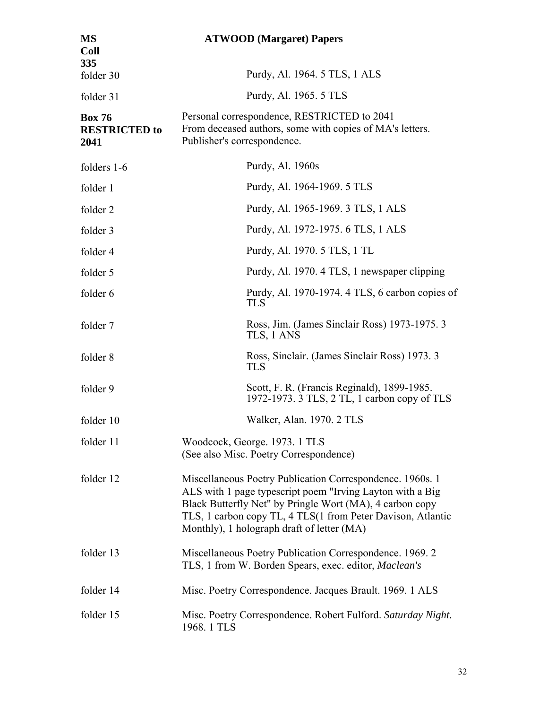| <b>MS</b><br><b>Coll</b><br>335               | <b>ATWOOD</b> (Margaret) Papers                                                                                                                                                                                                                                                                 |
|-----------------------------------------------|-------------------------------------------------------------------------------------------------------------------------------------------------------------------------------------------------------------------------------------------------------------------------------------------------|
| folder 30                                     | Purdy, Al. 1964. 5 TLS, 1 ALS                                                                                                                                                                                                                                                                   |
| folder 31                                     | Purdy, Al. 1965. 5 TLS                                                                                                                                                                                                                                                                          |
| <b>Box 76</b><br><b>RESTRICTED to</b><br>2041 | Personal correspondence, RESTRICTED to 2041<br>From deceased authors, some with copies of MA's letters.<br>Publisher's correspondence.                                                                                                                                                          |
| folders 1-6                                   | Purdy, Al. 1960s                                                                                                                                                                                                                                                                                |
| folder 1                                      | Purdy, Al. 1964-1969. 5 TLS                                                                                                                                                                                                                                                                     |
| folder 2                                      | Purdy, Al. 1965-1969. 3 TLS, 1 ALS                                                                                                                                                                                                                                                              |
| folder 3                                      | Purdy, Al. 1972-1975. 6 TLS, 1 ALS                                                                                                                                                                                                                                                              |
| folder 4                                      | Purdy, Al. 1970. 5 TLS, 1 TL                                                                                                                                                                                                                                                                    |
| folder 5                                      | Purdy, Al. 1970. 4 TLS, 1 newspaper clipping                                                                                                                                                                                                                                                    |
| folder 6                                      | Purdy, Al. 1970-1974. 4 TLS, 6 carbon copies of<br>TLS                                                                                                                                                                                                                                          |
| folder 7                                      | Ross, Jim. (James Sinclair Ross) 1973-1975. 3<br>TLS, 1 ANS                                                                                                                                                                                                                                     |
| folder 8                                      | Ross, Sinclair. (James Sinclair Ross) 1973. 3<br><b>TLS</b>                                                                                                                                                                                                                                     |
| folder 9                                      | Scott, F. R. (Francis Reginald), 1899-1985.<br>1972-1973. 3 TLS, 2 TL, 1 carbon copy of TLS                                                                                                                                                                                                     |
| folder 10                                     | Walker, Alan. 1970. 2 TLS                                                                                                                                                                                                                                                                       |
| folder 11                                     | Woodcock, George. 1973. 1 TLS<br>(See also Misc. Poetry Correspondence)                                                                                                                                                                                                                         |
| folder 12                                     | Miscellaneous Poetry Publication Correspondence. 1960s. 1<br>ALS with 1 page typescript poem "Irving Layton with a Big<br>Black Butterfly Net" by Pringle Wort (MA), 4 carbon copy<br>TLS, 1 carbon copy TL, 4 TLS(1 from Peter Davison, Atlantic<br>Monthly), 1 holograph draft of letter (MA) |
| folder 13                                     | Miscellaneous Poetry Publication Correspondence. 1969. 2<br>TLS, 1 from W. Borden Spears, exec. editor, <i>Maclean's</i>                                                                                                                                                                        |
| folder 14                                     | Misc. Poetry Correspondence. Jacques Brault. 1969. 1 ALS                                                                                                                                                                                                                                        |
| folder 15                                     | Misc. Poetry Correspondence. Robert Fulford. Saturday Night.<br>1968. 1 TLS                                                                                                                                                                                                                     |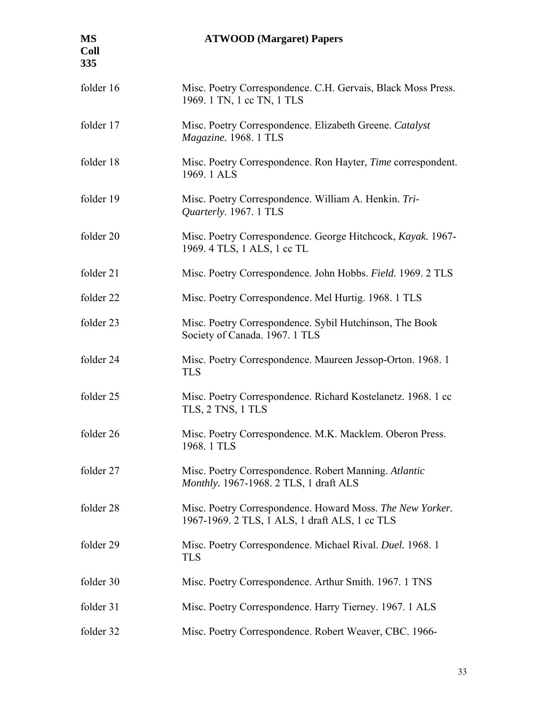| <b>MS</b><br><b>Coll</b><br>335 | <b>ATWOOD</b> (Margaret) Papers                                                                             |
|---------------------------------|-------------------------------------------------------------------------------------------------------------|
| folder 16                       | Misc. Poetry Correspondence. C.H. Gervais, Black Moss Press.<br>1969. 1 TN, 1 cc TN, 1 TLS                  |
| folder 17                       | Misc. Poetry Correspondence. Elizabeth Greene. Catalyst<br>Magazine. 1968. 1 TLS                            |
| folder 18                       | Misc. Poetry Correspondence. Ron Hayter, <i>Time</i> correspondent.<br>1969. 1 ALS                          |
| folder 19                       | Misc. Poetry Correspondence. William A. Henkin. Tri-<br>Quarterly. 1967. 1 TLS                              |
| folder 20                       | Misc. Poetry Correspondence. George Hitchcock, Kayak. 1967-<br>1969. 4 TLS, 1 ALS, 1 cc TL                  |
| folder 21                       | Misc. Poetry Correspondence. John Hobbs. Field. 1969. 2 TLS                                                 |
| folder 22                       | Misc. Poetry Correspondence. Mel Hurtig. 1968. 1 TLS                                                        |
| folder 23                       | Misc. Poetry Correspondence. Sybil Hutchinson, The Book<br>Society of Canada. 1967. 1 TLS                   |
| folder 24                       | Misc. Poetry Correspondence. Maureen Jessop-Orton. 1968. 1<br><b>TLS</b>                                    |
| folder 25                       | Misc. Poetry Correspondence. Richard Kostelanetz. 1968. 1 cc<br>TLS, 2 TNS, 1 TLS                           |
| folder 26                       | Misc. Poetry Correspondence. M.K. Macklem. Oberon Press.<br>1968.1 TLS                                      |
| folder 27                       | Misc. Poetry Correspondence. Robert Manning. Atlantic<br>Monthly. 1967-1968. 2 TLS, 1 draft ALS             |
| folder 28                       | Misc. Poetry Correspondence. Howard Moss. The New Yorker.<br>1967-1969. 2 TLS, 1 ALS, 1 draft ALS, 1 cc TLS |
| folder 29                       | Misc. Poetry Correspondence. Michael Rival. Duel. 1968. 1<br><b>TLS</b>                                     |
| folder 30                       | Misc. Poetry Correspondence. Arthur Smith. 1967. 1 TNS                                                      |
| folder 31                       | Misc. Poetry Correspondence. Harry Tierney. 1967. 1 ALS                                                     |
| folder 32                       | Misc. Poetry Correspondence. Robert Weaver, CBC. 1966-                                                      |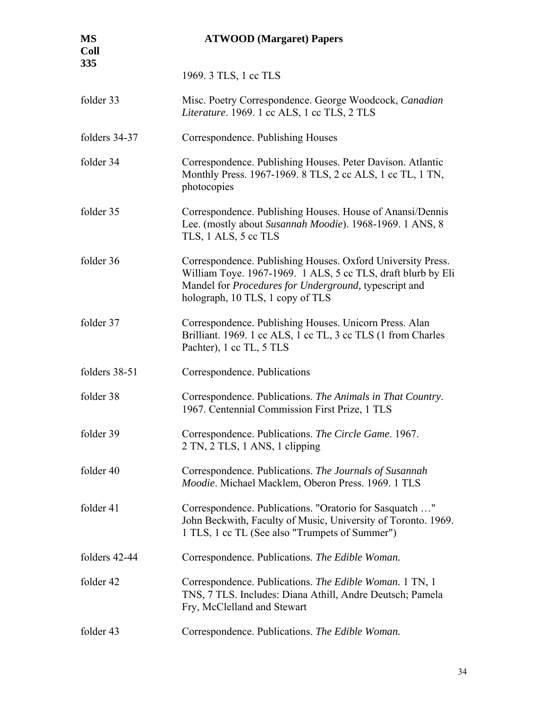| <b>MS</b><br><b>Coll</b><br>335 | <b>ATWOOD</b> (Margaret) Papers                                                                                                                                                                                                  |
|---------------------------------|----------------------------------------------------------------------------------------------------------------------------------------------------------------------------------------------------------------------------------|
|                                 | 1969. 3 TLS, 1 cc TLS                                                                                                                                                                                                            |
| folder 33                       | Misc. Poetry Correspondence. George Woodcock, Canadian<br>Literature. 1969. 1 cc ALS, 1 cc TLS, 2 TLS                                                                                                                            |
| folders 34-37                   | Correspondence. Publishing Houses                                                                                                                                                                                                |
| folder 34                       | Correspondence. Publishing Houses. Peter Davison. Atlantic<br>Monthly Press. 1967-1969. 8 TLS, 2 cc ALS, 1 cc TL, 1 TN,<br>photocopies                                                                                           |
| folder 35                       | Correspondence. Publishing Houses. House of Anansi/Dennis<br>Lee. (mostly about Susannah Moodie). 1968-1969. 1 ANS, 8<br>TLS, 1 ALS, 5 cc TLS                                                                                    |
| folder 36                       | Correspondence. Publishing Houses. Oxford University Press.<br>William Toye. 1967-1969. 1 ALS, 5 cc TLS, draft blurb by Eli<br>Mandel for <i>Procedures for Underground</i> , typescript and<br>holograph, 10 TLS, 1 copy of TLS |
| folder 37                       | Correspondence. Publishing Houses. Unicorn Press. Alan<br>Brilliant. 1969. 1 cc ALS, 1 cc TL, 3 cc TLS (1 from Charles<br>Pachter), 1 cc TL, 5 TLS                                                                               |
| folders 38-51                   | Correspondence. Publications                                                                                                                                                                                                     |
| folder 38                       | Correspondence. Publications. The Animals in That Country.<br>1967. Centennial Commission First Prize, 1 TLS                                                                                                                     |
| folder 39                       | Correspondence. Publications. The Circle Game. 1967.<br>2 TN, 2 TLS, 1 ANS, 1 clipping                                                                                                                                           |
| folder 40                       | Correspondence. Publications. The Journals of Susannah<br>Moodie. Michael Macklem, Oberon Press. 1969. 1 TLS                                                                                                                     |
| folder 41                       | Correspondence. Publications. "Oratorio for Sasquatch "<br>John Beckwith, Faculty of Music, University of Toronto. 1969.<br>1 TLS, 1 cc TL (See also "Trumpets of Summer")                                                       |
| folders 42-44                   | Correspondence. Publications. The Edible Woman.                                                                                                                                                                                  |
| folder 42                       | Correspondence. Publications. The Edible Woman. 1 TN, 1<br>TNS, 7 TLS. Includes: Diana Athill, Andre Deutsch; Pamela<br>Fry, McClelland and Stewart                                                                              |
| folder 43                       | Correspondence. Publications. The Edible Woman.                                                                                                                                                                                  |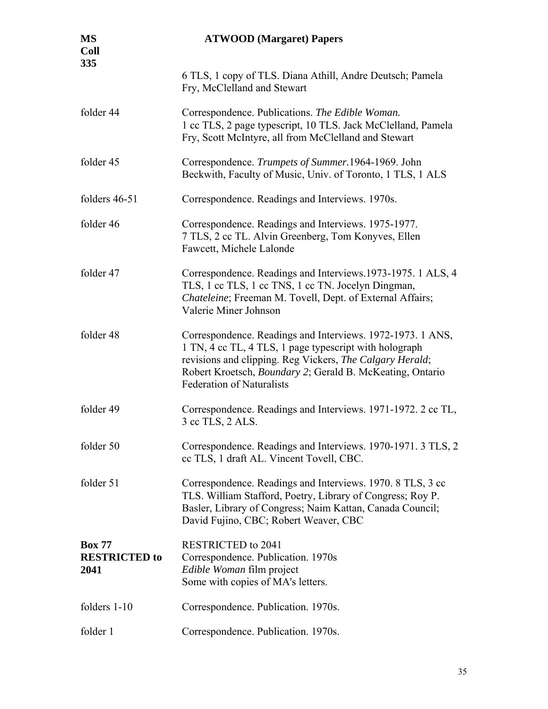| <b>MS</b><br><b>Coll</b><br>335               | <b>ATWOOD</b> (Margaret) Papers                                                                                                                                                                                                                                                   |
|-----------------------------------------------|-----------------------------------------------------------------------------------------------------------------------------------------------------------------------------------------------------------------------------------------------------------------------------------|
|                                               | 6 TLS, 1 copy of TLS. Diana Athill, Andre Deutsch; Pamela<br>Fry, McClelland and Stewart                                                                                                                                                                                          |
| folder 44                                     | Correspondence. Publications. The Edible Woman.<br>1 cc TLS, 2 page typescript, 10 TLS. Jack McClelland, Pamela<br>Fry, Scott McIntyre, all from McClelland and Stewart                                                                                                           |
| folder 45                                     | Correspondence. Trumpets of Summer. 1964-1969. John<br>Beckwith, Faculty of Music, Univ. of Toronto, 1 TLS, 1 ALS                                                                                                                                                                 |
| folders $46-51$                               | Correspondence. Readings and Interviews. 1970s.                                                                                                                                                                                                                                   |
| folder 46                                     | Correspondence. Readings and Interviews. 1975-1977.<br>7 TLS, 2 cc TL. Alvin Greenberg, Tom Konyves, Ellen<br>Fawcett, Michele Lalonde                                                                                                                                            |
| folder 47                                     | Correspondence. Readings and Interviews. 1973-1975. 1 ALS, 4<br>TLS, 1 cc TLS, 1 cc TNS, 1 cc TN. Jocelyn Dingman,<br>Chateleine; Freeman M. Tovell, Dept. of External Affairs;<br>Valerie Miner Johnson                                                                          |
| folder 48                                     | Correspondence. Readings and Interviews. 1972-1973. 1 ANS,<br>1 TN, 4 cc TL, 4 TLS, 1 page typescript with holograph<br>revisions and clipping. Reg Vickers, The Calgary Herald;<br>Robert Kroetsch, Boundary 2; Gerald B. McKeating, Ontario<br><b>Federation of Naturalists</b> |
| folder 49                                     | Correspondence. Readings and Interviews. 1971-1972. 2 cc TL,<br>3 cc TLS, 2 ALS.                                                                                                                                                                                                  |
| folder 50                                     | Correspondence. Readings and Interviews. 1970-1971. 3 TLS, 2<br>cc TLS, 1 draft AL. Vincent Tovell, CBC.                                                                                                                                                                          |
| folder 51                                     | Correspondence. Readings and Interviews. 1970. 8 TLS, 3 cc<br>TLS. William Stafford, Poetry, Library of Congress; Roy P.<br>Basler, Library of Congress; Naim Kattan, Canada Council;<br>David Fujino, CBC; Robert Weaver, CBC                                                    |
| <b>Box 77</b><br><b>RESTRICTED to</b><br>2041 | <b>RESTRICTED to 2041</b><br>Correspondence. Publication. 1970s<br>Edible Woman film project<br>Some with copies of MA's letters.                                                                                                                                                 |
| folders 1-10                                  | Correspondence. Publication. 1970s.                                                                                                                                                                                                                                               |
| folder 1                                      | Correspondence. Publication. 1970s.                                                                                                                                                                                                                                               |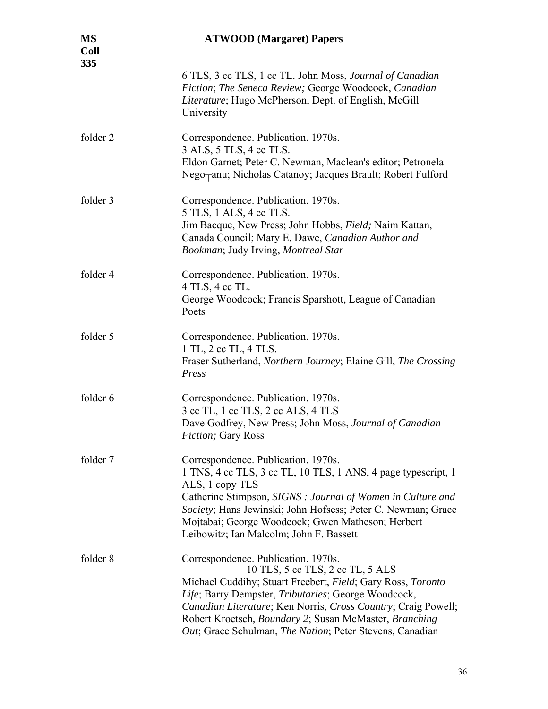| <b>MS</b><br><b>Coll</b><br>335 | <b>ATWOOD</b> (Margaret) Papers                                                                                                                                                                                                                                                                                                                                                      |
|---------------------------------|--------------------------------------------------------------------------------------------------------------------------------------------------------------------------------------------------------------------------------------------------------------------------------------------------------------------------------------------------------------------------------------|
|                                 | 6 TLS, 3 cc TLS, 1 cc TL. John Moss, Journal of Canadian<br>Fiction; The Seneca Review; George Woodcock, Canadian<br>Literature; Hugo McPherson, Dept. of English, McGill<br>University                                                                                                                                                                                              |
| folder 2                        | Correspondence. Publication. 1970s.<br>3 ALS, 5 TLS, 4 cc TLS.<br>Eldon Garnet; Peter C. Newman, Maclean's editor; Petronela<br>Nego <sub>T</sub> anu; Nicholas Catanoy; Jacques Brault; Robert Fulford                                                                                                                                                                              |
| folder 3                        | Correspondence. Publication. 1970s.<br>5 TLS, 1 ALS, 4 cc TLS.<br>Jim Bacque, New Press; John Hobbs, Field; Naim Kattan,<br>Canada Council; Mary E. Dawe, Canadian Author and<br>Bookman; Judy Irving, Montreal Star                                                                                                                                                                 |
| folder 4                        | Correspondence. Publication. 1970s.<br>4 TLS, 4 cc TL.<br>George Woodcock; Francis Sparshott, League of Canadian<br>Poets                                                                                                                                                                                                                                                            |
| folder 5                        | Correspondence. Publication. 1970s.<br>1 TL, 2 cc TL, 4 TLS.<br>Fraser Sutherland, Northern Journey; Elaine Gill, The Crossing<br>Press                                                                                                                                                                                                                                              |
| folder 6                        | Correspondence. Publication. 1970s.<br>3 cc TL, 1 cc TLS, 2 cc ALS, 4 TLS<br>Dave Godfrey, New Press; John Moss, Journal of Canadian<br><b>Fiction</b> ; Gary Ross                                                                                                                                                                                                                   |
| folder 7                        | Correspondence. Publication. 1970s.<br>1 TNS, 4 cc TLS, 3 cc TL, 10 TLS, 1 ANS, 4 page typescript, 1<br>ALS, 1 copy TLS<br>Catherine Stimpson, SIGNS : Journal of Women in Culture and<br>Society; Hans Jewinski; John Hofsess; Peter C. Newman; Grace<br>Mojtabai; George Woodcock; Gwen Matheson; Herbert<br>Leibowitz; Ian Malcolm; John F. Bassett                               |
| folder 8                        | Correspondence. Publication. 1970s.<br>10 TLS, 5 cc TLS, 2 cc TL, 5 ALS<br>Michael Cuddihy; Stuart Freebert, Field; Gary Ross, Toronto<br>Life; Barry Dempster, Tributaries; George Woodcock,<br>Canadian Literature; Ken Norris, Cross Country; Craig Powell;<br>Robert Kroetsch, Boundary 2; Susan McMaster, Branching<br>Out; Grace Schulman, The Nation; Peter Stevens, Canadian |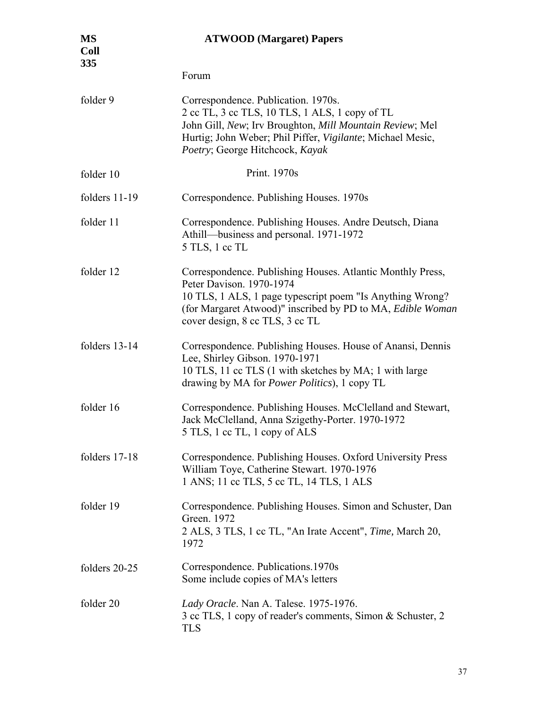| <b>MS</b><br><b>Coll</b><br>335 | <b>ATWOOD</b> (Margaret) Papers                                                                                                                                                                                                                      |
|---------------------------------|------------------------------------------------------------------------------------------------------------------------------------------------------------------------------------------------------------------------------------------------------|
|                                 | Forum                                                                                                                                                                                                                                                |
| folder 9                        | Correspondence. Publication. 1970s.<br>2 cc TL, 3 cc TLS, 10 TLS, 1 ALS, 1 copy of TL<br>John Gill, New; Irv Broughton, Mill Mountain Review; Mel<br>Hurtig; John Weber; Phil Piffer, Vigilante; Michael Mesic,<br>Poetry; George Hitchcock, Kayak   |
| folder 10                       | Print. 1970s                                                                                                                                                                                                                                         |
| folders 11-19                   | Correspondence. Publishing Houses. 1970s                                                                                                                                                                                                             |
| folder 11                       | Correspondence. Publishing Houses. Andre Deutsch, Diana<br>Athill—business and personal. 1971-1972<br>5 TLS, 1 cc TL                                                                                                                                 |
| folder 12                       | Correspondence. Publishing Houses. Atlantic Monthly Press,<br>Peter Davison. 1970-1974<br>10 TLS, 1 ALS, 1 page typescript poem "Is Anything Wrong?<br>(for Margaret Atwood)" inscribed by PD to MA, Edible Woman<br>cover design, 8 cc TLS, 3 cc TL |
| folders 13-14                   | Correspondence. Publishing Houses. House of Anansi, Dennis<br>Lee, Shirley Gibson. 1970-1971<br>10 TLS, 11 cc TLS (1 with sketches by MA; 1 with large<br>drawing by MA for <i>Power Politics</i> ), 1 copy TL                                       |
| folder 16                       | Correspondence. Publishing Houses. McClelland and Stewart,<br>Jack McClelland, Anna Szigethy-Porter. 1970-1972<br>5 TLS, 1 cc TL, 1 copy of ALS                                                                                                      |
| folders 17-18                   | Correspondence. Publishing Houses. Oxford University Press<br>William Toye, Catherine Stewart. 1970-1976<br>1 ANS; 11 cc TLS, 5 cc TL, 14 TLS, 1 ALS                                                                                                 |
| folder 19                       | Correspondence. Publishing Houses. Simon and Schuster, Dan<br>Green. 1972<br>2 ALS, 3 TLS, 1 cc TL, "An Irate Accent", Time, March 20,<br>1972                                                                                                       |
| folders 20-25                   | Correspondence. Publications.1970s<br>Some include copies of MA's letters                                                                                                                                                                            |
| folder 20                       | Lady Oracle. Nan A. Talese. 1975-1976.<br>3 cc TLS, 1 copy of reader's comments, Simon & Schuster, 2<br><b>TLS</b>                                                                                                                                   |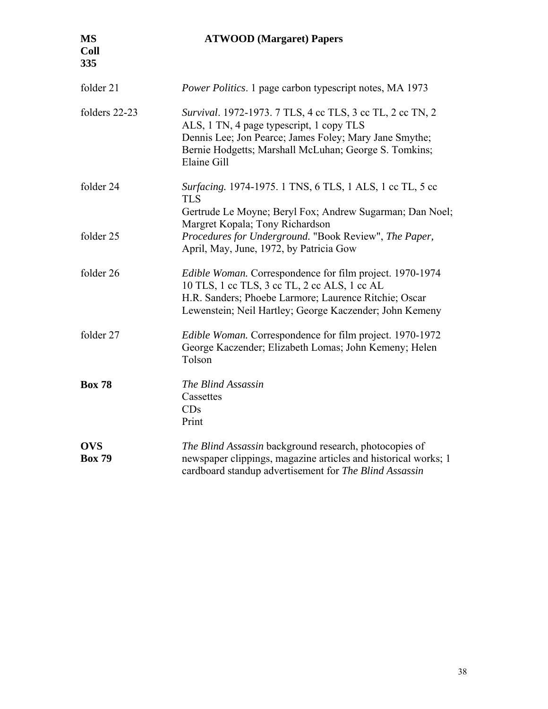| folder 21                   | <i>Power Politics.</i> 1 page carbon typescript notes, MA 1973                                                                                                                                                                          |
|-----------------------------|-----------------------------------------------------------------------------------------------------------------------------------------------------------------------------------------------------------------------------------------|
| folders 22-23               | Survival. 1972-1973. 7 TLS, 4 cc TLS, 3 cc TL, 2 cc TN, 2<br>ALS, 1 TN, 4 page typescript, 1 copy TLS<br>Dennis Lee; Jon Pearce; James Foley; Mary Jane Smythe;<br>Bernie Hodgetts; Marshall McLuhan; George S. Tomkins;<br>Elaine Gill |
| folder 24                   | Surfacing. 1974-1975. 1 TNS, 6 TLS, 1 ALS, 1 cc TL, 5 cc<br><b>TLS</b><br>Gertrude Le Moyne; Beryl Fox; Andrew Sugarman; Dan Noel;                                                                                                      |
| folder 25                   | Margret Kopala; Tony Richardson<br>Procedures for Underground. "Book Review", The Paper,<br>April, May, June, 1972, by Patricia Gow                                                                                                     |
| folder 26                   | Edible Woman. Correspondence for film project. 1970-1974<br>10 TLS, 1 cc TLS, 3 cc TL, 2 cc ALS, 1 cc AL<br>H.R. Sanders; Phoebe Larmore; Laurence Ritchie; Oscar<br>Lewenstein; Neil Hartley; George Kaczender; John Kemeny            |
| folder 27                   | Edible Woman. Correspondence for film project. 1970-1972<br>George Kaczender; Elizabeth Lomas; John Kemeny; Helen<br>Tolson                                                                                                             |
| <b>Box 78</b>               | The Blind Assassin<br>Cassettes<br>CDs<br>Print                                                                                                                                                                                         |
| <b>OVS</b><br><b>Box 79</b> | The Blind Assassin background research, photocopies of<br>newspaper clippings, magazine articles and historical works; 1<br>cardboard standup advertisement for The Blind Assassin                                                      |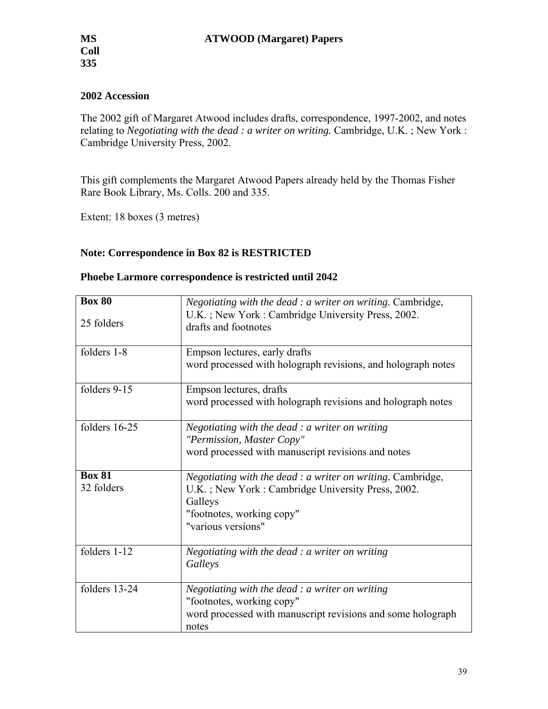## **2002 Accession**

The 2002 gift of Margaret Atwood includes drafts, correspondence, 1997-2002, and notes relating to *Negotiating with the dead : a writer on writing.* Cambridge, U.K. ; New York : Cambridge University Press, 2002.

This gift complements the Margaret Atwood Papers already held by the Thomas Fisher Rare Book Library, Ms. Colls. 200 and 335.

Extent: 18 boxes (3 metres)

## **Note: Correspondence in Box 82 is RESTRICTED**

|  | Phoebe Larmore correspondence is restricted until 2042 |
|--|--------------------------------------------------------|
|--|--------------------------------------------------------|

| $\overline{\text{Box}}$ 80<br>25 folders | <i>Negotiating with the dead : a writer on writing. Cambridge,</i><br>U.K.; New York: Cambridge University Press, 2002.<br>drafts and footnotes                                       |
|------------------------------------------|---------------------------------------------------------------------------------------------------------------------------------------------------------------------------------------|
| folders 1-8                              | Empson lectures, early drafts<br>word processed with holograph revisions, and holograph notes                                                                                         |
| folders 9-15                             | Empson lectures, drafts<br>word processed with holograph revisions and holograph notes                                                                                                |
| folders 16-25                            | Negotiating with the dead $: a$ writer on writing<br>"Permission, Master Copy"<br>word processed with manuscript revisions and notes                                                  |
| <b>Box 81</b><br>32 folders              | <i>Negotiating with the dead : a writer on writing. Cambridge,</i><br>U.K.; New York: Cambridge University Press, 2002.<br>Galleys<br>"footnotes, working copy"<br>"various versions" |
| folders 1-12                             | Negotiating with the dead : a writer on writing<br>Galleys                                                                                                                            |
| folders 13-24                            | Negotiating with the dead $: a$ writer on writing<br>"footnotes, working copy"<br>word processed with manuscript revisions and some holograph<br>notes                                |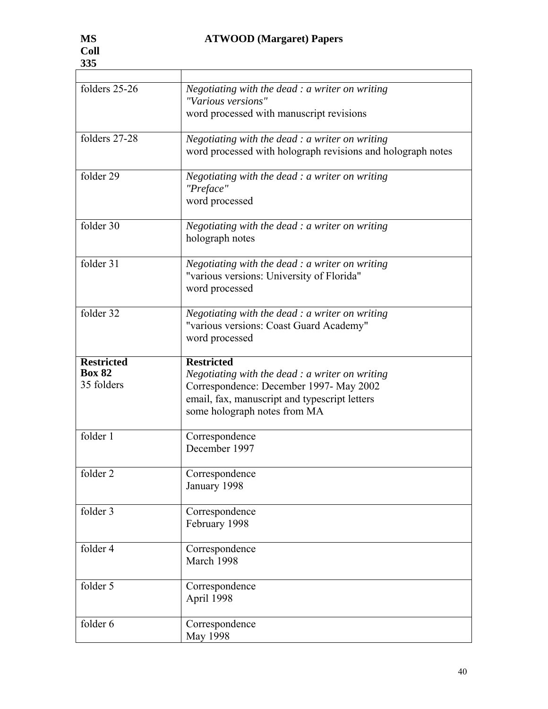| folders 25-26                                    | Negotiating with the dead $:$ a writer on writing<br>"Various versions"<br>word processed with manuscript revisions                                                |
|--------------------------------------------------|--------------------------------------------------------------------------------------------------------------------------------------------------------------------|
| folders 27-28                                    | Negotiating with the dead $:$ a writer on writing<br>word processed with holograph revisions and holograph notes                                                   |
| folder 29                                        | Negotiating with the dead $: a$ writer on writing<br>"Preface"<br>word processed                                                                                   |
| folder 30                                        | Negotiating with the dead $:$ a writer on writing<br>holograph notes                                                                                               |
| folder 31                                        | Negotiating with the dead $: a$ writer on writing<br>"various versions: University of Florida"<br>word processed                                                   |
| folder 32                                        | Negotiating with the dead $: a$ writer on writing<br>"various versions: Coast Guard Academy"<br>word processed                                                     |
| <b>Restricted</b><br><b>Box 82</b><br>35 folders | <b>Restricted</b><br>Negotiating with the dead $: a$ writer on writing<br>Correspondence: December 1997- May 2002<br>email, fax, manuscript and typescript letters |
|                                                  | some holograph notes from MA                                                                                                                                       |
| folder 1                                         | Correspondence<br>December 1997                                                                                                                                    |
| folder 2                                         | Correspondence<br>January 1998                                                                                                                                     |
| folder 3                                         | Correspondence<br>February 1998                                                                                                                                    |
| folder 4                                         | Correspondence<br>March 1998                                                                                                                                       |
| folder 5                                         | Correspondence<br>April 1998                                                                                                                                       |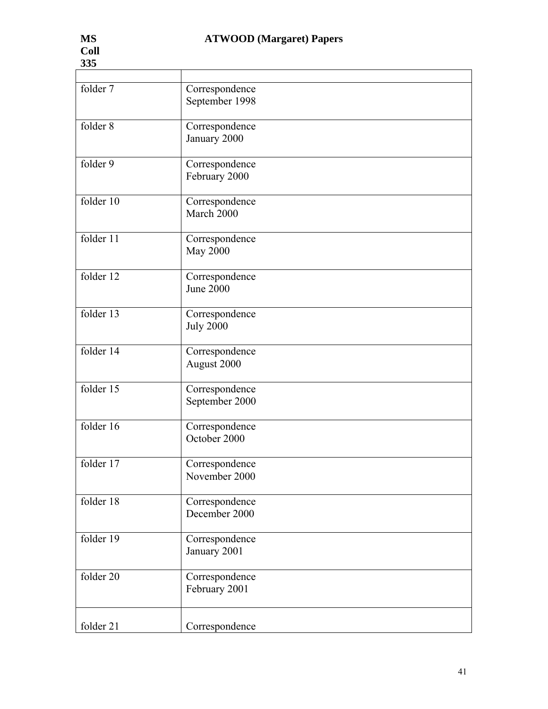| 335       |                                    |
|-----------|------------------------------------|
|           |                                    |
| folder 7  | Correspondence<br>September 1998   |
| folder 8  | Correspondence<br>January 2000     |
| folder 9  | Correspondence<br>February 2000    |
| folder 10 | Correspondence<br>March 2000       |
| folder 11 | Correspondence<br><b>May 2000</b>  |
| folder 12 | Correspondence<br><b>June 2000</b> |
| folder 13 | Correspondence<br><b>July 2000</b> |
| folder 14 | Correspondence<br>August 2000      |
| folder 15 | Correspondence<br>September 2000   |
| folder 16 | Correspondence<br>October 2000     |
| folder 17 | Correspondence<br>November 2000    |
| folder 18 | Correspondence<br>December 2000    |
| folder 19 | Correspondence<br>January 2001     |
| folder 20 | Correspondence<br>February 2001    |
| folder 21 | Correspondence                     |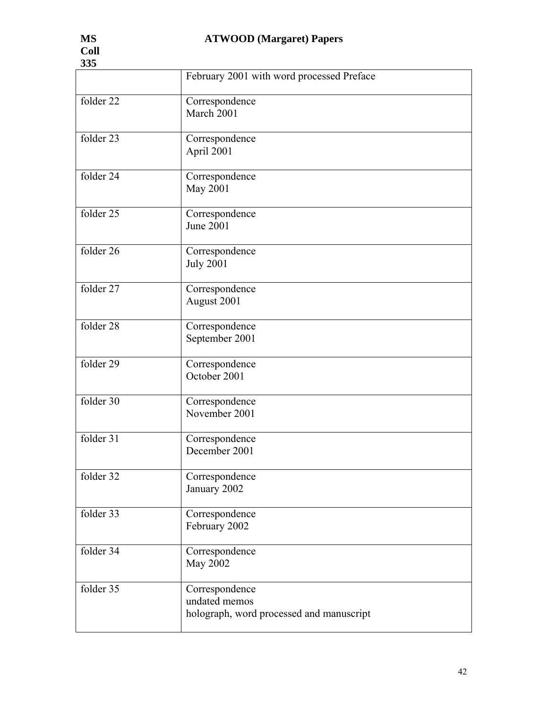| 335       |                                                                             |  |
|-----------|-----------------------------------------------------------------------------|--|
|           | February 2001 with word processed Preface                                   |  |
| folder 22 | Correspondence<br>March 2001                                                |  |
| folder 23 | Correspondence<br>April 2001                                                |  |
| folder 24 | Correspondence<br><b>May 2001</b>                                           |  |
| folder 25 | Correspondence<br><b>June 2001</b>                                          |  |
| folder 26 | Correspondence<br><b>July 2001</b>                                          |  |
| folder 27 | Correspondence<br>August 2001                                               |  |
| folder 28 | Correspondence<br>September 2001                                            |  |
| folder 29 | Correspondence<br>October 2001                                              |  |
| folder 30 | Correspondence<br>November 2001                                             |  |
| folder 31 | Correspondence<br>December 2001                                             |  |
| folder 32 | Correspondence<br>January 2002                                              |  |
| folder 33 | Correspondence<br>February 2002                                             |  |
| folder 34 | Correspondence<br><b>May 2002</b>                                           |  |
| folder 35 | Correspondence<br>undated memos<br>holograph, word processed and manuscript |  |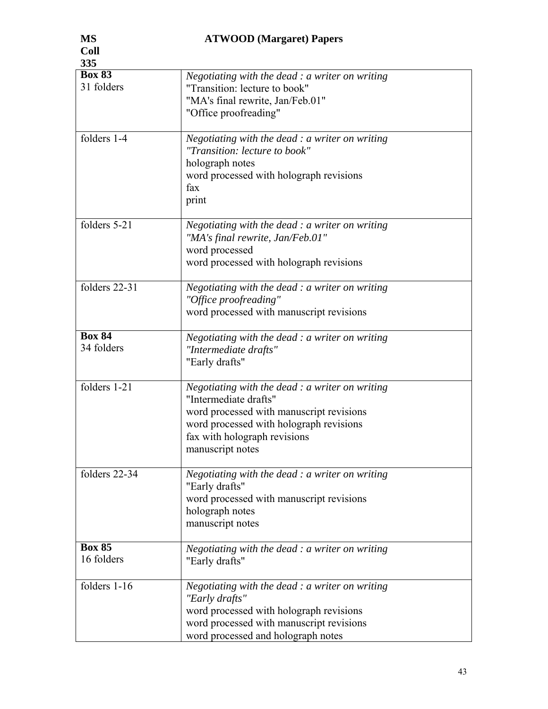| 335                         |                                                                                                                                                                                                                       |
|-----------------------------|-----------------------------------------------------------------------------------------------------------------------------------------------------------------------------------------------------------------------|
| <b>Box 83</b><br>31 folders | Negotiating with the dead $: a$ writer on writing<br>"Transition: lecture to book"<br>"MA's final rewrite, Jan/Feb.01"<br>"Office proofreading"                                                                       |
| folders 1-4                 | Negotiating with the dead $: a$ writer on writing<br>"Transition: lecture to book"<br>holograph notes<br>word processed with holograph revisions<br>fax<br>print                                                      |
| folders 5-21                | Negotiating with the dead $:$ a writer on writing<br>"MA's final rewrite, Jan/Feb.01"<br>word processed<br>word processed with holograph revisions                                                                    |
| folders 22-31               | Negotiating with the dead : a writer on writing<br>"Office proofreading"<br>word processed with manuscript revisions                                                                                                  |
| <b>Box 84</b><br>34 folders | Negotiating with the dead : a writer on writing<br>"Intermediate drafts"<br>"Early drafts"                                                                                                                            |
| folders 1-21                | Negotiating with the dead $:$ a writer on writing<br>"Intermediate drafts"<br>word processed with manuscript revisions<br>word processed with holograph revisions<br>fax with holograph revisions<br>manuscript notes |
| folders 22-34               | Negotiating with the dead $: a$ writer on writing<br>"Early drafts"<br>word processed with manuscript revisions<br>holograph notes<br>manuscript notes                                                                |
| <b>Box 85</b><br>16 folders | Negotiating with the dead $: a$ writer on writing<br>"Early drafts"                                                                                                                                                   |
| folders 1-16                | Negotiating with the dead $: a$ writer on writing<br>"Early drafts"<br>word processed with holograph revisions<br>word processed with manuscript revisions<br>word processed and holograph notes                      |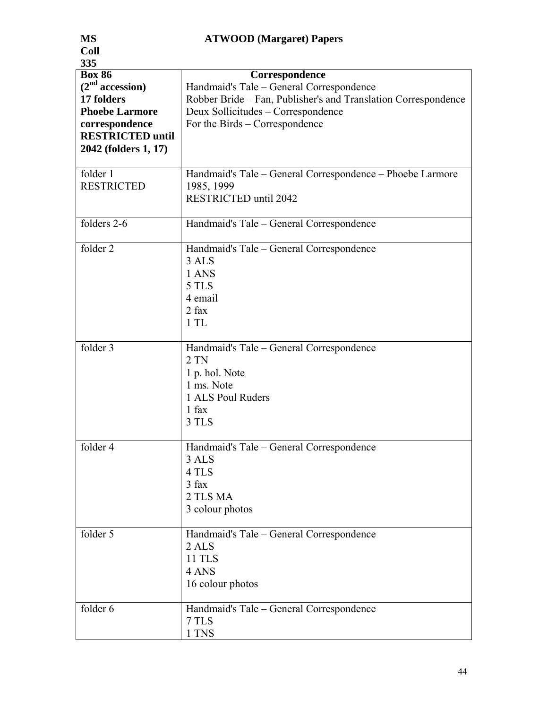| <b>MS</b>                   | <b>ATWOOD</b> (Margaret) Papers                                |
|-----------------------------|----------------------------------------------------------------|
| <b>Coll</b>                 |                                                                |
| 335                         |                                                                |
| <b>Box 86</b>               | Correspondence                                                 |
| (2 <sup>nd</sup> accession) | Handmaid's Tale - General Correspondence                       |
| 17 folders                  | Robber Bride – Fan, Publisher's and Translation Correspondence |
| <b>Phoebe Larmore</b>       | Deux Sollicitudes – Correspondence                             |
|                             |                                                                |
| correspondence              | For the Birds – Correspondence                                 |
| <b>RESTRICTED until</b>     |                                                                |
| 2042 (folders 1, 17)        |                                                                |
| folder 1                    | Handmaid's Tale – General Correspondence – Phoebe Larmore      |
| <b>RESTRICTED</b>           | 1985, 1999                                                     |
|                             |                                                                |
|                             | RESTRICTED until 2042                                          |
| folders 2-6                 | Handmaid's Tale – General Correspondence                       |
|                             |                                                                |
| folder 2                    | Handmaid's Tale – General Correspondence                       |
|                             | 3 ALS                                                          |
|                             | 1 ANS                                                          |
|                             | 5 TLS                                                          |
|                             | 4 email                                                        |
|                             | $2$ fax                                                        |
|                             | 1TL                                                            |
|                             |                                                                |
| folder 3                    | Handmaid's Tale – General Correspondence                       |
|                             | $2$ TN                                                         |
|                             | 1 p. hol. Note                                                 |
|                             | 1 ms. Note                                                     |
|                             | 1 ALS Poul Ruders                                              |
|                             | $1$ fax                                                        |
|                             | 3 TLS                                                          |
|                             |                                                                |
| folder 4                    | Handmaid's Tale - General Correspondence                       |
|                             | 3 ALS                                                          |
|                             | 4 TLS                                                          |
|                             | 3 fax                                                          |
|                             | 2 TLS MA                                                       |
|                             | 3 colour photos                                                |
| folder 5                    | Handmaid's Tale - General Correspondence                       |
|                             | 2 ALS                                                          |
|                             | <b>11 TLS</b>                                                  |
|                             |                                                                |
|                             | 4 ANS                                                          |
|                             | 16 colour photos                                               |
| folder 6                    | Handmaid's Tale – General Correspondence                       |
|                             | 7 TLS                                                          |
|                             | 1 TNS                                                          |
|                             |                                                                |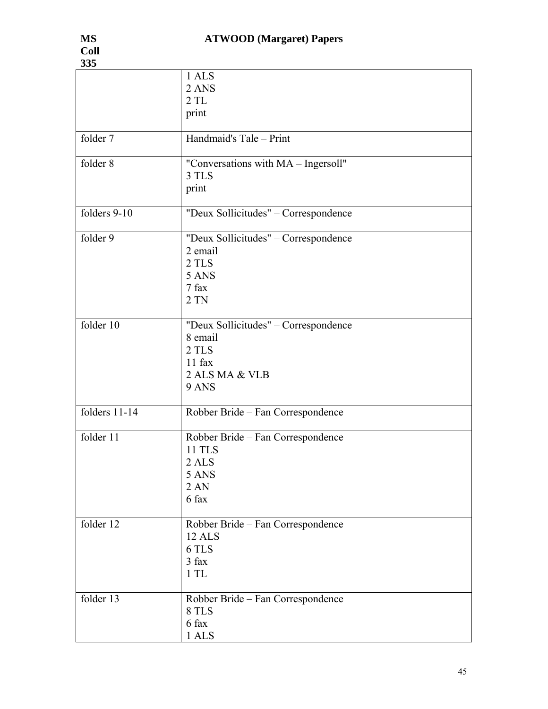| 335           |                                                                                                 |
|---------------|-------------------------------------------------------------------------------------------------|
|               | 1 ALS<br>2 ANS<br>2TL<br>print                                                                  |
| folder 7      | Handmaid's Tale - Print                                                                         |
| folder 8      | "Conversations with MA - Ingersoll"<br>3 TLS<br>print                                           |
| folders 9-10  | "Deux Sollicitudes" - Correspondence                                                            |
| folder 9      | "Deux Sollicitudes" - Correspondence<br>2 email<br>2 TLS<br>5 ANS<br>7 fax<br>$2$ TN            |
| folder 10     | "Deux Sollicitudes" - Correspondence<br>8 email<br>2 TLS<br>$11$ fax<br>2 ALS MA & VLB<br>9 ANS |
| folders 11-14 | Robber Bride - Fan Correspondence                                                               |
| folder 11     | Robber Bride - Fan Correspondence<br><b>11 TLS</b><br>2 ALS<br>5 ANS<br>2AN<br>6 fax            |
| folder 12     | Robber Bride – Fan Correspondence<br>12 ALS<br>6 TLS<br>3 fax<br>1TL                            |
| folder 13     | Robber Bride – Fan Correspondence<br>8 TLS<br>6 fax<br>1 ALS                                    |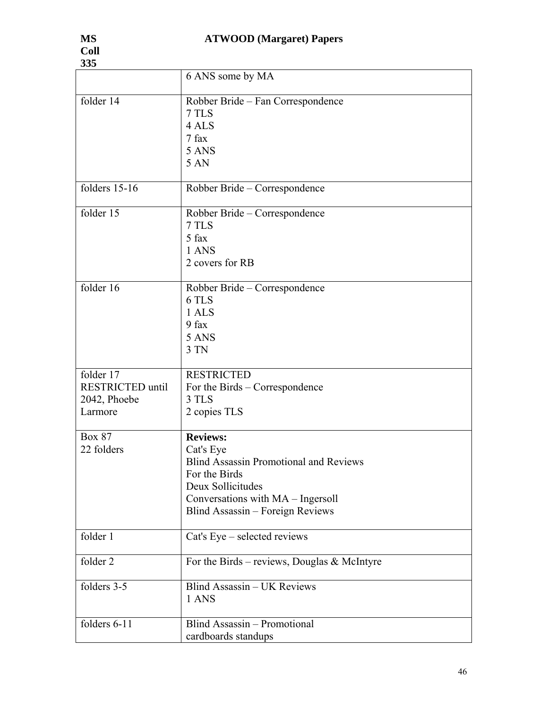| 335                                                             |                                                                                                                                                                                              |
|-----------------------------------------------------------------|----------------------------------------------------------------------------------------------------------------------------------------------------------------------------------------------|
|                                                                 | 6 ANS some by MA                                                                                                                                                                             |
| folder 14                                                       | Robber Bride – Fan Correspondence<br>7 TLS<br>4 ALS<br>7 fax<br>5 ANS<br>5 AN                                                                                                                |
| folders 15-16                                                   | Robber Bride - Correspondence                                                                                                                                                                |
| folder 15                                                       | Robber Bride – Correspondence<br>7 TLS<br>5 fax<br>1 ANS<br>2 covers for RB                                                                                                                  |
| folder 16                                                       | Robber Bride – Correspondence<br>6 TLS<br>1 ALS<br>9 fax<br>5 ANS<br>3 TN                                                                                                                    |
| folder 17<br><b>RESTRICTED</b> until<br>2042, Phoebe<br>Larmore | <b>RESTRICTED</b><br>For the Birds – Correspondence<br>3 TLS<br>2 copies TLS                                                                                                                 |
| <b>Box 87</b><br>22 folders                                     | <b>Reviews:</b><br>Cat's Eye<br><b>Blind Assassin Promotional and Reviews</b><br>For the Birds<br>Deux Sollicitudes<br>Conversations with MA – Ingersoll<br>Blind Assassin - Foreign Reviews |
| folder 1                                                        | Cat's Eye – selected reviews                                                                                                                                                                 |
| folder 2                                                        | For the Birds – reviews, Douglas & McIntyre                                                                                                                                                  |
| folders 3-5                                                     | Blind Assassin - UK Reviews<br>1 ANS                                                                                                                                                         |
| folders 6-11                                                    | <b>Blind Assassin - Promotional</b><br>cardboards standups                                                                                                                                   |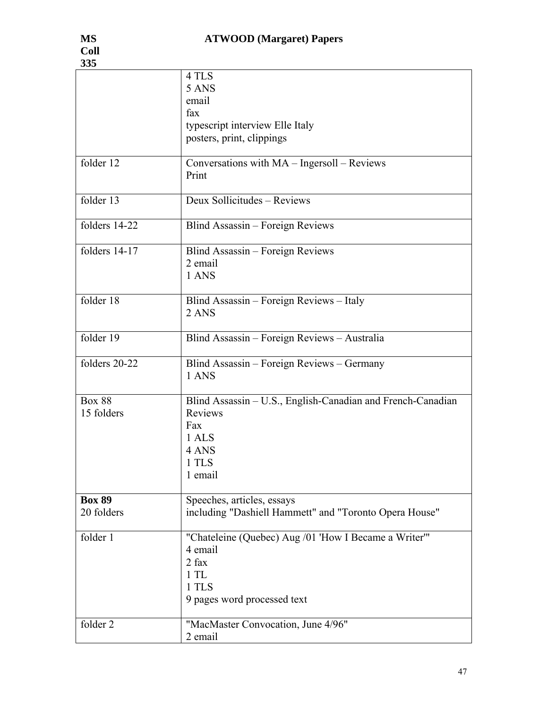| 335                         |                                                                                                                          |
|-----------------------------|--------------------------------------------------------------------------------------------------------------------------|
|                             | 4 TLS<br>5 ANS<br>email<br>fax<br>typescript interview Elle Italy<br>posters, print, clippings                           |
| folder 12                   | Conversations with MA - Ingersoll - Reviews<br>Print                                                                     |
| folder 13                   | Deux Sollicitudes - Reviews                                                                                              |
| folders 14-22               | Blind Assassin – Foreign Reviews                                                                                         |
| folders 14-17               | Blind Assassin – Foreign Reviews<br>2 email<br>1 ANS                                                                     |
| folder 18                   | Blind Assassin - Foreign Reviews - Italy<br>2 ANS                                                                        |
| folder 19                   | Blind Assassin - Foreign Reviews - Australia                                                                             |
| folders 20-22               | Blind Assassin - Foreign Reviews - Germany<br>1 ANS                                                                      |
| <b>Box 88</b><br>15 folders | Blind Assassin - U.S., English-Canadian and French-Canadian<br>Reviews<br>Fax<br>1 ALS<br>4 ANS<br>1 TLS<br>1 email      |
| <b>Box 89</b><br>20 folders | Speeches, articles, essays<br>including "Dashiell Hammett" and "Toronto Opera House"                                     |
| folder 1                    | "Chateleine (Quebec) Aug /01 'How I Became a Writer"'<br>4 email<br>2 fax<br>1TL<br>1 TLS<br>9 pages word processed text |
| folder 2                    | "MacMaster Convocation, June 4/96"<br>2 email                                                                            |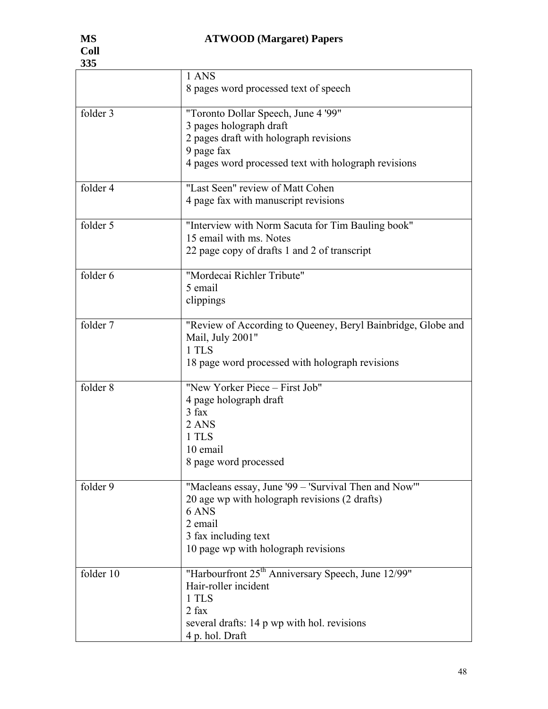| ບບບ       |                                                                                                                                                                                          |
|-----------|------------------------------------------------------------------------------------------------------------------------------------------------------------------------------------------|
|           | 1 ANS<br>8 pages word processed text of speech                                                                                                                                           |
| folder 3  | "Toronto Dollar Speech, June 4 '99"<br>3 pages holograph draft<br>2 pages draft with holograph revisions<br>9 page fax<br>4 pages word processed text with holograph revisions           |
| folder 4  | "Last Seen" review of Matt Cohen<br>4 page fax with manuscript revisions                                                                                                                 |
| folder 5  | "Interview with Norm Sacuta for Tim Bauling book"<br>15 email with ms. Notes<br>22 page copy of drafts 1 and 2 of transcript                                                             |
| folder 6  | "Mordecai Richler Tribute"<br>5 email<br>clippings                                                                                                                                       |
| folder 7  | "Review of According to Queeney, Beryl Bainbridge, Globe and<br>Mail, July 2001"<br>1 TLS<br>18 page word processed with holograph revisions                                             |
| folder 8  | "New Yorker Piece - First Job"<br>4 page holograph draft<br>3 fax<br>2 ANS<br>1 TLS<br>10 email<br>8 page word processed                                                                 |
| folder 9  | "Macleans essay, June '99 – 'Survival Then and Now'"<br>20 age wp with holograph revisions (2 drafts)<br>6 ANS<br>2 email<br>3 fax including text<br>10 page wp with holograph revisions |
| folder 10 | "Harbourfront 25 <sup>th</sup> Anniversary Speech, June 12/99"<br>Hair-roller incident<br>1 TLS<br>$2$ fax<br>several drafts: 14 p wp with hol. revisions<br>4 p. hol. Draft             |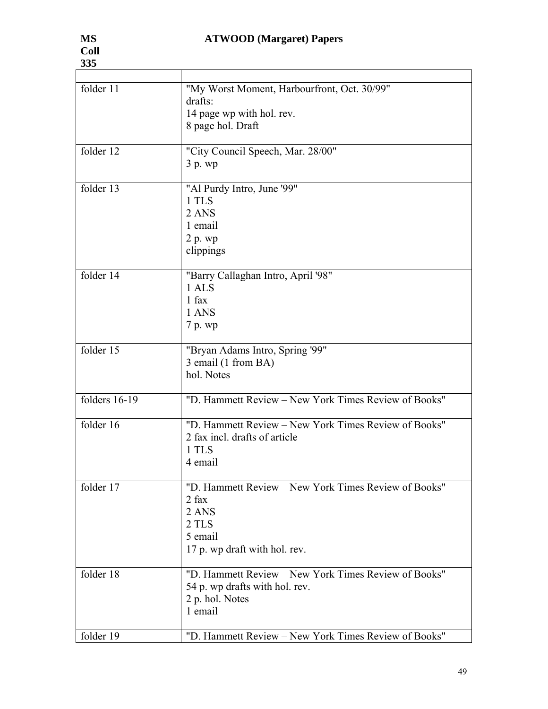| folder 11     | "My Worst Moment, Harbourfront, Oct. 30/99"<br>drafts:<br>14 page wp with hol. rev.<br>8 page hol. Draft                      |
|---------------|-------------------------------------------------------------------------------------------------------------------------------|
| folder 12     | "City Council Speech, Mar. 28/00"<br>3 p. wp                                                                                  |
| folder 13     | "Al Purdy Intro, June '99"<br>1 TLS<br>2 ANS<br>1 email<br>2 p. wp<br>clippings                                               |
| folder 14     | "Barry Callaghan Intro, April '98"<br>1 ALS<br>1 fax<br>1 ANS<br>7 p. wp                                                      |
| folder 15     | "Bryan Adams Intro, Spring '99"<br>3 email (1 from BA)<br>hol. Notes                                                          |
| folders 16-19 | "D. Hammett Review - New York Times Review of Books"                                                                          |
| folder 16     | "D. Hammett Review – New York Times Review of Books"<br>2 fax incl. drafts of article<br>1 TLS<br>4 email                     |
| folder 17     | "D. Hammett Review – New York Times Review of Books"<br>$2$ fax<br>2 ANS<br>2 TLS<br>5 email<br>17 p. wp draft with hol. rev. |
| folder 18     | "D. Hammett Review – New York Times Review of Books"<br>54 p. wp drafts with hol. rev.<br>2 p. hol. Notes<br>1 email          |
| folder 19     | "D. Hammett Review - New York Times Review of Books"                                                                          |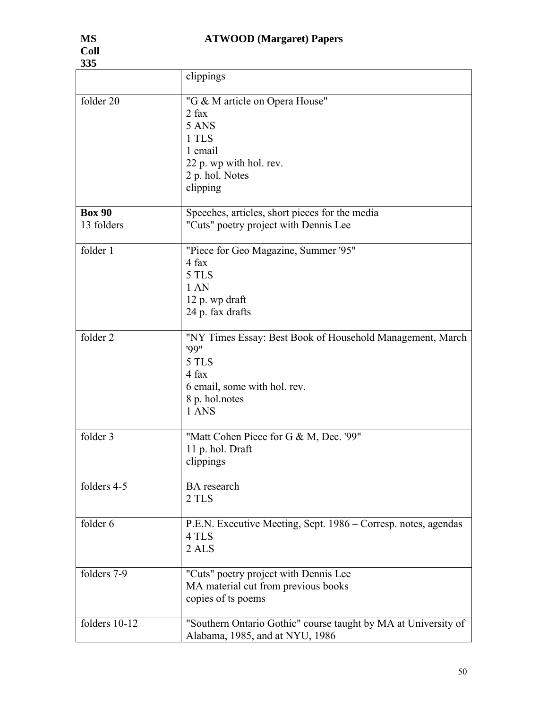| 335           |                                                                                                                                               |
|---------------|-----------------------------------------------------------------------------------------------------------------------------------------------|
|               | clippings                                                                                                                                     |
| folder 20     | "G & M article on Opera House"<br>$2$ fax<br>5 ANS<br>1 TLS<br>1 email<br>22 p. wp with hol. rev.<br>2 p. hol. Notes<br>clipping              |
| <b>Box 90</b> | Speeches, articles, short pieces for the media                                                                                                |
| 13 folders    | "Cuts" poetry project with Dennis Lee                                                                                                         |
| folder 1      | "Piece for Geo Magazine, Summer '95"<br>4 fax<br>5 TLS<br>1AN<br>12 p. wp draft<br>24 p. fax drafts                                           |
| folder 2      | "NY Times Essay: Best Book of Household Management, March<br>99"<br>5 TLS<br>4 fax<br>6 email, some with hol. rev.<br>8 p. hol.notes<br>1 ANS |
| folder 3      | "Matt Cohen Piece for G & M, Dec. '99"<br>11 p. hol. Draft<br>clippings                                                                       |
| folders 4-5   | <b>BA</b> research<br>2 TLS                                                                                                                   |
| folder 6      | P.E.N. Executive Meeting, Sept. 1986 – Corresp. notes, agendas<br>4 TLS<br>2 ALS                                                              |
| folders 7-9   | "Cuts" poetry project with Dennis Lee<br>MA material cut from previous books<br>copies of ts poems                                            |
| folders 10-12 | "Southern Ontario Gothic" course taught by MA at University of<br>Alabama, 1985, and at NYU, 1986                                             |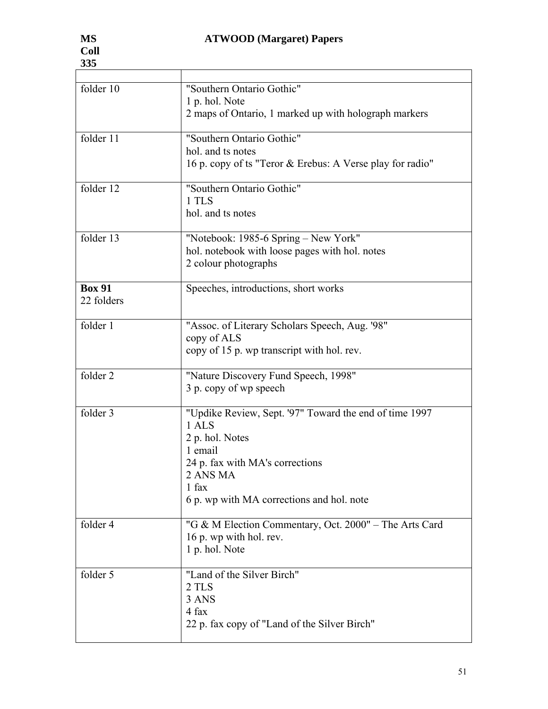| folder 10     | "Southern Ontario Gothic"                                 |
|---------------|-----------------------------------------------------------|
|               | 1 p. hol. Note                                            |
|               | 2 maps of Ontario, 1 marked up with holograph markers     |
|               |                                                           |
| folder 11     | "Southern Ontario Gothic"                                 |
|               | hol. and ts notes                                         |
|               | 16 p. copy of ts "Teror & Erebus: A Verse play for radio" |
| folder 12     | "Southern Ontario Gothic"                                 |
|               | 1 TLS                                                     |
|               | hol. and ts notes                                         |
|               |                                                           |
| folder 13     | "Notebook: 1985-6 Spring – New York"                      |
|               | hol. notebook with loose pages with hol. notes            |
|               | 2 colour photographs                                      |
| <b>Box 91</b> | Speeches, introductions, short works                      |
| 22 folders    |                                                           |
|               |                                                           |
| folder 1      | "Assoc. of Literary Scholars Speech, Aug. '98"            |
|               | copy of ALS                                               |
|               | copy of 15 p. wp transcript with hol. rev.                |
| folder 2      | "Nature Discovery Fund Speech, 1998"                      |
|               | 3 p. copy of wp speech                                    |
|               |                                                           |
| folder 3      | "Updike Review, Sept. '97" Toward the end of time 1997    |
|               | 1 ALS                                                     |
|               | 2 p. hol. Notes                                           |
|               | 1 email                                                   |
|               | 24 p. fax with MA's corrections                           |
|               | 2 ANS MA                                                  |
|               | 1 fax                                                     |
|               | 6 p. wp with MA corrections and hol. note                 |
| folder 4      | "G & M Election Commentary, Oct. 2000" – The Arts Card    |
|               | 16 p. wp with hol. rev.                                   |
|               | 1 p. hol. Note                                            |
|               |                                                           |
| folder 5      | "Land of the Silver Birch"                                |
|               | 2 TLS                                                     |
|               | 3 ANS                                                     |
|               | 4 fax                                                     |
|               | 22 p. fax copy of "Land of the Silver Birch"              |
|               |                                                           |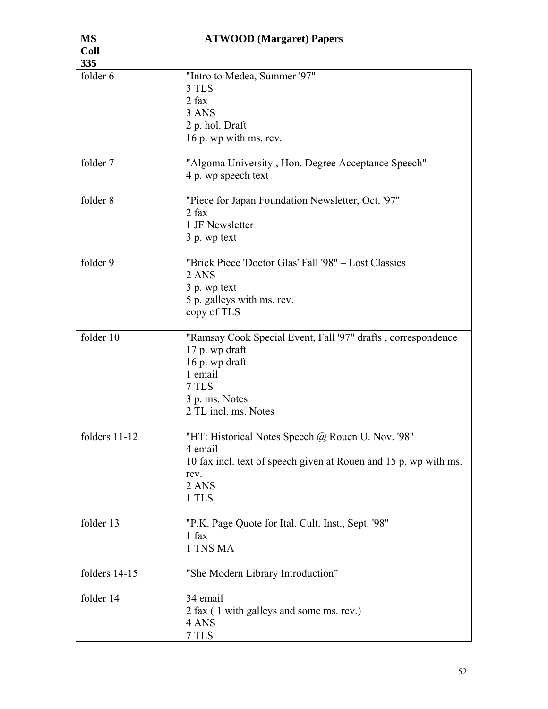| 335           |                                                                                                                                                                |
|---------------|----------------------------------------------------------------------------------------------------------------------------------------------------------------|
| folder 6      | "Intro to Medea, Summer '97"<br>3 TLS<br>2 fax<br>3 ANS<br>2 p. hol. Draft<br>16 p. wp with ms. rev.                                                           |
| folder 7      | "Algoma University, Hon. Degree Acceptance Speech"<br>4 p. wp speech text                                                                                      |
| folder 8      | "Piece for Japan Foundation Newsletter, Oct. '97"<br>$2$ fax<br>1 JF Newsletter<br>3 p. wp text                                                                |
| folder 9      | "Brick Piece 'Doctor Glas' Fall '98" – Lost Classics<br>2 ANS<br>3 p. wp text<br>5 p. galleys with ms. rev.<br>copy of TLS                                     |
| folder 10     | "Ramsay Cook Special Event, Fall '97" drafts, correspondence<br>17 p. wp draft<br>16 p. wp draft<br>1 email<br>7 TLS<br>3 p. ms. Notes<br>2 TL incl. ms. Notes |
| folders 11-12 | "HT: Historical Notes Speech @ Rouen U. Nov. '98"<br>4 email<br>10 fax incl. text of speech given at Rouen and 15 p. wp with ms.<br>rev.<br>2 ANS<br>1 TLS     |
| folder 13     | "P.K. Page Quote for Ital. Cult. Inst., Sept. '98"<br>$1$ fax<br>1 TNS MA                                                                                      |
| folders 14-15 | "She Modern Library Introduction"                                                                                                                              |
| folder 14     | 34 email<br>2 fax (1 with galleys and some ms. rev.)<br>4 ANS<br>7 TLS                                                                                         |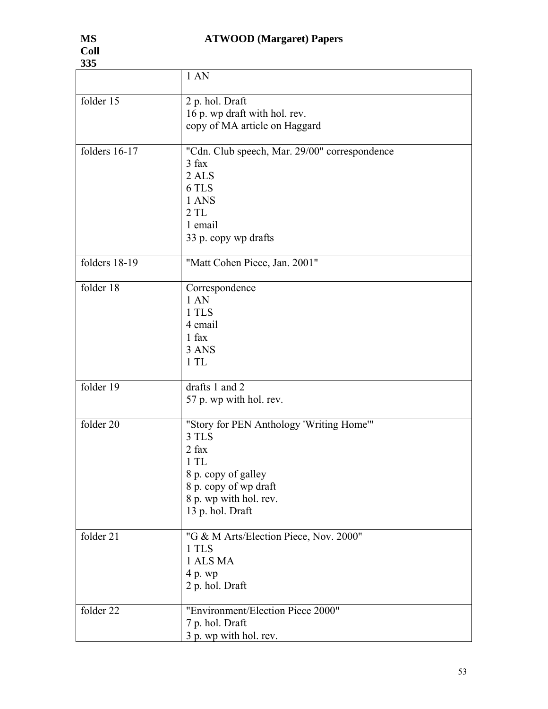| 335           |                                                                                                                                                                 |
|---------------|-----------------------------------------------------------------------------------------------------------------------------------------------------------------|
|               | 1 AN                                                                                                                                                            |
| folder 15     | 2 p. hol. Draft<br>16 p. wp draft with hol. rev.<br>copy of MA article on Haggard                                                                               |
| folders 16-17 | "Cdn. Club speech, Mar. 29/00" correspondence<br>3 fax<br>2 ALS<br>6 TLS<br>1 ANS<br>2TL<br>1 email<br>33 p. copy wp drafts                                     |
| folders 18-19 | "Matt Cohen Piece, Jan. 2001"                                                                                                                                   |
| folder 18     | Correspondence<br>1AN<br>1 TLS<br>4 email<br>1 fax<br>3 ANS<br>1TL                                                                                              |
| folder 19     | drafts 1 and 2<br>57 p. wp with hol. rev.                                                                                                                       |
| folder 20     | "Story for PEN Anthology 'Writing Home'"<br>3 TLS<br>2 fax<br>1TL<br>8 p. copy of galley<br>8 p. copy of wp draft<br>8 p. wp with hol. rev.<br>13 p. hol. Draft |
| folder 21     | "G & M Arts/Election Piece, Nov. 2000"<br>1 TLS<br>1 ALS MA<br>4 p. wp<br>2 p. hol. Draft                                                                       |
| folder 22     | "Environment/Election Piece 2000"<br>7 p. hol. Draft<br>3 p. wp with hol. rev.                                                                                  |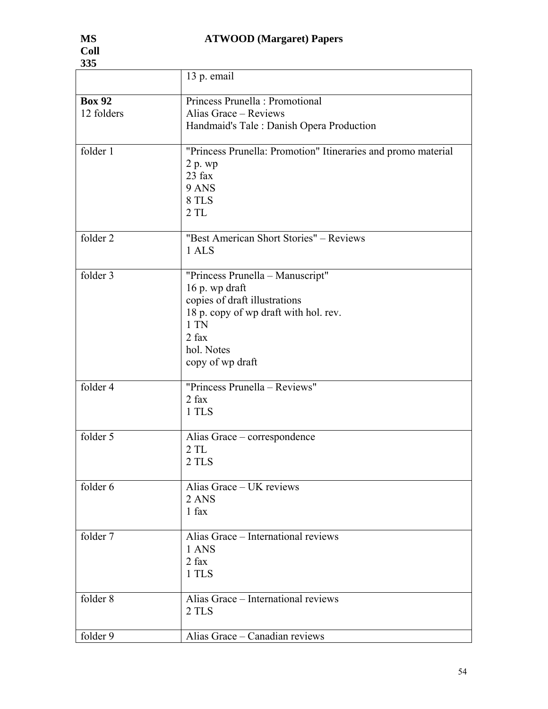| 335           |                                                               |  |
|---------------|---------------------------------------------------------------|--|
|               | 13 p. email                                                   |  |
| <b>Box 92</b> | Princess Prunella : Promotional                               |  |
| 12 folders    | Alias Grace - Reviews                                         |  |
|               | Handmaid's Tale: Danish Opera Production                      |  |
| folder 1      | "Princess Prunella: Promotion" Itineraries and promo material |  |
|               | 2 p. wp<br>$23$ fax                                           |  |
|               | 9 ANS                                                         |  |
|               | 8 TLS                                                         |  |
|               | 2TL                                                           |  |
|               |                                                               |  |
| folder 2      | "Best American Short Stories" – Reviews<br>1 ALS              |  |
|               |                                                               |  |
| folder 3      | "Princess Prunella - Manuscript"                              |  |
|               | 16 p. wp draft                                                |  |
|               | copies of draft illustrations                                 |  |
|               | 18 p. copy of wp draft with hol. rev.<br>$1$ TN               |  |
|               | $2$ fax                                                       |  |
|               | hol. Notes                                                    |  |
|               | copy of wp draft                                              |  |
|               |                                                               |  |
| folder 4      | "Princess Prunella - Reviews"                                 |  |
|               | $2$ fax<br>1 TLS                                              |  |
|               |                                                               |  |
| folder 5      | Alias Grace – correspondence                                  |  |
|               | 2TL                                                           |  |
|               | 2 TLS                                                         |  |
| folder 6      | Alias Grace - UK reviews                                      |  |
|               | 2 ANS                                                         |  |
|               | 1 fax                                                         |  |
| folder 7      | Alias Grace – International reviews                           |  |
|               | 1 ANS                                                         |  |
|               | 2 fax                                                         |  |
|               | 1 TLS                                                         |  |
| folder 8      | Alias Grace – International reviews                           |  |
|               | 2 TLS                                                         |  |
| folder 9      | Alias Grace - Canadian reviews                                |  |
|               |                                                               |  |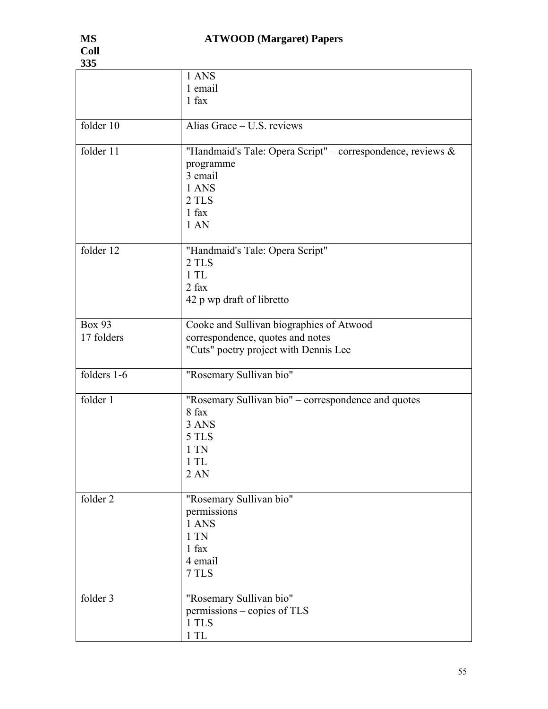| 335           |                                                             |
|---------------|-------------------------------------------------------------|
|               | 1 ANS                                                       |
|               | 1 email                                                     |
|               | 1 fax                                                       |
|               |                                                             |
| folder 10     | Alias Grace - U.S. reviews                                  |
|               |                                                             |
| folder 11     | "Handmaid's Tale: Opera Script" – correspondence, reviews & |
|               | programme                                                   |
|               | 3 email                                                     |
|               | 1 ANS                                                       |
|               | 2 TLS                                                       |
|               |                                                             |
|               | $1$ fax                                                     |
|               | 1AN                                                         |
|               |                                                             |
| folder 12     | "Handmaid's Tale: Opera Script"                             |
|               | 2 TLS                                                       |
|               | 1TL                                                         |
|               | $2$ fax                                                     |
|               | 42 p wp draft of libretto                                   |
|               |                                                             |
| <b>Box 93</b> | Cooke and Sullivan biographies of Atwood                    |
| 17 folders    | correspondence, quotes and notes                            |
|               | "Cuts" poetry project with Dennis Lee                       |
|               |                                                             |
| folders 1-6   | "Rosemary Sullivan bio"                                     |
|               |                                                             |
| folder 1      | "Rosemary Sullivan bio" - correspondence and quotes         |
|               | 8 fax                                                       |
|               | 3 ANS                                                       |
|               | 5 TLS                                                       |
|               | 1 TN                                                        |
|               |                                                             |
|               | $1$ TL                                                      |
|               | 2AN                                                         |
|               |                                                             |
| folder 2      | "Rosemary Sullivan bio"                                     |
|               | permissions                                                 |
|               | 1 ANS                                                       |
|               | $1$ TN                                                      |
|               | 1 fax                                                       |
|               | 4 email                                                     |
|               | 7 TLS                                                       |
|               |                                                             |
| folder 3      | "Rosemary Sullivan bio"                                     |
|               | permissions – copies of TLS                                 |
|               | 1 TLS                                                       |
|               | 1TL                                                         |
|               |                                                             |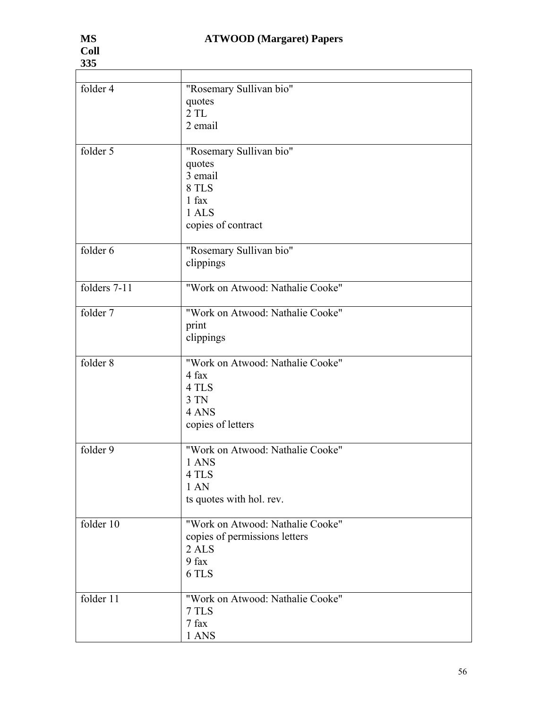| 335          |                                                                                               |
|--------------|-----------------------------------------------------------------------------------------------|
|              |                                                                                               |
| folder 4     | "Rosemary Sullivan bio"<br>quotes<br>2TL<br>2 email                                           |
| folder 5     | "Rosemary Sullivan bio"<br>quotes<br>3 email<br>8 TLS<br>1 fax<br>1 ALS<br>copies of contract |
| folder 6     | "Rosemary Sullivan bio"<br>clippings                                                          |
| folders 7-11 | "Work on Atwood: Nathalie Cooke"                                                              |
| folder 7     | "Work on Atwood: Nathalie Cooke"<br>print<br>clippings                                        |
| folder 8     | "Work on Atwood: Nathalie Cooke"<br>4 fax<br>4 TLS<br>3 TN<br>4 ANS<br>copies of letters      |
| folder 9     | "Work on Atwood: Nathalie Cooke"<br>1 ANS<br>4 TLS<br>1AN<br>ts quotes with hol. rev.         |
| folder 10    | "Work on Atwood: Nathalie Cooke"<br>copies of permissions letters<br>2 ALS<br>9 fax<br>6 TLS  |
| folder 11    | "Work on Atwood: Nathalie Cooke"<br>7 TLS<br>7 fax<br>1 ANS                                   |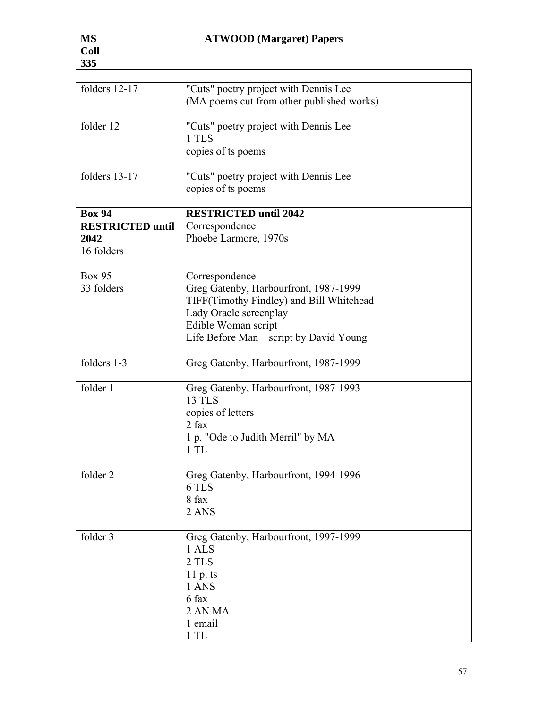| folders 12-17                                                  | "Cuts" poetry project with Dennis Lee<br>(MA poems cut from other published works)                                                                                                              |
|----------------------------------------------------------------|-------------------------------------------------------------------------------------------------------------------------------------------------------------------------------------------------|
| folder 12                                                      | "Cuts" poetry project with Dennis Lee<br>1 TLS<br>copies of ts poems                                                                                                                            |
| folders 13-17                                                  | "Cuts" poetry project with Dennis Lee<br>copies of ts poems                                                                                                                                     |
| <b>Box 94</b><br><b>RESTRICTED until</b><br>2042<br>16 folders | <b>RESTRICTED until 2042</b><br>Correspondence<br>Phoebe Larmore, 1970s                                                                                                                         |
| <b>Box 95</b><br>33 folders                                    | Correspondence<br>Greg Gatenby, Harbourfront, 1987-1999<br>TIFF(Timothy Findley) and Bill Whitehead<br>Lady Oracle screenplay<br>Edible Woman script<br>Life Before Man – script by David Young |
| folders 1-3                                                    | Greg Gatenby, Harbourfront, 1987-1999                                                                                                                                                           |
| folder 1                                                       | Greg Gatenby, Harbourfront, 1987-1993<br><b>13 TLS</b><br>copies of letters<br>$2$ fax<br>1 p. "Ode to Judith Merril" by MA<br>1TL                                                              |
| folder 2                                                       | Greg Gatenby, Harbourfront, 1994-1996<br>6 TLS<br>8 fax<br>2 ANS                                                                                                                                |
| folder 3                                                       | Greg Gatenby, Harbourfront, 1997-1999<br>1 ALS<br>2 TLS<br>$11 p$ . ts<br>1 ANS<br>6 fax<br>2 AN MA<br>1 email<br>1TL                                                                           |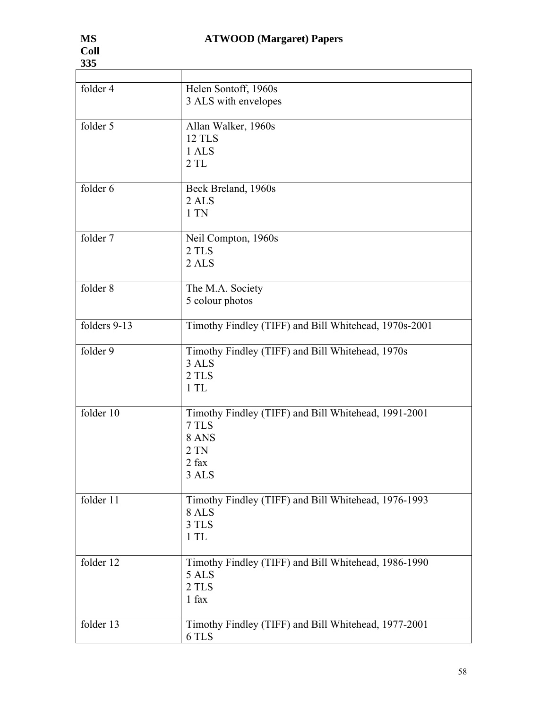| 335                   |                                                       |
|-----------------------|-------------------------------------------------------|
|                       |                                                       |
| folder 4              | Helen Sontoff, 1960s                                  |
|                       | 3 ALS with envelopes                                  |
|                       |                                                       |
| folder 5              | Allan Walker, 1960s                                   |
|                       | <b>12 TLS</b>                                         |
|                       | 1 ALS                                                 |
|                       | 2TL                                                   |
|                       |                                                       |
| folder 6              | Beck Breland, 1960s                                   |
|                       | 2 ALS                                                 |
|                       | $1$ TN                                                |
|                       |                                                       |
| $\overline{folder}$ 7 | Neil Compton, 1960s                                   |
|                       | 2 TLS                                                 |
|                       | 2 <sub>ALS</sub>                                      |
|                       |                                                       |
| folder 8              | The M.A. Society                                      |
|                       | 5 colour photos                                       |
|                       |                                                       |
| folders 9-13          |                                                       |
|                       | Timothy Findley (TIFF) and Bill Whitehead, 1970s-2001 |
|                       |                                                       |
| folder 9              | Timothy Findley (TIFF) and Bill Whitehead, 1970s      |
|                       | 3 ALS                                                 |
|                       | 2 TLS                                                 |
|                       | 1TL                                                   |
|                       |                                                       |
| folder 10             | Timothy Findley (TIFF) and Bill Whitehead, 1991-2001  |
|                       | 7 TLS                                                 |
|                       | 8 ANS                                                 |
|                       | $2$ TN                                                |
|                       | $2$ fax                                               |
|                       | 3 ALS                                                 |
|                       |                                                       |
| folder 11             | Timothy Findley (TIFF) and Bill Whitehead, 1976-1993  |
|                       | 8 ALS                                                 |
|                       | 3 TLS                                                 |
|                       | 1TL                                                   |
|                       |                                                       |
| folder $12$           | Timothy Findley (TIFF) and Bill Whitehead, 1986-1990  |
|                       | 5 ALS                                                 |
|                       | 2 TLS                                                 |
|                       | 1 fax                                                 |
|                       |                                                       |
| folder 13             | Timothy Findley (TIFF) and Bill Whitehead, 1977-2001  |
|                       | 6 TLS                                                 |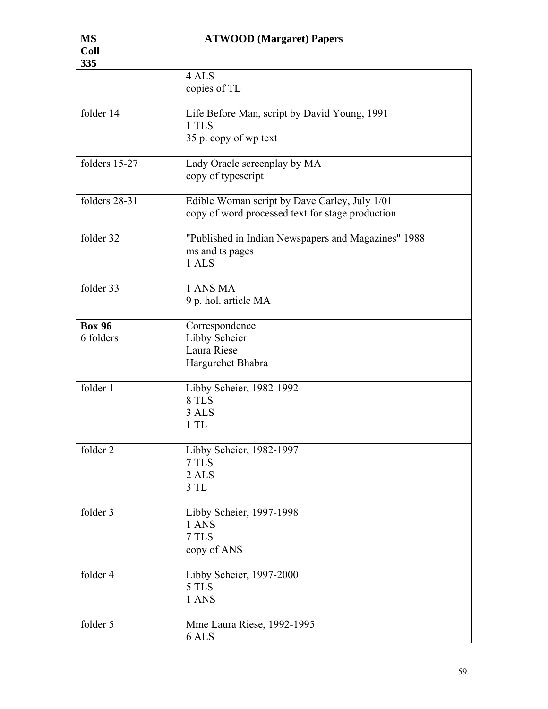| 335                    |                                                                                                   |
|------------------------|---------------------------------------------------------------------------------------------------|
|                        | 4 ALS<br>copies of TL                                                                             |
| folder 14              | Life Before Man, script by David Young, 1991<br>1 TLS<br>35 p. copy of wp text                    |
| folders 15-27          | Lady Oracle screenplay by MA<br>copy of typescript                                                |
| folders 28-31          | Edible Woman script by Dave Carley, July 1/01<br>copy of word processed text for stage production |
| folder 32              | "Published in Indian Newspapers and Magazines" 1988<br>ms and ts pages<br>1 ALS                   |
| folder $\overline{33}$ | 1 ANS MA<br>9 p. hol. article MA                                                                  |
| <b>Box 96</b>          | Correspondence                                                                                    |
| 6 folders              | Libby Scheier<br>Laura Riese<br>Hargurchet Bhabra                                                 |
| folder 1               | Libby Scheier, 1982-1992<br>8 TLS<br>3 ALS<br>1TL                                                 |
| folder 2               | Libby Scheier, 1982-1997<br>7 TLS<br>2 ALS<br>3TL                                                 |
| folder 3               | Libby Scheier, 1997-1998<br>1 ANS<br>7 TLS<br>copy of ANS                                         |
| folder 4               | Libby Scheier, 1997-2000<br>5 TLS<br>1 ANS                                                        |
| folder 5               | Mme Laura Riese, 1992-1995<br>6 ALS                                                               |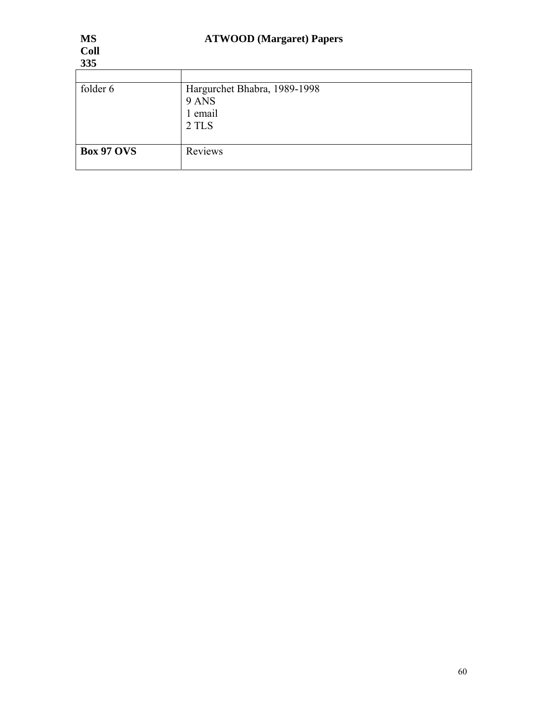| 335               |                                                           |
|-------------------|-----------------------------------------------------------|
|                   |                                                           |
| folder 6          | Hargurchet Bhabra, 1989-1998<br>9 ANS<br>1 email<br>2 TLS |
| <b>Box 97 OVS</b> | Reviews                                                   |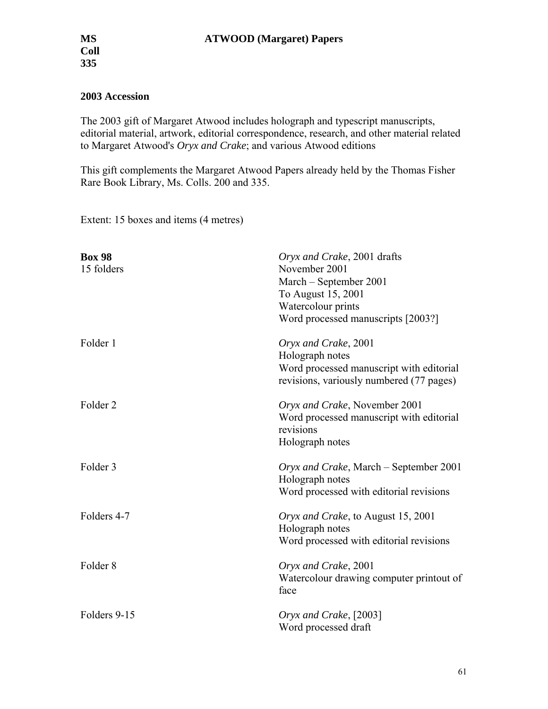### **2003 Accession**

The 2003 gift of Margaret Atwood includes holograph and typescript manuscripts, editorial material, artwork, editorial correspondence, research, and other material related to Margaret Atwood's *Oryx and Crake*; and various Atwood editions

This gift complements the Margaret Atwood Papers already held by the Thomas Fisher Rare Book Library, Ms. Colls. 200 and 335.

Extent: 15 boxes and items (4 metres)

| <b>Box 98</b><br>15 folders | Oryx and Crake, 2001 drafts<br>November 2001<br>March - September 2001<br>To August 15, 2001<br>Watercolour prints<br>Word processed manuscripts [2003?] |
|-----------------------------|----------------------------------------------------------------------------------------------------------------------------------------------------------|
| Folder 1                    | Oryx and Crake, 2001<br>Holograph notes<br>Word processed manuscript with editorial<br>revisions, variously numbered (77 pages)                          |
| Folder <sub>2</sub>         | Oryx and Crake, November 2001<br>Word processed manuscript with editorial<br>revisions<br>Holograph notes                                                |
| Folder 3                    | Oryx and Crake, March – September 2001<br>Holograph notes<br>Word processed with editorial revisions                                                     |
| Folders 4-7                 | Oryx and Crake, to August 15, 2001<br>Holograph notes<br>Word processed with editorial revisions                                                         |
| Folder <sub>8</sub>         | Oryx and Crake, 2001<br>Watercolour drawing computer printout of<br>face                                                                                 |
| Folders 9-15                | Oryx and Crake, [2003]<br>Word processed draft                                                                                                           |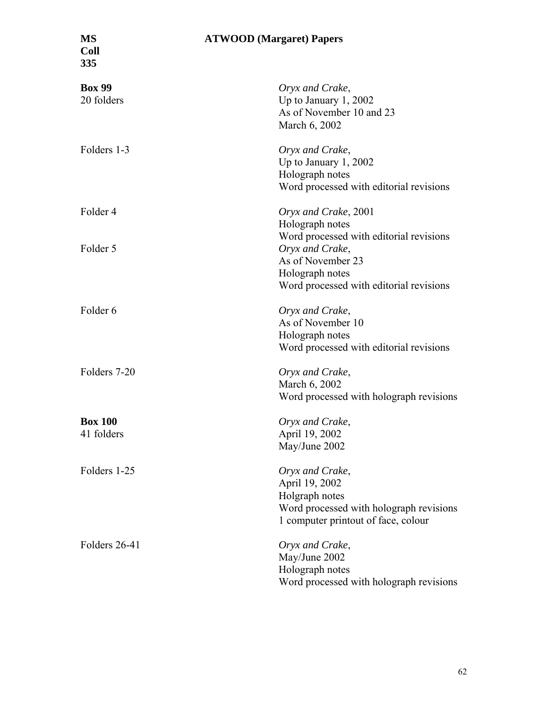**Coll 335** 

| <b>Box 99</b><br>20 folders  | Oryx and Crake,<br>Up to January $1, 2002$<br>As of November 10 and 23<br>March 6, 2002                                               |
|------------------------------|---------------------------------------------------------------------------------------------------------------------------------------|
| Folders 1-3                  | Oryx and Crake,<br>Up to January $1, 2002$<br>Holograph notes<br>Word processed with editorial revisions                              |
| Folder 4                     | Oryx and Crake, 2001<br>Holograph notes<br>Word processed with editorial revisions                                                    |
| Folder 5                     | Oryx and Crake,<br>As of November 23<br>Holograph notes<br>Word processed with editorial revisions                                    |
| Folder 6                     | Oryx and Crake,<br>As of November 10<br>Holograph notes<br>Word processed with editorial revisions                                    |
| Folders 7-20                 | Oryx and Crake,<br>March 6, 2002<br>Word processed with holograph revisions                                                           |
| <b>Box 100</b><br>41 folders | Oryx and Crake,<br>April 19, 2002<br>May/June 2002                                                                                    |
| Folders 1-25                 | Oryx and Crake,<br>April 19, 2002<br>Holgraph notes<br>Word processed with holograph revisions<br>1 computer printout of face, colour |
| Folders 26-41                | Oryx and Crake,<br>May/June 2002<br>Holograph notes<br>Word processed with holograph revisions                                        |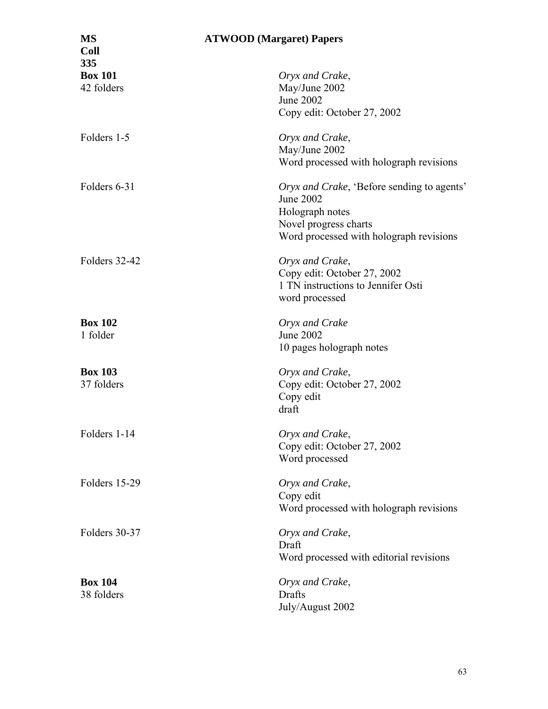| <b>MS</b><br><b>Coll</b> | <b>ATWOOD</b> (Margaret) Papers            |
|--------------------------|--------------------------------------------|
| 335                      |                                            |
| <b>Box 101</b>           | Oryx and Crake,                            |
| 42 folders               | May/June 2002                              |
|                          | <b>June 2002</b>                           |
|                          | Copy edit: October 27, 2002                |
| Folders 1-5              | Oryx and Crake,                            |
|                          | May/June 2002                              |
|                          | Word processed with holograph revisions    |
| Folders 6-31             | Oryx and Crake, 'Before sending to agents' |
|                          | June 2002                                  |
|                          | Holograph notes                            |
|                          | Novel progress charts                      |
|                          | Word processed with holograph revisions    |
| Folders 32-42            | Oryx and Crake,                            |
|                          | Copy edit: October 27, 2002                |
|                          | 1 TN instructions to Jennifer Osti         |
|                          | word processed                             |
|                          |                                            |
| <b>Box 102</b>           | Oryx and Crake                             |
| 1 folder                 | <b>June 2002</b>                           |
|                          | 10 pages holograph notes                   |
| <b>Box 103</b>           | Oryx and Crake,                            |
| 37 folders               | Copy edit: October 27, 2002                |
|                          | Copy edit                                  |
|                          | draft                                      |
| Folders 1-14             | Oryx and Crake,                            |
|                          | Copy edit: October 27, 2002                |
|                          | Word processed                             |
| Folders 15-29            | Oryx and Crake,                            |
|                          | Copy edit                                  |
|                          | Word processed with holograph revisions    |
|                          |                                            |
| Folders 30-37            | Oryx and Crake,                            |
|                          | Draft                                      |
|                          | Word processed with editorial revisions    |
| <b>Box 104</b>           | Oryx and Crake,                            |
| 38 folders               | Drafts                                     |
|                          | July/August 2002                           |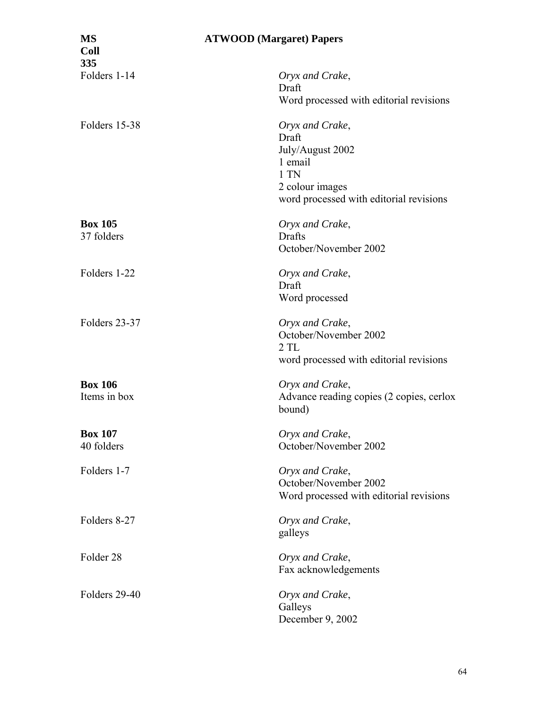| <b>MS</b><br><b>Coll</b><br>335 | <b>ATWOOD</b> (Margaret) Papers                                                                                               |
|---------------------------------|-------------------------------------------------------------------------------------------------------------------------------|
| Folders 1-14                    | Oryx and Crake,<br>Draft<br>Word processed with editorial revisions                                                           |
| Folders 15-38                   | Oryx and Crake,<br>Draft<br>July/August 2002<br>1 email<br>1 TN<br>2 colour images<br>word processed with editorial revisions |
| <b>Box 105</b><br>37 folders    | Oryx and Crake,<br>Drafts<br>October/November 2002                                                                            |
| Folders 1-22                    | Oryx and Crake,<br>Draft<br>Word processed                                                                                    |
| Folders 23-37                   | Oryx and Crake,<br>October/November 2002<br>2TL<br>word processed with editorial revisions                                    |
| <b>Box 106</b><br>Items in box  | Oryx and Crake,<br>Advance reading copies (2 copies, cerlox<br>bound)                                                         |
| <b>Box 107</b><br>40 folders    | Oryx and Crake,<br>October/November 2002                                                                                      |
| Folders 1-7                     | Oryx and Crake,<br>October/November 2002<br>Word processed with editorial revisions                                           |
| Folders 8-27                    | Oryx and Crake,<br>galleys                                                                                                    |
| Folder <sub>28</sub>            | Oryx and Crake,<br>Fax acknowledgements                                                                                       |
| Folders 29-40                   | Oryx and Crake,<br>Galleys<br>December 9, 2002                                                                                |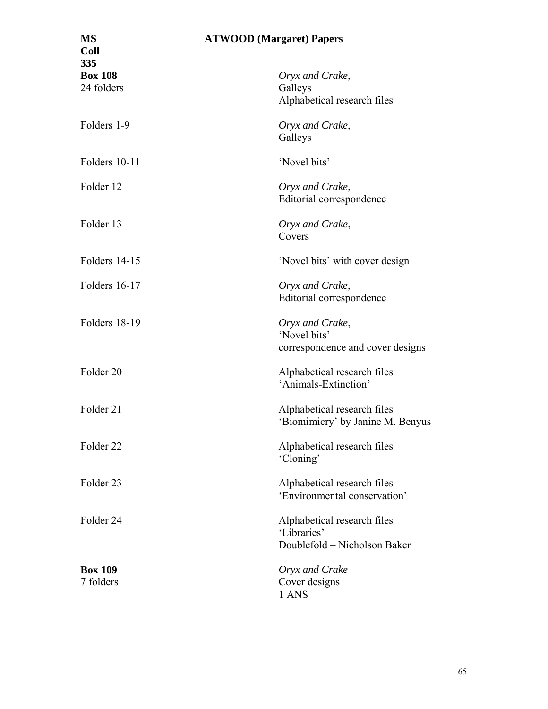| <b>MS</b><br><b>Coll</b><br>335 | <b>ATWOOD</b> (Margaret) Papers                                            |
|---------------------------------|----------------------------------------------------------------------------|
| <b>Box 108</b>                  | Oryx and Crake,                                                            |
| 24 folders                      | Galleys<br>Alphabetical research files                                     |
| Folders 1-9                     | Oryx and Crake,<br>Galleys                                                 |
| Folders 10-11                   | 'Novel bits'                                                               |
| Folder 12                       | Oryx and Crake,<br>Editorial correspondence                                |
| Folder 13                       | Oryx and Crake,<br>Covers                                                  |
| Folders 14-15                   | 'Novel bits' with cover design                                             |
| Folders 16-17                   | Oryx and Crake,<br>Editorial correspondence                                |
| Folders 18-19                   | Oryx and Crake,<br>'Novel bits'<br>correspondence and cover designs        |
| Folder <sub>20</sub>            | Alphabetical research files<br>'Animals-Extinction'                        |
| Folder 21                       | Alphabetical research files<br>'Biomimicry' by Janine M. Benyus            |
| Folder <sub>22</sub>            | Alphabetical research files<br>'Cloning'                                   |
| Folder <sub>23</sub>            | Alphabetical research files<br>'Environmental conservation'                |
| Folder 24                       | Alphabetical research files<br>'Libraries'<br>Doublefold - Nicholson Baker |
| <b>Box 109</b><br>7 folders     | Oryx and Crake<br>Cover designs<br>1 ANS                                   |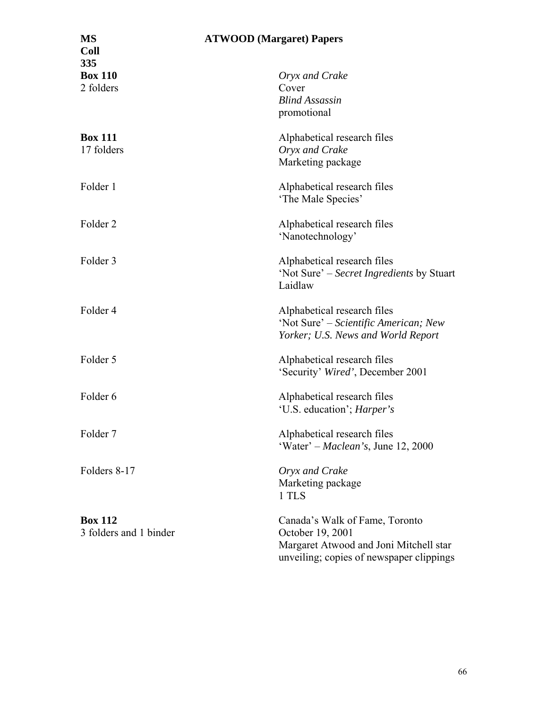| <b>MS</b><br><b>Coll</b><br>335          | <b>ATWOOD</b> (Margaret) Papers                                                                                                          |
|------------------------------------------|------------------------------------------------------------------------------------------------------------------------------------------|
| <b>Box 110</b><br>2 folders              | Oryx and Crake<br>Cover<br><b>Blind Assassin</b><br>promotional                                                                          |
| <b>Box 111</b><br>17 folders             | Alphabetical research files<br>Oryx and Crake<br>Marketing package                                                                       |
| Folder 1                                 | Alphabetical research files<br>'The Male Species'                                                                                        |
| Folder <sub>2</sub>                      | Alphabetical research files<br>'Nanotechnology'                                                                                          |
| Folder 3                                 | Alphabetical research files<br>'Not Sure' – Secret Ingredients by Stuart<br>Laidlaw                                                      |
| Folder 4                                 | Alphabetical research files<br>'Not Sure' – Scientific American; New<br>Yorker; U.S. News and World Report                               |
| Folder 5                                 | Alphabetical research files<br>'Security' Wired', December 2001                                                                          |
| Folder 6                                 | Alphabetical research files<br>'U.S. education'; <i>Harper's</i>                                                                         |
| Folder <sub>7</sub>                      | Alphabetical research files<br>'Water' – Maclean's, June 12, 2000                                                                        |
| Folders 8-17                             | Oryx and Crake<br>Marketing package<br>1 TLS                                                                                             |
| <b>Box 112</b><br>3 folders and 1 binder | Canada's Walk of Fame, Toronto<br>October 19, 2001<br>Margaret Atwood and Joni Mitchell star<br>unveiling; copies of newspaper clippings |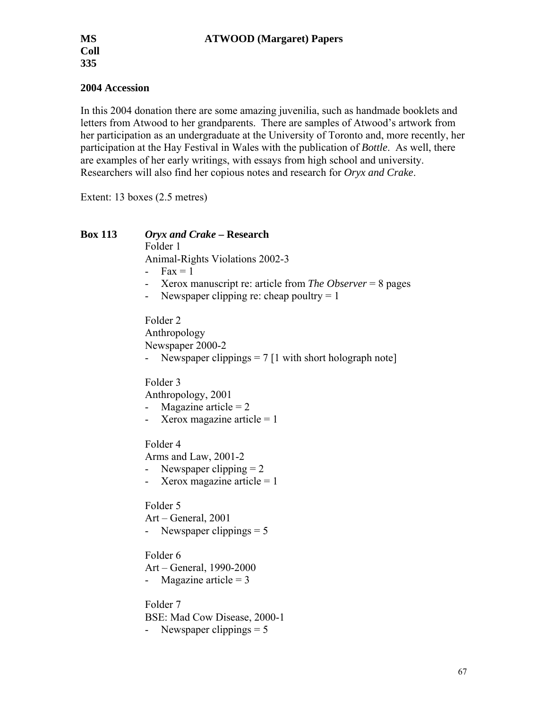### **2004 Accession**

In this 2004 donation there are some amazing juvenilia, such as handmade booklets and letters from Atwood to her grandparents. There are samples of Atwood's artwork from her participation as an undergraduate at the University of Toronto and, more recently, her participation at the Hay Festival in Wales with the publication of *Bottle*. As well, there are examples of her early writings, with essays from high school and university. Researchers will also find her copious notes and research for *Oryx and Crake*.

Extent: 13 boxes (2.5 metres)

**Box 113** *Oryx and Crake* **– Research**  Folder 1 Animal-Rights Violations 2002-3 -  $Fax = 1$ - Xerox manuscript re: article from *The Observer* = 8 pages - Newspaper clipping re: cheap poultry  $= 1$ Folder 2 Anthropology Newspaper 2000-2 Newspaper clippings  $= 7$  [1 with short holograph note] Folder 3 Anthropology, 2001 - Magazine article  $= 2$ - Xerox magazine article  $= 1$ Folder 4 Arms and Law, 2001-2 - Newspaper clipping  $= 2$ - Xerox magazine article  $= 1$ Folder 5 Art – General, 2001 - Newspaper clippings = 5 Folder 6 Art – General, 1990-2000 - Magazine article  $= 3$ Folder 7 BSE: Mad Cow Disease, 2000-1 - Newspaper clippings  $= 5$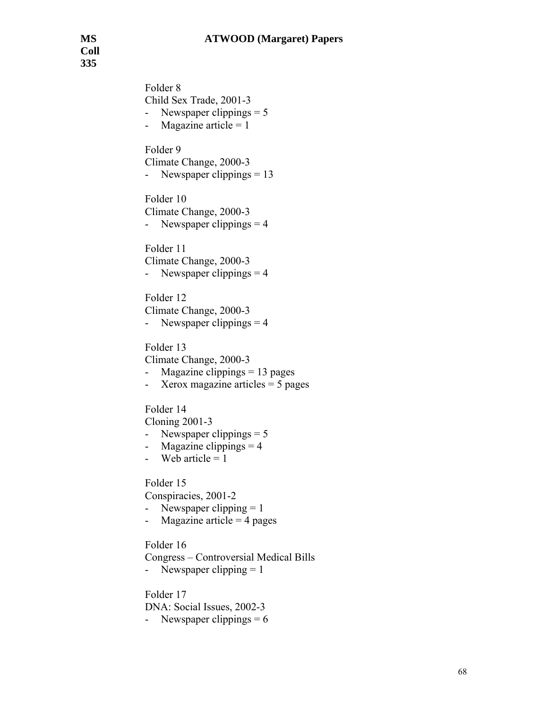**Coll 335** 

> Folder 8 Child Sex Trade, 2001-3 - Newspaper clippings = 5 - Magazine article  $= 1$ Folder 9 Climate Change, 2000-3 - Newspaper clippings = 13 Folder 10 Climate Change, 2000-3 - Newspaper clippings  $= 4$ Folder 11 Climate Change, 2000-3 - Newspaper clippings  $= 4$ Folder 12 Climate Change, 2000-3 - Newspaper clippings  $= 4$ Folder 13 Climate Change, 2000-3 - Magazine clippings = 13 pages - Xerox magazine articles  $=$  5 pages Folder 14 Cloning 2001-3 - Newspaper clippings  $= 5$ - Magazine clippings  $= 4$ - Web article  $= 1$ Folder 15 Conspiracies, 2001-2 - Newspaper clipping  $= 1$ - Magazine article  $=$  4 pages Folder 16 Congress – Controversial Medical Bills - Newspaper clipping  $= 1$ Folder 17 DNA: Social Issues, 2002-3 - Newspaper clippings  $= 6$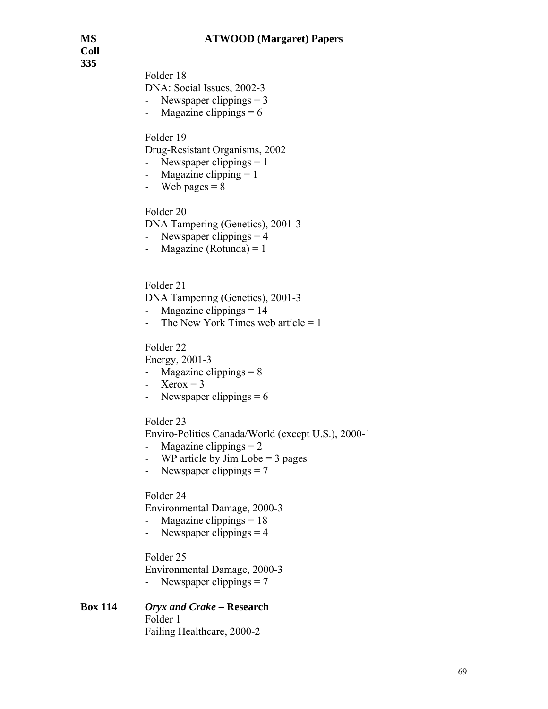**Coll 335** 

Folder 18

DNA: Social Issues, 2002-3

- Newspaper clippings  $= 3$
- Magazine clippings  $= 6$

Folder 19

Drug-Resistant Organisms, 2002

- Newspaper clippings  $= 1$
- Magazine clipping  $= 1$
- Web pages  $= 8$

Folder 20

DNA Tampering (Genetics), 2001-3

- Newspaper clippings  $= 4$
- Magazine (Rotunda) =  $1$

Folder 21

DNA Tampering (Genetics), 2001-3

- Magazine clippings  $= 14$
- The New York Times web article  $= 1$

Folder 22

Energy, 2001-3

- Magazine clippings  $= 8$
- Xerox =  $3$
- Newspaper clippings  $= 6$

#### Folder 23

Enviro-Politics Canada/World (except U.S.), 2000-1

- Magazine clippings  $= 2$
- WP article by Jim Lobe  $=$  3 pages
- Newspaper clippings = 7

### Folder 24

Environmental Damage, 2000-3

- Magazine clippings  $= 18$
- Newspaper clippings  $= 4$

Folder 25

Environmental Damage, 2000-3

- Newspaper clippings  $= 7$ 

#### **Box 114** *Oryx and Crake* **– Research**  Folder 1 Failing Healthcare, 2000-2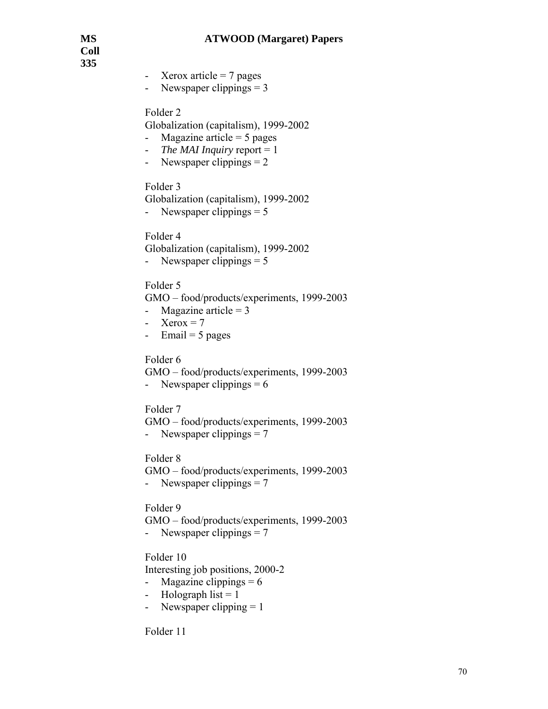**Coll 335** 

- Xerox article  $= 7$  pages
- Newspaper clippings  $= 3$

Folder 2

Globalization (capitalism), 1999-2002

- Magazine article  $= 5$  pages
- *The MAI Inquiry* report = 1
- Newspaper clippings  $= 2$

Folder 3

Globalization (capitalism), 1999-2002

- Newspaper clippings  $= 5$ 

Folder 4

Globalization (capitalism), 1999-2002 - Newspaper clippings  $= 5$ 

Folder 5

GMO – food/products/experiments, 1999-2003

- Magazine article  $= 3$
- Xerox  $= 7$
- Email =  $5$  pages

Folder 6

GMO – food/products/experiments, 1999-2003

- Newspaper clippings  $= 6$ 

Folder 7

GMO – food/products/experiments, 1999-2003 - Newspaper clippings  $= 7$ 

Folder 8

GMO – food/products/experiments, 1999-2003 - Newspaper clippings  $= 7$ 

Folder 9

GMO – food/products/experiments, 1999-2003

- Newspaper clippings = 7

Folder 10

Interesting job positions, 2000-2

- Magazine clippings  $= 6$
- Holograph list  $= 1$
- Newspaper clipping  $= 1$

Folder 11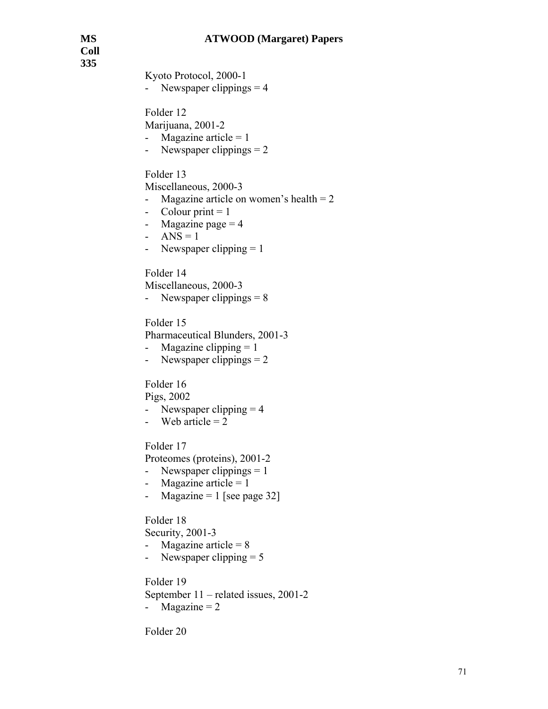**Coll 335** 

Kyoto Protocol, 2000-1 - Newspaper clippings  $= 4$ Folder 12 Marijuana, 2001-2 - Magazine article  $= 1$ - Newspaper clippings  $= 2$ Folder 13 Miscellaneous, 2000-3 - Magazine article on women's health  $= 2$ - Colour print  $= 1$ - Magazine page  $= 4$ - ANS =  $1$ - Newspaper clipping  $= 1$ Folder 14 Miscellaneous, 2000-3 - Newspaper clippings  $= 8$ Folder 15 Pharmaceutical Blunders, 2001-3 - Magazine clipping  $= 1$ - Newspaper clippings  $= 2$ Folder 16 Pigs, 2002 - Newspaper clipping  $= 4$ - Web article  $= 2$ Folder 17 Proteomes (proteins), 2001-2 - Newspaper clippings  $= 1$ - Magazine article  $= 1$ - Magazine  $= 1$  [see page 32] Folder 18 Security, 2001-3 - Magazine article  $= 8$ - Newspaper clipping  $= 5$ Folder 19 September 11 – related issues, 2001-2 - Magazine  $= 2$ Folder 20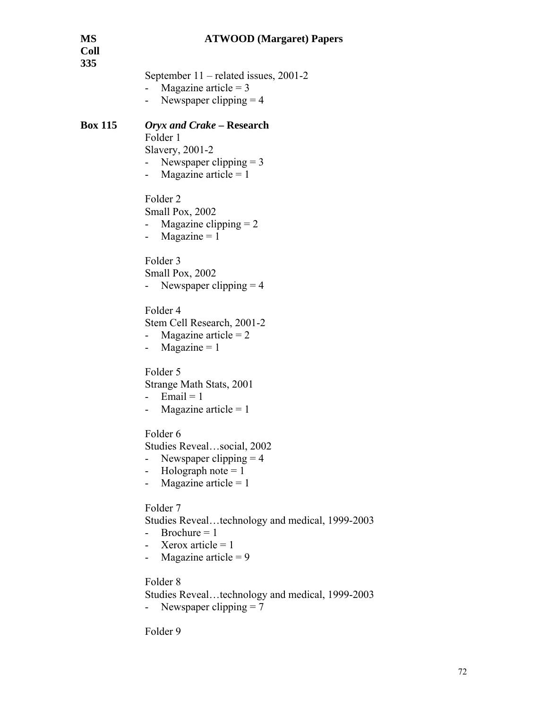| MS<br>Coll<br>335 | <b>ATWOOD</b> (Margaret) Papers                                                                                                           |
|-------------------|-------------------------------------------------------------------------------------------------------------------------------------------|
|                   | September 11 – related issues, 2001-2<br>Magazine article = $3$<br>Newspaper clipping $=$ 4<br>$ -$                                       |
| <b>Box 115</b>    | Oryx and Crake – Research<br>Folder 1<br>Slavery, 2001-2<br>- Newspaper clipping $= 3$<br>- Magazine article = $1$                        |
|                   | Folder <sub>2</sub><br>Small Pox, 2002<br>Magazine clipping $= 2$<br>- Magazine $= 1$                                                     |
|                   | Folder <sub>3</sub><br>Small Pox, 2002<br>Newspaper clipping $=$ 4                                                                        |
|                   | Folder 4<br>Stem Cell Research, 2001-2<br>Magazine article $= 2$<br>- Magazine $= 1$                                                      |
|                   | Folder 5<br>Strange Math Stats, 2001<br>Email = $1$<br>$\sim$<br>Magazine article = $1$                                                   |
|                   | Folder 6<br>Studies Revealsocial, 2002<br>Newspaper clipping $=$ 4<br>Holograph note $= 1$<br>Magazine article = $1$                      |
|                   | Folder <sub>7</sub><br>Studies Revealtechnology and medical, 1999-2003<br>Brochure $= 1$<br>Xerox article = $1$<br>Magazine article = $9$ |
|                   | Folder <sub>8</sub><br>Studies Revealtechnology and medical, 1999-2003                                                                    |

```
- Newspaper clipping = 7
```
Folder 9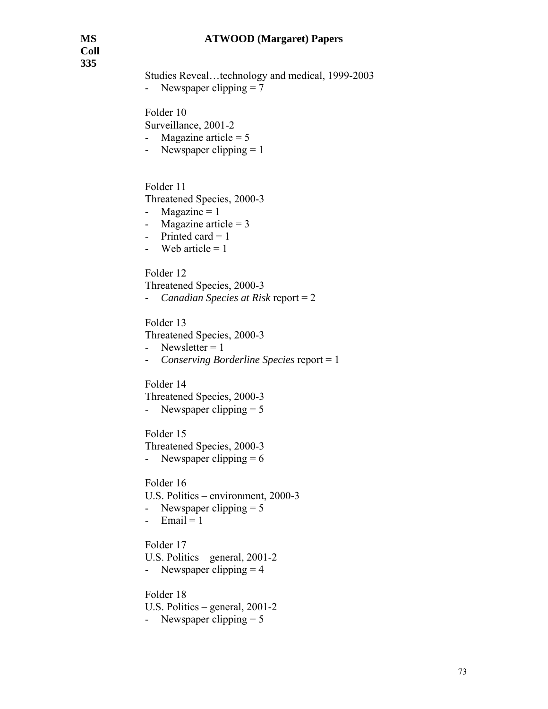Studies Reveal…technology and medical, 1999-2003 - Newspaper clipping  $= 7$ Folder 10 Surveillance, 2001-2 - Magazine article  $= 5$ - Newspaper clipping  $= 1$ Folder 11 Threatened Species, 2000-3 - Magazine  $= 1$ - Magazine article  $= 3$ - Printed card  $= 1$ - Web article  $= 1$ Folder 12 Threatened Species, 2000-3 - *Canadian Species at Risk* report = 2 Folder 13 Threatened Species, 2000-3 - Newsletter  $= 1$ - *Conserving Borderline Species* report = 1 Folder 14 Threatened Species, 2000-3 - Newspaper clipping  $= 5$ Folder 15 Threatened Species, 2000-3 - Newspaper clipping  $= 6$ Folder 16 U.S. Politics – environment, 2000-3 - Newspaper clipping  $= 5$  $-$  Email = 1 Folder 17 U.S. Politics – general, 2001-2 - Newspaper clipping  $= 4$ Folder 18 U.S. Politics – general, 2001-2 - Newspaper clipping  $= 5$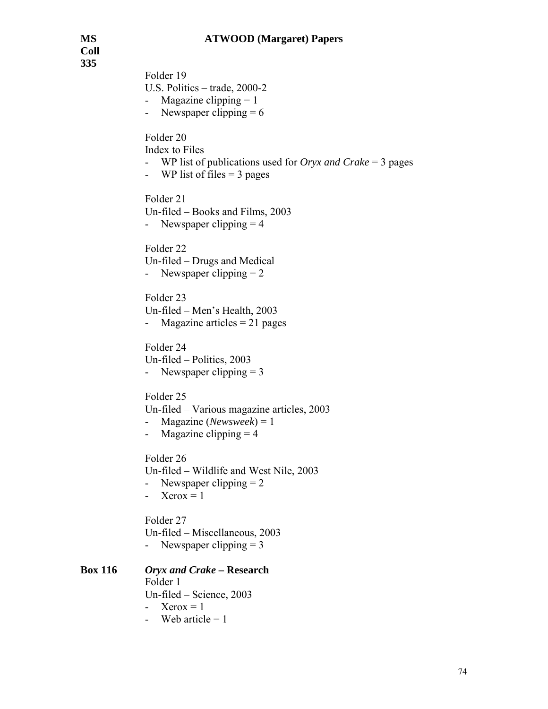**Coll 335** 

| JJJ            | Folder 19<br>U.S. Politics $-$ trade, 2000-2<br>Magazine clipping $= 1$<br>- Newspaper clipping $= 6$                             |
|----------------|-----------------------------------------------------------------------------------------------------------------------------------|
|                | Folder 20<br>Index to Files<br>WP list of publications used for <i>Oryx and Crake</i> = 3 pages<br>- WP list of files $=$ 3 pages |
|                | Folder 21<br>Un-filed - Books and Films, 2003<br>- Newspaper clipping $=$ 4                                                       |
|                | Folder <sub>22</sub><br>Un-filed – Drugs and Medical<br>Newspaper clipping $= 2$                                                  |
|                | Folder <sub>23</sub><br>Un-filed - Men's Health, 2003<br>Magazine articles $= 21$ pages                                           |
|                | Folder 24<br>Un-filed - Politics, 2003<br>- Newspaper clipping $= 3$                                                              |
|                | Folder <sub>25</sub><br>Un-filed – Various magazine articles, 2003<br>Magazine (Newsweek) = $1$<br>Magazine clipping $=$ 4        |
|                | Folder <sub>26</sub><br>Un-filed - Wildlife and West Nile, 2003<br>Newspaper clipping $= 2$<br>$Xerox = 1$                        |
|                | Folder 27<br>Un-filed – Miscellaneous, 2003<br>Newspaper clipping $=$ 3                                                           |
| <b>Box 116</b> | Oryx and Crake – Research<br>Folder 1<br>Un-filed - Science, 2003<br>$Xerox = 1$                                                  |

- Web article  $= 1$ 

**Box 116**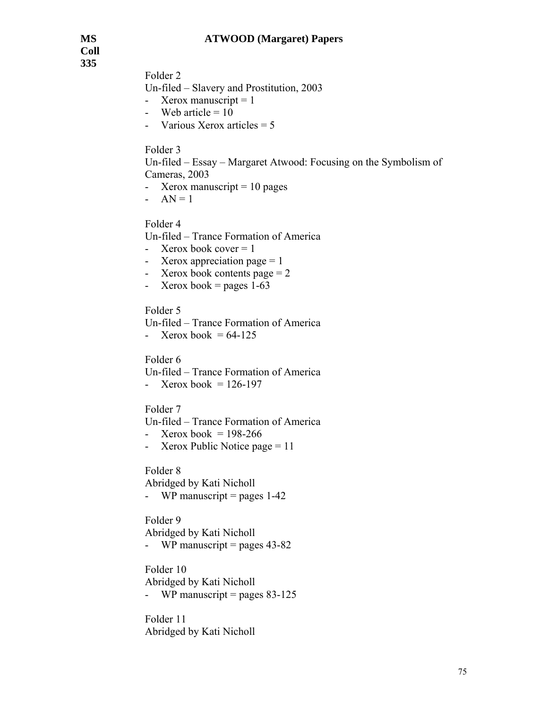**Coll 335** 

Folder 2

Un-filed – Slavery and Prostitution, 2003

- Xerox manuscript  $= 1$
- Web article  $= 10$
- Various Xerox articles  $= 5$

### Folder 3

Un-filed – Essay – Margaret Atwood: Focusing on the Symbolism of Cameras, 2003

- Xerox manuscript  $= 10$  pages
- $AN = 1$

Folder 4

- Un-filed Trance Formation of America
- Xerox book cover  $= 1$
- Xerox appreciation page  $= 1$
- Xerox book contents page  $= 2$
- Xerox book = pages  $1-63$

Folder 5

- Un-filed Trance Formation of America
- Xerox book =  $64-125$

Folder 6

Un-filed – Trance Formation of America

- Xerox book =  $126-197$ 

Folder 7

Un-filed – Trance Formation of America

- Xerox book =  $198-266$
- Xerox Public Notice page = 11

Folder 8

Abridged by Kati Nicholl - WP manuscript = pages  $1-42$ 

Folder 9

Abridged by Kati Nicholl

- WP manuscript = pages  $43-82$ 

Folder 10

Abridged by Kati Nicholl

- WP manuscript = pages  $83-125$ 

Folder 11 Abridged by Kati Nicholl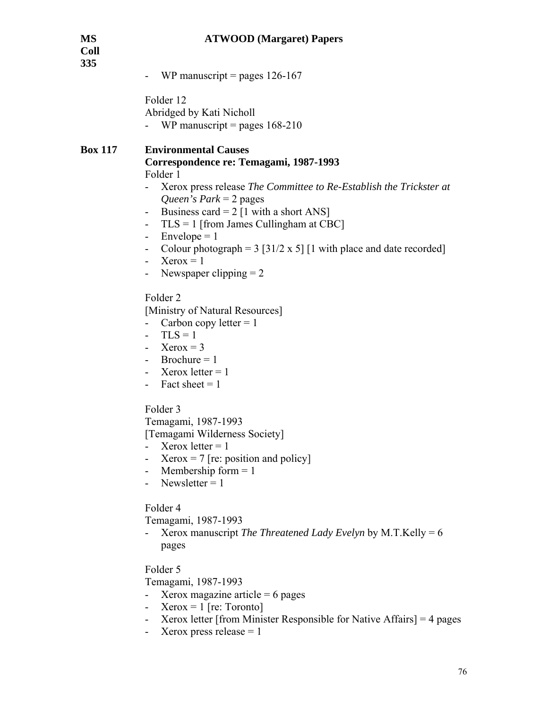| MS<br>Coll<br>335 | <b>ATWOOD</b> (Margaret) Papers                                                                                                                                                                                                                                                                                                                                                                                                                                              |
|-------------------|------------------------------------------------------------------------------------------------------------------------------------------------------------------------------------------------------------------------------------------------------------------------------------------------------------------------------------------------------------------------------------------------------------------------------------------------------------------------------|
|                   | WP manuscript = pages $126-167$                                                                                                                                                                                                                                                                                                                                                                                                                                              |
|                   | Folder 12<br>Abridged by Kati Nicholl<br>WP manuscript = pages $168-210$                                                                                                                                                                                                                                                                                                                                                                                                     |
| <b>Box 117</b>    | <b>Environmental Causes</b><br>Correspondence re: Temagami, 1987-1993<br>Folder 1<br>Xerox press release The Committee to Re-Establish the Trickster at<br>Queen's Park = $2$ pages<br>Business card = $2 \lfloor 1 \right.$ with a short ANS]<br>$TLS = 1$ [from James Cullingham at CBC]<br>$Envelope = 1$<br>Colour photograph = $3 \left[ 31/2 \times 5 \right]$ [1 with place and date recorded]<br>$XeroX = 1$<br>$\overline{\phantom{a}}$<br>Newspaper clipping $= 2$ |
|                   | Folder <sub>2</sub><br>[Ministry of Natural Resources]<br>Carbon copy letter $= 1$<br>$TLS = 1$<br>$Xerox = 3$<br>$Brochure = 1$<br>Xerox letter $= 1$<br>Fact sheet $= 1$                                                                                                                                                                                                                                                                                                   |
|                   | Folder 3<br>Temagami, 1987-1993<br>[Temagami Wilderness Society]<br>Xerox letter $= 1$<br>$Xerox = 7$ [re: position and policy]<br>Membership form $= 1$<br>Newsletter $= 1$                                                                                                                                                                                                                                                                                                 |
|                   | Folder 4<br>Temagami, 1987-1993<br>Xerox manuscript The Threatened Lady Evelyn by M.T.Kelly = $6$<br>pages                                                                                                                                                                                                                                                                                                                                                                   |
|                   | Folder 5<br>Temagami, 1987-1993<br>Xerox magazine article = $6$ pages<br>$Xerox = 1$ [re: Toronto]<br>Xerox letter [from Minister Responsible for Native Affairs] = $4$ pages<br>Xerox press release $= 1$                                                                                                                                                                                                                                                                   |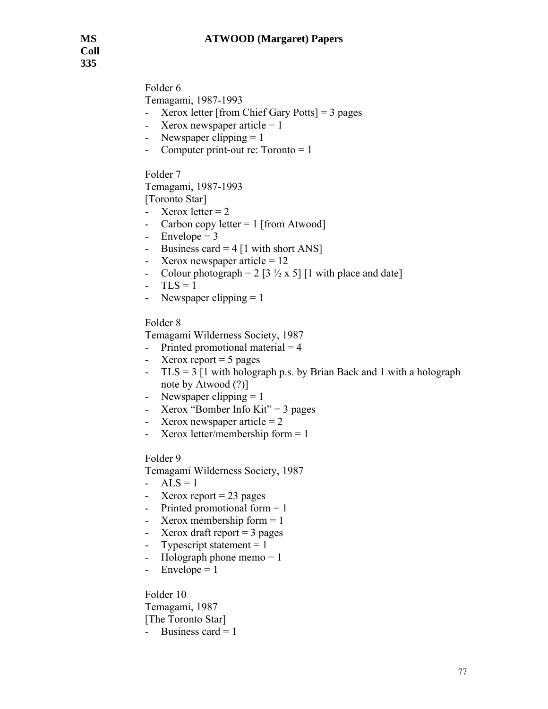Folder 6

Temagami, 1987-1993

- Xerox letter [from Chief Gary Potts] = 3 pages
- Xerox newspaper article  $= 1$
- Newspaper clipping  $= 1$
- Computer print-out re:  $Toronto = 1$

Folder 7

Temagami, 1987-1993

[Toronto Star]

- Xerox letter  $= 2$
- Carbon copy letter  $= 1$  [from Atwood]
- Envelope  $= 3$
- Business card  $= 4$  [1 with short ANS]
- Xerox newspaper article  $= 12$
- Colour photograph =  $2 \left[3 \frac{1}{2} \times 5\right]$  [1 with place and date]
- $-TLS = 1$
- Newspaper clipping  $= 1$

Folder 8

Temagami Wilderness Society, 1987

- Printed promotional material  $= 4$
- Xerox report  $= 5$  pages
- $TLS = 3 [1 with holograph p.s. by Brian Back and 1 with a holograph$ note by Atwood (?)]
- Newspaper clipping  $= 1$
- Xerox "Bomber Info Kit"  $=$  3 pages
- Xerox newspaper article  $= 2$
- Xerox letter/membership form  $= 1$

Folder 9

- Temagami Wilderness Society, 1987
- $ALS = 1$
- Xerox report  $= 23$  pages
- Printed promotional form  $= 1$
- Xerox membership form  $= 1$
- Xerox draft report  $=$  3 pages
- Typescript statement  $= 1$
- Holograph phone memo  $= 1$
- $\text{-}$  Envelope = 1

Folder 10 Temagami, 1987 [The Toronto Star] - Business card  $= 1$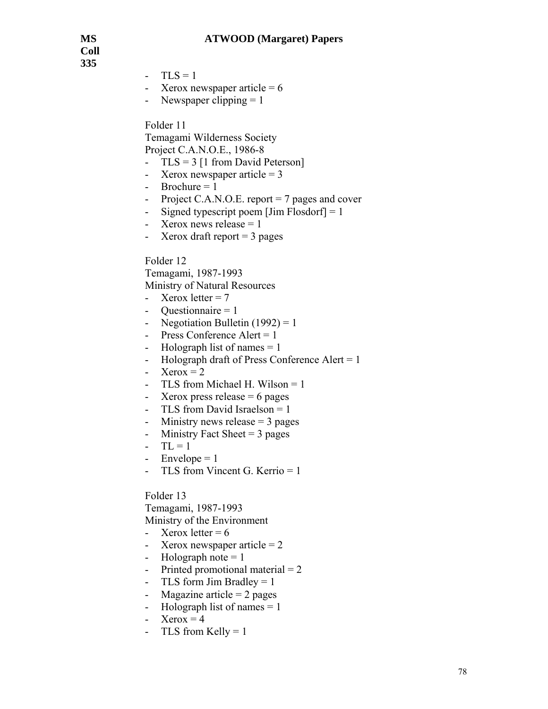**Coll 335** 

- $-TLS = 1$
- Xerox newspaper article  $= 6$
- Newspaper clipping  $= 1$

Folder 11

Temagami Wilderness Society Project C.A.N.O.E., 1986-8

- TLS = 3 [1 from David Peterson]
- Xerox newspaper article  $= 3$
- $-$  Brochure = 1
- Project C.A.N.O.E. report  $= 7$  pages and cover
- Signed typescript poem  $\lfloor \text{Jim Flosdorf} \rfloor = 1$
- Xerox news release  $= 1$
- Xerox draft report  $=$  3 pages

Folder 12

Temagami, 1987-1993

Ministry of Natural Resources

- Xerox letter  $= 7$
- Questionnaire  $= 1$
- Negotiation Bulletin  $(1992) = 1$
- Press Conference Alert  $= 1$
- Holograph list of names  $= 1$
- Holograph draft of Press Conference Alert  $= 1$
- Xerox  $= 2$
- TLS from Michael H. Wilson = 1
- Xerox press release  $= 6$  pages
- TLS from David Israelson = 1
- Ministry news release  $=$  3 pages
- Ministry Fact Sheet  $= 3$  pages
- $-TL = 1$
- Envelope  $= 1$
- TLS from Vincent G. Kerrio = 1

#### Folder 13

Temagami, 1987-1993 Ministry of the Environment

- Xerox letter  $= 6$
- Xerox newspaper article  $= 2$
- Holograph note  $= 1$
- Printed promotional material  $= 2$
- TLS form Jim Bradley  $= 1$
- Magazine article  $= 2$  pages
- Holograph list of names  $= 1$
- Xerox  $= 4$
- TLS from Kelly  $= 1$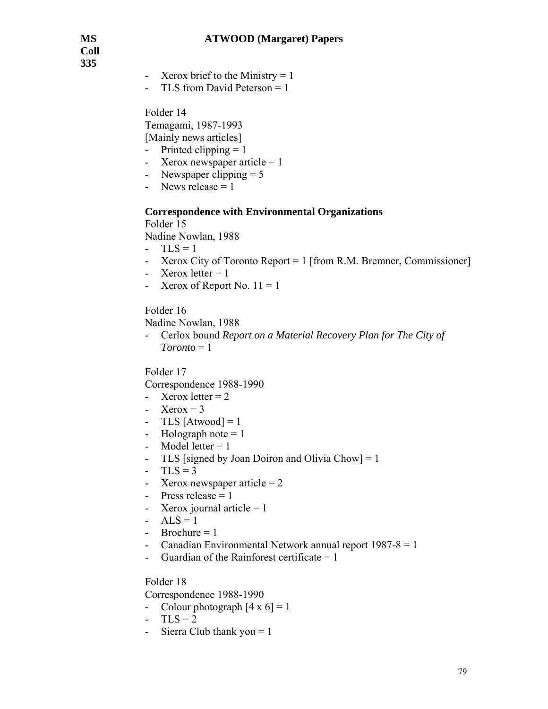**Coll 335** 

- Xerox brief to the Ministry  $= 1$
- TLS from David Peterson = 1

Folder 14 Temagami, 1987-1993 [Mainly news articles]

- Printed clipping  $= 1$
- Xerox newspaper article  $= 1$
- Newspaper clipping  $= 5$
- News release  $= 1$

#### **Correspondence with Environmental Organizations**

Folder 15 Nadine Nowlan, 1988

- $TLS = 1$
- Xerox City of Toronto Report = 1 [from R.M. Bremner, Commissioner]
- Xerox letter  $= 1$
- Xerox of Report No.  $11 = 1$

Folder 16

Nadine Nowlan, 1988

- Cerlox bound *Report on a Material Recovery Plan for The City of Toronto* = 1

Folder 17

Correspondence 1988-1990

- Xerox letter  $= 2$
- Xerox =  $3$
- TLS [Atwood] =  $1$
- Holograph note  $= 1$
- Model letter  $= 1$
- TLS [signed by Joan Doiron and Olivia Chow] = 1
- $-TLS = 3$
- Xerox newspaper article  $= 2$
- Press release  $= 1$
- Xerox journal article  $= 1$
- $-$  ALS = 1
- $-$  Brochure = 1
- Canadian Environmental Network annual report  $1987-8 = 1$
- Guardian of the Rainforest certificate  $= 1$

#### Folder 18

Correspondence 1988-1990

- Colour photograph  $[4 \times 6] = 1$
- $-TLS = 2$
- Sierra Club thank you  $= 1$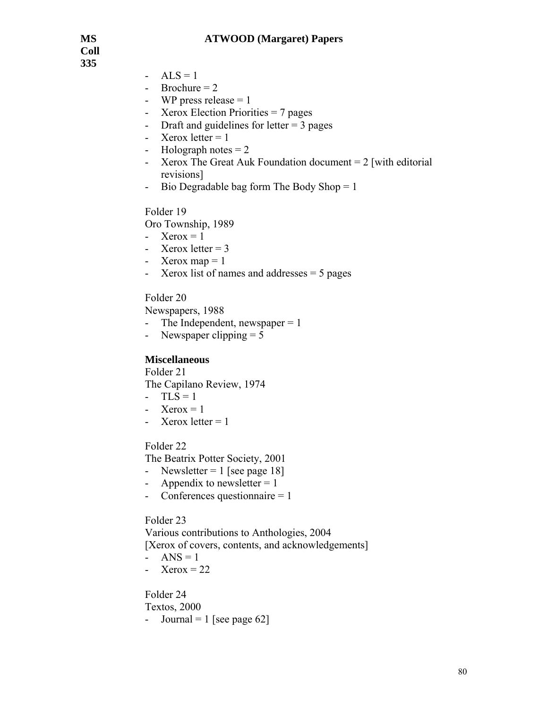**Coll 335** 

- $ALS = 1$
- $-$  Brochure = 2
- WP press release  $= 1$
- Xerox Election Priorities = 7 pages
- Draft and guidelines for letter  $= 3$  pages
- Xerox letter  $= 1$
- Holograph notes  $= 2$
- Xerox The Great Auk Foundation document  $= 2$  [with editorial revisions]
- Bio Degradable bag form The Body Shop = 1

Folder 19

Oro Township, 1989

- Xerox =  $1$
- Xerox letter  $= 3$
- Xerox map  $= 1$
- Xerox list of names and addresses = 5 pages

Folder 20

Newspapers, 1988

- The Independent, newspaper  $= 1$
- Newspaper clipping  $= 5$

# **Miscellaneous**

Folder 21 The Capilano Review, 1974

- $-TLS = 1$
- Xerox =  $1$
- Xerox letter  $= 1$

Folder 22

The Beatrix Potter Society, 2001

- Newsletter  $= 1$  [see page 18]
- Appendix to newsletter  $= 1$
- Conferences questionnaire = 1

Folder 23

Various contributions to Anthologies, 2004 [Xerox of covers, contents, and acknowledgements] - ANS =  $1$ 

- Xerox  $= 22$ 

Folder 24

Textos, 2000

- Journal = 1 [see page  $62$ ]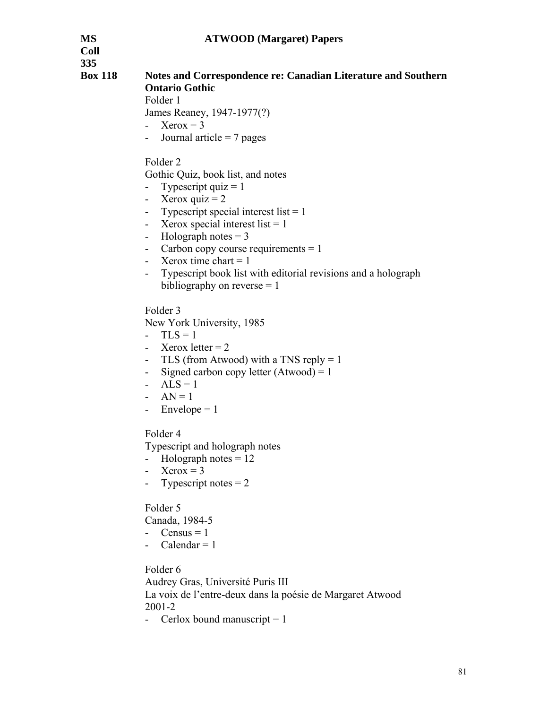**Coll 335** 

# **Box 118 Notes and Correspondence re: Canadian Literature and Southern Ontario Gothic**

Folder 1

James Reaney, 1947-1977(?)

- Xerox  $= 3$
- Journal article  $= 7$  pages

Folder 2

Gothic Quiz, book list, and notes

- Typescript quiz  $= 1$
- Xerox quiz  $= 2$
- Typescript special interest list  $= 1$
- Xerox special interest list  $= 1$
- Holograph notes  $= 3$
- Carbon copy course requirements = 1
- Xerox time chart  $= 1$
- Typescript book list with editorial revisions and a holograph bibliography on reverse  $= 1$

Folder 3

New York University, 1985

- $-TLS = 1$
- Xerox letter  $= 2$
- TLS (from Atwood) with a TNS reply  $= 1$
- Signed carbon copy letter  $(Atwood) = 1$
- $ALS = 1$
- $AN = 1$
- Envelope  $= 1$

Folder 4

Typescript and holograph notes

- $-Holograph notes = 12$
- Xerox =  $3$
- Typescript notes  $= 2$

Folder 5

Canada, 1984-5

- Census  $= 1$
- Calendar  $= 1$

Folder 6

Audrey Gras, Université Puris III La voix de l'entre-deux dans la poésie de Margaret Atwood 2001-2

- Cerlox bound manuscript  $= 1$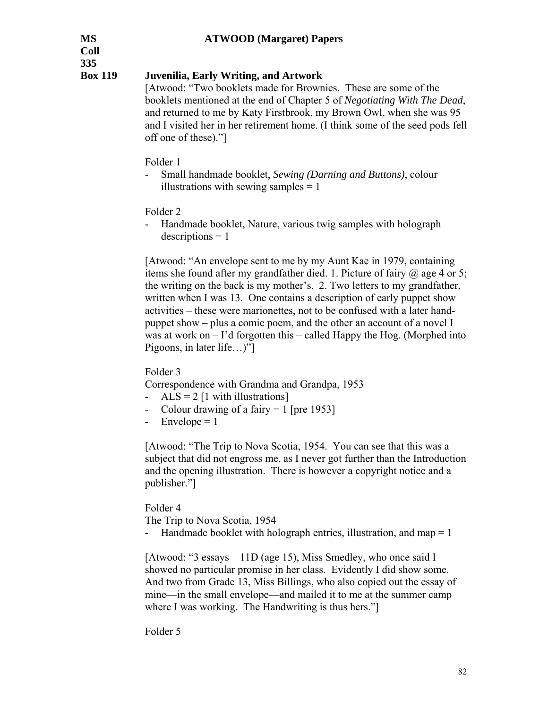**Coll 335** 

# **Box 119 Juvenilia, Early Writing, and Artwork**

[Atwood: "Two booklets made for Brownies. These are some of the booklets mentioned at the end of Chapter 5 of *Negotiating With The Dead*, and returned to me by Katy Firstbrook, my Brown Owl, when she was 95 and I visited her in her retirement home. (I think some of the seed pods fell off one of these)."]

- Folder 1
	- Small handmade booklet, *Sewing (Darning and Buttons)*, colour illustrations with sewing samples  $= 1$

Folder 2

- Handmade booklet, Nature, various twig samples with holograph  $descriptions = 1$ 

[Atwood: "An envelope sent to me by my Aunt Kae in 1979, containing items she found after my grandfather died. 1. Picture of fairy  $\omega$  age 4 or 5; the writing on the back is my mother's. 2. Two letters to my grandfather, written when I was 13. One contains a description of early puppet show activities – these were marionettes, not to be confused with a later handpuppet show – plus a comic poem, and the other an account of a novel I was at work on – I'd forgotten this – called Happy the Hog. (Morphed into Pigoons, in later life…)"]

Folder 3

Correspondence with Grandma and Grandpa, 1953

- $ALS = 2$  [1 with illustrations]
- Colour drawing of a fairy  $= 1$  [pre 1953]
- $\text{-}$  Envelope = 1

[Atwood: "The Trip to Nova Scotia, 1954. You can see that this was a subject that did not engross me, as I never got further than the Introduction and the opening illustration. There is however a copyright notice and a publisher."]

Folder 4

The Trip to Nova Scotia, 1954

- Handmade booklet with holograph entries, illustration, and map = 1

[Atwood: "3 essays – 11D (age 15), Miss Smedley, who once said I showed no particular promise in her class. Evidently I did show some. And two from Grade 13, Miss Billings, who also copied out the essay of mine—in the small envelope—and mailed it to me at the summer camp where I was working. The Handwriting is thus hers."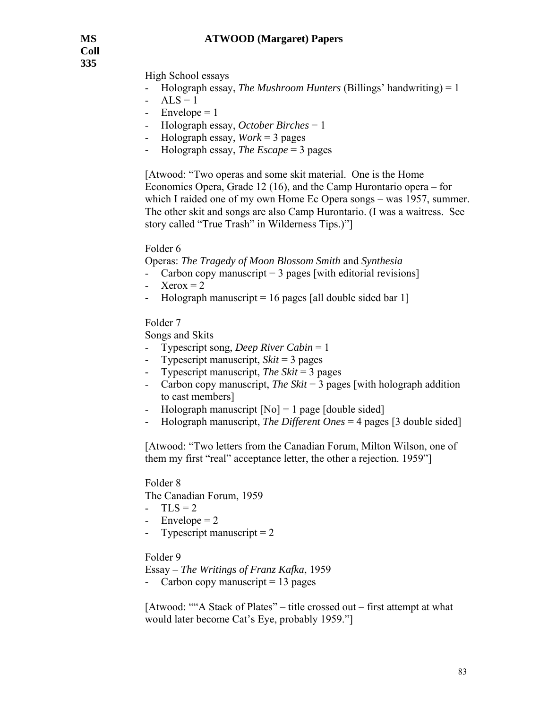**Coll 335** 

High School essays

- Holograph essay, *The Mushroom Hunters* (Billings' handwriting) = 1
- $ALS = 1$
- $Envelope = 1$
- Holograph essay, *October Birches* = 1
- Holograph essay, *Work* = 3 pages
- Holograph essay, *The Escape* = 3 pages

[Atwood: "Two operas and some skit material. One is the Home Economics Opera, Grade 12 (16), and the Camp Hurontario opera – for which I raided one of my own Home Ec Opera songs – was 1957, summer. The other skit and songs are also Camp Hurontario. (I was a waitress. See story called "True Trash" in Wilderness Tips.)"]

Folder 6

Operas: *The Tragedy of Moon Blossom Smith* and *Synthesia*

- Carbon copy manuscript  $=$  3 pages [with editorial revisions]
- Xerox  $= 2$
- Holograph manuscript  $= 16$  pages [all double sided bar 1]

Folder 7

Songs and Skits

- Typescript song, *Deep River Cabin* = 1
- Typescript manuscript, *Skit* = 3 pages
- Typescript manuscript, *The Skit* = 3 pages
- Carbon copy manuscript, *The Skit* = 3 pages [with holograph addition to cast members]
- Holograph manuscript  $[No] = 1$  page [double sided]
- Holograph manuscript, *The Different Ones* = 4 pages [3 double sided]

[Atwood: "Two letters from the Canadian Forum, Milton Wilson, one of them my first "real" acceptance letter, the other a rejection. 1959"]

Folder 8

The Canadian Forum, 1959

- $-TLS = 2$
- $Envelope = 2$
- Typescript manuscript  $= 2$

Folder 9

Essay – *The Writings of Franz Kafka*, 1959

- Carbon copy manuscript  $= 13$  pages

[Atwood: ""A Stack of Plates" – title crossed out – first attempt at what would later become Cat's Eye, probably 1959."]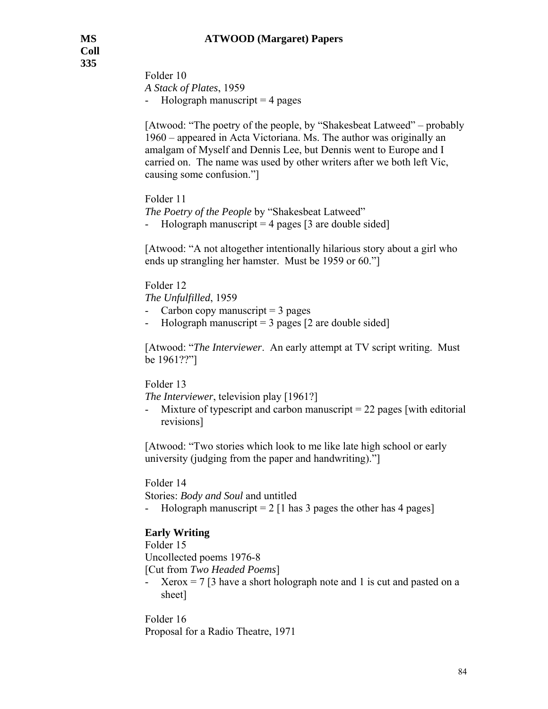Folder 10 *A Stack of Plates*, 1959 - Holograph manuscript  $=$  4 pages

[Atwood: "The poetry of the people, by "Shakesbeat Latweed" – probably 1960 – appeared in Acta Victoriana. Ms. The author was originally an amalgam of Myself and Dennis Lee, but Dennis went to Europe and I carried on. The name was used by other writers after we both left Vic, causing some confusion."]

Folder 11

*The Poetry of the People* by "Shakesbeat Latweed"

```
- Holograph manuscript = 4 pages [3 are double sided]
```
[Atwood: "A not altogether intentionally hilarious story about a girl who ends up strangling her hamster. Must be 1959 or 60."]

Folder 12

*The Unfulfilled*, 1959

- Carbon copy manuscript  $=$  3 pages
- Holograph manuscript  $=$  3 pages [2 are double sided]

[Atwood: "*The Interviewer*. An early attempt at TV script writing. Must be 1961??"]

# Folder 13

*The Interviewer*, television play [1961?]

Mixture of typescript and carbon manuscript  $= 22$  pages [with editorial revisions]

[Atwood: "Two stories which look to me like late high school or early university (judging from the paper and handwriting)."]

# Folder 14

Stories: *Body and Soul* and untitled

- Holograph manuscript  $= 2$  [1 has 3 pages the other has 4 pages]

# **Early Writing**

# Folder 15

Uncollected poems 1976-8

[Cut from *Two Headed Poems*]

 $Xerox = 7 [3]$  have a short holograph note and 1 is cut and pasted on a sheet]

Folder 16 Proposal for a Radio Theatre, 1971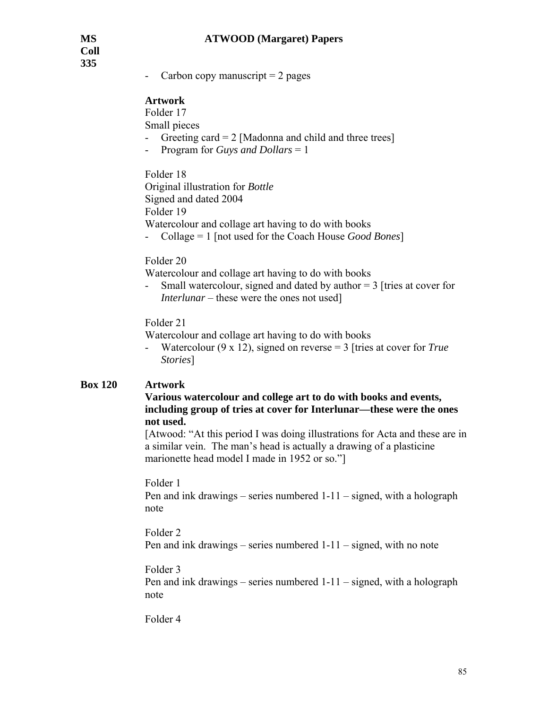Carbon copy manuscript  $= 2$  pages

### **Artwork**

Folder 17

Small pieces

- Greeting card  $= 2$  [Madonna and child and three trees]
- Program for *Guys and Dollars* = 1

Folder 18

Original illustration for *Bottle* Signed and dated 2004 Folder 19 Watercolour and collage art having to do with books

- Collage = 1 [not used for the Coach House *Good Bones*]

#### Folder 20

Watercolour and collage art having to do with books

- Small watercolour, signed and dated by author = 3 [tries at cover for *Interlunar* – these were the ones not used]

### Folder 21

Watercolour and collage art having to do with books

- Watercolour (9 x 12), signed on reverse = 3 [tries at cover for *True Stories*]

# **Box 120 Artwork**

### **Various watercolour and college art to do with books and events, including group of tries at cover for Interlunar—these were the ones not used.**

[Atwood: "At this period I was doing illustrations for Acta and these are in a similar vein. The man's head is actually a drawing of a plasticine marionette head model I made in 1952 or so."]

#### Folder 1

Pen and ink drawings – series numbered 1-11 – signed, with a holograph note

### Folder 2

Pen and ink drawings – series numbered 1-11 – signed, with no note

# Folder 3

Pen and ink drawings – series numbered 1-11 – signed, with a holograph note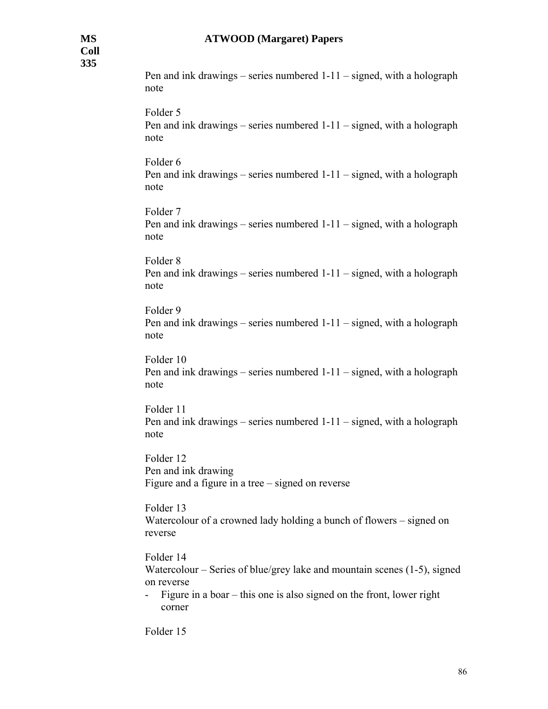Pen and ink drawings – series numbered 1-11 – signed, with a holograph note Folder 5 Pen and ink drawings – series numbered 1-11 – signed, with a holograph note Folder 6 Pen and ink drawings – series numbered 1-11 – signed, with a holograph note Folder 7 Pen and ink drawings – series numbered 1-11 – signed, with a holograph note Folder 8 Pen and ink drawings – series numbered 1-11 – signed, with a holograph note Folder 9 Pen and ink drawings – series numbered 1-11 – signed, with a holograph note Folder 10 Pen and ink drawings – series numbered 1-11 – signed, with a holograph note Folder 11 Pen and ink drawings – series numbered 1-11 – signed, with a holograph note Folder 12 Pen and ink drawing Figure and a figure in a tree – signed on reverse Folder 13 Watercolour of a crowned lady holding a bunch of flowers – signed on reverse Folder 14 Watercolour – Series of blue/grey lake and mountain scenes (1-5), signed on reverse - Figure in a boar – this one is also signed on the front, lower right corner Folder 15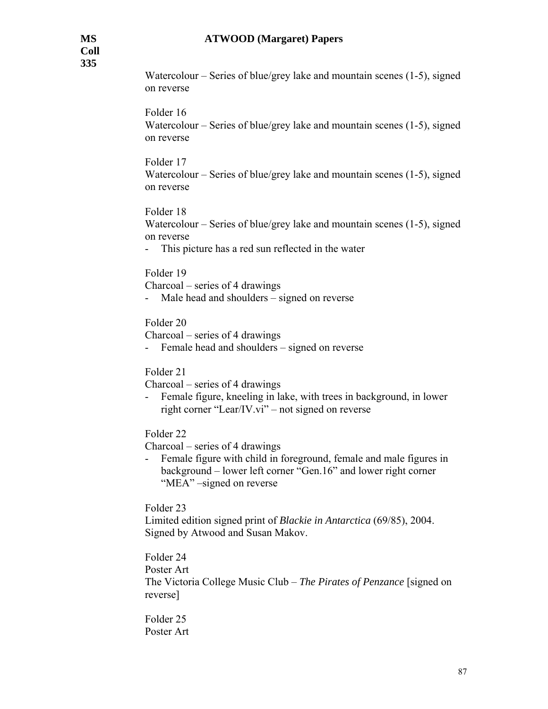Watercolour – Series of blue/grey lake and mountain scenes (1-5), signed on reverse

### Folder 16

Watercolour – Series of blue/grey lake and mountain scenes (1-5), signed on reverse

### Folder 17

Watercolour – Series of blue/grey lake and mountain scenes (1-5), signed on reverse

### Folder 18

Watercolour – Series of blue/grey lake and mountain scenes (1-5), signed on reverse

- This picture has a red sun reflected in the water

#### Folder 19

Charcoal – series of 4 drawings

- Male head and shoulders – signed on reverse

### Folder 20

Charcoal – series of 4 drawings

- Female head and shoulders – signed on reverse

#### Folder 21

Charcoal – series of 4 drawings

Female figure, kneeling in lake, with trees in background, in lower right corner "Lear/IV.vi" – not signed on reverse

Folder 22

Charcoal – series of 4 drawings

- Female figure with child in foreground, female and male figures in background – lower left corner "Gen.16" and lower right corner "MEA" –signed on reverse

Folder 23

Limited edition signed print of *Blackie in Antarctica* (69/85), 2004. Signed by Atwood and Susan Makov.

# Folder 24

Poster Art

The Victoria College Music Club – *The Pirates of Penzance* [signed on reverse]

Folder 25 Poster Art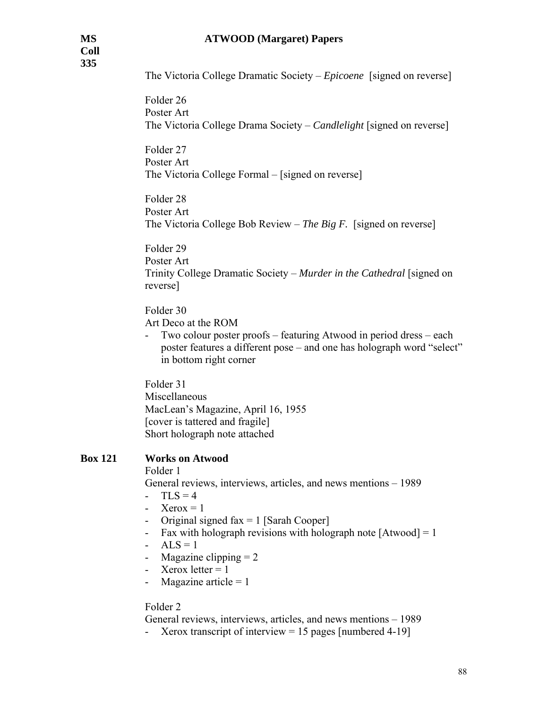The Victoria College Dramatic Society – *Epicoene* [signed on reverse]

Folder 26 Poster Art The Victoria College Drama Society – *Candlelight* [signed on reverse]

Folder 27 Poster Art The Victoria College Formal – [signed on reverse]

Folder 28 Poster Art The Victoria College Bob Review – *The Big F.* [signed on reverse]

Folder 29 Poster Art Trinity College Dramatic Society – *Murder in the Cathedral* [signed on reverse]

Folder 30 Art Deco at the ROM

- Two colour poster proofs – featuring Atwood in period dress – each poster features a different pose – and one has holograph word "select" in bottom right corner

Folder 31 Miscellaneous MacLean's Magazine, April 16, 1955 [cover is tattered and fragile] Short holograph note attached

#### **Box 121 Works on Atwood**

Folder 1

General reviews, interviews, articles, and news mentions – 1989

- $-TLS = 4$
- Xerox =  $1$
- Original signed  $fax = 1$  [Sarah Cooper]
- Fax with holograph revisions with holograph note  $[Atwood] = 1$
- $ALS = 1$
- Magazine clipping  $= 2$
- Xerox letter  $= 1$
- Magazine article  $= 1$

#### Folder 2

General reviews, interviews, articles, and news mentions – 1989

Xerox transcript of interview  $= 15$  pages [numbered 4-19]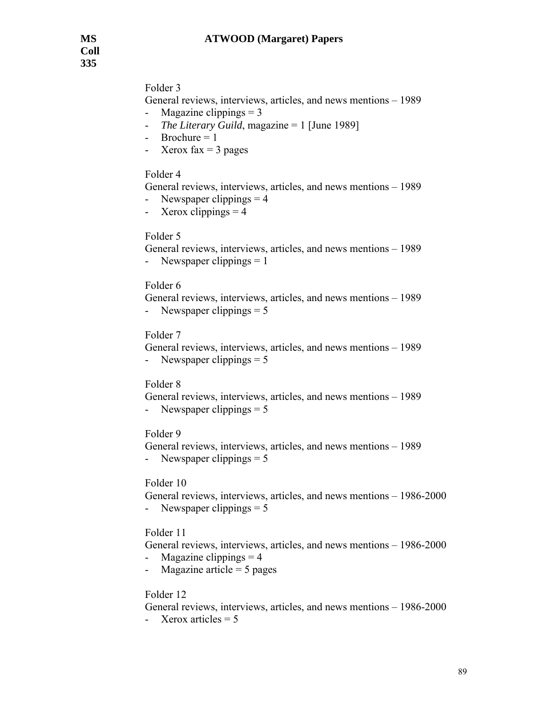# Folder 3

General reviews, interviews, articles, and news mentions – 1989

- Magazine clippings  $= 3$
- *The Literary Guild*, magazine = 1 [June 1989]
- $-$  Brochure = 1
- Xerox fax  $=$  3 pages

### Folder 4

```
General reviews, interviews, articles, and news mentions – 1989
```
- Newspaper clippings  $= 4$
- Xerox clippings  $= 4$

# Folder 5

General reviews, interviews, articles, and news mentions – 1989 - Newspaper clippings  $= 1$ 

### Folder 6

 General reviews, interviews, articles, and news mentions – 1989 - Newspaper clippings  $= 5$ 

# Folder 7

 General reviews, interviews, articles, and news mentions – 1989 - Newspaper clippings  $= 5$ 

### Folder 8

 General reviews, interviews, articles, and news mentions – 1989 - Newspaper clippings  $= 5$ 

#### Folder 9

 General reviews, interviews, articles, and news mentions – 1989 - Newspaper clippings  $= 5$ 

# Folder 10

 General reviews, interviews, articles, and news mentions – 1986-2000 - Newspaper clippings  $= 5$ 

# Folder 11

 General reviews, interviews, articles, and news mentions – 1986-2000  $Magazine clipping = 4$ 

- Magazine article  $= 5$  pages

# Folder 12

General reviews, interviews, articles, and news mentions – 1986-2000

- Xerox articles  $= 5$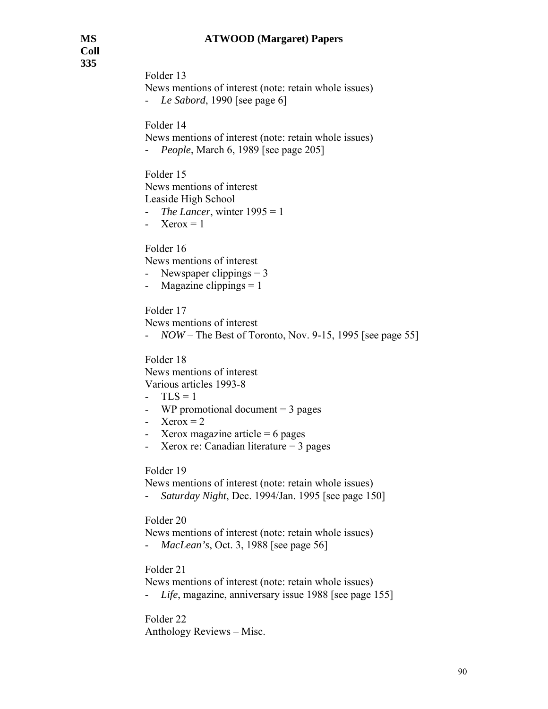Folder 13

News mentions of interest (note: retain whole issues) - *Le Sabord*, 1990 [see page 6]

Folder 14

News mentions of interest (note: retain whole issues) - *People*, March 6, 1989 [see page 205]

Folder 15 News mentions of interest Leaside High School

- *The Lancer*, winter 1995 = 1

- Xerox =  $1$ 

Folder 16

News mentions of interest

- Newspaper clippings  $= 3$
- Magazine clippings  $= 1$

Folder 17

News mentions of interest

- *NOW* – The Best of Toronto, Nov. 9-15, 1995 [see page 55]

Folder 18 News mentions of interest Various articles 1993-8

 $-TLS = 1$ 

- WP promotional document  $=$  3 pages
- Xerox  $= 2$
- Xerox magazine article  $= 6$  pages
- Xerox re: Canadian literature = 3 pages

Folder 19

News mentions of interest (note: retain whole issues)

- *Saturday Night*, Dec. 1994/Jan. 1995 [see page 150]

Folder 20

News mentions of interest (note: retain whole issues) - *MacLean's*, Oct. 3, 1988 [see page 56]

Folder 21

News mentions of interest (note: retain whole issues)

- *Life*, magazine, anniversary issue 1988 [see page 155]

Folder 22 Anthology Reviews – Misc.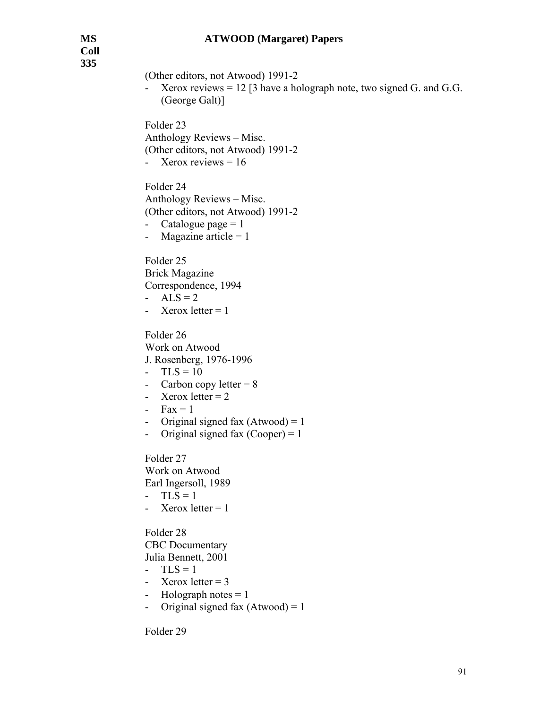**Coll 335** 

(Other editors, not Atwood) 1991-2 - Xerox reviews = 12 [3 have a holograph note, two signed G. and G.G. (George Galt)] Folder 23 Anthology Reviews – Misc. (Other editors, not Atwood) 1991-2 - Xerox reviews  $= 16$ Folder 24 Anthology Reviews – Misc. (Other editors, not Atwood) 1991-2 - Catalogue page  $= 1$ - Magazine article  $= 1$ Folder 25 Brick Magazine Correspondence, 1994

-  $ALS = 2$ 

- Xerox letter  $= 1$ 

Folder 26 Work on Atwood J. Rosenberg, 1976-1996

- $-TLS = 10$
- Carbon copy letter  $= 8$
- Xerox letter  $= 2$
- $Fax = 1$
- Original signed fax  $(Atwood) = 1$
- Original signed fax  $(Cooper) = 1$

Folder 27 Work on Atwood Earl Ingersoll, 1989  $-TLS = 1$ 

- Xerox letter  $= 1$ 

Folder 28 CBC Documentary Julia Bennett, 2001

- $-TLS = 1$
- Xerox letter  $= 3$
- Holograph notes  $= 1$
- Original signed fax  $(Atwood) = 1$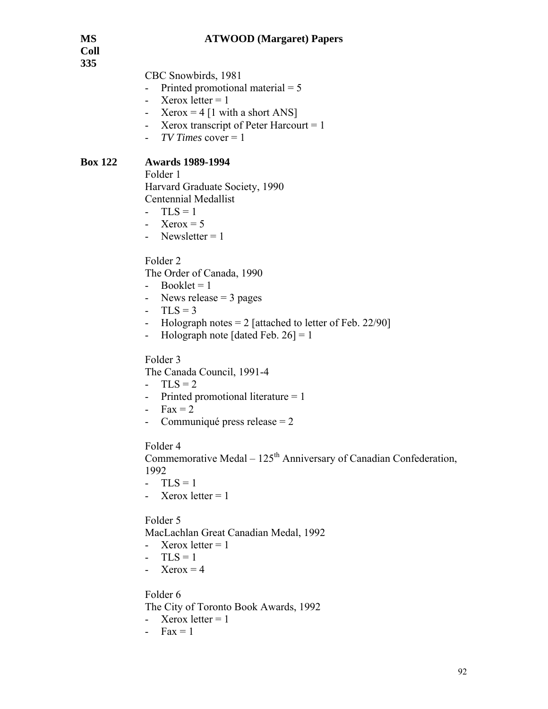**Coll 335** 

CBC Snowbirds, 1981

- Printed promotional material  $= 5$
- Xerox letter  $= 1$
- Xerox = 4 [1 with a short ANS]
- Xerox transcript of Peter Harcourt  $= 1$
- *TV Times* cover = 1

# **Box 122 Awards 1989-1994**

Folder 1

 Harvard Graduate Society, 1990 Centennial Medallist

- $-TLS = 1$
- Xerox  $= 5$
- Newsletter  $= 1$

Folder 2

The Order of Canada, 1990

- $-$  Booklet = 1
- News release  $=$  3 pages
- $TLS = 3$
- Holograph notes  $= 2$  [attached to letter of Feb. 22/90]
- Holograph note [dated Feb.  $26$ ] = 1

Folder 3

The Canada Council, 1991-4

- $-TLS = 2$
- Printed promotional literature = 1
- $Fax = 2$
- Communiqué press release = 2

Folder 4

Commemorative Medal – 125<sup>th</sup> Anniversary of Canadian Confederation, 1992

- $-$  TLS = 1
- Xerox letter  $= 1$

Folder 5

MacLachlan Great Canadian Medal, 1992

- Xerox letter  $= 1$
- $-TLS = 1$
- Xerox =  $4$

Folder 6

The City of Toronto Book Awards, 1992

- Xerox letter  $= 1$
- $Fax = 1$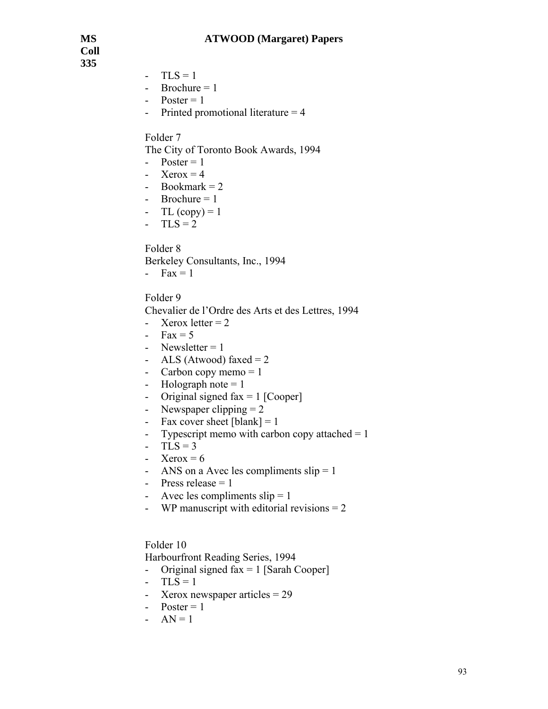**Coll 335** 

- $-TLS = 1$
- $-$  Brochure = 1
- $-$  Poster = 1
- Printed promotional literature = 4

#### Folder 7

The City of Toronto Book Awards, 1994

- $-$  Poster = 1
- Xerox =  $4$
- Bookmark  $= 2$
- Brochure  $= 1$
- TL  $(copy) = 1$
- $-TLS = 2$

Folder 8

Berkeley Consultants, Inc., 1994

-  $Fax = 1$ 

#### Folder 9

Chevalier de l'Ordre des Arts et des Lettres, 1994

- Xerox letter  $= 2$
- Fax =  $5$
- Newsletter  $= 1$
- ALS (Atwood) faxed  $= 2$
- Carbon copy memo  $= 1$
- Holograph note  $= 1$
- Original signed  $\text{fax} = 1$  [Cooper]
- Newspaper clipping  $= 2$
- Fax cover sheet  $[blank] = 1$
- Typescript memo with carbon copy attached  $= 1$
- $-TLS = 3$
- Xerox =  $6$
- ANS on a Avec les compliments  $slip = 1$
- Press release  $= 1$
- Avec les compliments  $slip = 1$
- WP manuscript with editorial revisions  $= 2$

#### Folder 10

Harbourfront Reading Series, 1994

- Original signed  $\text{fax} = 1$  [Sarah Cooper]
- $-TLS = 1$
- Xerox newspaper articles = 29
- $-$  Poster = 1
- $AN = 1$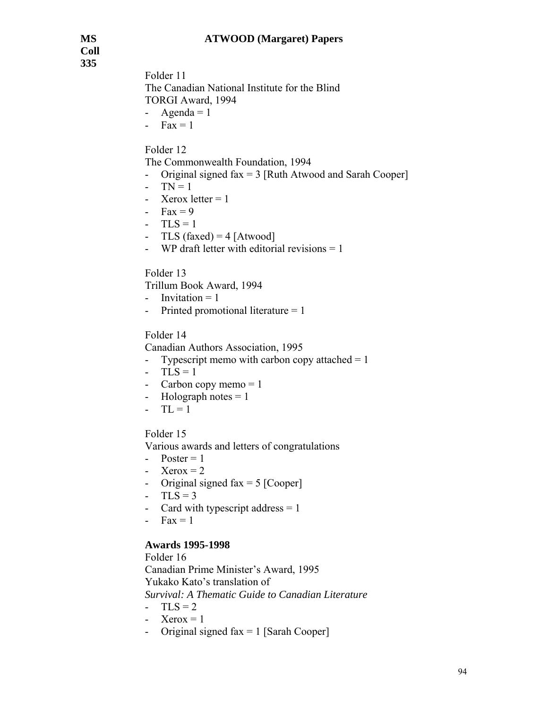**Coll 335** 

Folder 11 The Canadian National Institute for the Blind TORGI Award, 1994 - Agenda  $= 1$ 

-  $Fax = 1$ 

# Folder 12

The Commonwealth Foundation, 1994

- Original signed  $\text{fax} = 3$  [Ruth Atwood and Sarah Cooper]
- $-TN = 1$
- Xerox letter  $= 1$
- $Fax = 9$
- $-TLS = 1$
- TLS (faxed) =  $4$  [Atwood]
- WP draft letter with editorial revisions  $= 1$

Folder 13

Trillum Book Award, 1994

- Invitation  $= 1$
- Printed promotional literature = 1

### Folder 14

Canadian Authors Association, 1995

- Typescript memo with carbon copy attached  $= 1$
- $-$  TLS = 1
- Carbon copy memo  $= 1$
- Holograph notes  $= 1$
- $-TL = 1$

Folder 15

Various awards and letters of congratulations

- $-$  Poster = 1
- Xerox  $= 2$
- Original signed fax  $= 5$  [Cooper]
- $-$  TLS = 3
- Card with typescript address  $= 1$
- $Fax = 1$

# **Awards 1995-1998**

 Folder 16 Canadian Prime Minister's Award, 1995 Yukako Kato's translation of *Survival: A Thematic Guide to Canadian Literature*   $-TLS = 2$ 

- Xerox =  $1$
- Original signed  $fax = 1$  [Sarah Cooper]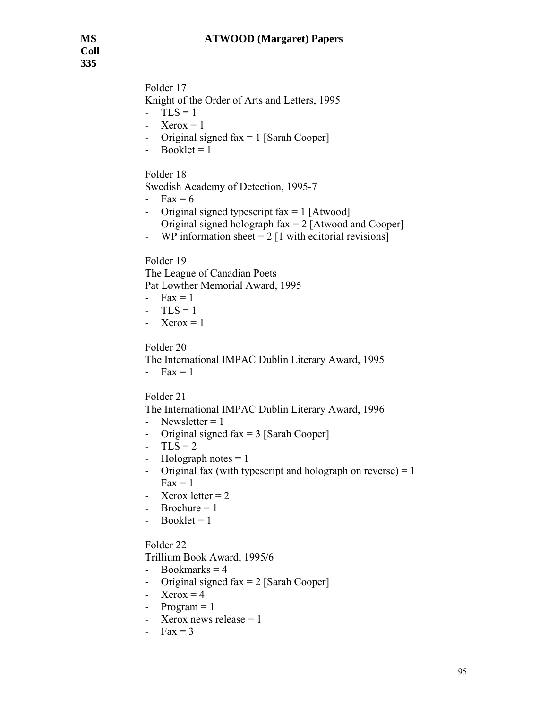Folder 17

Knight of the Order of Arts and Letters, 1995

- $-TLS = 1$
- Xerox  $= 1$
- Original signed  $fax = 1$  [Sarah Cooper]
- $-$  Booklet = 1

# Folder 18

Swedish Academy of Detection, 1995-7

- Fax  $= 6$
- Original signed typescript  $fax = 1$  [Atwood]
- Original signed holograph  $\text{fax} = 2$  [Atwood and Cooper]
- WP information sheet  $= 2$  [1 with editorial revisions]

# Folder 19

The League of Canadian Poets Pat Lowther Memorial Award, 1995

- $Fax = 1$
- $-TLS = 1$
- Xerox =  $1$

# Folder 20

The International IMPAC Dublin Literary Award, 1995  $-Fax = 1$ 

# Folder 21

The International IMPAC Dublin Literary Award, 1996

- Newsletter  $= 1$
- Original signed  $fax = 3$  [Sarah Cooper]
- $-TLS = 2$
- Holograph notes  $= 1$
- Original fax (with typescript and holograph on reverse)  $= 1$
- $-Fax = 1$
- Xerox letter  $= 2$
- Brochure  $= 1$
- $-$  Booklet = 1

# Folder 22

Trillium Book Award, 1995/6

- Bookmarks  $= 4$
- Original signed  $fax = 2$  [Sarah Cooper]
- Xerox  $= 4$
- $-$  Program = 1
- Xerox news release  $= 1$
- $Fax = 3$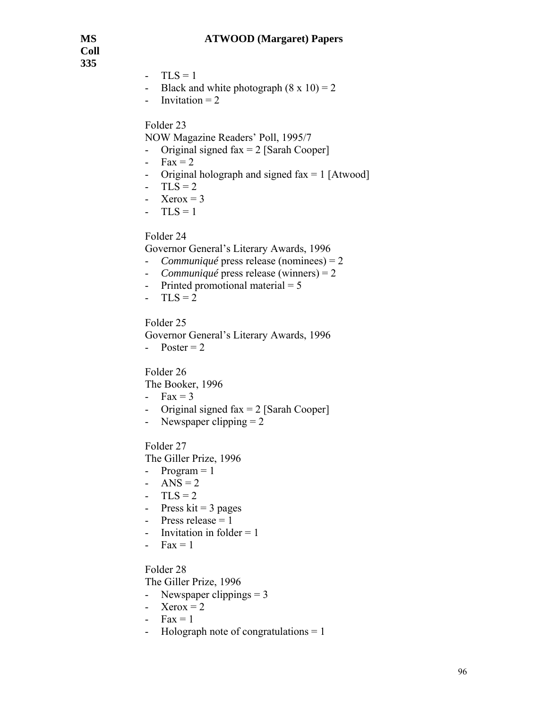**Coll 335** 

- $-TLS = 1$
- Black and white photograph  $(8 \times 10) = 2$
- Invitation  $= 2$

### Folder 23

NOW Magazine Readers' Poll, 1995/7

- Original signed  $fax = 2$  [Sarah Cooper]
- $Fax = 2$
- Original holograph and signed  $fax = 1$  [Atwood]
- $-TLS = 2$
- Xerox =  $3$
- $TLS = 1$

### Folder 24

Governor General's Literary Awards, 1996

- *Communiqué* press release (nominees) = 2
- *Communiqué* press release (winners) = 2
- Printed promotional material  $= 5$
- $-TLS = 2$

Folder 25

Governor General's Literary Awards, 1996

- Poster  $= 2$ 

Folder 26

The Booker, 1996

- $Fax = 3$
- Original signed  $fax = 2$  [Sarah Cooper]
- Newspaper clipping  $= 2$

Folder 27

The Giller Prize, 1996

- $-$  Program  $= 1$
- ANS =  $2$
- $-TLS = 2$
- Press kit  $=$  3 pages
- Press release  $=$  1
- Invitation in folder  $= 1$
- $Fax = 1$

#### Folder 28

The Giller Prize, 1996

- Newspaper clippings = 3
- Xerox =  $2$
- $Fax = 1$
- Holograph note of congratulations = 1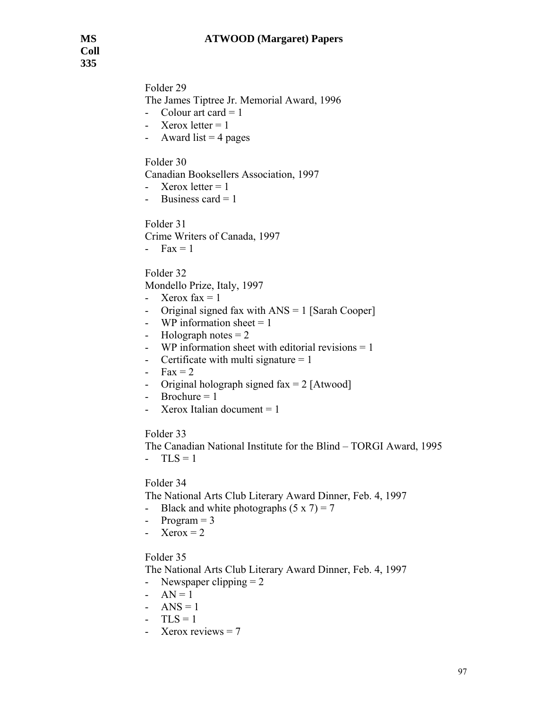Folder 29 The James Tiptree Jr. Memorial Award, 1996 - Colour art card  $= 1$ 

- Xerox letter  $= 1$
- Award list  $=$  4 pages

# Folder 30

Canadian Booksellers Association, 1997

- Xerox letter  $= 1$
- Business card  $= 1$

Folder 31

Crime Writers of Canada, 1997

-  $Fax = 1$ 

Folder 32

Mondello Prize, Italy, 1997

- Xerox  $\text{fax} = 1$
- Original signed fax with ANS = 1 [Sarah Cooper]
- WP information sheet  $= 1$
- Holograph notes  $= 2$
- WP information sheet with editorial revisions = 1
- Certificate with multi signature  $= 1$
- $Fax = 2$
- Original holograph signed  $\text{fax} = 2$  [Atwood]
- $-$  Brochure = 1
- Xerox Italian document  $= 1$

#### Folder 33

The Canadian National Institute for the Blind – TORGI Award, 1995

 $-$  TLS = 1

# Folder 34

The National Arts Club Literary Award Dinner, Feb. 4, 1997

- Black and white photographs  $(5 \times 7) = 7$
- Program  $= 3$
- Xerox  $= 2$

#### Folder 35

The National Arts Club Literary Award Dinner, Feb. 4, 1997

- Newspaper clipping  $= 2$
- $AN = 1$
- ANS =  $1$
- $-TLS = 1$
- Xerox reviews = 7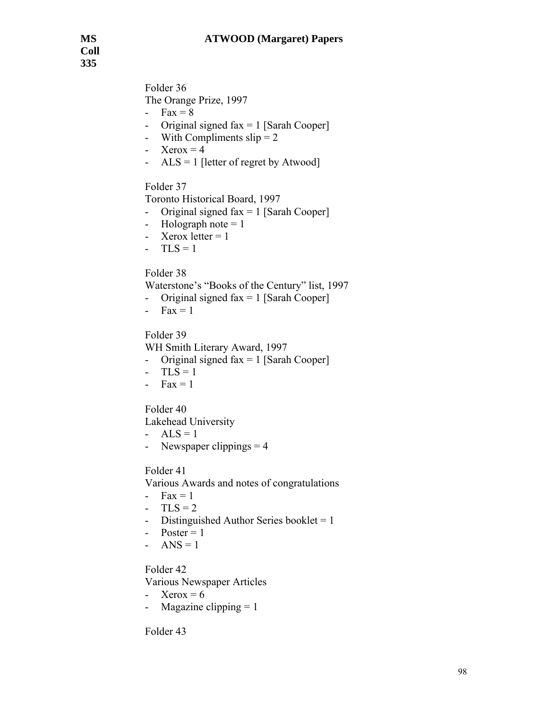**Coll 335** 

> Folder 36 The Orange Prize, 1997

- $Fax = 8$
- Original signed  $fax = 1$  [Sarah Cooper]
- With Compliments  $slip = 2$
- Xerox  $= 4$
- $ALS = 1$  [letter of regret by Atwood]

Folder 37

Toronto Historical Board, 1997

- Original signed  $fax = 1$  [Sarah Cooper]
- Holograph note  $= 1$
- Xerox letter  $= 1$
- $-TLS = 1$

# Folder 38

Waterstone's "Books of the Century" list, 1997

- Original signed  $fax = 1$  [Sarah Cooper]
- $Fax = 1$

# Folder 39

WH Smith Literary Award, 1997

- Original signed  $fax = 1$  [Sarah Cooper]
- $-TLS = 1$
- $Fax = 1$

Folder 40

Lakehead University

- $ALS = 1$
- Newspaper clippings  $= 4$

# Folder 41

Various Awards and notes of congratulations

- $-Fax = 1$
- $TLS = 2$
- Distinguished Author Series booklet  $= 1$
- $-$  Poster = 1
- ANS =  $1$

# Folder 42

Various Newspaper Articles

- Xerox  $= 6$
- Magazine clipping  $= 1$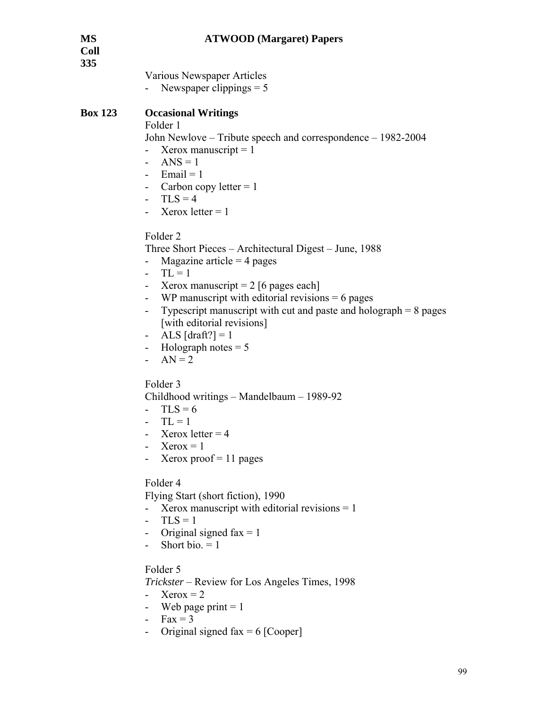| <b>MS</b><br><b>Coll</b><br>335 | <b>ATWOOD</b> (Margaret) Papers                                                                                                                                                                                                                                                                                                                                                                                                            |
|---------------------------------|--------------------------------------------------------------------------------------------------------------------------------------------------------------------------------------------------------------------------------------------------------------------------------------------------------------------------------------------------------------------------------------------------------------------------------------------|
|                                 | Various Newspaper Articles<br>Newspaper clippings $= 5$                                                                                                                                                                                                                                                                                                                                                                                    |
| <b>Box 123</b>                  | <b>Occasional Writings</b><br>Folder 1<br>John Newlove – Tribute speech and correspondence – 1982-2004<br>Xerox manuscript $= 1$<br>$ANS = 1$<br>$\overline{\phantom{0}}$<br>- Email = $1$<br>- Carbon copy letter $= 1$<br>$-TLS = 4$<br>Xerox letter $= 1$                                                                                                                                                                               |
|                                 | Folder <sub>2</sub><br>Three Short Pieces – Architectural Digest – June, 1988<br>Magazine article = $4$ pages<br>$TL = 1$<br>Xerox manuscript = $2$ [6 pages each]<br>$\blacksquare$<br>WP manuscript with editorial revisions $= 6$ pages<br>$\overline{\phantom{0}}$<br>Typescript manuscript with cut and paste and holograph $= 8$ pages<br>۰<br>[with editorial revisions]<br>ALS $[draff?] = 1$<br>Holograph notes $= 5$<br>$AN = 2$ |
|                                 | Folder 3<br>Childhood writings – Mandelbaum – 1989-92<br>$TLS = 6$<br>$TL = 1$<br>Xerox letter $=$ 4<br>$Xerox = 1$<br>Xerox proof $= 11$ pages                                                                                                                                                                                                                                                                                            |
|                                 | Folder 4<br>Flying Start (short fiction), 1990<br>Xerox manuscript with editorial revisions $= 1$<br>$TLS = 1$<br>$\overline{\phantom{a}}$<br>- Original signed fax $= 1$<br>Short bio. $= 1$                                                                                                                                                                                                                                              |
|                                 | Folder 5<br><i>Trickster</i> – Review for Los Angeles Times, 1998<br>$Xerox = 2$<br>Web page print $= 1$<br>$Fax = 3$                                                                                                                                                                                                                                                                                                                      |

- Original signed fax  $= 6$  [Cooper]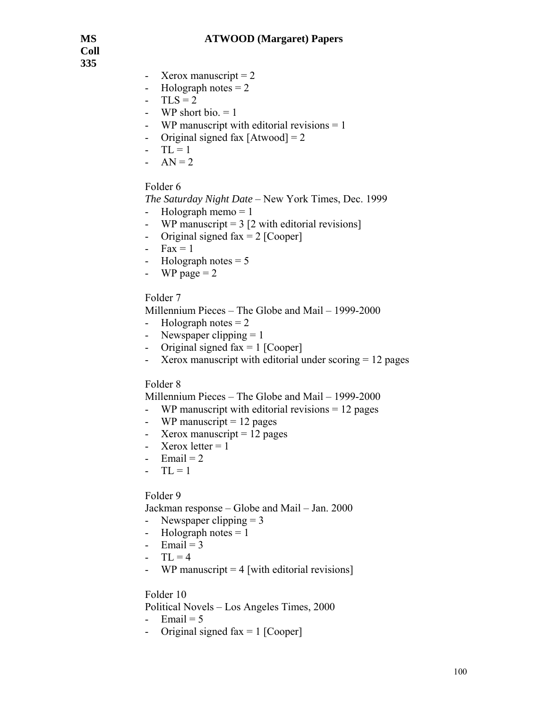**Coll 335** 

- Xerox manuscript  $= 2$
- Holograph notes  $= 2$
- $-TLS = 2$
- WP short bio.  $= 1$
- WP manuscript with editorial revisions = 1
- Original signed fax  $[Atwood] = 2$
- $-TL = 1$
- $AN = 2$

#### Folder 6

*The Saturday Night Date* – New York Times, Dec. 1999

- Holograph memo  $= 1$
- WP manuscript  $= 3$  [2 with editorial revisions]
- Original signed fax  $= 2$  [Cooper]
- $Fax = 1$
- Holograph notes  $= 5$
- WP page  $= 2$

#### Folder 7

Millennium Pieces – The Globe and Mail – 1999-2000

- Holograph notes  $= 2$
- Newspaper clipping  $= 1$
- Original signed fax  $= 1$  [Cooper]
- Xerox manuscript with editorial under scoring = 12 pages

#### Folder 8

Millennium Pieces – The Globe and Mail – 1999-2000

- WP manuscript with editorial revisions = 12 pages
- WP manuscript  $= 12$  pages
- Xerox manuscript  $= 12$  pages
- Xerox letter  $= 1$
- Email  $= 2$
- $-TL = 1$

#### Folder 9

Jackman response – Globe and Mail – Jan. 2000

- Newspaper clipping  $= 3$
- Holograph notes  $= 1$
- Email  $= 3$
- $-TL = 4$
- WP manuscript  $= 4$  [with editorial revisions]

- Political Novels Los Angeles Times, 2000
- Email  $= 5$
- Original signed fax  $= 1$  [Cooper]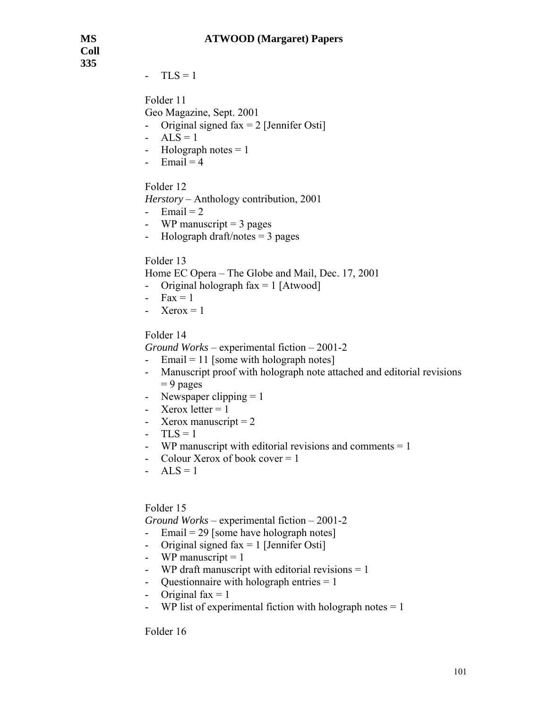**Coll 335** 

 $-TLS = 1$ 

Folder 11

- Geo Magazine, Sept. 2001
- Original signed  $\text{fax} = 2$  [Jennifer Osti]
- $ALS = 1$
- Holograph notes  $= 1$
- Email  $= 4$

Folder 12

*Herstory* – Anthology contribution, 2001

- Email  $= 2$
- WP manuscript  $=$  3 pages
- Holograph draft/notes  $=$  3 pages

# Folder 13

Home EC Opera – The Globe and Mail, Dec. 17, 2001

- Original holograph  $\text{fax} = 1$  [Atwood]
- $Fax = 1$
- Xerox  $= 1$

# Folder 14

*Ground Works* – experimental fiction – 2001-2

- Email = 11 [some with holograph notes]
- Manuscript proof with holograph note attached and editorial revisions  $= 9$  pages
- Newspaper clipping  $= 1$
- Xerox letter  $= 1$
- Xerox manuscript  $= 2$
- $-TLS = 1$
- WP manuscript with editorial revisions and comments = 1
- Colour Xerox of book cover = 1
- $ALS = 1$

# Folder 15

*Ground Works* – experimental fiction – 2001-2

- Email =  $29$  [some have holograph notes]
- Original signed  $\text{fax} = 1$  [Jennifer Osti]
- WP manuscript  $= 1$
- WP draft manuscript with editorial revisions = 1
- Questionnaire with holograph entries = 1
- Original  $fax = 1$
- WP list of experimental fiction with holograph notes  $= 1$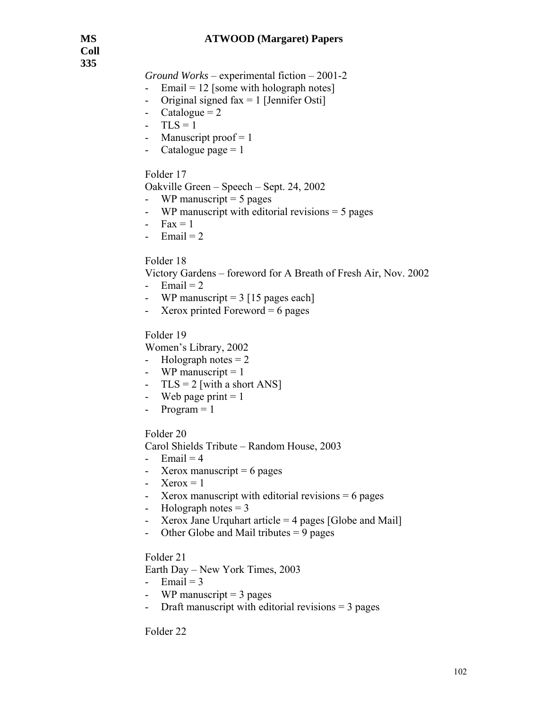*Ground Works* – experimental fiction – 2001-2

- Email =  $12$  [some with holograph notes]
- Original signed  $fax = 1$  [Jennifer Osti]
- Catalogue  $= 2$
- $-$  TLS = 1
- Manuscript proof  $= 1$
- Catalogue page  $= 1$

# Folder 17

Oakville Green – Speech – Sept. 24, 2002

- WP manuscript  $= 5$  pages
- WP manuscript with editorial revisions = 5 pages
- $Fax = 1$
- Email  $= 2$

# Folder 18

Victory Gardens – foreword for A Breath of Fresh Air, Nov. 2002

- Email  $= 2$
- WP manuscript  $= 3$  [15 pages each]
- Xerox printed Foreword  $= 6$  pages

# Folder 19

Women's Library, 2002

- Holograph notes  $= 2$
- WP manuscript  $= 1$
- $TLS = 2$  [with a short ANS]
- Web page print  $= 1$
- $Program = 1$

# Folder 20

Carol Shields Tribute – Random House, 2003

- Email  $= 4$
- Xerox manuscript  $= 6$  pages
- Xerox =  $1$
- Xerox manuscript with editorial revisions = 6 pages
- Holograph notes  $= 3$
- Xerox Jane Urquhart article  $=$  4 pages [Globe and Mail]
- Other Globe and Mail tributes  $= 9$  pages

#### Folder 21

Earth Day – New York Times, 2003

- Email  $= 3$
- WP manuscript  $=$  3 pages
- Draft manuscript with editorial revisions  $=$  3 pages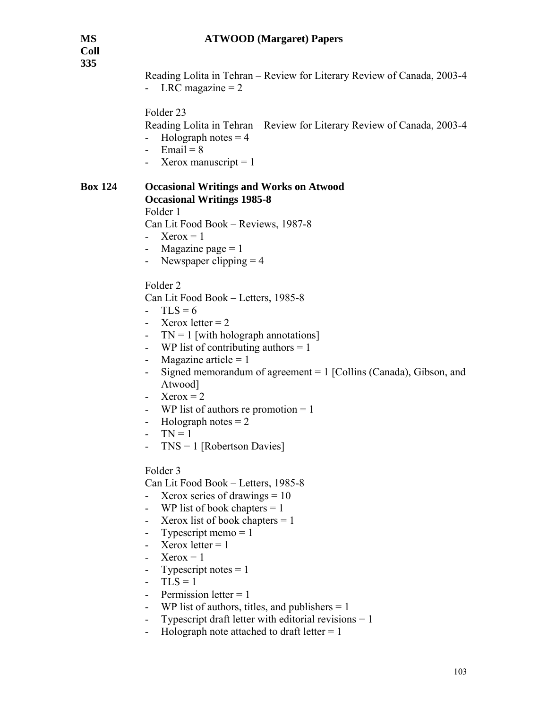**Coll 335** 

| <b>Coll</b><br>335 | Reading Lolita in Tehran – Review for Literary Review of Canada, 2003-4<br>- LRC magazine $= 2$                                                                                                                                                                                                                                                                                                                                                                                                     |
|--------------------|-----------------------------------------------------------------------------------------------------------------------------------------------------------------------------------------------------------------------------------------------------------------------------------------------------------------------------------------------------------------------------------------------------------------------------------------------------------------------------------------------------|
|                    | Folder <sub>23</sub><br>Reading Lolita in Tehran – Review for Literary Review of Canada, 2003-4<br>Holograph notes $=$ 4<br>- Email = $8$<br>- Xerox manuscript = $1$                                                                                                                                                                                                                                                                                                                               |
| <b>Box 124</b>     | <b>Occasional Writings and Works on Atwood</b><br><b>Occasional Writings 1985-8</b><br>Folder 1<br>Can Lit Food Book – Reviews, 1987-8<br>- Xerox = 1<br>- Magazine page $= 1$<br>- Newspaper clipping $=$ 4                                                                                                                                                                                                                                                                                        |
|                    | Folder <sub>2</sub><br>Can Lit Food Book – Letters, 1985-8<br>$TLS = 6$<br>Xerox letter $= 2$<br>$TN = 1$ [with holograph annotations]<br>$\blacksquare$<br>WP list of contributing authors $= 1$<br>$\overline{\phantom{0}}$<br>Magazine article = $1$<br>-<br>Signed memorandum of agreement $= 1$ [Collins (Canada), Gibson, and<br>$\blacksquare$<br>Atwood]<br>$Xerox = 2$<br>WP list of authors re promotion $= 1$<br>Holograph notes $= 2$<br>۰.<br>$TN = 1$<br>$TNS = 1$ [Robertson Davies] |
|                    | Folder 3<br>Can Lit Food Book - Letters, 1985-8<br>Xerox series of drawings $= 10$<br>WP list of book chapters $= 1$<br>Xerox list of book chapters $= 1$<br>-<br>Typescript memo $= 1$<br>-<br>Xerox letter $= 1$<br>$Xeros = 1$<br>Typescript notes $= 1$<br>-<br>$TLS = 1$<br>$\overline{\phantom{0}}$<br>Permission letter $= 1$<br>WP list of authors, titles, and publishers $= 1$<br>Typescript draft letter with editorial revisions $= 1$<br>Holograph note attached to draft letter $= 1$ |
|                    |                                                                                                                                                                                                                                                                                                                                                                                                                                                                                                     |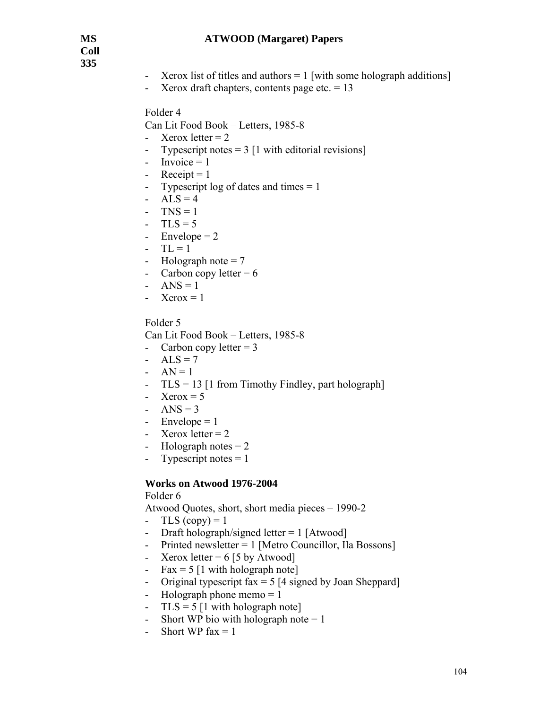**Coll 335** 

- Xerox list of titles and authors  $= 1$  [with some holograph additions]
- Xerox draft chapters, contents page etc.  $= 13$

Folder 4

Can Lit Food Book – Letters, 1985-8

- Xerox letter  $= 2$
- Typescript notes  $= 3$  [1 with editorial revisions]
- $-$  Invoice = 1
- Receipt  $= 1$
- Typescript log of dates and times = 1
- $ALS = 4$
- $TNS = 1$
- $-TLS = 5$
- Envelope  $= 2$
- $-TL = 1$
- Holograph note  $= 7$
- Carbon copy letter  $= 6$
- ANS =  $1$
- Xerox =  $1$

Folder 5

Can Lit Food Book – Letters, 1985-8

- Carbon copy letter  $= 3$
- $ALS = 7$
- $AN = 1$
- TLS = 13 [1 from Timothy Findley, part holograph]
- Xerox =  $5$
- ANS =  $3$
- Envelope  $= 1$
- Xerox letter  $= 2$
- Holograph notes  $= 2$
- Typescript notes  $= 1$

#### **Works on Atwood 1976-2004**

#### Folder 6

Atwood Quotes, short, short media pieces – 1990-2

- TLS  $(copy) = 1$
- Draft holograph/signed letter = 1 [Atwood]
- Printed newsletter = 1 [Metro Councillor, Ila Bossons]
- Xerox letter  $= 6$  [5 by Atwood]
- Fax =  $5 \mid 1$  with holograph note
- Original typescript fax  $= 5$  [4 signed by Joan Sheppard]
- Holograph phone memo  $= 1$
- $TLS = 5 [1 with holograph note]$
- Short WP bio with holograph note  $= 1$
- Short WP fax  $= 1$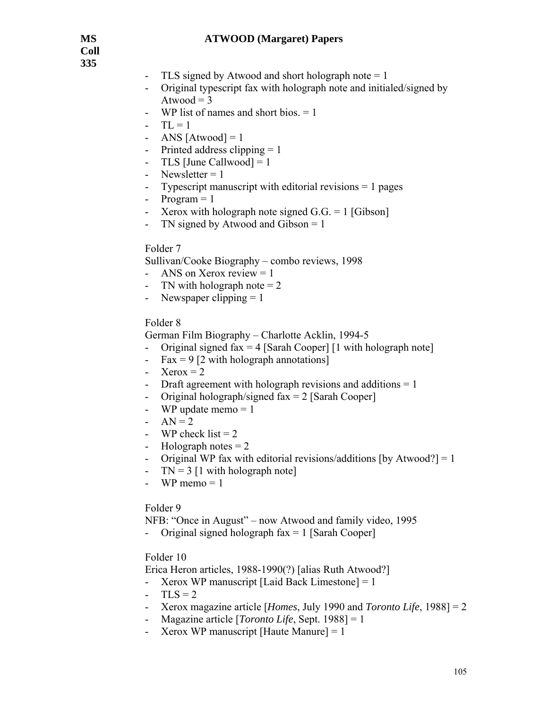**Coll 335** 

- TLS signed by Atwood and short holograph note  $= 1$
- Original typescript fax with holograph note and initialed/signed by Atwood  $=$  3
- WP list of names and short bios.  $= 1$
- $-TL = 1$
- ANS  $[Atwood] = 1$
- Printed address clipping  $= 1$
- TLS [June Callwood] =  $1$
- Newsletter  $= 1$
- Typescript manuscript with editorial revisions  $= 1$  pages
- $-$  Program  $= 1$
- Xerox with holograph note signed  $G.G. = 1$  [Gibson]
- TN signed by Atwood and Gibson = 1

#### Folder 7

Sullivan/Cooke Biography – combo reviews, 1998

- ANS on Xerox review  $= 1$
- TN with holograph note  $= 2$
- Newspaper clipping  $= 1$

#### Folder 8

German Film Biography – Charlotte Acklin, 1994-5

- Original signed fax  $= 4$  [Sarah Cooper] [1 with holograph note]
- Fax = 9 [2 with holograph annotations]
- Xerox  $= 2$
- Draft agreement with holograph revisions and additions  $= 1$
- Original holograph/signed  $fax = 2$  [Sarah Cooper]
- WP update memo  $= 1$
- $AN = 2$
- WP check list  $= 2$
- Holograph notes  $= 2$
- Original WP fax with editorial revisions/additions [by Atwood?] = 1
- $TN = 3$  [1 with holograph note]
- WP memo  $= 1$

#### Folder 9

NFB: "Once in August" – now Atwood and family video, 1995

Original signed holograph  $fax = 1$  [Sarah Cooper]

### Folder 10

Erica Heron articles, 1988-1990(?) [alias Ruth Atwood?]

- Xerox WP manuscript [Laid Back Limestone]  $= 1$
- $TLS = 2$
- Xerox magazine article [*Homes*, July 1990 and *Toronto Life*, 1988] = 2
- Magazine article [*Toronto Life*, Sept. 1988] = 1
- Xerox WP manuscript [Haute Manure]  $= 1$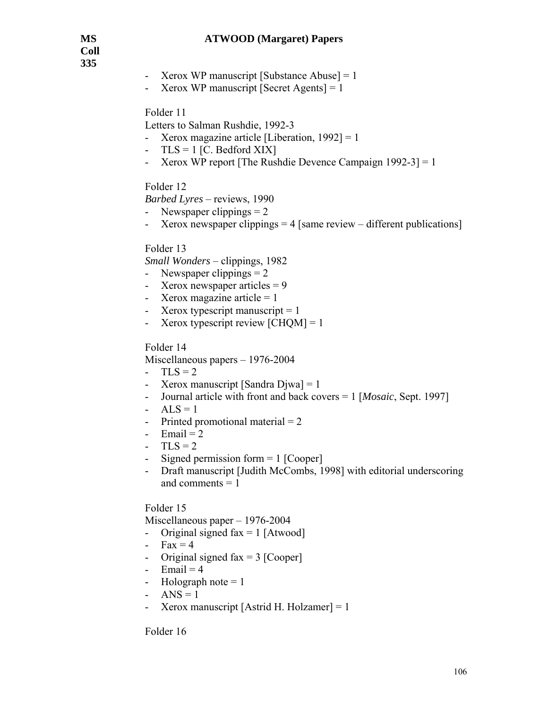**Coll 335** 

- Xerox WP manuscript [Substance Abuse]  $= 1$
- Xerox WP manuscript  $[Secret Agents] = 1$

Folder 11

Letters to Salman Rushdie, 1992-3

- Xerox magazine article [Liberation, 1992] = 1
- $TLS = 1$  [C. Bedford XIX]
- Xerox WP report [The Rushdie Devence Campaign 1992-3] = 1

### Folder 12

*Barbed Lyres* – reviews, 1990

- Newspaper clippings  $= 2$
- Xerox newspaper clippings = 4 [same review different publications]

### Folder 13

*Small Wonders* – clippings, 1982

- Newspaper clippings  $= 2$
- Xerox newspaper articles  $= 9$
- Xerox magazine article  $= 1$
- Xerox typescript manuscript  $= 1$
- Xerox typescript review  $[CHOM] = 1$

### Folder 14

Miscellaneous papers – 1976-2004

- $-TLS = 2$
- Xerox manuscript [Sandra Djwa]  $= 1$
- Journal article with front and back covers = 1 [*Mosaic*, Sept. 1997]
- $ALS = 1$
- Printed promotional material  $= 2$
- Email  $= 2$
- $-TLS = 2$
- Signed permission form  $= 1$  [Cooper]
- Draft manuscript [Judith McCombs, 1998] with editorial underscoring and comments  $= 1$

#### Folder 15

Miscellaneous paper – 1976-2004

- Original signed  $\text{fax} = 1$  [Atwood]
- $Fax = 4$
- Original signed fax  $= 3$  [Cooper]
- Email  $= 4$
- Holograph note  $= 1$
- ANS =  $1$
- Xerox manuscript [Astrid H. Holzamer]  $= 1$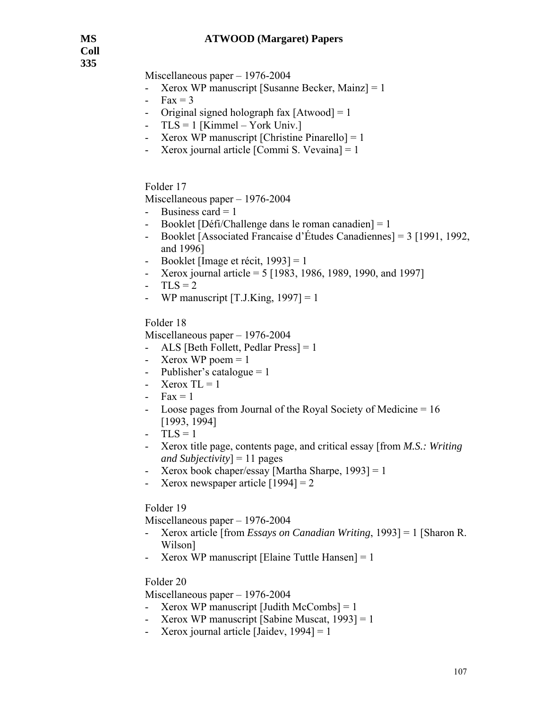**Coll 335** 

Miscellaneous paper – 1976-2004

- Xerox WP manuscript [Susanne Becker, Mainz] = 1
- $Fax = 3$
- Original signed holograph fax  $[Atwood] = 1$
- $TLS = 1$  [Kimmel York Univ.]
- Xerox WP manuscript [Christine Pinarello]  $= 1$
- Xerox journal article  $[Commi S. Vevaina] = 1$

Folder 17

Miscellaneous paper – 1976-2004

- Business card  $= 1$
- Booklet [Défi/Challenge dans le roman canadien] = 1
- Booklet [Associated Francaise d'Études Canadiennes] = 3 [1991, 1992, and 1996]
- Booklet [Image et récit, 1993] = 1
- Xerox journal article = 5 [1983, 1986, 1989, 1990, and 1997]
- $-TLS = 2$
- WP manuscript  $[T.J.King, 1997] = 1$

Folder 18

Miscellaneous paper – 1976-2004

- ALS [Beth Follett, Pedlar Press] = 1
- Xerox WP poem  $= 1$
- Publisher's catalogue  $= 1$
- Xerox  $TL = 1$
- $-Fax = 1$
- Loose pages from Journal of the Royal Society of Medicine = 16 [1993, 1994]
- $TLS = 1$
- Xerox title page, contents page, and critical essay [from *M.S.: Writing and Subjectivity*] = 11 pages
- Xerox book chaper/essay [Martha Sharpe, 1993] = 1
- Xerox newspaper article  $[1994] = 2$

### Folder 19

Miscellaneous paper – 1976-2004

- Xerox article [from *Essays on Canadian Writing*, 1993] = 1 [Sharon R. Wilson]
- Xerox WP manuscript [Elaine Tuttle Hansen]  $= 1$

#### Folder 20

Miscellaneous paper – 1976-2004

- Xerox WP manuscript [Judith McCombs]  $= 1$
- Xerox WP manuscript [Sabine Muscat, 1993] = 1
- Xerox journal article [Jaidev,  $1994$ ] = 1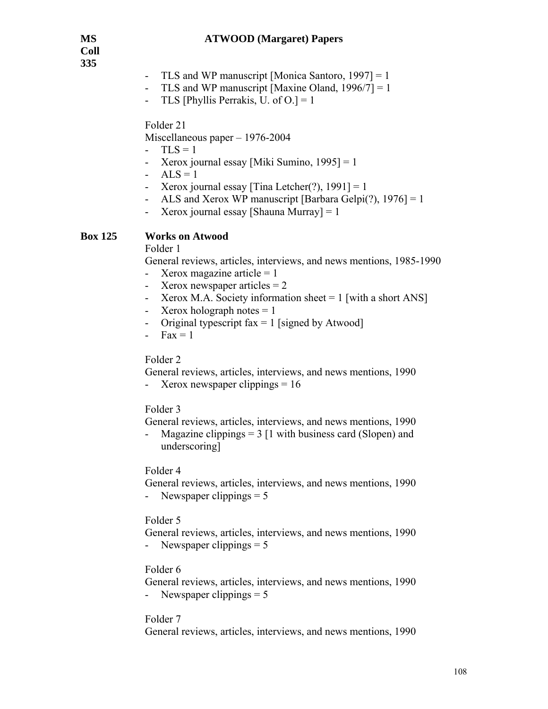**Coll 335** 

- TLS and WP manuscript [Monica Santoro,  $1997$ ] = 1
- TLS and WP manuscript [Maxine Oland,  $1996/7$ ] = 1
- TLS [Phyllis Perrakis, U. of  $O = 1$ ]

Folder 21

Miscellaneous paper – 1976-2004

- $-TLS = 1$
- Xerox journal essay [Miki Sumino, 1995] = 1
- $ALS = 1$
- Xerox journal essay [Tina Letcher(?),  $1991$ ] = 1
- ALS and Xerox WP manuscript [Barbara Gelpi(?),  $1976$ ] = 1
- Xerox journal essay [Shauna Murray]  $= 1$

### **Box 125 Works on Atwood**

Folder 1

General reviews, articles, interviews, and news mentions, 1985-1990

- Xerox magazine article  $= 1$
- Xerox newspaper articles  $= 2$
- Xerox M.A. Society information sheet  $= 1$  [with a short ANS]
- Xerox holograph notes  $= 1$
- Original typescript  $fax = 1$  [signed by Atwood]
- $Fax = 1$

#### Folder 2

General reviews, articles, interviews, and news mentions, 1990

- Xerox newspaper clippings  $= 16$ 

#### Folder 3

General reviews, articles, interviews, and news mentions, 1990

Magazine clippings  $= 3$  [1 with business card (Slopen) and underscoring]

#### Folder 4

 General reviews, articles, interviews, and news mentions, 1990 Newspaper clippings  $= 5$ 

#### Folder 5

 General reviews, articles, interviews, and news mentions, 1990 - Newspaper clippings  $= 5$ 

#### Folder 6

General reviews, articles, interviews, and news mentions, 1990

- Newspaper clippings = 5

#### Folder 7

General reviews, articles, interviews, and news mentions, 1990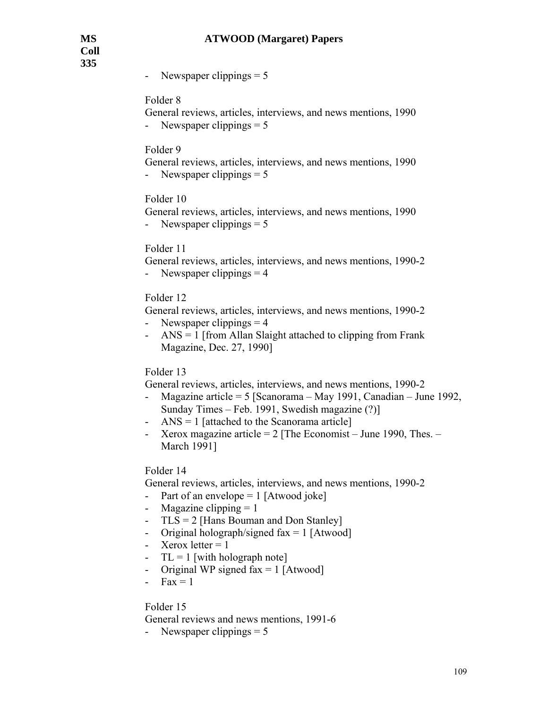**Coll 335** 

Newspaper clippings  $= 5$ 

## Folder 8

- General reviews, articles, interviews, and news mentions, 1990
- Newspaper clippings  $= 5$

## Folder 9

 General reviews, articles, interviews, and news mentions, 1990 - Newspaper clippings  $= 5$ 

#### Folder 10

 General reviews, articles, interviews, and news mentions, 1990 - Newspaper clippings  $= 5$ 

#### Folder 11

- General reviews, articles, interviews, and news mentions, 1990-2
- Newspaper clippings  $= 4$

## Folder 12

 General reviews, articles, interviews, and news mentions, 1990-2 - Newspaper clippings  $= 4$ 

- ANS = 1 [from Allan Slaight attached to clipping from Frank Magazine, Dec. 27, 1990]

#### Folder 13

General reviews, articles, interviews, and news mentions, 1990-2

- Magazine article = 5 [Scanorama May 1991, Canadian June 1992, Sunday Times – Feb. 1991, Swedish magazine (?)]
- ANS = 1 [attached to the Scanorama article]
- Xerox magazine article  $= 2$  [The Economist June 1990, Thes. March 1991]

#### Folder 14

General reviews, articles, interviews, and news mentions, 1990-2

- Part of an envelope  $= 1$  [Atwood joke]
- Magazine clipping  $= 1$
- TLS = 2 [Hans Bouman and Don Stanley]
- Original holograph/signed  $\text{fax} = 1$  [Atwood]
- Xerox letter  $= 1$
- $TL = 1$  [with holograph note]
- Original WP signed fax  $= 1$  [Atwood]
- $Fax = 1$

### Folder 15

General reviews and news mentions, 1991-6

- Newspaper clippings  $= 5$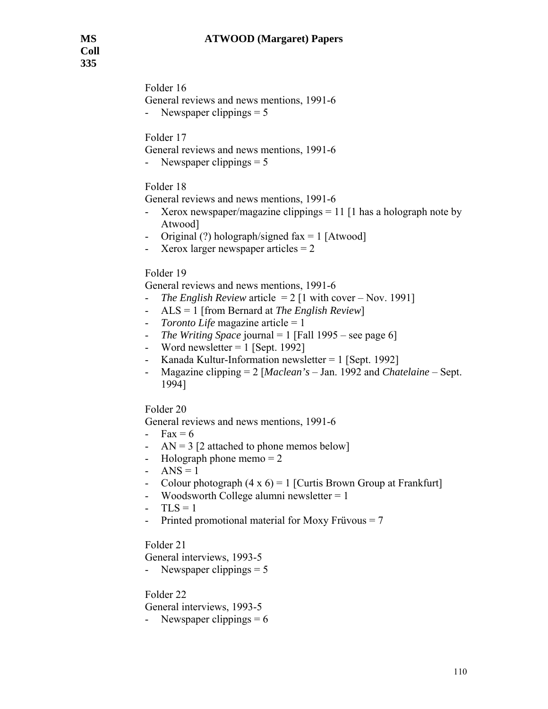Folder 16 General reviews and news mentions, 1991-6 - Newspaper clippings = 5

Folder 17

General reviews and news mentions, 1991-6

- Newspaper clippings = 5

#### Folder 18

General reviews and news mentions, 1991-6

- Xerox newspaper/magazine clippings = 11 [1 has a holograph note by Atwood]
- Original  $(?)$  holograph/signed fax = 1 [Atwood]
- Xerox larger newspaper articles = 2

#### Folder 19

General reviews and news mentions, 1991-6

- *The English Review* article = 2 [1 with cover Nov. 1991]
- ALS = 1 [from Bernard at *The English Review*]
- *Toronto Life* magazine article = 1
- *The Writing Space* journal = 1 [Fall 1995 see page 6]
- Word newsletter  $= 1$  [Sept. 1992]
- Kanada Kultur-Information newsletter  $= 1$  [Sept. 1992]
- Magazine clipping = 2 [*Maclean's* Jan. 1992 and *Chatelaine* Sept. 1994]

Folder 20

General reviews and news mentions, 1991-6

- Fax  $= 6$
- $AN = 3$  [2 attached to phone memos below]
- Holograph phone memo  $= 2$
- ANS =  $1$
- Colour photograph  $(4 \times 6) = 1$  [Curtis Brown Group at Frankfurt]
- Woodsworth College alumni newsletter  $= 1$
- $-TLS = 1$
- Printed promotional material for Moxy Früvous = 7

Folder 21

General interviews, 1993-5

- Newspaper clippings  $= 5$ 

Folder 22

General interviews, 1993-5

- Newspaper clippings  $= 6$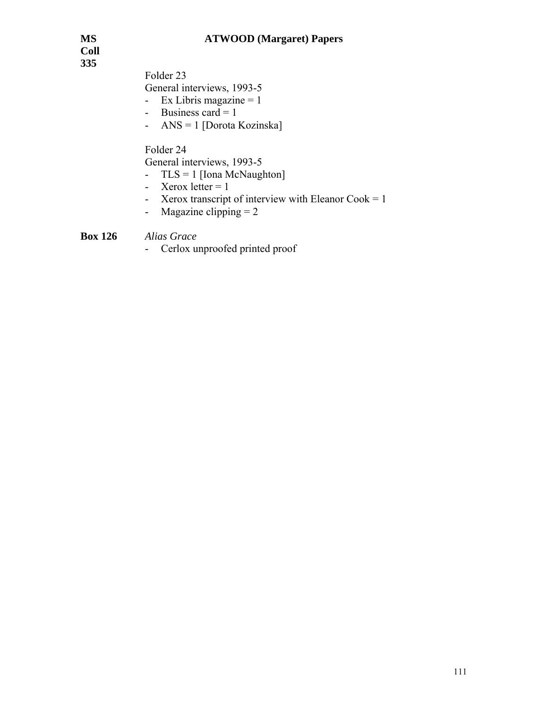**Coll 335** 

Folder 23

General interviews, 1993-5

- Ex Libris magazine  $= 1$
- Business card  $= 1$
- ANS = 1 [Dorota Kozinska]

Folder 24

General interviews, 1993-5

- TLS = 1 [Iona McNaughton]
- Xerox letter  $= 1$
- Xerox transcript of interview with Eleanor Cook =  $1$
- Magazine clipping  $= 2$

# **Box 126** *Alias Grace*

- Cerlox unproofed printed proof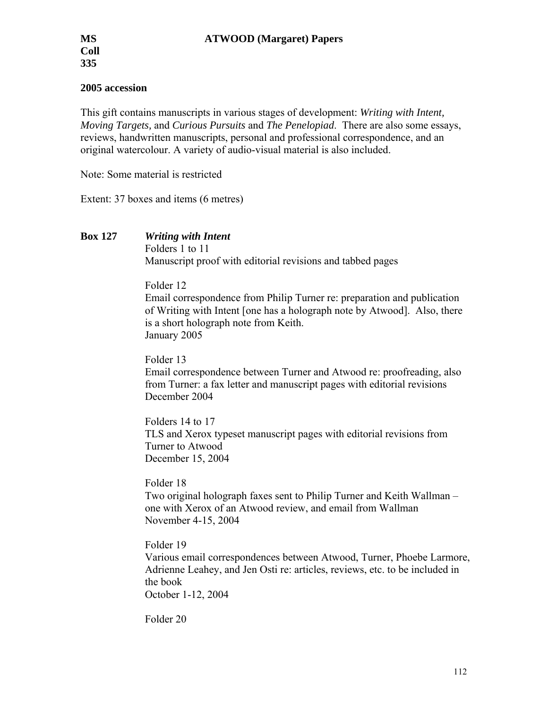## **2005 accession**

This gift contains manuscripts in various stages of development: *Writing with Intent, Moving Targets,* and *Curious Pursuits* and *The Penelopiad*. There are also some essays, reviews, handwritten manuscripts, personal and professional correspondence, and an original watercolour. A variety of audio-visual material is also included.

Note: Some material is restricted

Extent: 37 boxes and items (6 metres)

**Box 127** *Writing with Intent*

 Folders 1 to 11 Manuscript proof with editorial revisions and tabbed pages

Folder 12

Email correspondence from Philip Turner re: preparation and publication of Writing with Intent [one has a holograph note by Atwood]. Also, there is a short holograph note from Keith. January 2005

Folder 13 Email correspondence between Turner and Atwood re: proofreading, also from Turner: a fax letter and manuscript pages with editorial revisions December 2004

Folders 14 to 17 TLS and Xerox typeset manuscript pages with editorial revisions from Turner to Atwood December 15, 2004

Folder 18

Two original holograph faxes sent to Philip Turner and Keith Wallman – one with Xerox of an Atwood review, and email from Wallman November 4-15, 2004

Folder 19

Various email correspondences between Atwood, Turner, Phoebe Larmore, Adrienne Leahey, and Jen Osti re: articles, reviews, etc. to be included in the book

October 1-12, 2004

Folder 20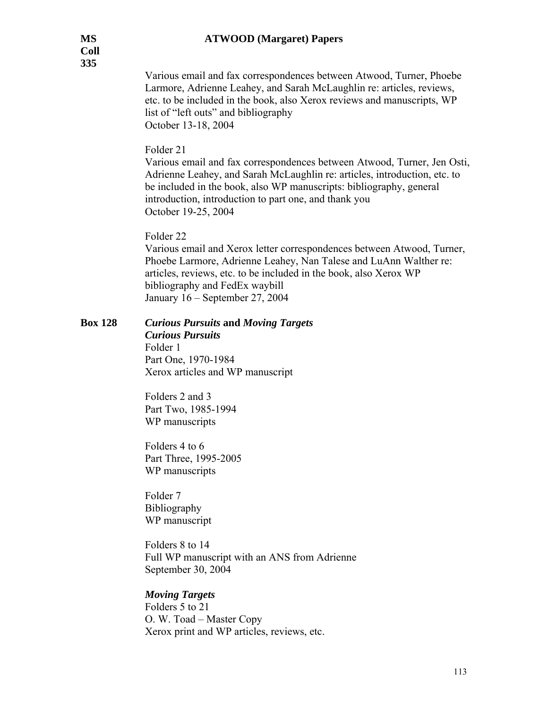Various email and fax correspondences between Atwood, Turner, Phoebe Larmore, Adrienne Leahey, and Sarah McLaughlin re: articles, reviews, etc. to be included in the book, also Xerox reviews and manuscripts, WP list of "left outs" and bibliography October 13-18, 2004

## Folder 21

Various email and fax correspondences between Atwood, Turner, Jen Osti, Adrienne Leahey, and Sarah McLaughlin re: articles, introduction, etc. to be included in the book, also WP manuscripts: bibliography, general introduction, introduction to part one, and thank you October 19-25, 2004

## Folder 22

Various email and Xerox letter correspondences between Atwood, Turner, Phoebe Larmore, Adrienne Leahey, Nan Talese and LuAnn Walther re: articles, reviews, etc. to be included in the book, also Xerox WP bibliography and FedEx waybill January 16 – September 27, 2004

#### **Box 128** *Curious Pursuits* **and** *Moving Targets Curious Pursuits*

Folder 1 Part One, 1970-1984 Xerox articles and WP manuscript

Folders 2 and 3 Part Two, 1985-1994 WP manuscripts

Folders 4 to 6 Part Three, 1995-2005 WP manuscripts

Folder 7 Bibliography WP manuscript

Folders 8 to 14 Full WP manuscript with an ANS from Adrienne September 30, 2004

## *Moving Targets*

Folders 5 to 21 O. W. Toad – Master Copy Xerox print and WP articles, reviews, etc.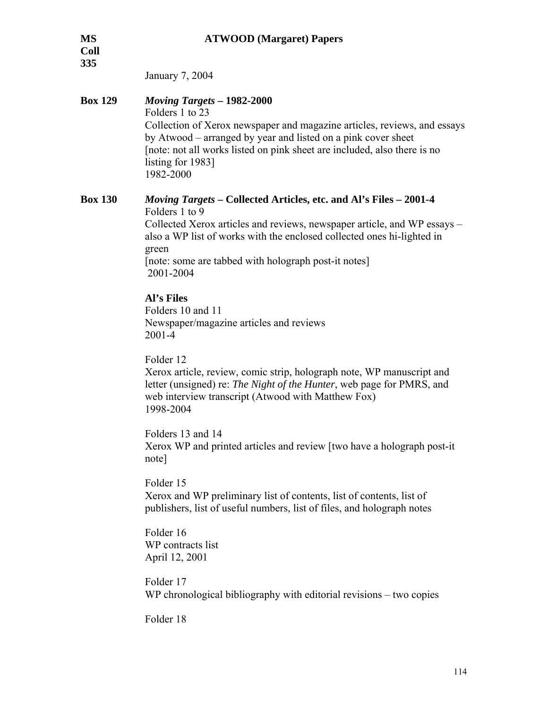| <b>MS</b><br><b>Coll</b><br>335 | <b>ATWOOD</b> (Margaret) Papers                                                                                                                                                                                                                                                                                                |
|---------------------------------|--------------------------------------------------------------------------------------------------------------------------------------------------------------------------------------------------------------------------------------------------------------------------------------------------------------------------------|
|                                 | January 7, 2004                                                                                                                                                                                                                                                                                                                |
| <b>Box 129</b>                  | Moving Targets - 1982-2000<br>Folders 1 to 23<br>Collection of Xerox newspaper and magazine articles, reviews, and essays<br>by Atwood – arranged by year and listed on a pink cover sheet<br>[note: not all works listed on pink sheet are included, also there is no<br>listing for 1983]<br>1982-2000                       |
| <b>Box 130</b>                  | <i>Moving Targets – Collected Articles, etc. and Al's Files – 2001-4</i><br>Folders 1 to 9<br>Collected Xerox articles and reviews, newspaper article, and WP essays –<br>also a WP list of works with the enclosed collected ones hi-lighted in<br>green<br>[note: some are tabbed with holograph post-it notes]<br>2001-2004 |
|                                 | Al's Files<br>Folders 10 and 11<br>Newspaper/magazine articles and reviews<br>$2001 - 4$                                                                                                                                                                                                                                       |
|                                 | Folder 12<br>Xerox article, review, comic strip, holograph note, WP manuscript and<br>letter (unsigned) re: The Night of the Hunter, web page for PMRS, and<br>web interview transcript (Atwood with Matthew Fox)<br>1998-2004                                                                                                 |
|                                 | Folders 13 and 14<br>Xerox WP and printed articles and review [two have a holograph post-it<br>note]                                                                                                                                                                                                                           |
|                                 | Folder 15<br>Xerox and WP preliminary list of contents, list of contents, list of<br>publishers, list of useful numbers, list of files, and holograph notes                                                                                                                                                                    |
|                                 | Folder 16<br>WP contracts list<br>April 12, 2001                                                                                                                                                                                                                                                                               |
|                                 | Folder 17<br>WP chronological bibliography with editorial revisions – two copies                                                                                                                                                                                                                                               |
|                                 | Folder 18                                                                                                                                                                                                                                                                                                                      |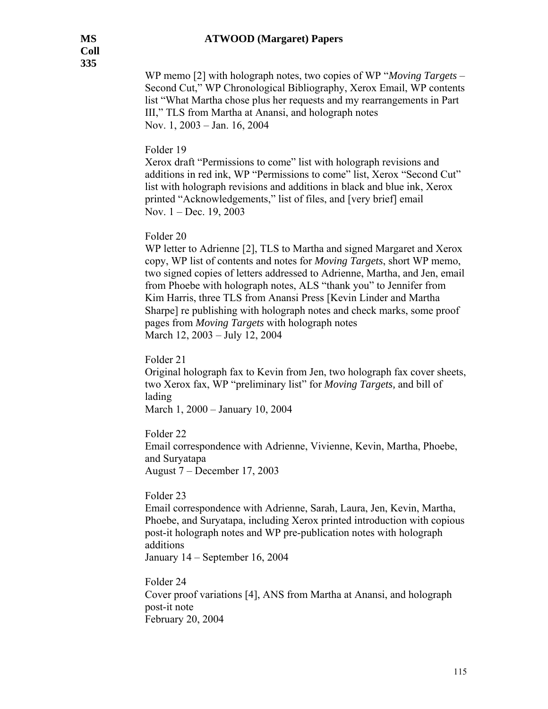WP memo [2] with holograph notes, two copies of WP "*Moving Targets* – Second Cut," WP Chronological Bibliography, Xerox Email, WP contents list "What Martha chose plus her requests and my rearrangements in Part III," TLS from Martha at Anansi, and holograph notes Nov. 1, 2003 – Jan. 16, 2004

## Folder 19

Xerox draft "Permissions to come" list with holograph revisions and additions in red ink, WP "Permissions to come" list, Xerox "Second Cut" list with holograph revisions and additions in black and blue ink, Xerox printed "Acknowledgements," list of files, and [very brief] email Nov. 1 – Dec. 19, 2003

## Folder 20

WP letter to Adrienne [2], TLS to Martha and signed Margaret and Xerox copy, WP list of contents and notes for *Moving Targets*, short WP memo, two signed copies of letters addressed to Adrienne, Martha, and Jen, email from Phoebe with holograph notes, ALS "thank you" to Jennifer from Kim Harris, three TLS from Anansi Press [Kevin Linder and Martha Sharpe] re publishing with holograph notes and check marks, some proof pages from *Moving Targets* with holograph notes March 12, 2003 – July 12, 2004

Folder 21

Original holograph fax to Kevin from Jen, two holograph fax cover sheets, two Xerox fax, WP "preliminary list" for *Moving Targets,* and bill of lading

March 1, 2000 – January 10, 2004

Folder 22

Email correspondence with Adrienne, Vivienne, Kevin, Martha, Phoebe, and Suryatapa August 7 – December 17, 2003

## Folder 23

Email correspondence with Adrienne, Sarah, Laura, Jen, Kevin, Martha, Phoebe, and Suryatapa, including Xerox printed introduction with copious post-it holograph notes and WP pre-publication notes with holograph additions January 14 – September 16, 2004

Folder 24 Cover proof variations [4], ANS from Martha at Anansi, and holograph post-it note February 20, 2004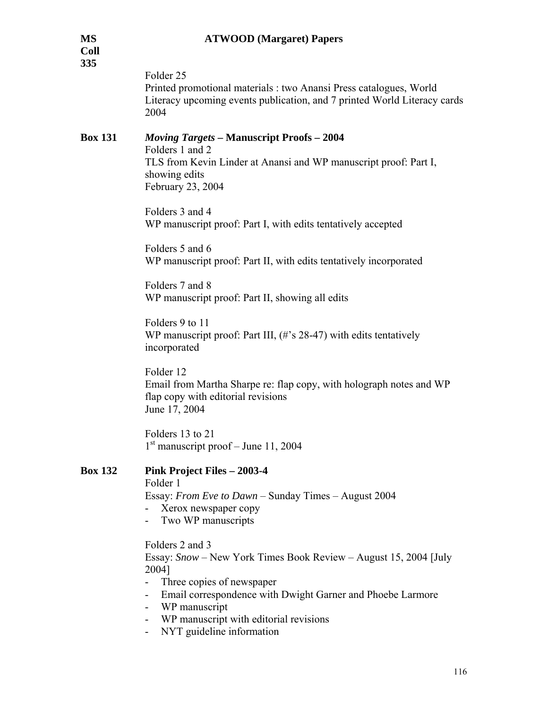| MS<br>Coll<br>335 | <b>ATWOOD</b> (Margaret) Papers                                                                                                                                                                                                                                                 |
|-------------------|---------------------------------------------------------------------------------------------------------------------------------------------------------------------------------------------------------------------------------------------------------------------------------|
|                   | Folder <sub>25</sub><br>Printed promotional materials : two Anansi Press catalogues, World<br>Literacy upcoming events publication, and 7 printed World Literacy cards<br>2004                                                                                                  |
| <b>Box 131</b>    | <b>Moving Targets - Manuscript Proofs - 2004</b><br>Folders 1 and 2<br>TLS from Kevin Linder at Anansi and WP manuscript proof: Part I,<br>showing edits<br>February 23, 2004                                                                                                   |
|                   | Folders 3 and 4<br>WP manuscript proof: Part I, with edits tentatively accepted                                                                                                                                                                                                 |
|                   | Folders 5 and 6<br>WP manuscript proof: Part II, with edits tentatively incorporated                                                                                                                                                                                            |
|                   | Folders 7 and 8<br>WP manuscript proof: Part II, showing all edits                                                                                                                                                                                                              |
|                   | Folders 9 to 11<br>WP manuscript proof: Part III, $(\# \text{S } 28-47)$ with edits tentatively<br>incorporated                                                                                                                                                                 |
|                   | Folder 12<br>Email from Martha Sharpe re: flap copy, with holograph notes and WP<br>flap copy with editorial revisions<br>June 17, 2004                                                                                                                                         |
|                   | Folders 13 to 21<br>$1st$ manuscript proof – June 11, 2004                                                                                                                                                                                                                      |
| <b>Box 132</b>    | Pink Project Files - 2003-4<br>Folder 1<br>Essay: From Eve to Dawn – Sunday Times – August 2004<br>Xerox newspaper copy<br>Two WP manuscripts                                                                                                                                   |
|                   | Folders 2 and 3<br>Essay: Snow – New York Times Book Review – August 15, 2004 [July<br>2004]<br>Three copies of newspaper<br>Email correspondence with Dwight Garner and Phoebe Larmore<br>WP manuscript<br>WP manuscript with editorial revisions<br>NYT guideline information |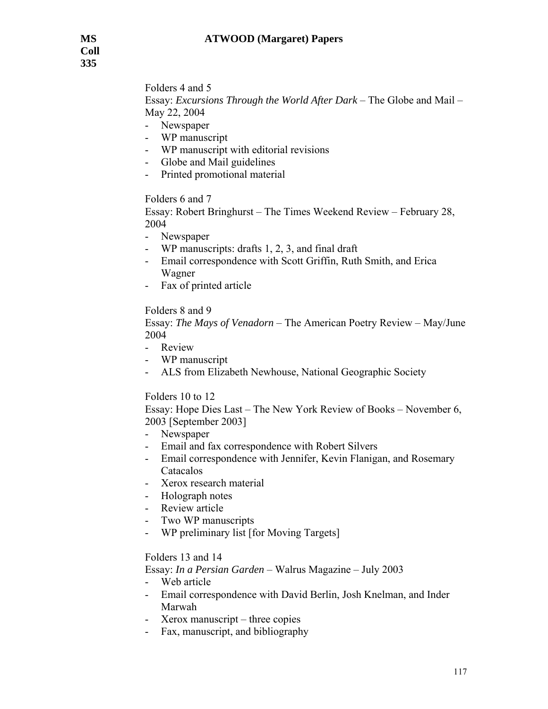Folders 4 and 5 Essay: *Excursions Through the World After Dark* – The Globe and Mail – May 22, 2004

- Newspaper
- WP manuscript
- WP manuscript with editorial revisions
- Globe and Mail guidelines
- Printed promotional material

## Folders 6 and 7

Essay: Robert Bringhurst – The Times Weekend Review – February 28, 2004

- Newspaper
- WP manuscripts: drafts  $1, 2, 3$ , and final draft
- Email correspondence with Scott Griffin, Ruth Smith, and Erica Wagner
- Fax of printed article

## Folders 8 and 9

Essay: *The Mays of Venadorn* – The American Poetry Review – May/June 2004

- Review
- WP manuscript
- ALS from Elizabeth Newhouse, National Geographic Society

## Folders 10 to 12

Essay: Hope Dies Last – The New York Review of Books – November 6, 2003 [September 2003]

- Newspaper
- Email and fax correspondence with Robert Silvers
- Email correspondence with Jennifer, Kevin Flanigan, and Rosemary Catacalos
- Xerox research material
- Holograph notes
- Review article
- Two WP manuscripts
- WP preliminary list [for Moving Targets]

## Folders 13 and 14

Essay: *In a Persian Garden* – Walrus Magazine – July 2003

- Web article
- Email correspondence with David Berlin, Josh Knelman, and Inder Marwah
- Xerox manuscript three copies
- Fax, manuscript, and bibliography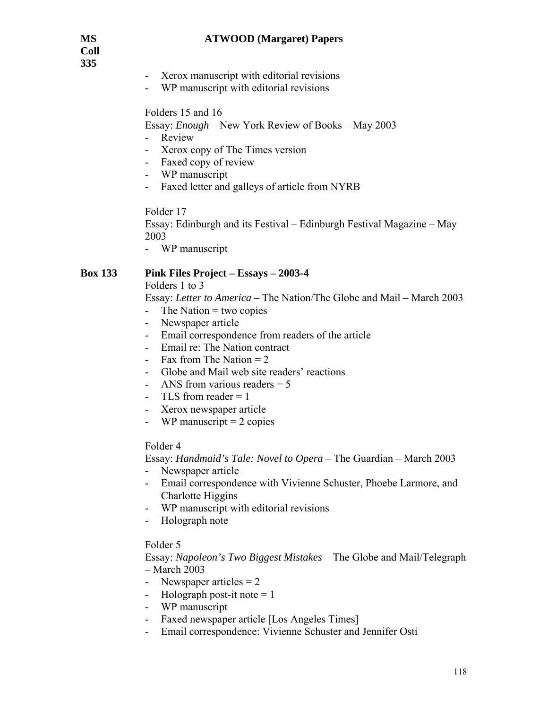**Coll 335** 

- Xerox manuscript with editorial revisions
- WP manuscript with editorial revisions

### Folders 15 and 16

Essay: *Enough* – New York Review of Books – May 2003

- Review
- Xerox copy of The Times version
- Faxed copy of review
- WP manuscript
- Faxed letter and galleys of article from NYRB

Folder 17

Essay: Edinburgh and its Festival – Edinburgh Festival Magazine – May 2003

- WP manuscript

#### **Box 133 Pink Files Project – Essays – 2003-4**

Folders 1 to 3

Essay: *Letter to America* – The Nation/The Globe and Mail – March 2003

- The Nation  $=$  two copies
- Newspaper article
- Email correspondence from readers of the article
- Email re: The Nation contract
- Fax from The Nation  $= 2$
- Globe and Mail web site readers' reactions
- ANS from various readers = 5
- TLS from reader  $= 1$
- Xerox newspaper article
- WP manuscript  $= 2$  copies

#### Folder 4

Essay: *Handmaid's Tale: Novel to Opera* – The Guardian – March 2003

- Newspaper article
- Email correspondence with Vivienne Schuster, Phoebe Larmore, and Charlotte Higgins
- WP manuscript with editorial revisions
- Holograph note

#### Folder 5

Essay: *Napoleon's Two Biggest Mistakes* – The Globe and Mail/Telegraph – March 2003

- Newspaper articles  $= 2$
- Holograph post-it note  $= 1$
- WP manuscript
- Faxed newspaper article [Los Angeles Times]
- Email correspondence: Vivienne Schuster and Jennifer Osti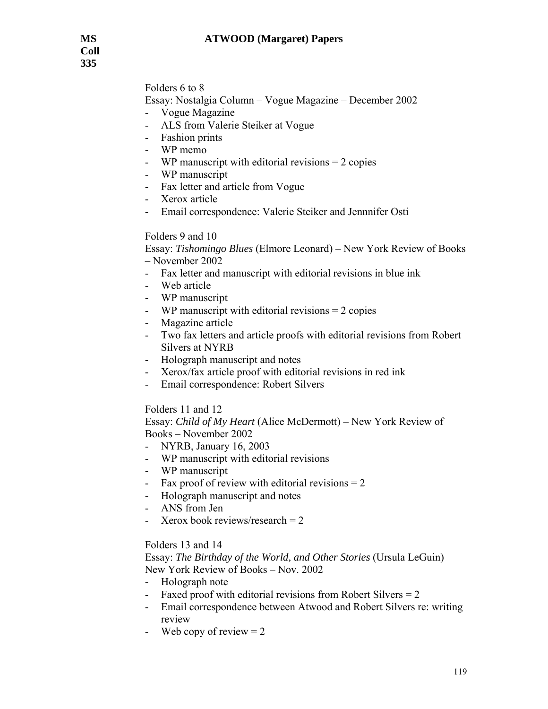# Folders 6 to 8

Essay: Nostalgia Column – Vogue Magazine – December 2002

- Vogue Magazine
- ALS from Valerie Steiker at Vogue
- Fashion prints
- WP memo
- WP manuscript with editorial revisions = 2 copies
- WP manuscript
- Fax letter and article from Vogue
- Xerox article
- Email correspondence: Valerie Steiker and Jennnifer Osti

## Folders 9 and 10

Essay: *Tishomingo Blues* (Elmore Leonard) – New York Review of Books – November 2002

- Fax letter and manuscript with editorial revisions in blue ink
- Web article
- WP manuscript
- WP manuscript with editorial revisions  $= 2$  copies
- Magazine article
- Two fax letters and article proofs with editorial revisions from Robert Silvers at NYRB
- Holograph manuscript and notes
- Xerox/fax article proof with editorial revisions in red ink
- Email correspondence: Robert Silvers

## Folders 11 and 12

Essay: *Child of My Heart* (Alice McDermott) – New York Review of Books – November 2002

- NYRB, January 16, 2003
- WP manuscript with editorial revisions
- WP manuscript
- Fax proof of review with editorial revisions  $= 2$
- Holograph manuscript and notes
- ANS from Jen
- Xerox book reviews/research  $= 2$

# Folders 13 and 14

Essay: *The Birthday of the World, and Other Stories* (Ursula LeGuin) – New York Review of Books – Nov. 2002

- Holograph note
- Faxed proof with editorial revisions from Robert Silvers  $= 2$
- Email correspondence between Atwood and Robert Silvers re: writing review
- Web copy of review  $= 2$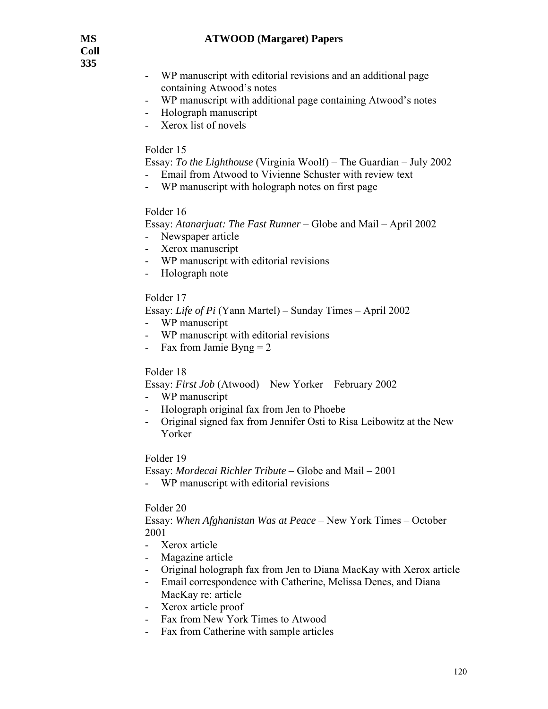**Coll 335** 

- WP manuscript with editorial revisions and an additional page containing Atwood's notes
- WP manuscript with additional page containing Atwood's notes
- Holograph manuscript
- Xerox list of novels

### Folder 15

Essay: *To the Lighthouse* (Virginia Woolf) – The Guardian – July 2002

- Email from Atwood to Vivienne Schuster with review text
- WP manuscript with holograph notes on first page

## Folder 16

Essay: *Atanarjuat: The Fast Runner* – Globe and Mail – April 2002

- Newspaper article
- Xerox manuscript
- WP manuscript with editorial revisions
- Holograph note

## Folder 17

Essay: *Life of Pi* (Yann Martel) – Sunday Times – April 2002

- WP manuscript
- WP manuscript with editorial revisions
- Fax from Jamie Byng  $= 2$

## Folder 18

Essay: *First Job* (Atwood) – New Yorker – February 2002

- WP manuscript
- Holograph original fax from Jen to Phoebe
- Original signed fax from Jennifer Osti to Risa Leibowitz at the New Yorker

## Folder 19

Essay: *Mordecai Richler Tribute* – Globe and Mail – 2001

- WP manuscript with editorial revisions

#### Folder 20

Essay: *When Afghanistan Was at Peace* – New York Times – October 2001

- Xerox article
- Magazine article
- Original holograph fax from Jen to Diana MacKay with Xerox article
- Email correspondence with Catherine, Melissa Denes, and Diana MacKay re: article
- Xerox article proof
- Fax from New York Times to Atwood
- Fax from Catherine with sample articles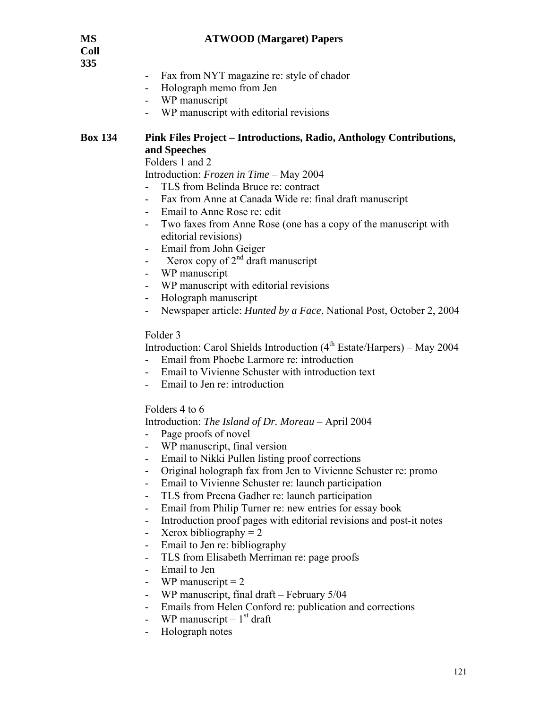**Coll 335** 

- Fax from NYT magazine re: style of chador
- Holograph memo from Jen
- WP manuscript
- WP manuscript with editorial revisions

## **Box 134 Pink Files Project – Introductions, Radio, Anthology Contributions, and Speeches**

Folders 1 and 2

Introduction: *Frozen in Time* – May 2004

- TLS from Belinda Bruce re: contract
- Fax from Anne at Canada Wide re: final draft manuscript
- Email to Anne Rose re: edit
- Two faxes from Anne Rose (one has a copy of the manuscript with editorial revisions)
- Email from John Geiger
- Xerox copy of  $2<sup>nd</sup>$  draft manuscript
- WP manuscript
- WP manuscript with editorial revisions
- Holograph manuscript
- Newspaper article: *Hunted by a Face*, National Post, October 2, 2004

## Folder 3

Introduction: Carol Shields Introduction (4<sup>th</sup> Estate/Harpers) – May 2004

- Email from Phoebe Larmore re: introduction
- Email to Vivienne Schuster with introduction text
- Email to Jen re: introduction

Folders 4 to 6

#### Introduction: *The Island of Dr. Moreau* – April 2004

- Page proofs of novel
- WP manuscript, final version
- Email to Nikki Pullen listing proof corrections
- Original holograph fax from Jen to Vivienne Schuster re: promo
- Email to Vivienne Schuster re: launch participation
- TLS from Preena Gadher re: launch participation
- Email from Philip Turner re: new entries for essay book
- Introduction proof pages with editorial revisions and post-it notes
- Xerox bibliography  $= 2$
- Email to Jen re: bibliography
- TLS from Elisabeth Merriman re: page proofs
- Email to Jen
- WP manuscript  $= 2$
- WP manuscript, final draft February 5/04
- Emails from Helen Conford re: publication and corrections
- WP manuscript  $-1<sup>st</sup>$  draft
- Holograph notes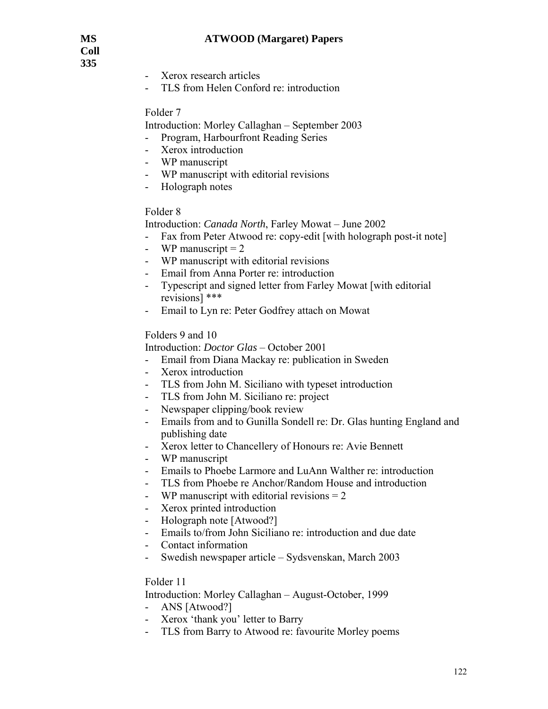**Coll 335** 

- Xerox research articles
- TLS from Helen Conford re: introduction

### Folder 7

Introduction: Morley Callaghan – September 2003

- Program, Harbourfront Reading Series
- Xerox introduction
- WP manuscript
- WP manuscript with editorial revisions
- Holograph notes

## Folder 8

Introduction: *Canada North*, Farley Mowat – June 2002

- Fax from Peter Atwood re: copy-edit [with holograph post-it note]
- WP manuscript  $= 2$
- WP manuscript with editorial revisions
- Email from Anna Porter re: introduction
- Typescript and signed letter from Farley Mowat [with editorial revisions] \*\*\*
- Email to Lyn re: Peter Godfrey attach on Mowat

## Folders 9 and 10

Introduction: *Doctor Glas* – October 2001

- Email from Diana Mackay re: publication in Sweden
- Xerox introduction
- TLS from John M. Siciliano with typeset introduction
- TLS from John M. Siciliano re: project
- Newspaper clipping/book review
- Emails from and to Gunilla Sondell re: Dr. Glas hunting England and publishing date
- Xerox letter to Chancellery of Honours re: Avie Bennett
- WP manuscript
- Emails to Phoebe Larmore and LuAnn Walther re: introduction
- TLS from Phoebe re Anchor/Random House and introduction
- WP manuscript with editorial revisions  $= 2$
- Xerox printed introduction
- Holograph note [Atwood?]
- Emails to/from John Siciliano re: introduction and due date
- Contact information
- Swedish newspaper article Sydsvenskan, March 2003

#### Folder 11

Introduction: Morley Callaghan – August-October, 1999

- ANS [Atwood?]
- Xerox 'thank you' letter to Barry
- TLS from Barry to Atwood re: favourite Morley poems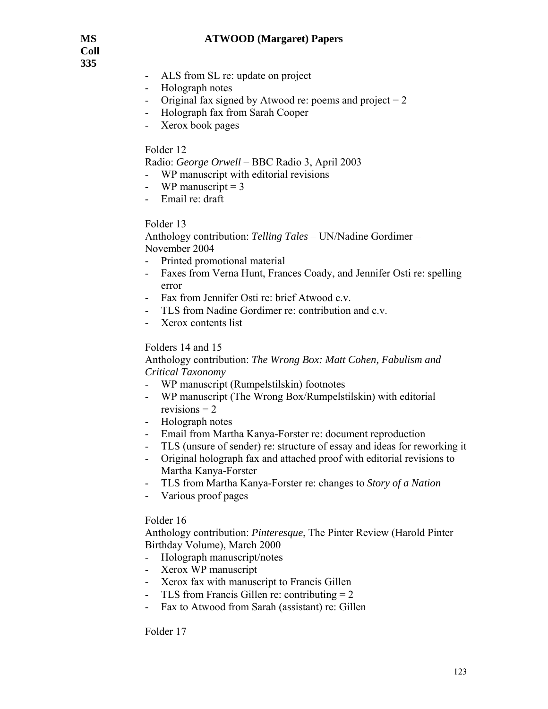**Coll 335** 

- ALS from SL re: update on project
- Holograph notes
- Original fax signed by Atwood re: poems and project  $= 2$
- Holograph fax from Sarah Cooper
- Xerox book pages

#### Folder 12

Radio: *George Orwell* – BBC Radio 3, April 2003

- WP manuscript with editorial revisions
- WP manuscript  $= 3$
- Email re: draft

#### Folder 13

Anthology contribution: *Telling Tales* – UN/Nadine Gordimer – November 2004

- Printed promotional material
- Faxes from Verna Hunt, Frances Coady, and Jennifer Osti re: spelling error
- Fax from Jennifer Osti re: brief Atwood c.v.
- TLS from Nadine Gordimer re: contribution and c.v.
- Xerox contents list

## Folders 14 and 15

Anthology contribution: *The Wrong Box: Matt Cohen, Fabulism and Critical Taxonomy* 

- WP manuscript (Rumpelstilskin) footnotes
- WP manuscript (The Wrong Box/Rumpelstilskin) with editorial revisions  $= 2$
- Holograph notes
- Email from Martha Kanya-Forster re: document reproduction
- TLS (unsure of sender) re: structure of essay and ideas for reworking it
- Original holograph fax and attached proof with editorial revisions to Martha Kanya-Forster
- TLS from Martha Kanya-Forster re: changes to *Story of a Nation*
- Various proof pages

#### Folder 16

Anthology contribution: *Pinteresque*, The Pinter Review (Harold Pinter Birthday Volume), March 2000

- Holograph manuscript/notes
- Xerox WP manuscript
- Xerox fax with manuscript to Francis Gillen
- TLS from Francis Gillen re: contributing  $= 2$
- Fax to Atwood from Sarah (assistant) re: Gillen

#### Folder 17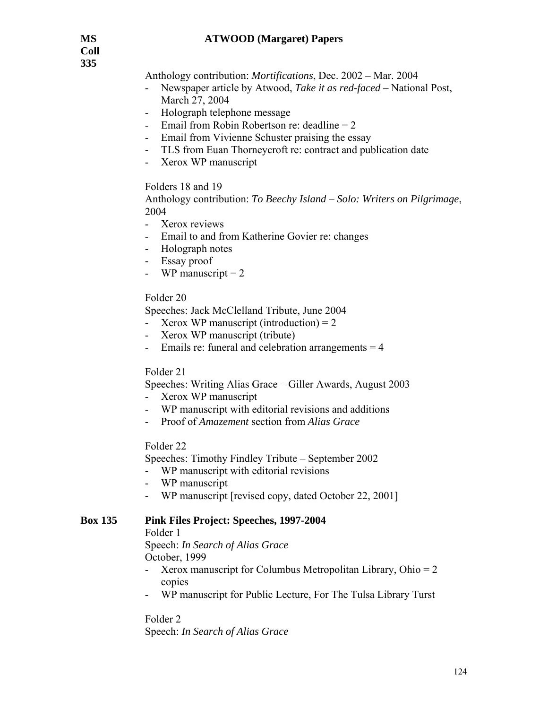Anthology contribution: *Mortifications*, Dec. 2002 – Mar. 2004

- Newspaper article by Atwood, *Take it as red-faced* National Post, March 27, 2004
- Holograph telephone message
- Email from Robin Robertson re: deadline  $= 2$
- Email from Vivienne Schuster praising the essay
- TLS from Euan Thorneycroft re: contract and publication date
- Xerox WP manuscript

Folders 18 and 19

Anthology contribution: *To Beechy Island* – *Solo: Writers on Pilgrimage*, 2004

- Xerox reviews
- Email to and from Katherine Govier re: changes
- Holograph notes
- Essay proof
- WP manuscript  $= 2$

## Folder 20

Speeches: Jack McClelland Tribute, June 2004

- Xerox WP manuscript (introduction) =  $2$
- Xerox WP manuscript (tribute)
- Emails re: funeral and celebration arrangements = 4

#### Folder 21

Speeches: Writing Alias Grace – Giller Awards, August 2003

- Xerox WP manuscript
- WP manuscript with editorial revisions and additions
- Proof of *Amazement* section from *Alias Grace*

#### Folder 22

Speeches: Timothy Findley Tribute – September 2002

- WP manuscript with editorial revisions
- WP manuscript
- WP manuscript [revised copy, dated October 22, 2001]

#### **Box 135 Pink Files Project: Speeches, 1997-2004**

Folder 1

 Speech: *In Search of Alias Grace*  October, 1999

- Xerox manuscript for Columbus Metropolitan Library, Ohio = 2 copies
- WP manuscript for Public Lecture, For The Tulsa Library Turst

Folder 2 Speech: *In Search of Alias Grace*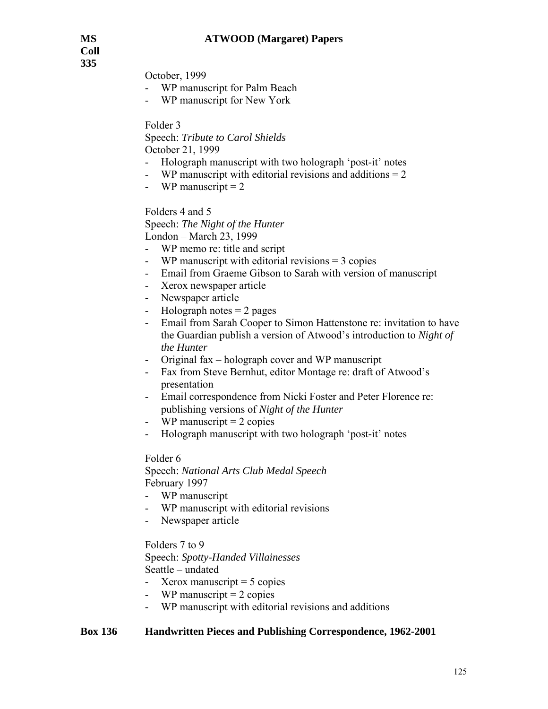**Coll 335** 

October, 1999

- WP manuscript for Palm Beach
- WP manuscript for New York

Folder 3

Speech: *Tribute to Carol Shields* October 21, 1999

- Holograph manuscript with two holograph 'post-it' notes
- WP manuscript with editorial revisions and additions  $= 2$
- WP manuscript  $= 2$

Folders 4 and 5

Speech: *The Night of the Hunter*

London – March 23, 1999

- WP memo re: title and script
- WP manuscript with editorial revisions = 3 copies
- Email from Graeme Gibson to Sarah with version of manuscript
- Xerox newspaper article
- Newspaper article
- Holograph notes  $= 2$  pages
- Email from Sarah Cooper to Simon Hattenstone re: invitation to have the Guardian publish a version of Atwood's introduction to *Night of the Hunter*
- Original fax holograph cover and WP manuscript
- Fax from Steve Bernhut, editor Montage re: draft of Atwood's presentation
- Email correspondence from Nicki Foster and Peter Florence re: publishing versions of *Night of the Hunter*
- WP manuscript  $= 2$  copies
- Holograph manuscript with two holograph 'post-it' notes

#### Folder 6

Speech: *National Arts Club Medal Speech* February 1997

- WP manuscript
- WP manuscript with editorial revisions
- Newspaper article

Folders 7 to 9

Speech: *Spotty-Handed Villainesses* Seattle – undated

- Xerox manuscript  $= 5$  copies
- WP manuscript  $= 2$  copies
- WP manuscript with editorial revisions and additions

#### **Box 136 Handwritten Pieces and Publishing Correspondence, 1962-2001**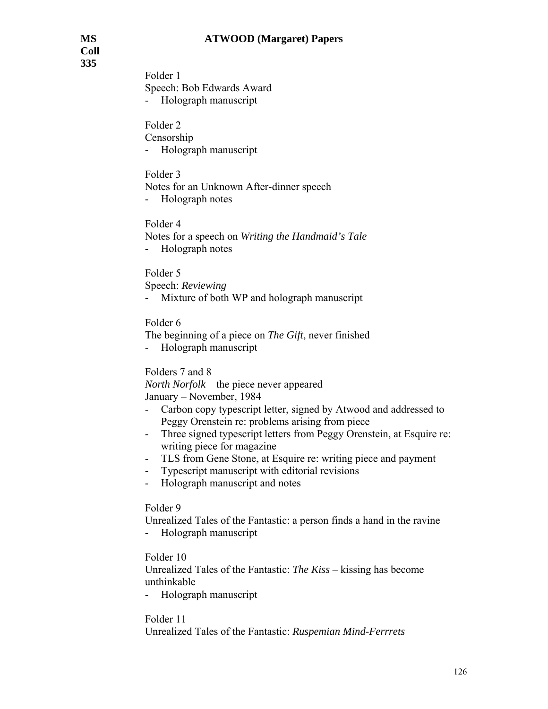**Coll 335** 

> Folder 1 Speech: Bob Edwards Award - Holograph manuscript

Folder 2 Censorship - Holograph manuscript

Folder 3 Notes for an Unknown After-dinner speech - Holograph notes

Folder 4 Notes for a speech on *Writing the Handmaid's Tale* - Holograph notes

Folder 5 Speech: *Reviewing*

- Mixture of both WP and holograph manuscript

Folder 6

The beginning of a piece on *The Gift*, never finished

- Holograph manuscript

Folders 7 and 8

*North Norfolk* – the piece never appeared January – November, 1984

- Carbon copy typescript letter, signed by Atwood and addressed to Peggy Orenstein re: problems arising from piece
- Three signed typescript letters from Peggy Orenstein, at Esquire re: writing piece for magazine
- TLS from Gene Stone, at Esquire re: writing piece and payment
- Typescript manuscript with editorial revisions
- Holograph manuscript and notes

Folder 9

Unrealized Tales of the Fantastic: a person finds a hand in the ravine

- Holograph manuscript

Folder 10

Unrealized Tales of the Fantastic: *The Kiss* – kissing has become unthinkable

- Holograph manuscript

Folder 11

Unrealized Tales of the Fantastic: *Ruspemian Mind-Ferrrets*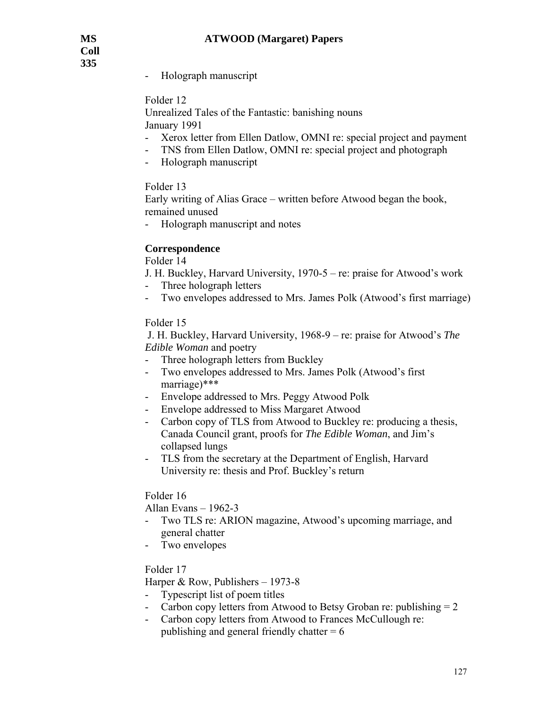- Holograph manuscript

Folder 12

Unrealized Tales of the Fantastic: banishing nouns January 1991

- Xerox letter from Ellen Datlow, OMNI re: special project and payment
- TNS from Ellen Datlow, OMNI re: special project and photograph
- Holograph manuscript

Folder 13

Early writing of Alias Grace – written before Atwood began the book, remained unused

- Holograph manuscript and notes

# **Correspondence**

Folder 14

J. H. Buckley, Harvard University, 1970-5 – re: praise for Atwood's work

- Three holograph letters
- Two envelopes addressed to Mrs. James Polk (Atwood's first marriage)

## Folder 15

 J. H. Buckley, Harvard University, 1968-9 – re: praise for Atwood's *The Edible Woman* and poetry

- Three holograph letters from Buckley
- Two envelopes addressed to Mrs. James Polk (Atwood's first marriage)\*\*\*
- Envelope addressed to Mrs. Peggy Atwood Polk
- Envelope addressed to Miss Margaret Atwood
- Carbon copy of TLS from Atwood to Buckley re: producing a thesis, Canada Council grant, proofs for *The Edible Woman*, and Jim's collapsed lungs
- TLS from the secretary at the Department of English, Harvard University re: thesis and Prof. Buckley's return

## Folder 16

Allan Evans – 1962-3

- Two TLS re: ARION magazine, Atwood's upcoming marriage, and general chatter
- Two envelopes

## Folder 17

Harper & Row, Publishers – 1973-8

- Typescript list of poem titles
- Carbon copy letters from Atwood to Betsy Groban re: publishing  $= 2$
- Carbon copy letters from Atwood to Frances McCullough re: publishing and general friendly chatter  $= 6$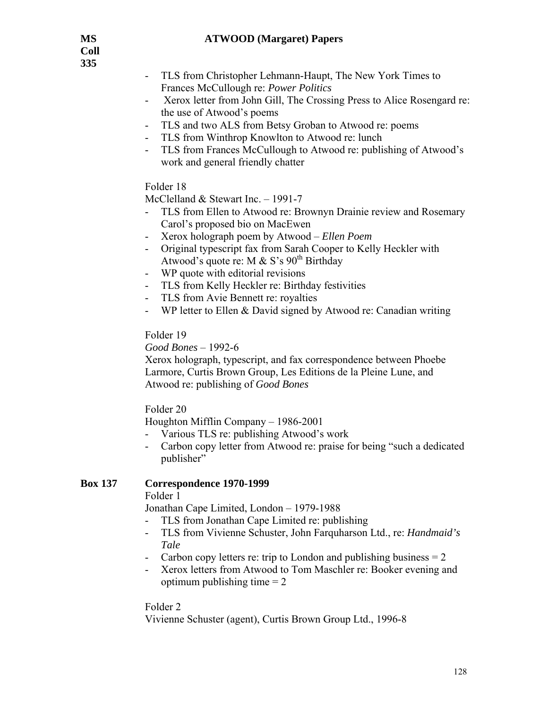- TLS from Christopher Lehmann-Haupt, The New York Times to Frances McCullough re: *Power Politics*
- Xerox letter from John Gill, The Crossing Press to Alice Rosengard re: the use of Atwood's poems
- TLS and two ALS from Betsy Groban to Atwood re: poems
- TLS from Winthrop Knowlton to Atwood re: lunch
- TLS from Frances McCullough to Atwood re: publishing of Atwood's work and general friendly chatter

# Folder 18

McClelland & Stewart Inc. – 1991-7

- TLS from Ellen to Atwood re: Brownyn Drainie review and Rosemary Carol's proposed bio on MacEwen
- Xerox holograph poem by Atwood *Ellen Poem*
- Original typescript fax from Sarah Cooper to Kelly Heckler with Atwood's quote re: M & S's 90<sup>th</sup> Birthday
- WP quote with editorial revisions
- TLS from Kelly Heckler re: Birthday festivities
- TLS from Avie Bennett re: royalties
- WP letter to Ellen  $&$  David signed by Atwood re: Canadian writing

# Folder 19

*Good Bones* – 1992-6

Xerox holograph, typescript, and fax correspondence between Phoebe Larmore, Curtis Brown Group, Les Editions de la Pleine Lune, and Atwood re: publishing of *Good Bones*

Folder 20

Houghton Mifflin Company – 1986-2001

- Various TLS re: publishing Atwood's work
- Carbon copy letter from Atwood re: praise for being "such a dedicated publisher"

# **Box 137 Correspondence 1970-1999**

Folder 1

Jonathan Cape Limited, London – 1979-1988

- TLS from Jonathan Cape Limited re: publishing
- TLS from Vivienne Schuster, John Farquharson Ltd., re: *Handmaid's Tale*
- Carbon copy letters re: trip to London and publishing business  $= 2$
- Xerox letters from Atwood to Tom Maschler re: Booker evening and optimum publishing time  $= 2$

# Folder 2

Vivienne Schuster (agent), Curtis Brown Group Ltd., 1996-8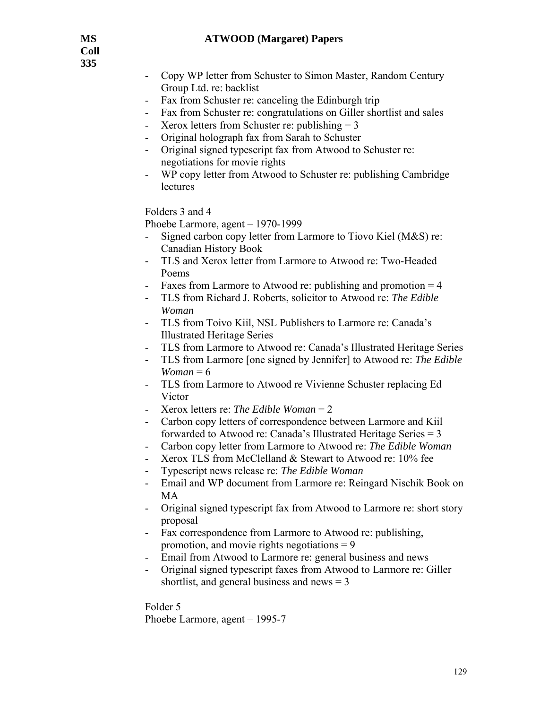- Copy WP letter from Schuster to Simon Master, Random Century Group Ltd. re: backlist
- Fax from Schuster re: canceling the Edinburgh trip
- Fax from Schuster re: congratulations on Giller shortlist and sales
- Xerox letters from Schuster re: publishing  $= 3$
- Original holograph fax from Sarah to Schuster
- Original signed typescript fax from Atwood to Schuster re: negotiations for movie rights
- WP copy letter from Atwood to Schuster re: publishing Cambridge lectures

Folders 3 and 4

Phoebe Larmore, agent – 1970-1999

- Signed carbon copy letter from Larmore to Tiovo Kiel (M&S) re: Canadian History Book
- TLS and Xerox letter from Larmore to Atwood re: Two-Headed Poems
- Faxes from Larmore to Atwood re: publishing and promotion  $= 4$
- TLS from Richard J. Roberts, solicitor to Atwood re: *The Edible Woman*
- TLS from Toivo Kiil, NSL Publishers to Larmore re: Canada's Illustrated Heritage Series
- TLS from Larmore to Atwood re: Canada's Illustrated Heritage Series
- TLS from Larmore [one signed by Jennifer] to Atwood re: *The Edible Woman* =  $6$
- TLS from Larmore to Atwood re Vivienne Schuster replacing Ed Victor
- Xerox letters re: *The Edible Woman* = 2
- Carbon copy letters of correspondence between Larmore and Kiil forwarded to Atwood re: Canada's Illustrated Heritage Series = 3
- Carbon copy letter from Larmore to Atwood re: *The Edible Woman*
- Xerox TLS from McClelland & Stewart to Atwood re: 10% fee
- Typescript news release re: *The Edible Woman*
- Email and WP document from Larmore re: Reingard Nischik Book on MA
- Original signed typescript fax from Atwood to Larmore re: short story proposal
- Fax correspondence from Larmore to Atwood re: publishing, promotion, and movie rights negotiations  $= 9$
- Email from Atwood to Larmore re: general business and news
- Original signed typescript faxes from Atwood to Larmore re: Giller shortlist, and general business and news  $= 3$

Folder 5 Phoebe Larmore, agent – 1995-7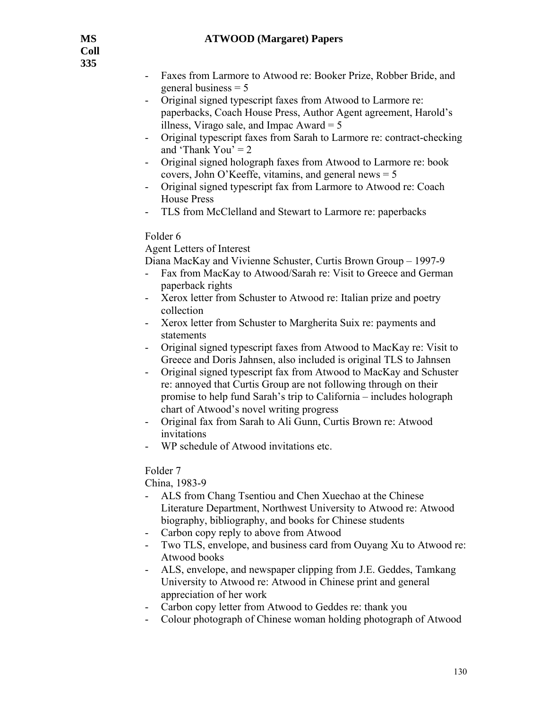- Faxes from Larmore to Atwood re: Booker Prize, Robber Bride, and general business = 5
- Original signed typescript faxes from Atwood to Larmore re: paperbacks, Coach House Press, Author Agent agreement, Harold's illness, Virago sale, and Impac Award  $= 5$
- Original typescript faxes from Sarah to Larmore re: contract-checking and 'Thank You'  $= 2$
- Original signed holograph faxes from Atwood to Larmore re: book covers, John O'Keeffe, vitamins, and general news = 5
- Original signed typescript fax from Larmore to Atwood re: Coach House Press
- TLS from McClelland and Stewart to Larmore re: paperbacks

## Folder 6

Agent Letters of Interest

Diana MacKay and Vivienne Schuster, Curtis Brown Group – 1997-9

- Fax from MacKay to Atwood/Sarah re: Visit to Greece and German paperback rights
- Xerox letter from Schuster to Atwood re: Italian prize and poetry collection
- Xerox letter from Schuster to Margherita Suix re: payments and statements
- Original signed typescript faxes from Atwood to MacKay re: Visit to Greece and Doris Jahnsen, also included is original TLS to Jahnsen
- Original signed typescript fax from Atwood to MacKay and Schuster re: annoyed that Curtis Group are not following through on their promise to help fund Sarah's trip to California – includes holograph chart of Atwood's novel writing progress
- Original fax from Sarah to Ali Gunn, Curtis Brown re: Atwood invitations
- WP schedule of Atwood invitations etc.

# Folder 7

China, 1983-9

- ALS from Chang Tsentiou and Chen Xuechao at the Chinese Literature Department, Northwest University to Atwood re: Atwood biography, bibliography, and books for Chinese students
- Carbon copy reply to above from Atwood
- Two TLS, envelope, and business card from Ouyang Xu to Atwood re: Atwood books
- ALS, envelope, and newspaper clipping from J.E. Geddes, Tamkang University to Atwood re: Atwood in Chinese print and general appreciation of her work
- Carbon copy letter from Atwood to Geddes re: thank you
- Colour photograph of Chinese woman holding photograph of Atwood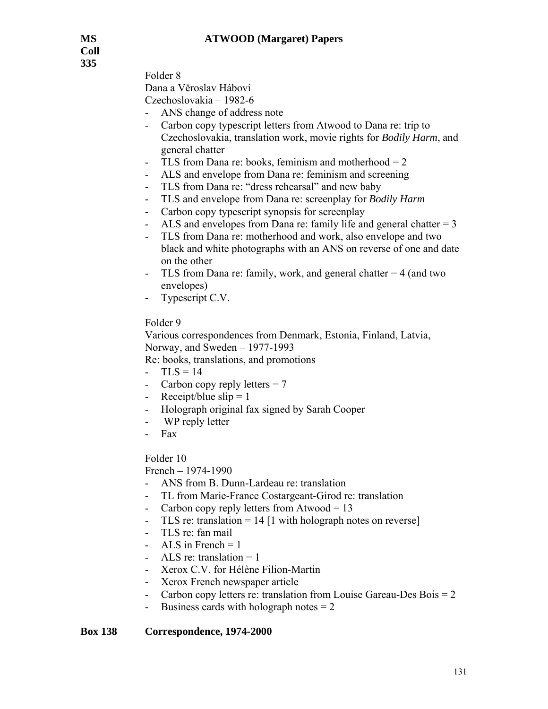**Coll 335** 

Folder 8

Dana a Věroslav Hábovi

Czechoslovakia – 1982-6

- ANS change of address note
- Carbon copy typescript letters from Atwood to Dana re: trip to Czechoslovakia, translation work, movie rights for *Bodily Harm*, and general chatter
- TLS from Dana re: books, feminism and motherhood  $= 2$
- ALS and envelope from Dana re: feminism and screening
- TLS from Dana re: "dress rehearsal" and new baby
- TLS and envelope from Dana re: screenplay for *Bodily Harm*
- Carbon copy typescript synopsis for screenplay
- ALS and envelopes from Dana re: family life and general chatter  $= 3$
- TLS from Dana re: motherhood and work, also envelope and two black and white photographs with an ANS on reverse of one and date on the other
- TLS from Dana re: family, work, and general chatter  $= 4$  (and two envelopes)
- Typescript C.V.

## Folder 9

Various correspondences from Denmark, Estonia, Finland, Latvia, Norway, and Sweden – 1977-1993

Re: books, translations, and promotions

- $-TLS = 14$
- Carbon copy reply letters  $= 7$
- Receipt/blue slip  $= 1$
- Holograph original fax signed by Sarah Cooper
- WP reply letter
- Fax

## Folder 10

French – 1974-1990

- ANS from B. Dunn-Lardeau re: translation
- TL from Marie-France Costargeant-Girod re: translation
- Carbon copy reply letters from Atwood  $= 13$
- TLS re: translation =  $14$  [1 with holograph notes on reverse]
- TLS re: fan mail
- ALS in French  $= 1$
- ALS re: translation  $= 1$
- Xerox C.V. for Hélène Filion-Martin
- Xerox French newspaper article
- Carbon copy letters re: translation from Louise Gareau-Des Bois  $= 2$
- Business cards with holograph notes  $= 2$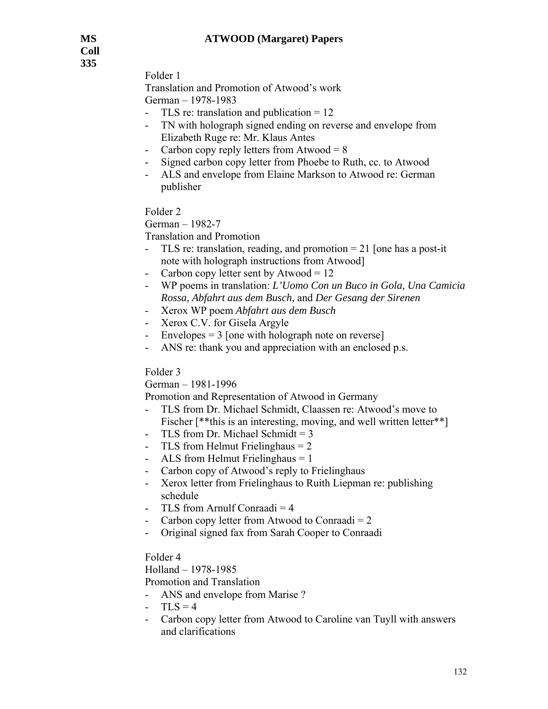Folder 1

 Translation and Promotion of Atwood's work German – 1978-1983

- TLS re: translation and publication  $= 12$
- TN with holograph signed ending on reverse and envelope from Elizabeth Ruge re: Mr. Klaus Antes
- Carbon copy reply letters from Atwood  $= 8$
- Signed carbon copy letter from Phoebe to Ruth, cc. to Atwood
- ALS and envelope from Elaine Markson to Atwood re: German publisher

Folder 2

German – 1982-7

Translation and Promotion

- TLS re: translation, reading, and promotion = 21 [one has a post-it note with holograph instructions from Atwood]
- Carbon copy letter sent by Atwood  $= 12$
- WP poems in translation: *L'Uomo Con un Buco in Gola, Una Camicia Rossa, Abfahrt aus dem Busch,* and *Der Gesang der Sirenen*
- Xerox WP poem *Abfahrt aus dem Busch*
- Xerox C.V. for Gisela Argyle
- $E$ nvelopes = 3 [one with holograph note on reverse]
- ANS re: thank you and appreciation with an enclosed p.s.

Folder 3

German – 1981-1996

Promotion and Representation of Atwood in Germany

- TLS from Dr. Michael Schmidt, Claassen re: Atwood's move to Fischer [\*\*this is an interesting, moving, and well written letter\*\*]
- TLS from Dr. Michael Schmidt  $= 3$
- TLS from Helmut Frielinghaus = 2
- ALS from Helmut Frielinghaus  $= 1$
- Carbon copy of Atwood's reply to Frielinghaus
- Xerox letter from Frielinghaus to Ruith Liepman re: publishing schedule
- TLS from Arnulf Conraadi  $=$  4
- Carbon copy letter from Atwood to Conraadi  $= 2$
- Original signed fax from Sarah Cooper to Conraadi

Folder 4

Holland – 1978-1985

Promotion and Translation

- ANS and envelope from Marise ?
- $-TLS = 4$
- Carbon copy letter from Atwood to Caroline van Tuyll with answers and clarifications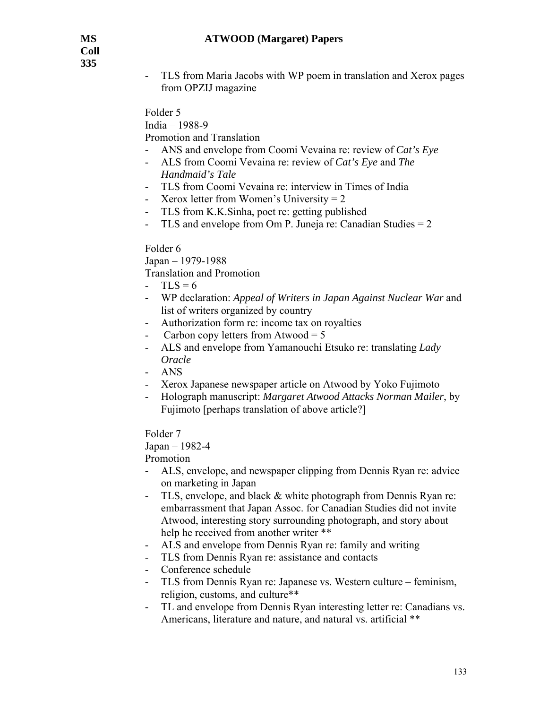- TLS from Maria Jacobs with WP poem in translation and Xerox pages from OPZIJ magazine

Folder 5

India – 1988-9

Promotion and Translation

- ANS and envelope from Coomi Vevaina re: review of *Cat's Eye*
- ALS from Coomi Vevaina re: review of *Cat's Eye* and *The Handmaid's Tale*
- TLS from Coomi Vevaina re: interview in Times of India
- Xerox letter from Women's University = 2
- TLS from K.K.Sinha, poet re: getting published
- TLS and envelope from Om P. Juneja re: Canadian Studies = 2

## Folder 6

Japan – 1979-1988

Translation and Promotion

- $-TLS = 6$
- WP declaration: *Appeal of Writers in Japan Against Nuclear War* and list of writers organized by country
- Authorization form re: income tax on royalties
- Carbon copy letters from Atwood  $= 5$
- ALS and envelope from Yamanouchi Etsuko re: translating *Lady Oracle*
- ANS
- Xerox Japanese newspaper article on Atwood by Yoko Fujimoto
- Holograph manuscript: *Margaret Atwood Attacks Norman Mailer*, by Fujimoto [perhaps translation of above article?]

Folder 7

#### Japan – 1982-4

Promotion

- ALS, envelope, and newspaper clipping from Dennis Ryan re: advice on marketing in Japan
- TLS, envelope, and black & white photograph from Dennis Ryan re: embarrassment that Japan Assoc. for Canadian Studies did not invite Atwood, interesting story surrounding photograph, and story about help he received from another writer \*\*
- ALS and envelope from Dennis Ryan re: family and writing
- TLS from Dennis Ryan re: assistance and contacts
- Conference schedule
- TLS from Dennis Ryan re: Japanese vs. Western culture feminism, religion, customs, and culture\*\*
- TL and envelope from Dennis Ryan interesting letter re: Canadians vs. Americans, literature and nature, and natural vs. artificial \*\*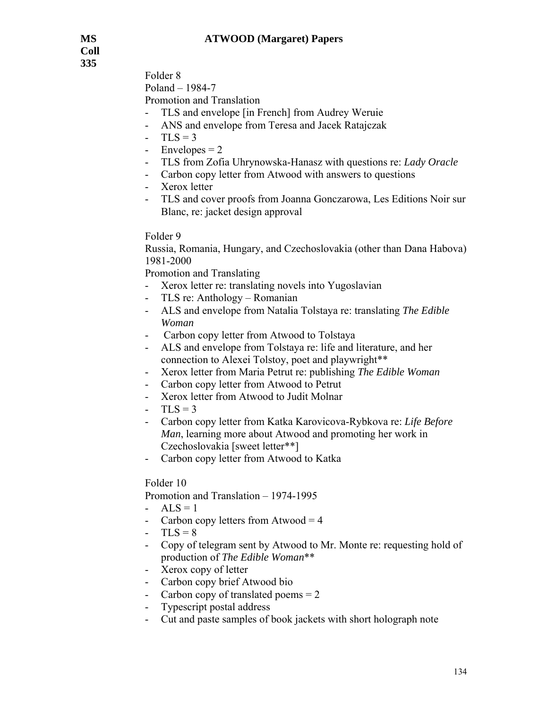Folder 8

Poland – 1984-7

Promotion and Translation

- TLS and envelope [in French] from Audrey Weruie
- ANS and envelope from Teresa and Jacek Ratajczak
- $-TLS = 3$
- Envelopes  $= 2$
- TLS from Zofia Uhrynowska-Hanasz with questions re: *Lady Oracle*
- Carbon copy letter from Atwood with answers to questions
- Xerox letter
- TLS and cover proofs from Joanna Gonczarowa, Les Editions Noir sur Blanc, re: jacket design approval

## Folder 9

Russia, Romania, Hungary, and Czechoslovakia (other than Dana Habova) 1981-2000

Promotion and Translating

- Xerox letter re: translating novels into Yugoslavian
- TLS re: Anthology Romanian
- ALS and envelope from Natalia Tolstaya re: translating *The Edible Woman*
- Carbon copy letter from Atwood to Tolstaya
- ALS and envelope from Tolstaya re: life and literature, and her connection to Alexei Tolstoy, poet and playwright\*\*
- Xerox letter from Maria Petrut re: publishing *The Edible Woman*
- Carbon copy letter from Atwood to Petrut
- Xerox letter from Atwood to Judit Molnar
- $TLS = 3$
- Carbon copy letter from Katka Karovicova-Rybkova re: *Life Before Man*, learning more about Atwood and promoting her work in Czechoslovakia [sweet letter\*\*]
- Carbon copy letter from Atwood to Katka

## Folder 10

Promotion and Translation – 1974-1995

- $ALS = 1$
- Carbon copy letters from Atwood  $=$  4
- $-TLS = 8$
- Copy of telegram sent by Atwood to Mr. Monte re: requesting hold of production of *The Edible Woman*\*\*
- Xerox copy of letter
- Carbon copy brief Atwood bio
- Carbon copy of translated poems  $= 2$
- Typescript postal address
- Cut and paste samples of book jackets with short holograph note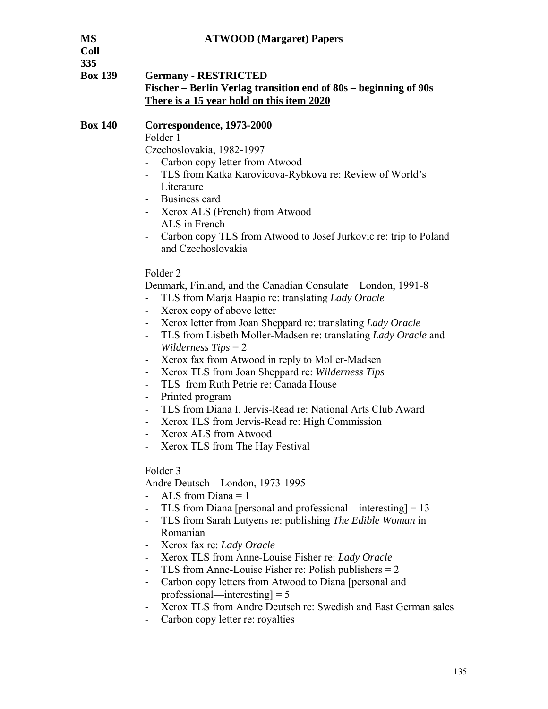| MS<br>Coll<br>335 | <b>ATWOOD</b> (Margaret) Papers                                                                                                                                                                                                                                                                                                                                                                                                                                                                                                                                                                                                                                                                                                                                                                                                                                                                                                                                                                                                                                                                                                                                                                                                                                                                                                                                                                                                                                                                                                                                                                                                                                                           |
|-------------------|-------------------------------------------------------------------------------------------------------------------------------------------------------------------------------------------------------------------------------------------------------------------------------------------------------------------------------------------------------------------------------------------------------------------------------------------------------------------------------------------------------------------------------------------------------------------------------------------------------------------------------------------------------------------------------------------------------------------------------------------------------------------------------------------------------------------------------------------------------------------------------------------------------------------------------------------------------------------------------------------------------------------------------------------------------------------------------------------------------------------------------------------------------------------------------------------------------------------------------------------------------------------------------------------------------------------------------------------------------------------------------------------------------------------------------------------------------------------------------------------------------------------------------------------------------------------------------------------------------------------------------------------------------------------------------------------|
| <b>Box 139</b>    | <b>Germany - RESTRICTED</b><br>Fischer - Berlin Verlag transition end of 80s - beginning of 90s<br>There is a 15 year hold on this item 2020                                                                                                                                                                                                                                                                                                                                                                                                                                                                                                                                                                                                                                                                                                                                                                                                                                                                                                                                                                                                                                                                                                                                                                                                                                                                                                                                                                                                                                                                                                                                              |
| <b>Box 140</b>    | Correspondence, 1973-2000<br>Folder 1<br>Czechoslovakia, 1982-1997<br>Carbon copy letter from Atwood<br>TLS from Katka Karovicova-Rybkova re: Review of World's<br>$\blacksquare$<br>Literature<br>Business card<br>Xerox ALS (French) from Atwood<br>$\sim$<br>ALS in French<br>Carbon copy TLS from Atwood to Josef Jurkovic re: trip to Poland<br>and Czechoslovakia<br>Folder <sub>2</sub><br>Denmark, Finland, and the Canadian Consulate – London, 1991-8<br>TLS from Marja Haapio re: translating Lady Oracle<br>Xerox copy of above letter<br>Xerox letter from Joan Sheppard re: translating Lady Oracle<br>TLS from Lisbeth Moller-Madsen re: translating <i>Lady Oracle</i> and<br>$\overline{\phantom{0}}$<br><i>Wilderness Tips</i> $= 2$<br>Xerox fax from Atwood in reply to Moller-Madsen<br>۰.<br>Xerox TLS from Joan Sheppard re: Wilderness Tips<br>۰.<br>TLS from Ruth Petrie re: Canada House<br>Printed program<br>TLS from Diana I. Jervis-Read re: National Arts Club Award<br>Xerox TLS from Jervis-Read re: High Commission<br>Xerox ALS from Atwood<br>Xerox TLS from The Hay Festival<br>Folder 3<br>Andre Deutsch – London, 1973-1995<br>ALS from $Diana = 1$<br>TLS from Diana [personal and professional—interesting] $= 13$<br>TLS from Sarah Lutyens re: publishing The Edible Woman in<br>Romanian<br>Xerox fax re: Lady Oracle<br>Xerox TLS from Anne-Louise Fisher re: Lady Oracle<br>TLS from Anne-Louise Fisher re: Polish publishers $= 2$<br>Carbon copy letters from Atwood to Diana [personal and<br>۰.<br>professional—interesting $= 5$<br>Xerox TLS from Andre Deutsch re: Swedish and East German sales<br>Carbon copy letter re: royalties |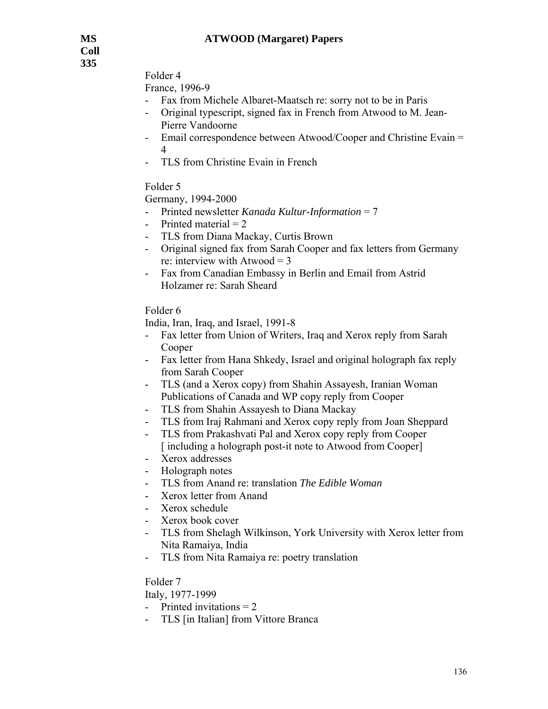**Coll 335** 

Folder 4

France, 1996-9

- Fax from Michele Albaret-Maatsch re: sorry not to be in Paris
- Original typescript, signed fax in French from Atwood to M. Jean-Pierre Vandoorne
- Email correspondence between Atwood/Cooper and Christine Evain = 4
- TLS from Christine Evain in French

Folder 5

Germany, 1994-2000

- Printed newsletter *Kanada Kultur-Information* = 7
- Printed material  $= 2$
- TLS from Diana Mackay, Curtis Brown
- Original signed fax from Sarah Cooper and fax letters from Germany re: interview with Atwood  $=$  3
- Fax from Canadian Embassy in Berlin and Email from Astrid Holzamer re: Sarah Sheard

Folder 6

India, Iran, Iraq, and Israel, 1991-8

- Fax letter from Union of Writers, Iraq and Xerox reply from Sarah Cooper
- Fax letter from Hana Shkedy, Israel and original holograph fax reply from Sarah Cooper
- TLS (and a Xerox copy) from Shahin Assayesh, Iranian Woman Publications of Canada and WP copy reply from Cooper
- TLS from Shahin Assayesh to Diana Mackay
- TLS from Iraj Rahmani and Xerox copy reply from Joan Sheppard
- TLS from Prakashvati Pal and Xerox copy reply from Cooper [including a holograph post-it note to Atwood from Cooper]
- Xerox addresses
- Holograph notes
- TLS from Anand re: translation *The Edible Woman*
- Xerox letter from Anand
- Xerox schedule
- Xerox book cover
- TLS from Shelagh Wilkinson, York University with Xerox letter from Nita Ramaiya, India
- TLS from Nita Ramaiya re: poetry translation

Folder 7

Italy, 1977-1999

- Printed invitations  $= 2$
- TLS [in Italian] from Vittore Branca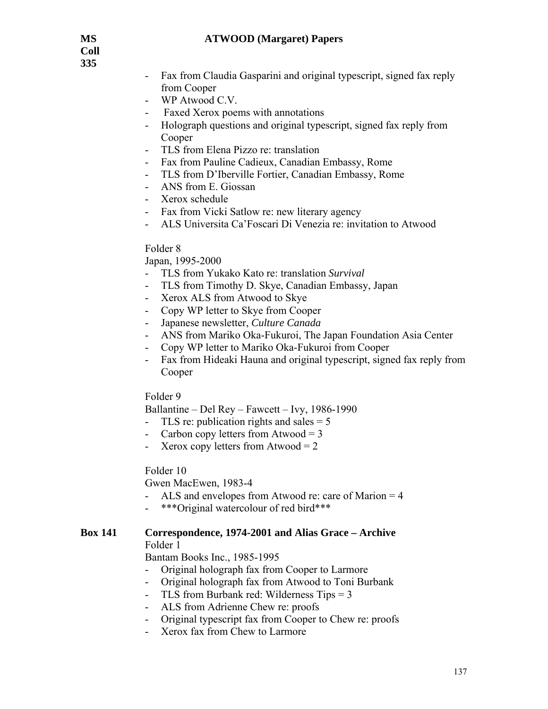**Coll 335** 

- Fax from Claudia Gasparini and original typescript, signed fax reply from Cooper
- WP Atwood C.V.
- Faxed Xerox poems with annotations
- Holograph questions and original typescript, signed fax reply from Cooper
- TLS from Elena Pizzo re: translation
- Fax from Pauline Cadieux, Canadian Embassy, Rome
- TLS from D'Iberville Fortier, Canadian Embassy, Rome
- ANS from E. Giossan
- Xerox schedule
- Fax from Vicki Satlow re: new literary agency
- ALS Universita Ca'Foscari Di Venezia re: invitation to Atwood

#### Folder 8

#### Japan, 1995-2000

- TLS from Yukako Kato re: translation *Survival*
- TLS from Timothy D. Skye, Canadian Embassy, Japan
- Xerox ALS from Atwood to Skye
- Copy WP letter to Skye from Cooper
- Japanese newsletter, *Culture Canada*
- ANS from Mariko Oka-Fukuroi, The Japan Foundation Asia Center
- Copy WP letter to Mariko Oka-Fukuroi from Cooper
- Fax from Hideaki Hauna and original typescript, signed fax reply from Cooper

#### Folder 9

Ballantine – Del Rey – Fawcett – Ivy, 1986-1990

- TLS re: publication rights and sales  $= 5$
- Carbon copy letters from Atwood  $=$  3
- Xerox copy letters from Atwood  $= 2$

#### Folder 10

Gwen MacEwen, 1983-4

- ALS and envelopes from Atwood re: care of Marion = 4
- \*\*\*Original watercolour of red bird\*\*\*

#### **Box 141 Correspondence, 1974-2001 and Alias Grace – Archive**

Folder 1

Bantam Books Inc., 1985-1995

- Original holograph fax from Cooper to Larmore
- Original holograph fax from Atwood to Toni Burbank
- TLS from Burbank red: Wilderness Tips  $= 3$
- ALS from Adrienne Chew re: proofs
- Original typescript fax from Cooper to Chew re: proofs
- Xerox fax from Chew to Larmore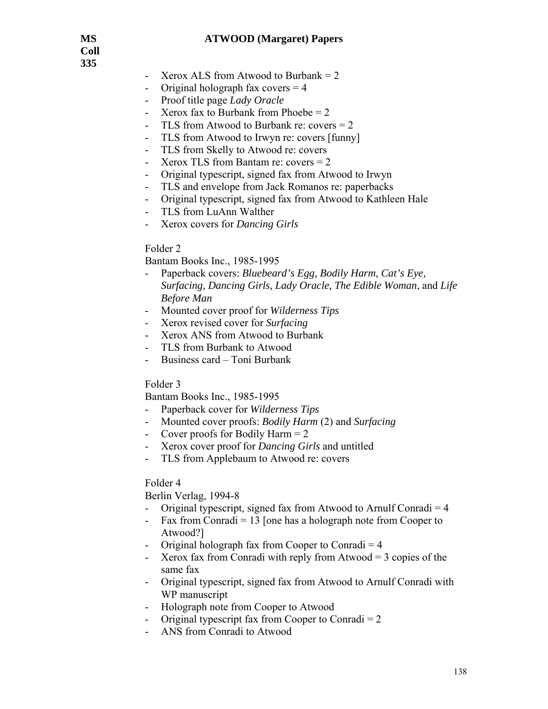**Coll 335** 

- Xerox ALS from Atwood to Burbank  $= 2$
- Original holograph fax covers  $=$  4
- Proof title page *Lady Oracle*
- Xerox fax to Burbank from Phoebe  $= 2$
- TLS from Atwood to Burbank re: covers = 2
- TLS from Atwood to Irwyn re: covers [funny]
- TLS from Skelly to Atwood re: covers
- Xerox TLS from Bantam re: covers = 2
- Original typescript, signed fax from Atwood to Irwyn
- TLS and envelope from Jack Romanos re: paperbacks
- Original typescript, signed fax from Atwood to Kathleen Hale
- TLS from LuAnn Walther
- Xerox covers for *Dancing Girls*

## Folder 2

Bantam Books Inc., 1985-1995

- Paperback covers: *Bluebeard's Egg, Bodily Harm, Cat's Eye, Surfacing, Dancing Girls, Lady Oracle, The Edible Woman*, and *Life Before Man*
- Mounted cover proof for *Wilderness Tips*
- Xerox revised cover for *Surfacing*
- Xerox ANS from Atwood to Burbank
- TLS from Burbank to Atwood
- Business card Toni Burbank

## Folder 3

Bantam Books Inc., 1985-1995

- Paperback cover for *Wilderness Tips*
- Mounted cover proofs: *Bodily Harm* (2) and *Surfacing*
- Cover proofs for Bodily Harm  $= 2$
- Xerox cover proof for *Dancing Girls* and untitled
- TLS from Applebaum to Atwood re: covers

#### Folder 4

Berlin Verlag, 1994-8

- Original typescript, signed fax from Atwood to Arnulf Conradi  $=$  4
- Fax from Conradi  $= 13$  [one has a holograph note from Cooper to Atwood?]
- Original holograph fax from Cooper to Conradi  $= 4$
- Xerox fax from Conradi with reply from Atwood  $=$  3 copies of the same fax
- Original typescript, signed fax from Atwood to Arnulf Conradi with WP manuscript
- Holograph note from Cooper to Atwood
- Original typescript fax from Cooper to Conradi  $= 2$
- ANS from Conradi to Atwood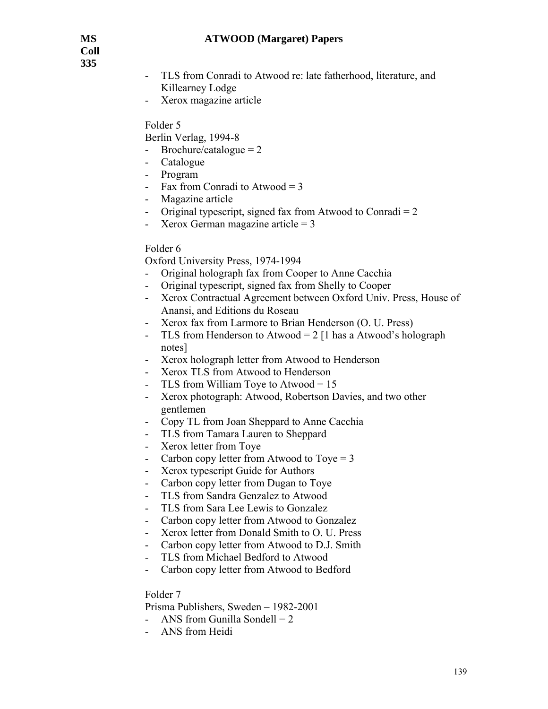**Coll 335** 

- TLS from Conradi to Atwood re: late fatherhood, literature, and Killearney Lodge
- Xerox magazine article

## Folder 5

Berlin Verlag, 1994-8

- Brochure/catalogue  $= 2$
- Catalogue
- Program
- Fax from Conradi to Atwood =  $3$
- Magazine article
- Original typescript, signed fax from Atwood to Conradi  $= 2$
- Xerox German magazine article  $= 3$

# Folder 6

Oxford University Press, 1974-1994

- Original holograph fax from Cooper to Anne Cacchia
- Original typescript, signed fax from Shelly to Cooper
- Xerox Contractual Agreement between Oxford Univ. Press, House of Anansi, and Editions du Roseau
- Xerox fax from Larmore to Brian Henderson (O. U. Press)
- TLS from Henderson to Atwood =  $2 \mid 1$  has a Atwood's holograph notes]
- Xerox holograph letter from Atwood to Henderson
- Xerox TLS from Atwood to Henderson
- TLS from William Toye to Atwood = 15
- Xerox photograph: Atwood, Robertson Davies, and two other gentlemen
- Copy TL from Joan Sheppard to Anne Cacchia
- TLS from Tamara Lauren to Sheppard
- Xerox letter from Toye
- Carbon copy letter from Atwood to Toye  $= 3$
- Xerox typescript Guide for Authors
- Carbon copy letter from Dugan to Toye
- TLS from Sandra Genzalez to Atwood
- TLS from Sara Lee Lewis to Gonzalez
- Carbon copy letter from Atwood to Gonzalez
- Xerox letter from Donald Smith to O. U. Press
- Carbon copy letter from Atwood to D.J. Smith
- TLS from Michael Bedford to Atwood
- Carbon copy letter from Atwood to Bedford

Folder 7

Prisma Publishers, Sweden – 1982-2001

- ANS from Gunilla Sondell  $= 2$
- ANS from Heidi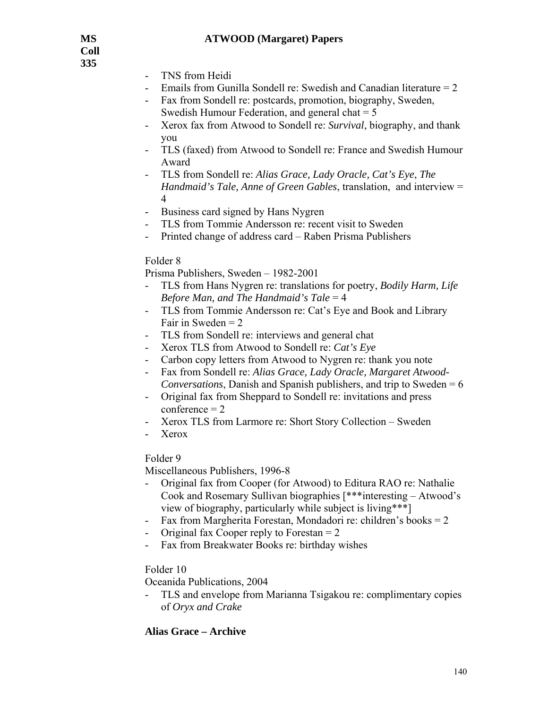**Coll 335** 

- TNS from Heidi
- Emails from Gunilla Sondell re: Swedish and Canadian literature  $= 2$
- Fax from Sondell re: postcards, promotion, biography, Sweden, Swedish Humour Federation, and general chat  $= 5$
- Xerox fax from Atwood to Sondell re: *Survival*, biography, and thank you
- TLS (faxed) from Atwood to Sondell re: France and Swedish Humour Award
- TLS from Sondell re: *Alias Grace, Lady Oracle, Cat's Eye*, *The Handmaid's Tale, Anne of Green Gables*, translation, and interview = 4
- Business card signed by Hans Nygren
- TLS from Tommie Andersson re: recent visit to Sweden
- Printed change of address card Raben Prisma Publishers

## Folder 8

Prisma Publishers, Sweden – 1982-2001

- TLS from Hans Nygren re: translations for poetry, *Bodily Harm, Life Before Man, and The Handmaid's Tale* = 4
- TLS from Tommie Andersson re: Cat's Eye and Book and Library Fair in Sweden  $= 2$
- TLS from Sondell re: interviews and general chat
- Xerox TLS from Atwood to Sondell re: *Cat's Eye*
- Carbon copy letters from Atwood to Nygren re: thank you note
- Fax from Sondell re: *Alias Grace, Lady Oracle, Margaret Atwood-Conversations*, Danish and Spanish publishers, and trip to Sweden = 6
- Original fax from Sheppard to Sondell re: invitations and press  $conference = 2$
- Xerox TLS from Larmore re: Short Story Collection Sweden
- Xerox

Folder 9

Miscellaneous Publishers, 1996-8

- Original fax from Cooper (for Atwood) to Editura RAO re: Nathalie Cook and Rosemary Sullivan biographies [\*\*\*interesting – Atwood's view of biography, particularly while subject is living\*\*\*]
- Fax from Margherita Forestan, Mondadori re: children's books  $= 2$
- Original fax Cooper reply to Forestan  $= 2$
- Fax from Breakwater Books re: birthday wishes

## Folder 10

Oceanida Publications, 2004

- TLS and envelope from Marianna Tsigakou re: complimentary copies of *Oryx and Crake* 

# **Alias Grace – Archive**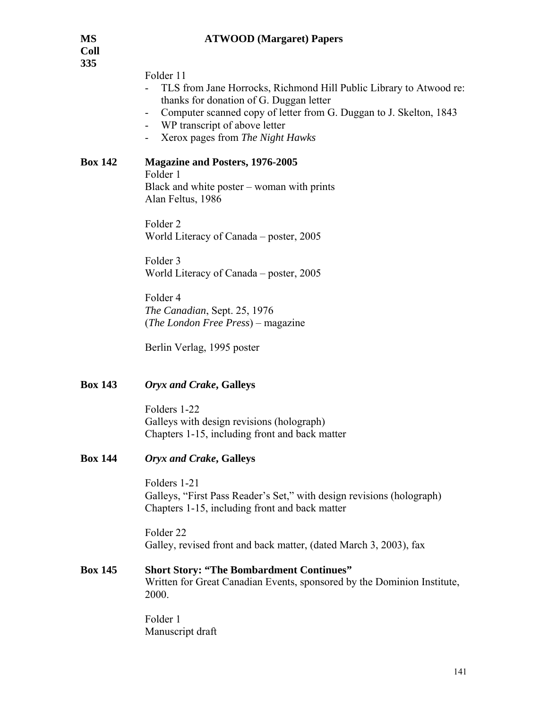| MS<br>Coll     | <b>ATWOOD</b> (Margaret) Papers                                                                                                                                                                                                                                       |
|----------------|-----------------------------------------------------------------------------------------------------------------------------------------------------------------------------------------------------------------------------------------------------------------------|
| 335            | Folder 11<br>TLS from Jane Horrocks, Richmond Hill Public Library to Atwood re:<br>thanks for donation of G. Duggan letter<br>Computer scanned copy of letter from G. Duggan to J. Skelton, 1843<br>WP transcript of above letter<br>Xerox pages from The Night Hawks |
| <b>Box 142</b> | <b>Magazine and Posters, 1976-2005</b><br>Folder 1<br>Black and white poster – woman with prints<br>Alan Feltus, 1986                                                                                                                                                 |
|                | Folder <sub>2</sub><br>World Literacy of Canada – poster, 2005                                                                                                                                                                                                        |
|                | Folder 3<br>World Literacy of Canada - poster, 2005                                                                                                                                                                                                                   |
|                | Folder 4<br>The Canadian, Sept. 25, 1976<br>( <i>The London Free Press</i> ) – magazine                                                                                                                                                                               |
|                | Berlin Verlag, 1995 poster                                                                                                                                                                                                                                            |
| <b>Box 143</b> | <b>Oryx and Crake, Galleys</b>                                                                                                                                                                                                                                        |
|                | Folders 1-22<br>Galleys with design revisions (holograph)<br>Chapters 1-15, including front and back matter                                                                                                                                                           |
| <b>Box 144</b> | <b>Oryx and Crake, Galleys</b>                                                                                                                                                                                                                                        |
|                | Folders 1-21<br>Galleys, "First Pass Reader's Set," with design revisions (holograph)<br>Chapters 1-15, including front and back matter                                                                                                                               |
|                | Folder <sub>22</sub><br>Galley, revised front and back matter, (dated March 3, 2003), fax                                                                                                                                                                             |
| <b>Box 145</b> | <b>Short Story: "The Bombardment Continues"</b><br>Written for Great Canadian Events, sponsored by the Dominion Institute,<br>2000.                                                                                                                                   |
|                | Folder 1<br>Manuscript draft                                                                                                                                                                                                                                          |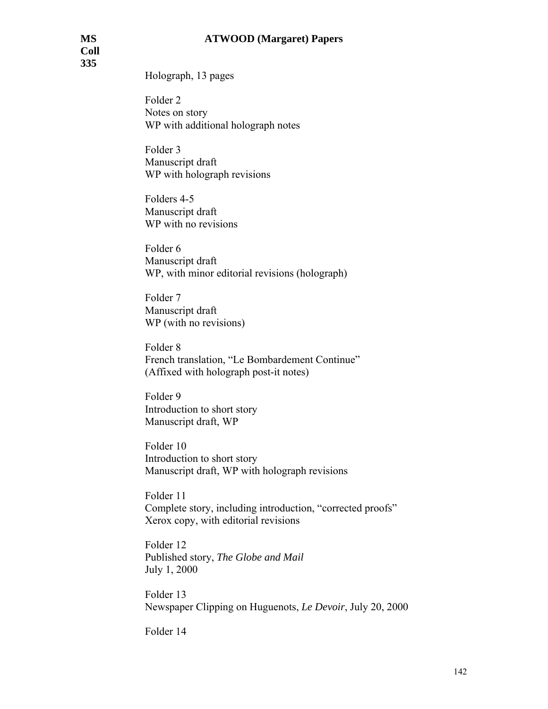**Coll 335** 

Holograph, 13 pages

 Folder 2 Notes on story WP with additional holograph notes

 Folder 3 Manuscript draft WP with holograph revisions

 Folders 4-5 Manuscript draft WP with no revisions

 Folder 6 Manuscript draft WP, with minor editorial revisions (holograph)

 Folder 7 Manuscript draft WP (with no revisions)

 Folder 8 French translation, "Le Bombardement Continue" (Affixed with holograph post-it notes)

 Folder 9 Introduction to short story Manuscript draft, WP

 Folder 10 Introduction to short story Manuscript draft, WP with holograph revisions

 Folder 11 Complete story, including introduction, "corrected proofs" Xerox copy, with editorial revisions

 Folder 12 Published story, *The Globe and Mail* July 1, 2000

 Folder 13 Newspaper Clipping on Huguenots, *Le Devoir*, July 20, 2000

Folder 14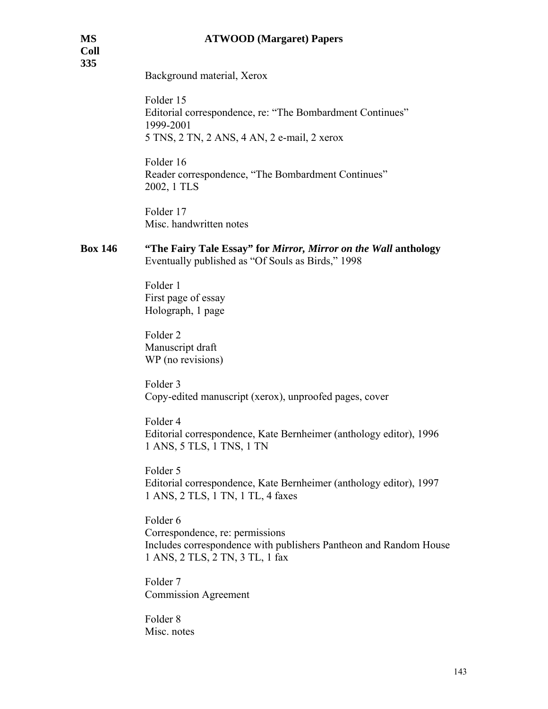| <b>MS</b><br><b>Coll</b><br>335 | <b>ATWOOD</b> (Margaret) Papers                                                                                                                     |
|---------------------------------|-----------------------------------------------------------------------------------------------------------------------------------------------------|
|                                 | Background material, Xerox                                                                                                                          |
|                                 | Folder 15<br>Editorial correspondence, re: "The Bombardment Continues"<br>1999-2001<br>5 TNS, 2 TN, 2 ANS, 4 AN, 2 e-mail, 2 xerox                  |
|                                 | Folder 16<br>Reader correspondence, "The Bombardment Continues"<br>2002, 1 TLS                                                                      |
|                                 | Folder 17<br>Misc. handwritten notes                                                                                                                |
| <b>Box 146</b>                  | "The Fairy Tale Essay" for Mirror, Mirror on the Wall anthology<br>Eventually published as "Of Souls as Birds," 1998                                |
|                                 | Folder 1<br>First page of essay<br>Holograph, 1 page                                                                                                |
|                                 | Folder <sub>2</sub><br>Manuscript draft<br>WP (no revisions)                                                                                        |
|                                 | Folder <sub>3</sub><br>Copy-edited manuscript (xerox), unproofed pages, cover                                                                       |
|                                 | Folder 4<br>Editorial correspondence, Kate Bernheimer (anthology editor), 1996<br>1 ANS, 5 TLS, 1 TNS, 1 TN                                         |
|                                 | Folder 5<br>Editorial correspondence, Kate Bernheimer (anthology editor), 1997<br>1 ANS, 2 TLS, 1 TN, 1 TL, 4 faxes                                 |
|                                 | Folder 6<br>Correspondence, re: permissions<br>Includes correspondence with publishers Pantheon and Random House<br>1 ANS, 2 TLS, 2 TN, 3 TL, 1 fax |
|                                 | Folder <sub>7</sub><br><b>Commission Agreement</b>                                                                                                  |
|                                 | Folder <sub>8</sub><br>Misc. notes                                                                                                                  |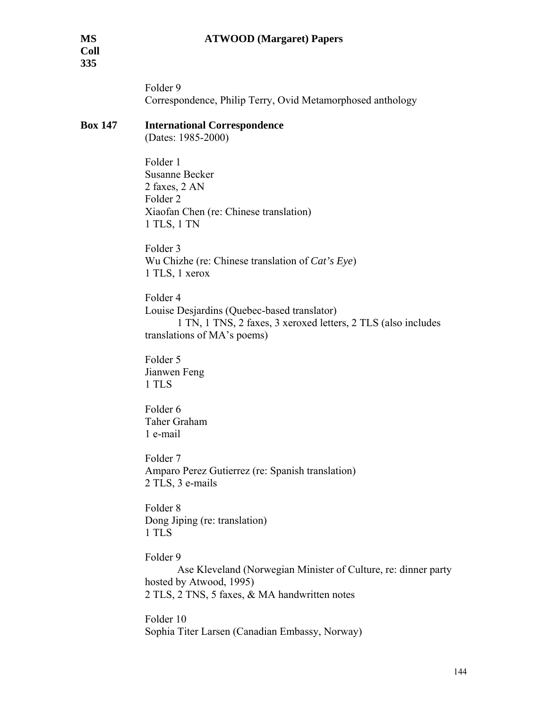Folder 9 Correspondence, Philip Terry, Ovid Metamorphosed anthology

## **Box 147 International Correspondence**

(Dates: 1985-2000)

 Folder 1 Susanne Becker 2 faxes, 2 AN Folder 2 Xiaofan Chen (re: Chinese translation) 1 TLS, 1 TN

 Folder 3 Wu Chizhe (re: Chinese translation of *Cat's Eye*) 1 TLS, 1 xerox

 Folder 4 Louise Desjardins (Quebec-based translator) 1 TN, 1 TNS, 2 faxes, 3 xeroxed letters, 2 TLS (also includes translations of MA's poems)

 Folder 5 Jianwen Feng 1 TLS

 Folder 6 Taher Graham 1 e-mail

 Folder 7 Amparo Perez Gutierrez (re: Spanish translation) 2 TLS, 3 e-mails

 Folder 8 Dong Jiping (re: translation) 1 TLS

Folder 9

 Ase Kleveland (Norwegian Minister of Culture, re: dinner party hosted by Atwood, 1995) 2 TLS, 2 TNS, 5 faxes, & MA handwritten notes

 Folder 10 Sophia Titer Larsen (Canadian Embassy, Norway)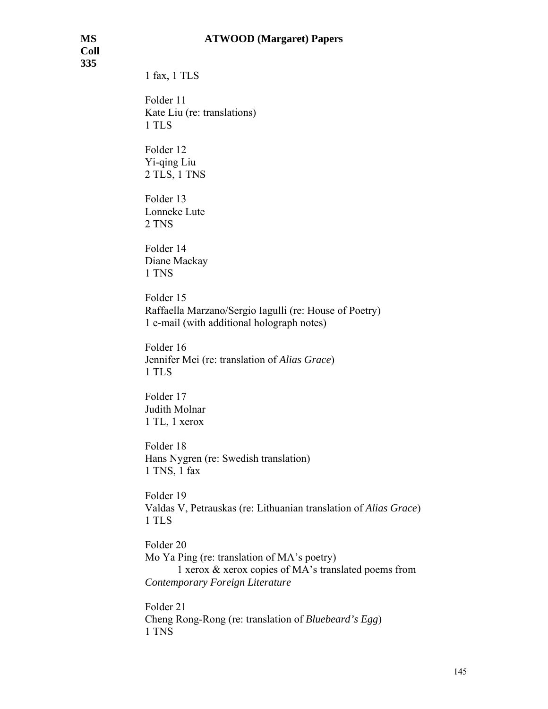#### **MS ATWOOD (Margaret) Papers**

**Coll 335** 

1 fax, 1 TLS

 Folder 11 Kate Liu (re: translations) 1 TLS

 Folder 12 Yi-qing Liu 2 TLS, 1 TNS

 Folder 13 Lonneke Lute 2 TNS

 Folder 14 Diane Mackay 1 TNS

 Folder 15 Raffaella Marzano/Sergio Iagulli (re: House of Poetry) 1 e-mail (with additional holograph notes)

 Folder 16 Jennifer Mei (re: translation of *Alias Grace*) 1 TLS

 Folder 17 Judith Molnar 1 TL, 1 xerox

 Folder 18 Hans Nygren (re: Swedish translation) 1 TNS, 1 fax

 Folder 19 Valdas V, Petrauskas (re: Lithuanian translation of *Alias Grace*) 1 TLS

 Folder 20 Mo Ya Ping (re: translation of MA's poetry) 1 xerox & xerox copies of MA's translated poems from *Contemporary Foreign Literature*

 Folder 21 Cheng Rong-Rong (re: translation of *Bluebeard's Egg*) 1 TNS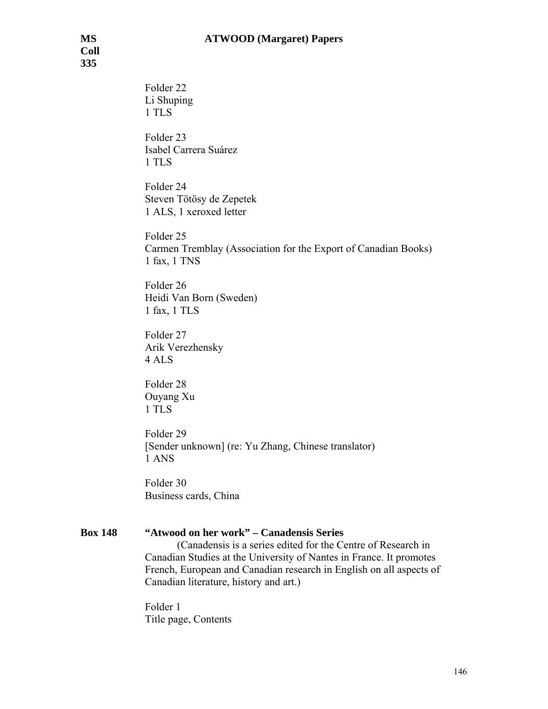Folder 22 Li Shuping 1 TLS Folder 23 Isabel Carrera Suárez 1 TLS Folder 24 Steven Tötösy de Zepetek 1 ALS, 1 xeroxed letter Folder 25 Carmen Tremblay (Association for the Export of Canadian Books) 1 fax, 1 TNS Folder 26 Heidi Van Born (Sweden) 1 fax, 1 TLS Folder 27 Arik Verezhensky 4 ALS Folder 28 Ouyang Xu 1 TLS

 Folder 29 [Sender unknown] (re: Yu Zhang, Chinese translator) 1 ANS

Folder 30 Business cards, China

# **Box 148 "Atwood on her work" – Canadensis Series**

 (Canadensis is a series edited for the Centre of Research in Canadian Studies at the University of Nantes in France. It promotes French, European and Canadian research in English on all aspects of Canadian literature, history and art.)

 Folder 1 Title page, Contents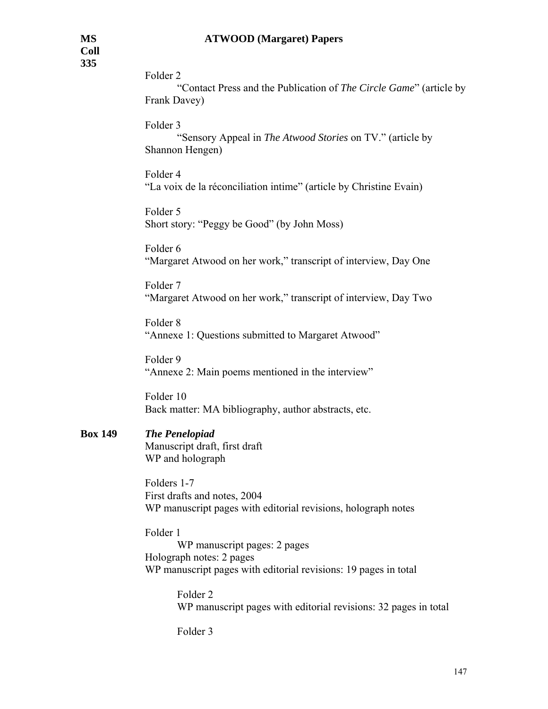Folder 2

 "Contact Press and the Publication of *The Circle Game*" (article by Frank Davey)

Folder 3

 "Sensory Appeal in *The Atwood Stories* on TV." (article by Shannon Hengen)

 Folder 4 "La voix de la réconciliation intime" (article by Christine Evain)

 Folder 5 Short story: "Peggy be Good" (by John Moss)

 Folder 6 "Margaret Atwood on her work," transcript of interview, Day One

 Folder 7 "Margaret Atwood on her work," transcript of interview, Day Two

 Folder 8 "Annexe 1: Questions submitted to Margaret Atwood"

 Folder 9 "Annexe 2: Main poems mentioned in the interview"

 Folder 10 Back matter: MA bibliography, author abstracts, etc.

# **Box 149** *The Penelopiad*

 Manuscript draft, first draft WP and holograph

 Folders 1-7 First drafts and notes, 2004 WP manuscript pages with editorial revisions, holograph notes

 Folder 1 WP manuscript pages: 2 pages Holograph notes: 2 pages WP manuscript pages with editorial revisions: 19 pages in total

> Folder 2 WP manuscript pages with editorial revisions: 32 pages in total

Folder 3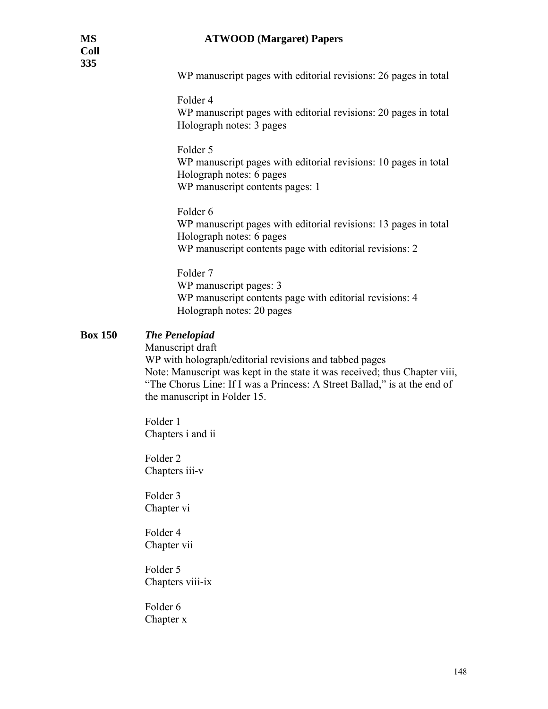WP manuscript pages with editorial revisions: 26 pages in total

Folder 4

 WP manuscript pages with editorial revisions: 20 pages in total Holograph notes: 3 pages

 Folder 5 WP manuscript pages with editorial revisions: 10 pages in total Holograph notes: 6 pages WP manuscript contents pages: 1

 Folder 6 WP manuscript pages with editorial revisions: 13 pages in total Holograph notes: 6 pages WP manuscript contents page with editorial revisions: 2

 Folder 7 WP manuscript pages: 3 WP manuscript contents page with editorial revisions: 4 Holograph notes: 20 pages

# **Box 150** *The Penelopiad*

Manuscript draft

WP with holograph/editorial revisions and tabbed pages Note: Manuscript was kept in the state it was received; thus Chapter viii, "The Chorus Line: If I was a Princess: A Street Ballad," is at the end of the manuscript in Folder 15.

 Folder 1 Chapters i and ii

 Folder 2 Chapters iii-v

 Folder 3 Chapter vi

 Folder 4 Chapter vii

 Folder 5 Chapters viii-ix

 Folder 6 Chapter x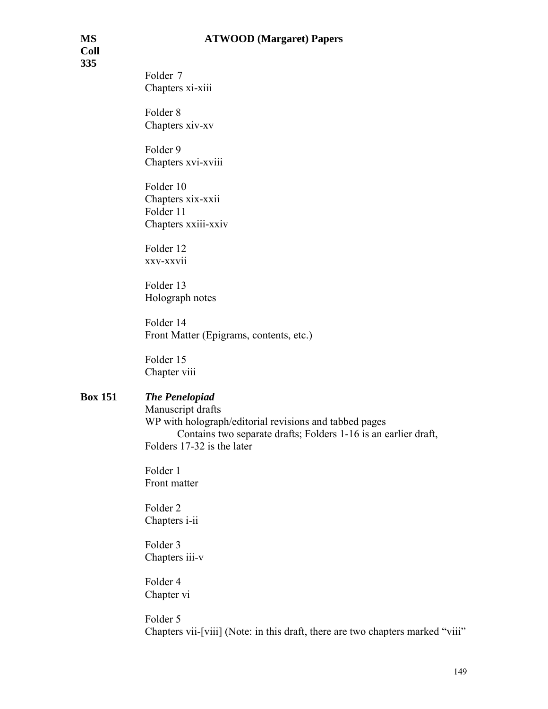**Coll 335** 

> Folder 7 Chapters xi-xiii

 Folder 8 Chapters xiv-xv

 Folder 9 Chapters xvi-xviii

 Folder 10 Chapters xix-xxii Folder 11 Chapters xxiii-xxiv

 Folder 12 xxv-xxvii

 Folder 13 Holograph notes

 Folder 14 Front Matter (Epigrams, contents, etc.)

 Folder 15 Chapter viii

## **Box 151** *The Penelopiad*

 Manuscript drafts WP with holograph/editorial revisions and tabbed pages Contains two separate drafts; Folders 1-16 is an earlier draft, Folders 17-32 is the later

 Folder 1 Front matter

 Folder 2 Chapters i-ii

 Folder 3 Chapters iii-v

 Folder 4 Chapter vi

 Folder 5 Chapters vii-[viii] (Note: in this draft, there are two chapters marked "viii"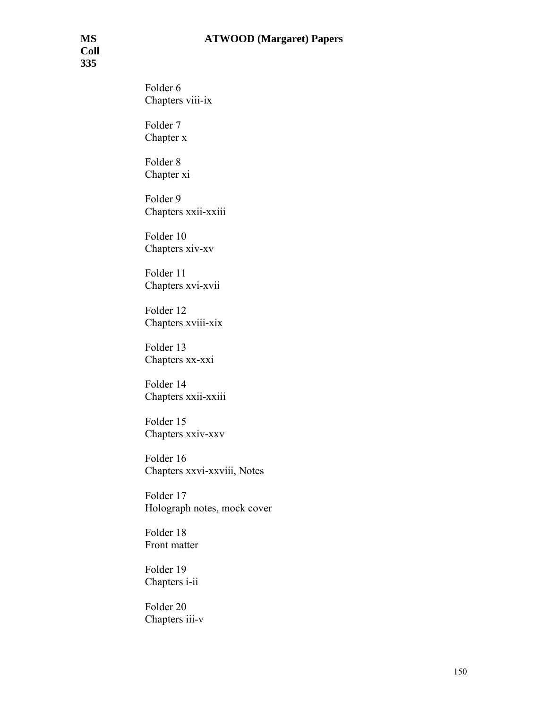Folder 6 Chapters viii-ix

 Folder 7 Chapter x

 Folder 8 Chapter xi

 Folder 9 Chapters xxii-xxiii

 Folder 10 Chapters xiv-xv

 Folder 11 Chapters xvi-xvii

 Folder 12 Chapters xviii-xix

 Folder 13 Chapters xx-xxi

 Folder 14 Chapters xxii-xxiii

 Folder 15 Chapters xxiv-xxv

Folder 16 Chapters xxvi-xxviii, Notes

Folder 17 Holograph notes, mock cover

Folder 18 Front matter

Folder 19 Chapters i-ii

Folder 20 Chapters iii-v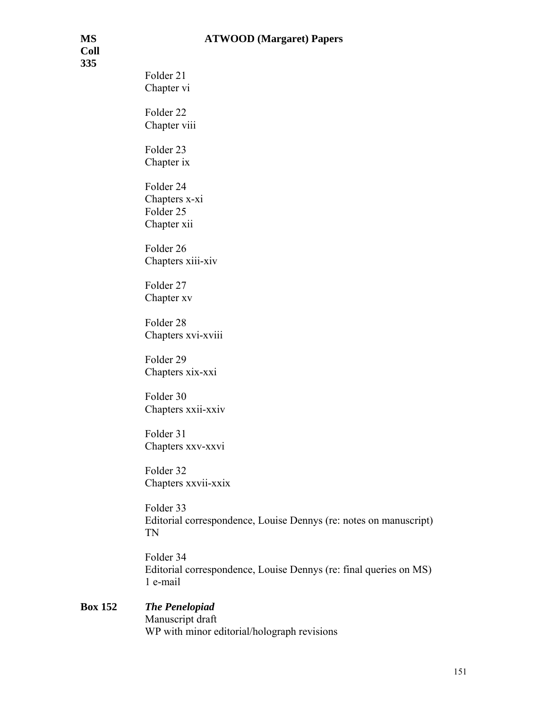**Coll 335** 

Folder 21 Chapter vi Folder 22 Chapter viii Folder 23 Chapter ix Folder 24 Chapters x-xi Folder 25

Folder 26

Chapter xii

Chapters xiii-xiv

Folder 27 Chapter xv

Folder 28 Chapters xvi-xviii

Folder 29 Chapters xix-xxi

Folder 30 Chapters xxii-xxiv

Folder 31 Chapters xxv-xxvi

Folder 32 Chapters xxvii-xxix

Folder 33 Editorial correspondence, Louise Dennys (re: notes on manuscript) TN

Folder 34 Editorial correspondence, Louise Dennys (re: final queries on MS) 1 e-mail

### **Box 152** *The Penelopiad* Manuscript draft WP with minor editorial/holograph revisions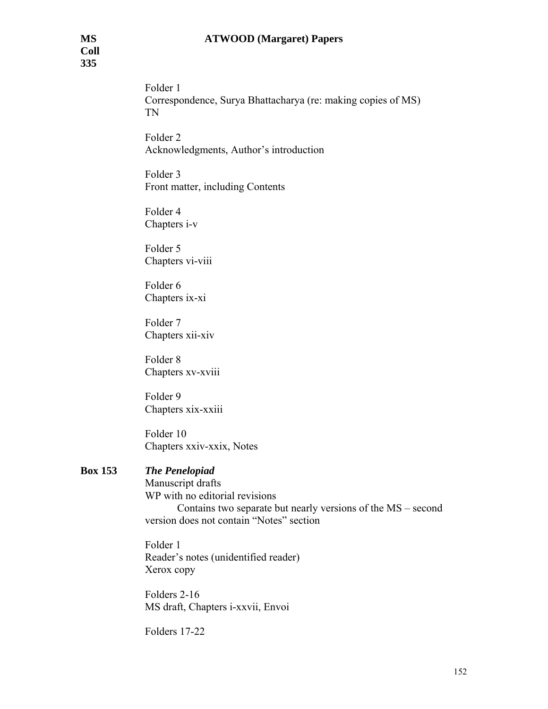### **MS ATWOOD (Margaret) Papers**

Folder 1 Correspondence, Surya Bhattacharya (re: making copies of MS) TN

Folder 2 Acknowledgments, Author's introduction

Folder 3 Front matter, including Contents

Folder 4 Chapters i-v

Folder 5 Chapters vi-viii

Folder 6 Chapters ix-xi

Folder 7 Chapters xii-xiv

Folder 8 Chapters xv-xviii

Folder 9 Chapters xix-xxiii

Folder 10 Chapters xxiv-xxix, Notes

## **Box 153** *The Penelopiad*

 Manuscript drafts WP with no editorial revisions Contains two separate but nearly versions of the MS – second version does not contain "Notes" section

 Folder 1 Reader's notes (unidentified reader) Xerox copy

 Folders 2-16 MS draft, Chapters i-xxvii, Envoi

Folders 17-22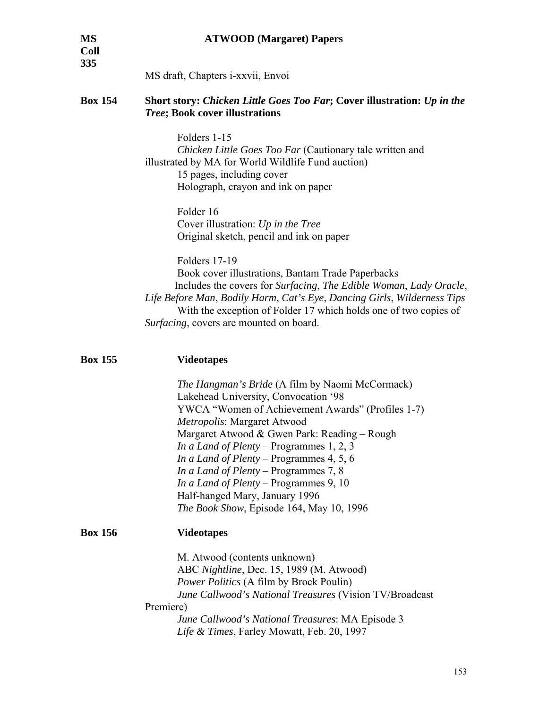| <b>MS</b><br><b>Coll</b><br>335 | <b>ATWOOD</b> (Margaret) Papers                                                                                                                                                                                                                                                                                                                                                                                                                                                                    |
|---------------------------------|----------------------------------------------------------------------------------------------------------------------------------------------------------------------------------------------------------------------------------------------------------------------------------------------------------------------------------------------------------------------------------------------------------------------------------------------------------------------------------------------------|
|                                 | MS draft, Chapters i-xxvii, Envoi                                                                                                                                                                                                                                                                                                                                                                                                                                                                  |
| <b>Box 154</b>                  | Short story: Chicken Little Goes Too Far; Cover illustration: Up in the<br><b>Tree; Book cover illustrations</b>                                                                                                                                                                                                                                                                                                                                                                                   |
|                                 | Folders 1-15<br>Chicken Little Goes Too Far (Cautionary tale written and<br>illustrated by MA for World Wildlife Fund auction)<br>15 pages, including cover<br>Holograph, crayon and ink on paper                                                                                                                                                                                                                                                                                                  |
|                                 | Folder 16<br>Cover illustration: Up in the Tree<br>Original sketch, pencil and ink on paper                                                                                                                                                                                                                                                                                                                                                                                                        |
|                                 | <b>Folders 17-19</b><br>Book cover illustrations, Bantam Trade Paperbacks<br>Includes the covers for Surfacing, The Edible Woman, Lady Oracle,<br>Life Before Man, Bodily Harm, Cat's Eye, Dancing Girls, Wilderness Tips<br>With the exception of Folder 17 which holds one of two copies of<br>Surfacing, covers are mounted on board.                                                                                                                                                           |
| <b>Box 155</b>                  | <b>Videotapes</b>                                                                                                                                                                                                                                                                                                                                                                                                                                                                                  |
|                                 | The Hangman's Bride (A film by Naomi McCormack)<br>Lakehead University, Convocation '98<br>YWCA "Women of Achievement Awards" (Profiles 1-7)<br>Metropolis: Margaret Atwood<br>Margaret Atwood & Gwen Park: Reading - Rough<br><i>In a Land of Plenty – Programmes 1, 2, 3</i><br><i>In a Land of Plenty – Programmes 4, 5, 6</i><br>In a Land of Plenty - Programmes 7, 8<br>In a Land of Plenty - Programmes 9, 10<br>Half-hanged Mary, January 1996<br>The Book Show, Episode 164, May 10, 1996 |
| <b>Box 156</b>                  | <b>Videotapes</b>                                                                                                                                                                                                                                                                                                                                                                                                                                                                                  |
|                                 | M. Atwood (contents unknown)<br>ABC Nightline, Dec. 15, 1989 (M. Atwood)<br><i>Power Politics</i> (A film by Brock Poulin)<br>June Callwood's National Treasures (Vision TV/Broadcast                                                                                                                                                                                                                                                                                                              |

Premiere)

 *June Callwood's National Treasures*: MA Episode 3 *Life & Times*, Farley Mowatt, Feb. 20, 1997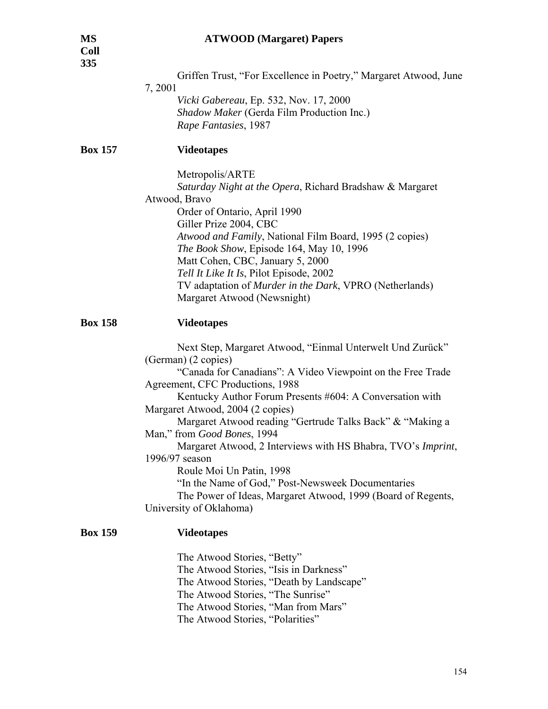| U<br>٠<br>a |  |
|-------------|--|
|             |  |

Griffen Trust, "For Excellence in Poetry," Margaret Atwood, June

7, 2001

 *Vicki Gabereau*, Ep. 532, Nov. 17, 2000 *Shadow Maker* (Gerda Film Production Inc.) *Rape Fantasies*, 1987

# **Box 157 Videotapes**

Metropolis/ARTE

 *Saturday Night at the Opera*, Richard Bradshaw & Margaret Atwood, Bravo Order of Ontario, April 1990 Giller Prize 2004, CBC *Atwood and Family*, National Film Board, 1995 (2 copies) *The Book Show*, Episode 164, May 10, 1996 Matt Cohen, CBC, January 5, 2000 *Tell It Like It Is*, Pilot Episode, 2002 TV adaptation of *Murder in the Dark*, VPRO (Netherlands) Margaret Atwood (Newsnight)

#### **Box 158 Videotapes**

 Next Step, Margaret Atwood, "Einmal Unterwelt Und Zurück" (German) (2 copies) "Canada for Canadians": A Video Viewpoint on the Free Trade Agreement, CFC Productions, 1988 Kentucky Author Forum Presents #604: A Conversation with Margaret Atwood, 2004 (2 copies) Margaret Atwood reading "Gertrude Talks Back" & "Making a Man," from *Good Bones*, 1994 Margaret Atwood, 2 Interviews with HS Bhabra, TVO's *Imprint*, 1996/97 season Roule Moi Un Patin, 1998 "In the Name of God," Post-Newsweek Documentaries The Power of Ideas, Margaret Atwood, 1999 (Board of Regents, University of Oklahoma)

#### **Box 159 Videotapes**

 The Atwood Stories, "Betty" The Atwood Stories, "Isis in Darkness" The Atwood Stories, "Death by Landscape" The Atwood Stories, "The Sunrise" The Atwood Stories, "Man from Mars" The Atwood Stories, "Polarities"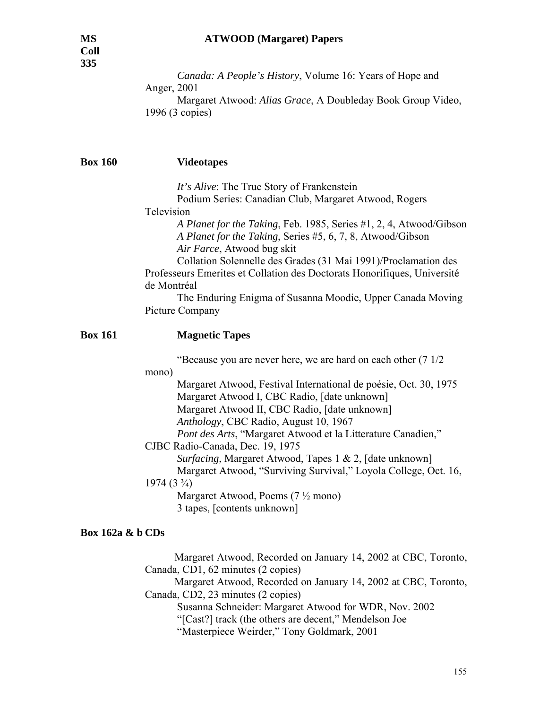*Canada: A People's History*, Volume 16: Years of Hope and Anger, 2001 Margaret Atwood: *Alias Grace*, A Doubleday Book Group Video, 1996 (3 copies)

## **Box 160 Videotapes**

*It's Alive*: The True Story of Frankenstein

Podium Series: Canadian Club, Margaret Atwood, Rogers

Television

 *A Planet for the Taking*, Feb. 1985, Series #1, 2, 4, Atwood/Gibson *A Planet for the Taking*, Series #5, 6, 7, 8, Atwood/Gibson *Air Farce*, Atwood bug skit

 Collation Solennelle des Grades (31 Mai 1991)/Proclamation des Professeurs Emerites et Collation des Doctorats Honorifiques, Université de Montréal

 The Enduring Enigma of Susanna Moodie, Upper Canada Moving Picture Company

### **Box 161 Magnetic Tapes**

"Because you are never here, we are hard on each other (7 1/2

mono)

 Margaret Atwood, Festival International de poésie, Oct. 30, 1975 Margaret Atwood I, CBC Radio, [date unknown] Margaret Atwood II, CBC Radio, [date unknown] *Anthology*, CBC Radio, August 10, 1967 *Pont des Arts*, "Margaret Atwood et la Litterature Canadien,"

CJBC Radio-Canada, Dec. 19, 1975

 *Surfacing*, Margaret Atwood, Tapes 1 & 2, [date unknown]

Margaret Atwood, "Surviving Survival," Loyola College, Oct. 16,

### $1974 (3 \frac{3}{4})$

 Margaret Atwood, Poems (7 ½ mono) 3 tapes, [contents unknown]

### **Box 162a & b CDs**

 Margaret Atwood, Recorded on January 14, 2002 at CBC, Toronto, Canada, CD1, 62 minutes (2 copies)

 Margaret Atwood, Recorded on January 14, 2002 at CBC, Toronto, Canada, CD2, 23 minutes (2 copies)

Susanna Schneider: Margaret Atwood for WDR, Nov. 2002

"[Cast?] track (the others are decent," Mendelson Joe

"Masterpiece Weirder," Tony Goldmark, 2001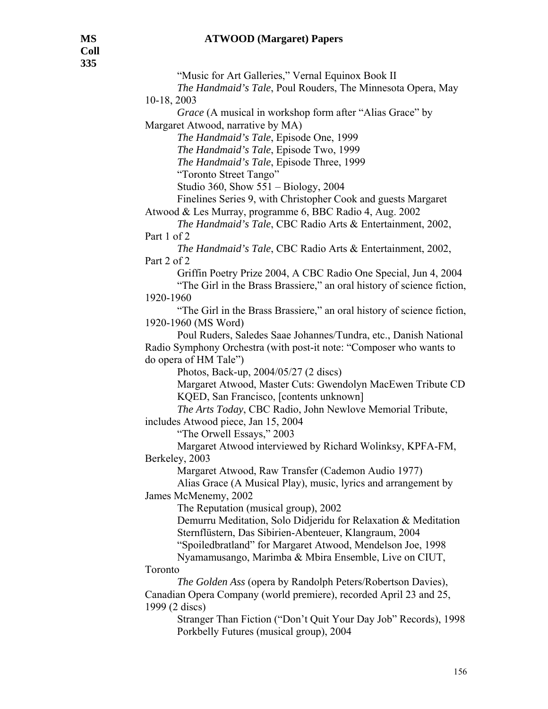#### **MS ATWOOD (Margaret) Papers**

 "Music for Art Galleries," Vernal Equinox Book II *The Handmaid's Tale*, Poul Rouders, The Minnesota Opera, May 10-18, 2003 *Grace* (A musical in workshop form after "Alias Grace" by Margaret Atwood, narrative by MA)  *The Handmaid's Tale*, Episode One, 1999  *The Handmaid's Tale*, Episode Two, 1999 *The Handmaid's Tale*, Episode Three, 1999 "Toronto Street Tango" Studio 360, Show 551 – Biology, 2004 Finelines Series 9, with Christopher Cook and guests Margaret Atwood & Les Murray, programme 6, BBC Radio 4, Aug. 2002 *The Handmaid's Tale*, CBC Radio Arts & Entertainment, 2002, Part 1 of 2  *The Handmaid's Tale*, CBC Radio Arts & Entertainment, 2002, Part 2 of 2 Griffin Poetry Prize 2004, A CBC Radio One Special, Jun 4, 2004 "The Girl in the Brass Brassiere," an oral history of science fiction, 1920-1960 "The Girl in the Brass Brassiere," an oral history of science fiction, 1920-1960 (MS Word) Poul Ruders, Saledes Saae Johannes/Tundra, etc., Danish National Radio Symphony Orchestra (with post-it note: "Composer who wants to do opera of HM Tale") Photos, Back-up, 2004/05/27 (2 discs) Margaret Atwood, Master Cuts: Gwendolyn MacEwen Tribute CD KQED, San Francisco, [contents unknown] *The Arts Today*, CBC Radio, John Newlove Memorial Tribute, includes Atwood piece, Jan 15, 2004 "The Orwell Essays," 2003 Margaret Atwood interviewed by Richard Wolinksy, KPFA-FM, Berkeley, 2003 Margaret Atwood, Raw Transfer (Cademon Audio 1977) Alias Grace (A Musical Play), music, lyrics and arrangement by James McMenemy, 2002 The Reputation (musical group), 2002 Demurru Meditation, Solo Didjeridu for Relaxation & Meditation Sternflüstern, Das Sibirien-Abenteuer, Klangraum, 2004 "Spoiledbratland" for Margaret Atwood, Mendelson Joe, 1998 Nyamamusango, Marimba & Mbira Ensemble, Live on CIUT, Toronto *The Golden Ass* (opera by Randolph Peters/Robertson Davies), Canadian Opera Company (world premiere), recorded April 23 and 25, 1999 (2 discs) Stranger Than Fiction ("Don't Quit Your Day Job" Records), 1998 Porkbelly Futures (musical group), 2004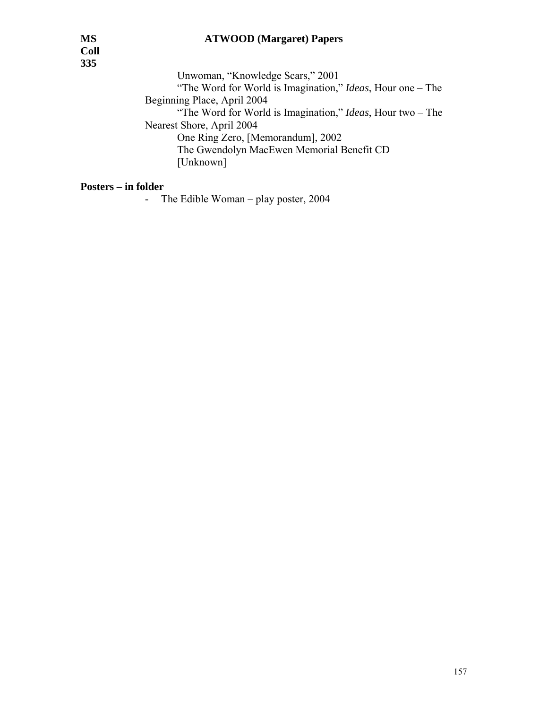**Coll 335** 

 Unwoman, "Knowledge Scars," 2001 "The Word for World is Imagination," *Ideas*, Hour one – The Beginning Place, April 2004 "The Word for World is Imagination," *Ideas*, Hour two – The Nearest Shore, April 2004 One Ring Zero, [Memorandum], 2002 The Gwendolyn MacEwen Memorial Benefit CD [Unknown]

#### **Posters – in folder**

- The Edible Woman – play poster, 2004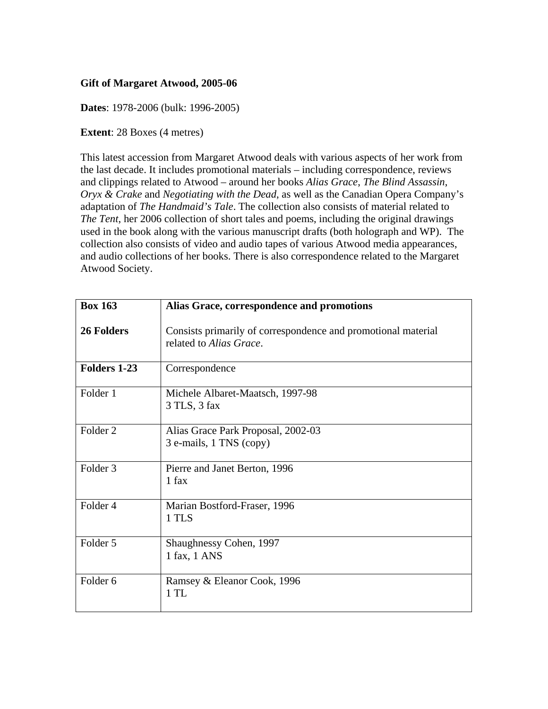# **Gift of Margaret Atwood, 2005-06**

**Dates**: 1978-2006 (bulk: 1996-2005)

**Extent**: 28 Boxes (4 metres)

This latest accession from Margaret Atwood deals with various aspects of her work from the last decade. It includes promotional materials – including correspondence, reviews and clippings related to Atwood – around her books *Alias Grace*, *The Blind Assassin*, *Oryx & Crake* and *Negotiating with the Dead*, as well as the Canadian Opera Company's adaptation of *The Handmaid's Tale*. The collection also consists of material related to *The Tent*, her 2006 collection of short tales and poems, including the original drawings used in the book along with the various manuscript drafts (both holograph and WP). The collection also consists of video and audio tapes of various Atwood media appearances, and audio collections of her books. There is also correspondence related to the Margaret Atwood Society.

| <b>Box 163</b>      | Alias Grace, correspondence and promotions                                               |
|---------------------|------------------------------------------------------------------------------------------|
| <b>26 Folders</b>   | Consists primarily of correspondence and promotional material<br>related to Alias Grace. |
| <b>Folders 1-23</b> | Correspondence                                                                           |
| Folder 1            | Michele Albaret-Maatsch, 1997-98<br>3 TLS, 3 fax                                         |
| Folder <sub>2</sub> | Alias Grace Park Proposal, 2002-03<br>3 e-mails, 1 TNS (copy)                            |
| Folder <sub>3</sub> | Pierre and Janet Berton, 1996<br>1 fax                                                   |
| Folder <sub>4</sub> | Marian Bostford-Fraser, 1996<br>1 TLS                                                    |
| Folder 5            | Shaughnessy Cohen, 1997<br>1 fax, 1 ANS                                                  |
| Folder <sub>6</sub> | Ramsey & Eleanor Cook, 1996<br>1 TL                                                      |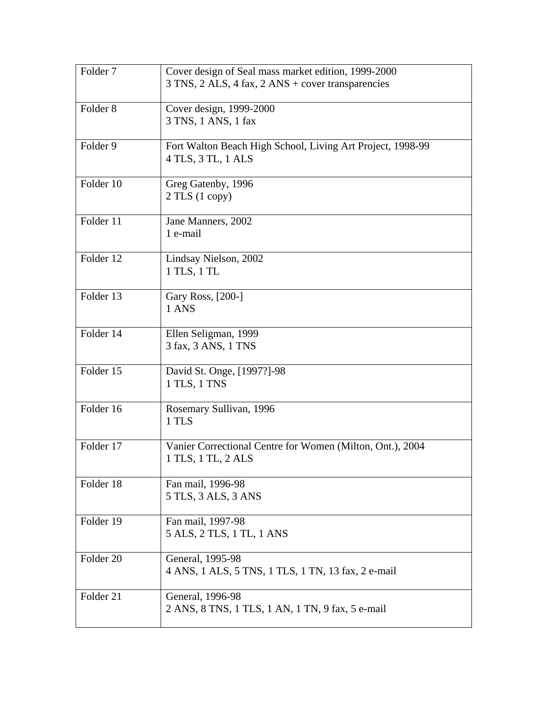| Folder 7            | Cover design of Seal mass market edition, 1999-2000        |
|---------------------|------------------------------------------------------------|
|                     | 3 TNS, 2 ALS, 4 fax, 2 ANS + cover transparencies          |
| Folder <sub>8</sub> | Cover design, 1999-2000                                    |
|                     | 3 TNS, 1 ANS, 1 fax                                        |
|                     |                                                            |
| Folder 9            | Fort Walton Beach High School, Living Art Project, 1998-99 |
|                     | 4 TLS, 3 TL, 1 ALS                                         |
| Folder 10           | Greg Gatenby, 1996                                         |
|                     | $2$ TLS $(1$ copy)                                         |
|                     |                                                            |
| Folder 11           | Jane Manners, 2002<br>1 e-mail                             |
|                     |                                                            |
| Folder 12           | Lindsay Nielson, 2002                                      |
|                     | 1 TLS, 1 TL                                                |
| Folder 13           | Gary Ross, [200-]                                          |
|                     | 1 ANS                                                      |
|                     |                                                            |
| Folder 14           | Ellen Seligman, 1999                                       |
|                     | 3 fax, 3 ANS, 1 TNS                                        |
| Folder 15           | David St. Onge, [1997?]-98                                 |
|                     | 1 TLS, 1 TNS                                               |
| Folder 16           |                                                            |
|                     | Rosemary Sullivan, 1996<br>1 TLS                           |
|                     |                                                            |
| Folder 17           | Vanier Correctional Centre for Women (Milton, Ont.), 2004  |
|                     | 1 TLS, 1 TL, 2 ALS                                         |
| Folder 18           | Fan mail, 1996-98                                          |
|                     | 5 TLS, 3 ALS, 3 ANS                                        |
|                     |                                                            |
| Folder 19           | Fan mail, 1997-98<br>5 ALS, 2 TLS, 1 TL, 1 ANS             |
|                     |                                                            |
| Folder 20           | General, 1995-98                                           |
|                     | 4 ANS, 1 ALS, 5 TNS, 1 TLS, 1 TN, 13 fax, 2 e-mail         |
| Folder 21           | General, 1996-98                                           |
|                     | 2 ANS, 8 TNS, 1 TLS, 1 AN, 1 TN, 9 fax, 5 e-mail           |
|                     |                                                            |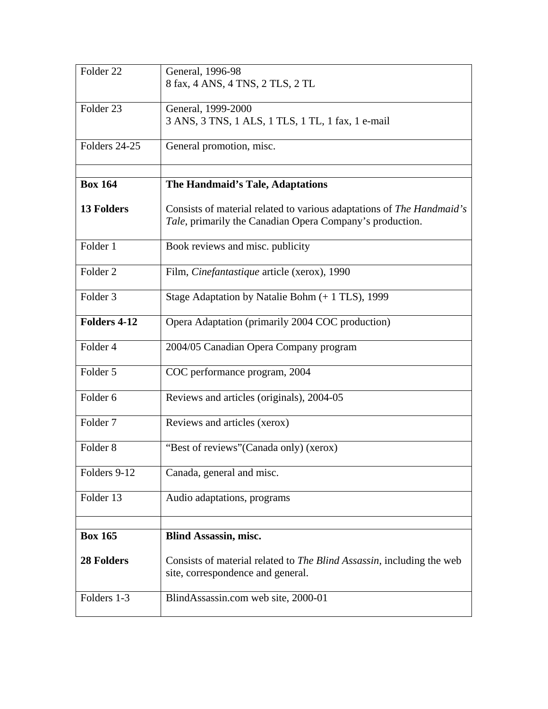| Folder <sub>22</sub> | General, 1996-98                                                                                                                  |
|----------------------|-----------------------------------------------------------------------------------------------------------------------------------|
|                      | 8 fax, 4 ANS, 4 TNS, 2 TLS, 2 TL                                                                                                  |
| Folder <sub>23</sub> | General, 1999-2000                                                                                                                |
|                      | 3 ANS, 3 TNS, 1 ALS, 1 TLS, 1 TL, 1 fax, 1 e-mail                                                                                 |
| Folders 24-25        | General promotion, misc.                                                                                                          |
|                      |                                                                                                                                   |
| <b>Box 164</b>       | The Handmaid's Tale, Adaptations                                                                                                  |
| <b>13 Folders</b>    | Consists of material related to various adaptations of The Handmaid's<br>Tale, primarily the Canadian Opera Company's production. |
| Folder 1             | Book reviews and misc. publicity                                                                                                  |
| Folder 2             | Film, Cinefantastique article (xerox), 1990                                                                                       |
| Folder <sub>3</sub>  | Stage Adaptation by Natalie Bohm (+ 1 TLS), 1999                                                                                  |
| <b>Folders 4-12</b>  | Opera Adaptation (primarily 2004 COC production)                                                                                  |
| Folder 4             | 2004/05 Canadian Opera Company program                                                                                            |
| Folder 5             | COC performance program, 2004                                                                                                     |
| Folder <sub>6</sub>  | Reviews and articles (originals), 2004-05                                                                                         |
| Folder <sub>7</sub>  | Reviews and articles (xerox)                                                                                                      |
| Folder <sub>8</sub>  | "Best of reviews" (Canada only) (xerox)                                                                                           |
| Folders 9-12         | Canada, general and misc.                                                                                                         |
| Folder 13            | Audio adaptations, programs                                                                                                       |
|                      |                                                                                                                                   |
| <b>Box 165</b>       | <b>Blind Assassin, misc.</b>                                                                                                      |
| <b>28 Folders</b>    | Consists of material related to <i>The Blind Assassin</i> , including the web<br>site, correspondence and general.                |
| Folders 1-3          | BlindAssassin.com web site, 2000-01                                                                                               |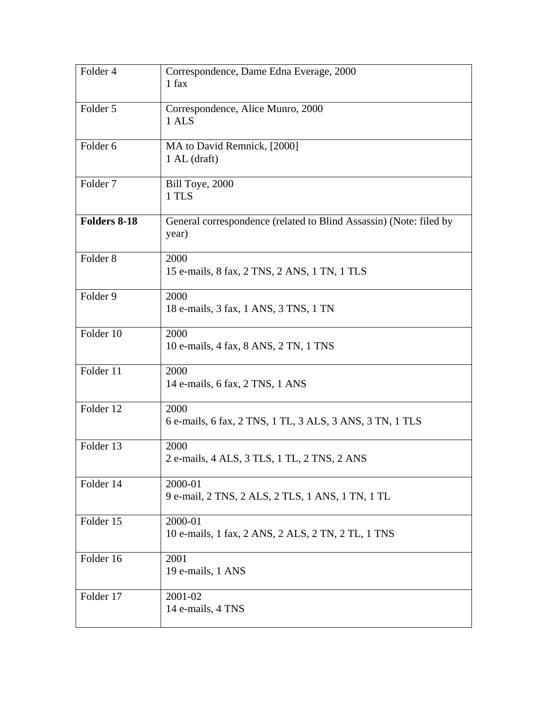| Folder 4            | Correspondence, Dame Edna Everage, 2000<br>1 fax                            |
|---------------------|-----------------------------------------------------------------------------|
| Folder 5            | Correspondence, Alice Munro, 2000<br>1 ALS                                  |
| Folder 6            | MA to David Remnick, [2000]<br>$1$ AL (draft)                               |
| Folder <sub>7</sub> | Bill Toye, 2000<br>1 TLS                                                    |
| Folders 8-18        | General correspondence (related to Blind Assassin) (Note: filed by<br>year) |
| Folder <sub>8</sub> | 2000<br>15 e-mails, 8 fax, 2 TNS, 2 ANS, 1 TN, 1 TLS                        |
| Folder 9            | 2000<br>18 e-mails, 3 fax, 1 ANS, 3 TNS, 1 TN                               |
| Folder 10           | 2000<br>10 e-mails, 4 fax, 8 ANS, 2 TN, 1 TNS                               |
| Folder 11           | 2000<br>14 e-mails, 6 fax, 2 TNS, 1 ANS                                     |
| Folder 12           | 2000<br>6 e-mails, 6 fax, 2 TNS, 1 TL, 3 ALS, 3 ANS, 3 TN, 1 TLS            |
| Folder 13           | 2000<br>2 e-mails, 4 ALS, 3 TLS, 1 TL, 2 TNS, 2 ANS                         |
| Folder 14           | 2000-01<br>9 e-mail, 2 TNS, 2 ALS, 2 TLS, 1 ANS, 1 TN, 1 TL                 |
| Folder 15           | 2000-01<br>10 e-mails, 1 fax, 2 ANS, 2 ALS, 2 TN, 2 TL, 1 TNS               |
| Folder 16           | 2001<br>19 e-mails, 1 ANS                                                   |
| Folder 17           | 2001-02<br>14 e-mails, 4 TNS                                                |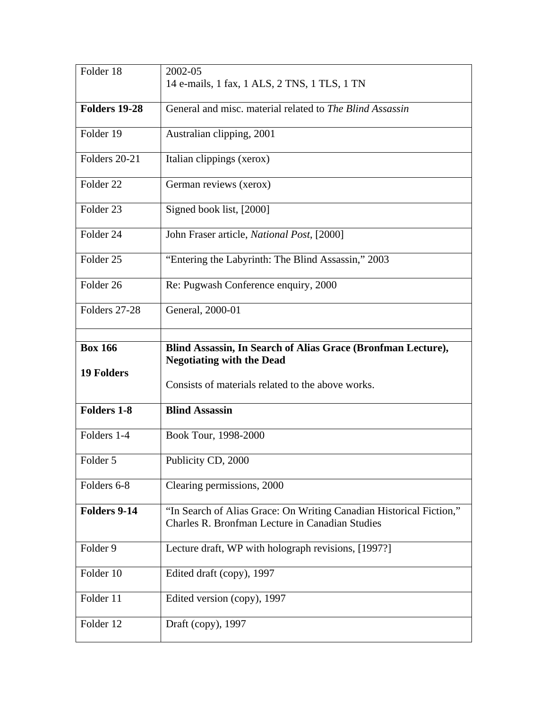| Folder 18            | 2002-05                                                                                                                |
|----------------------|------------------------------------------------------------------------------------------------------------------------|
|                      | 14 e-mails, 1 fax, 1 ALS, 2 TNS, 1 TLS, 1 TN                                                                           |
| <b>Folders 19-28</b> | General and misc. material related to The Blind Assassin                                                               |
| Folder 19            | Australian clipping, 2001                                                                                              |
| Folders 20-21        | Italian clippings (xerox)                                                                                              |
| Folder 22            | German reviews (xerox)                                                                                                 |
| Folder <sub>23</sub> | Signed book list, [2000]                                                                                               |
| Folder 24            | John Fraser article, National Post, [2000]                                                                             |
| Folder 25            | "Entering the Labyrinth: The Blind Assassin," 2003                                                                     |
| Folder 26            | Re: Pugwash Conference enquiry, 2000                                                                                   |
| Folders 27-28        | General, 2000-01                                                                                                       |
| <b>Box 166</b>       | Blind Assassin, In Search of Alias Grace (Bronfman Lecture),                                                           |
| <b>19 Folders</b>    | <b>Negotiating with the Dead</b><br>Consists of materials related to the above works.                                  |
| <b>Folders 1-8</b>   | <b>Blind Assassin</b>                                                                                                  |
| Folders 1-4          | Book Tour, 1998-2000                                                                                                   |
| Folder 5             | Publicity CD, 2000                                                                                                     |
| Folders 6-8          | Clearing permissions, 2000                                                                                             |
| Folders 9-14         | "In Search of Alias Grace: On Writing Canadian Historical Fiction,"<br>Charles R. Bronfman Lecture in Canadian Studies |
| Folder 9             | Lecture draft, WP with holograph revisions, [1997?]                                                                    |
| Folder 10            | Edited draft (copy), 1997                                                                                              |
| Folder 11            | Edited version (copy), 1997                                                                                            |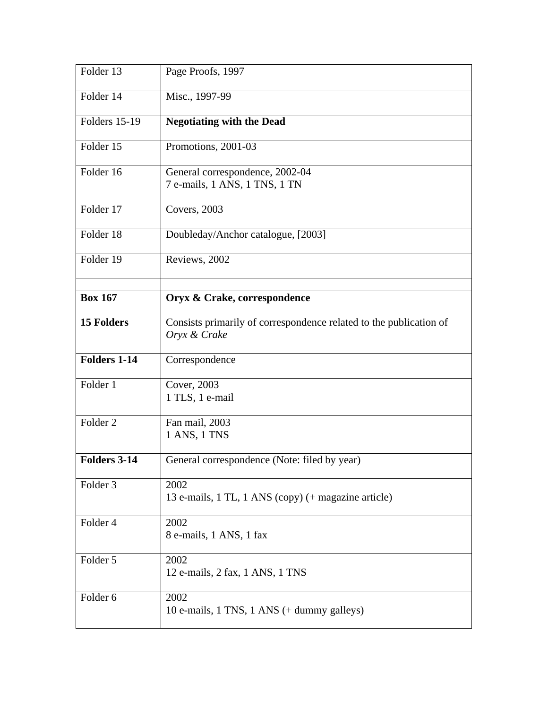| Folder 13            | Page Proofs, 1997                                                                  |
|----------------------|------------------------------------------------------------------------------------|
| Folder 14            | Misc., 1997-99                                                                     |
| <b>Folders 15-19</b> | <b>Negotiating with the Dead</b>                                                   |
| Folder 15            | Promotions, 2001-03                                                                |
| Folder 16            | General correspondence, 2002-04<br>7 e-mails, 1 ANS, 1 TNS, 1 TN                   |
| Folder 17            | Covers, 2003                                                                       |
| Folder 18            | Doubleday/Anchor catalogue, [2003]                                                 |
| Folder 19            | Reviews, 2002                                                                      |
| <b>Box 167</b>       |                                                                                    |
|                      | Oryx & Crake, correspondence                                                       |
| <b>15 Folders</b>    | Consists primarily of correspondence related to the publication of<br>Oryx & Crake |
| <b>Folders 1-14</b>  | Correspondence                                                                     |
| Folder 1             | Cover, 2003<br>1 TLS, 1 e-mail                                                     |
| Folder <sub>2</sub>  | Fan mail, 2003<br>1 ANS, 1 TNS                                                     |
| <b>Folders 3-14</b>  | General correspondence (Note: filed by year)                                       |
| Folder 3             | 2002<br>13 e-mails, 1 TL, 1 ANS (copy) (+ magazine article)                        |
| Folder 4             | 2002<br>8 e-mails, 1 ANS, 1 fax                                                    |
| Folder 5             | 2002<br>12 e-mails, 2 fax, 1 ANS, 1 TNS                                            |
| Folder 6             | 2002<br>10 e-mails, $1$ TNS, $1$ ANS $(+$ dummy galleys)                           |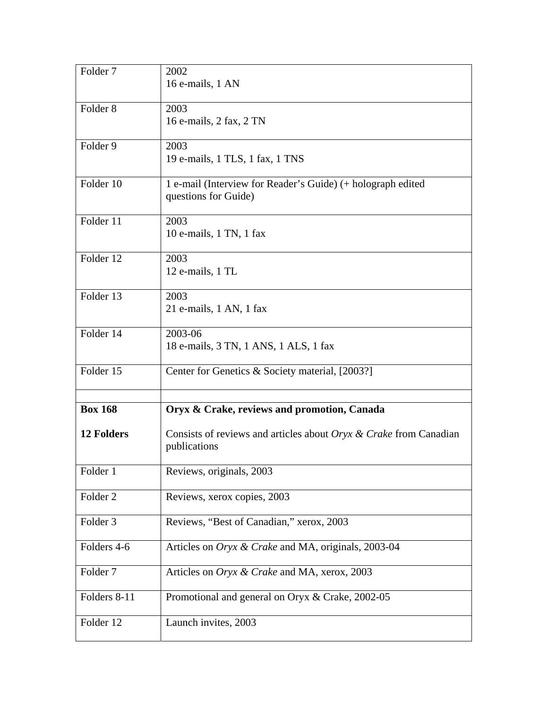| Folder <sub>7</sub> | 2002                                                                                 |
|---------------------|--------------------------------------------------------------------------------------|
|                     | 16 e-mails, 1 AN                                                                     |
| Folder <sub>8</sub> | 2003                                                                                 |
|                     | 16 e-mails, 2 fax, 2 TN                                                              |
| Folder 9            | 2003                                                                                 |
|                     | 19 e-mails, 1 TLS, 1 fax, 1 TNS                                                      |
| Folder 10           | 1 e-mail (Interview for Reader's Guide) (+ holograph edited<br>questions for Guide)  |
| Folder 11           | 2003<br>10 e-mails, 1 TN, 1 fax                                                      |
| Folder 12           | 2003<br>12 e-mails, 1 TL                                                             |
|                     |                                                                                      |
| Folder 13           | 2003<br>21 e-mails, 1 AN, 1 fax                                                      |
| Folder 14           | 2003-06<br>18 e-mails, 3 TN, 1 ANS, 1 ALS, 1 fax                                     |
| Folder 15           | Center for Genetics & Society material, [2003?]                                      |
|                     |                                                                                      |
| <b>Box 168</b>      | Oryx & Crake, reviews and promotion, Canada                                          |
| <b>12 Folders</b>   | Consists of reviews and articles about $Oryx \& Crake$ from Canadian<br>publications |
| Folder 1            | Reviews, originals, 2003                                                             |
| Folder <sub>2</sub> | Reviews, xerox copies, 2003                                                          |
| Folder 3            | Reviews, "Best of Canadian," xerox, 2003                                             |
| Folders 4-6         | Articles on Oryx & Crake and MA, originals, 2003-04                                  |
| Folder <sub>7</sub> | Articles on <i>Oryx &amp; Crake</i> and MA, xerox, 2003                              |
| Folders 8-11        | Promotional and general on Oryx & Crake, 2002-05                                     |
| Folder 12           | Launch invites, 2003                                                                 |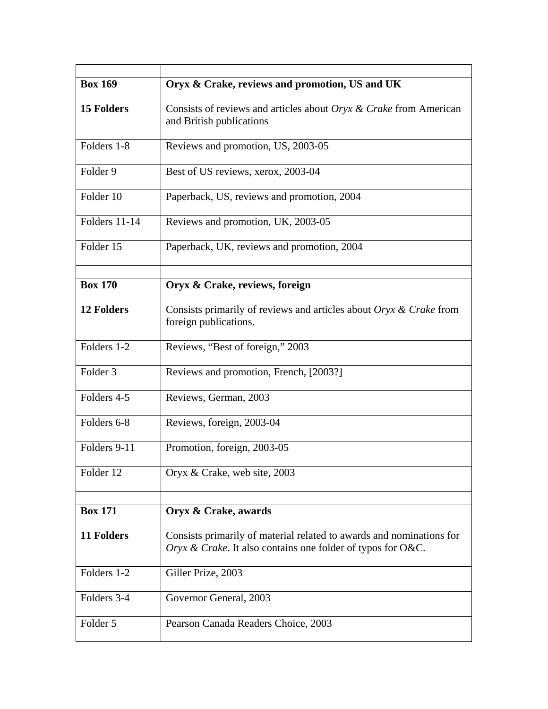| <b>Box 169</b>    | Oryx & Crake, reviews and promotion, US and UK                                                                                      |
|-------------------|-------------------------------------------------------------------------------------------------------------------------------------|
| <b>15 Folders</b> | Consists of reviews and articles about Oryx & Crake from American<br>and British publications                                       |
| Folders 1-8       | Reviews and promotion, US, 2003-05                                                                                                  |
| Folder 9          | Best of US reviews, xerox, 2003-04                                                                                                  |
| Folder 10         | Paperback, US, reviews and promotion, 2004                                                                                          |
| Folders 11-14     | Reviews and promotion, UK, 2003-05                                                                                                  |
| Folder 15         | Paperback, UK, reviews and promotion, 2004                                                                                          |
| <b>Box 170</b>    | Oryx & Crake, reviews, foreign                                                                                                      |
| <b>12 Folders</b> | Consists primarily of reviews and articles about $Oryx \& Crake$ from<br>foreign publications.                                      |
| Folders 1-2       | Reviews, "Best of foreign," 2003                                                                                                    |
| Folder 3          | Reviews and promotion, French, [2003?]                                                                                              |
| Folders 4-5       | Reviews, German, 2003                                                                                                               |
| Folders 6-8       | Reviews, foreign, 2003-04                                                                                                           |
| Folders 9-11      | Promotion, foreign, 2003-05                                                                                                         |
| Folder 12         | Oryx & Crake, web site, 2003                                                                                                        |
| <b>Box 171</b>    |                                                                                                                                     |
|                   | Oryx & Crake, awards                                                                                                                |
| <b>11 Folders</b> | Consists primarily of material related to awards and nominations for<br>Oryx & Crake. It also contains one folder of typos for O&C. |
| Folders 1-2       | Giller Prize, 2003                                                                                                                  |
| Folders 3-4       | Governor General, 2003                                                                                                              |
| Folder 5          | Pearson Canada Readers Choice, 2003                                                                                                 |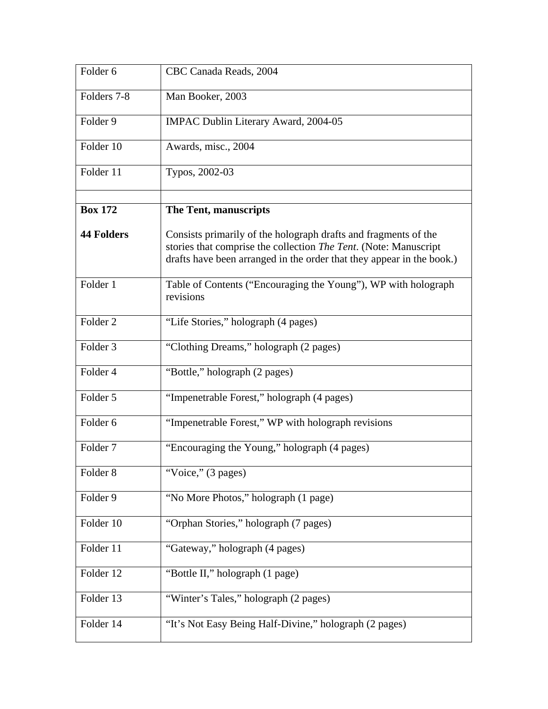| Folder <sub>6</sub> | CBC Canada Reads, 2004                                                                                                                                                                                       |
|---------------------|--------------------------------------------------------------------------------------------------------------------------------------------------------------------------------------------------------------|
| Folders 7-8         | Man Booker, 2003                                                                                                                                                                                             |
| Folder 9            | <b>IMPAC Dublin Literary Award, 2004-05</b>                                                                                                                                                                  |
| Folder 10           | Awards, misc., 2004                                                                                                                                                                                          |
| Folder 11           | Typos, 2002-03                                                                                                                                                                                               |
| <b>Box 172</b>      | The Tent, manuscripts                                                                                                                                                                                        |
| <b>44 Folders</b>   | Consists primarily of the holograph drafts and fragments of the<br>stories that comprise the collection The Tent. (Note: Manuscript<br>drafts have been arranged in the order that they appear in the book.) |
| Folder 1            | Table of Contents ("Encouraging the Young"), WP with holograph<br>revisions                                                                                                                                  |
| Folder <sub>2</sub> | "Life Stories," holograph (4 pages)                                                                                                                                                                          |
| Folder 3            | "Clothing Dreams," holograph (2 pages)                                                                                                                                                                       |
| Folder 4            | "Bottle," holograph (2 pages)                                                                                                                                                                                |
| Folder 5            | "Impenetrable Forest," holograph (4 pages)                                                                                                                                                                   |
| Folder 6            | "Impenetrable Forest," WP with holograph revisions                                                                                                                                                           |
| Folder <sub>7</sub> | "Encouraging the Young," holograph (4 pages)                                                                                                                                                                 |
| Folder 8            | "Voice," (3 pages)                                                                                                                                                                                           |
| Folder 9            | "No More Photos," holograph (1 page)                                                                                                                                                                         |
| Folder 10           | "Orphan Stories," holograph (7 pages)                                                                                                                                                                        |
| Folder 11           | "Gateway," holograph (4 pages)                                                                                                                                                                               |
| Folder 12           | "Bottle II," holograph (1 page)                                                                                                                                                                              |
| Folder 13           | "Winter's Tales," holograph (2 pages)                                                                                                                                                                        |
| Folder 14           | "It's Not Easy Being Half-Divine," holograph (2 pages)                                                                                                                                                       |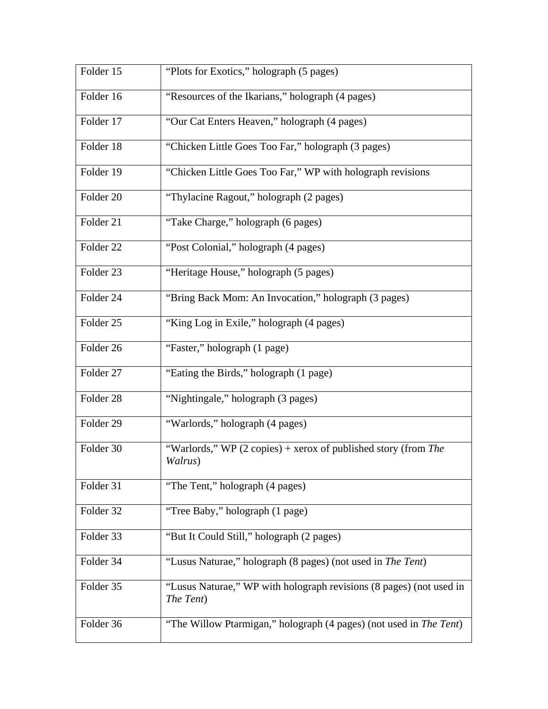| Folder 15            | "Plots for Exotics," holograph (5 pages)                                            |
|----------------------|-------------------------------------------------------------------------------------|
| Folder 16            | "Resources of the Ikarians," holograph (4 pages)                                    |
| Folder 17            | "Our Cat Enters Heaven," holograph (4 pages)                                        |
| Folder 18            | "Chicken Little Goes Too Far," holograph (3 pages)                                  |
| Folder 19            | "Chicken Little Goes Too Far," WP with holograph revisions                          |
| Folder 20            | "Thylacine Ragout," holograph (2 pages)                                             |
| Folder 21            | "Take Charge," holograph (6 pages)                                                  |
| Folder <sub>22</sub> | "Post Colonial," holograph (4 pages)                                                |
| Folder 23            | "Heritage House," holograph (5 pages)                                               |
| Folder 24            | "Bring Back Mom: An Invocation," holograph (3 pages)                                |
| Folder 25            | "King Log in Exile," holograph (4 pages)                                            |
| Folder 26            | "Faster," holograph (1 page)                                                        |
| Folder 27            | "Eating the Birds," holograph (1 page)                                              |
| Folder 28            | "Nightingale," holograph (3 pages)                                                  |
| Folder 29            | "Warlords," holograph (4 pages)                                                     |
| Folder 30            | "Warlords," WP $(2 \text{ copies})$ + xerox of published story (from The<br>Walrus) |
| Folder 31            | "The Tent," holograph (4 pages)                                                     |
| Folder 32            | "Tree Baby," holograph (1 page)                                                     |
| Folder 33            | "But It Could Still," holograph (2 pages)                                           |
| Folder 34            | "Lusus Naturae," holograph (8 pages) (not used in <i>The Tent</i> )                 |
| Folder 35            | "Lusus Naturae," WP with holograph revisions (8 pages) (not used in<br>The Tent)    |
| Folder 36            | "The Willow Ptarmigan," holograph (4 pages) (not used in The Tent)                  |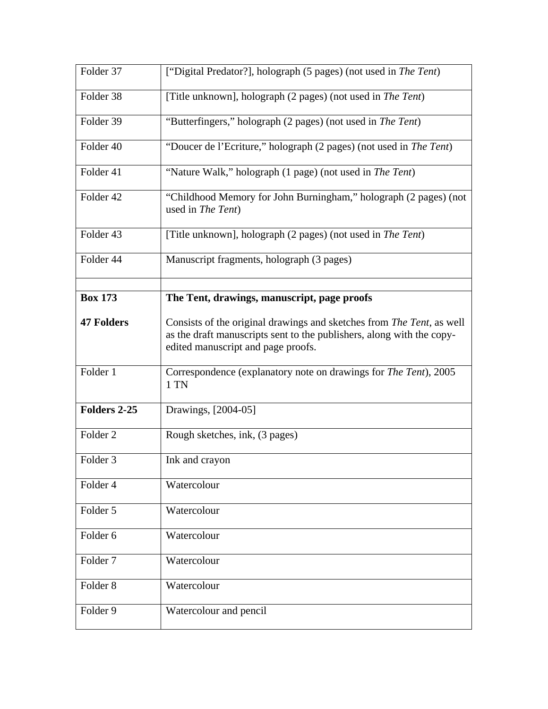| Folder 37           | ["Digital Predator?], holograph (5 pages) (not used in The Tent)                                                                                                                     |
|---------------------|--------------------------------------------------------------------------------------------------------------------------------------------------------------------------------------|
| Folder 38           | [Title unknown], holograph (2 pages) (not used in <i>The Tent</i> )                                                                                                                  |
| Folder 39           | "Butterfingers," holograph (2 pages) (not used in The Tent)                                                                                                                          |
| Folder 40           | "Doucer de l'Ecriture," holograph (2 pages) (not used in The Tent)                                                                                                                   |
| Folder 41           | "Nature Walk," holograph (1 page) (not used in The Tent)                                                                                                                             |
| Folder 42           | "Childhood Memory for John Burningham," holograph (2 pages) (not<br>used in The Tent)                                                                                                |
| Folder 43           | [Title unknown], holograph (2 pages) (not used in The Tent)                                                                                                                          |
| Folder 44           | Manuscript fragments, holograph (3 pages)                                                                                                                                            |
| <b>Box 173</b>      | The Tent, drawings, manuscript, page proofs                                                                                                                                          |
|                     |                                                                                                                                                                                      |
| <b>47 Folders</b>   | Consists of the original drawings and sketches from The Tent, as well<br>as the draft manuscripts sent to the publishers, along with the copy-<br>edited manuscript and page proofs. |
| Folder 1            | Correspondence (explanatory note on drawings for The Tent), 2005<br>1 TN                                                                                                             |
| Folders 2-25        | Drawings, [2004-05]                                                                                                                                                                  |
| Folder <sub>2</sub> | Rough sketches, ink, (3 pages)                                                                                                                                                       |
| Folder 3            | Ink and crayon                                                                                                                                                                       |
| Folder 4            | Watercolour                                                                                                                                                                          |
| Folder 5            | Watercolour                                                                                                                                                                          |
| Folder 6            | Watercolour                                                                                                                                                                          |
| Folder <sub>7</sub> | Watercolour                                                                                                                                                                          |
| Folder <sub>8</sub> | Watercolour                                                                                                                                                                          |
| Folder 9            | Watercolour and pencil                                                                                                                                                               |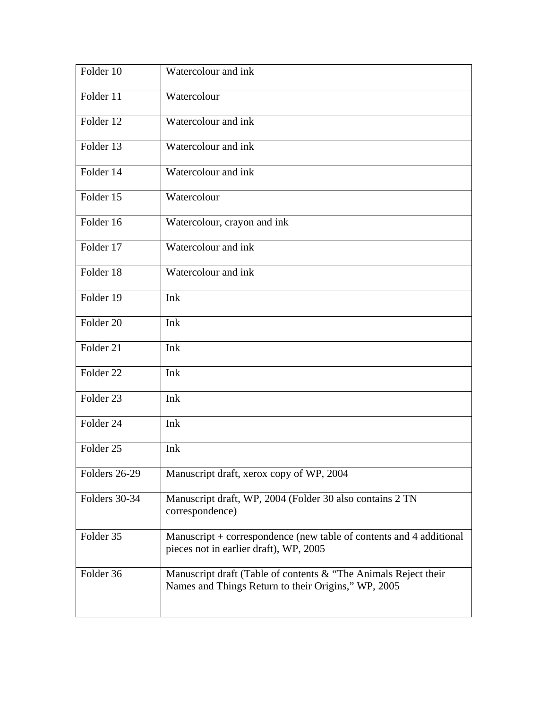| Folder 10            | Watercolour and ink                                                                                                    |
|----------------------|------------------------------------------------------------------------------------------------------------------------|
| Folder 11            | Watercolour                                                                                                            |
| Folder 12            | Watercolour and ink                                                                                                    |
| Folder 13            | Watercolour and ink                                                                                                    |
| Folder 14            | Watercolour and ink                                                                                                    |
| Folder 15            | Watercolour                                                                                                            |
| Folder 16            | Watercolour, crayon and ink                                                                                            |
| Folder 17            | Watercolour and ink                                                                                                    |
| Folder 18            | Watercolour and ink                                                                                                    |
| Folder 19            | Ink                                                                                                                    |
| Folder 20            | Ink                                                                                                                    |
| Folder 21            | Ink                                                                                                                    |
| Folder <sub>22</sub> | Ink                                                                                                                    |
| Folder 23            | Ink                                                                                                                    |
| Folder 24            | Ink                                                                                                                    |
| Folder <sub>25</sub> | Ink                                                                                                                    |
| Folders 26-29        | Manuscript draft, xerox copy of WP, 2004                                                                               |
| Folders 30-34        | Manuscript draft, WP, 2004 (Folder 30 also contains 2 TN<br>correspondence)                                            |
| Folder 35            | Manuscript + correspondence (new table of contents and 4 additional<br>pieces not in earlier draft), WP, 2005          |
| Folder 36            | Manuscript draft (Table of contents & "The Animals Reject their<br>Names and Things Return to their Origins," WP, 2005 |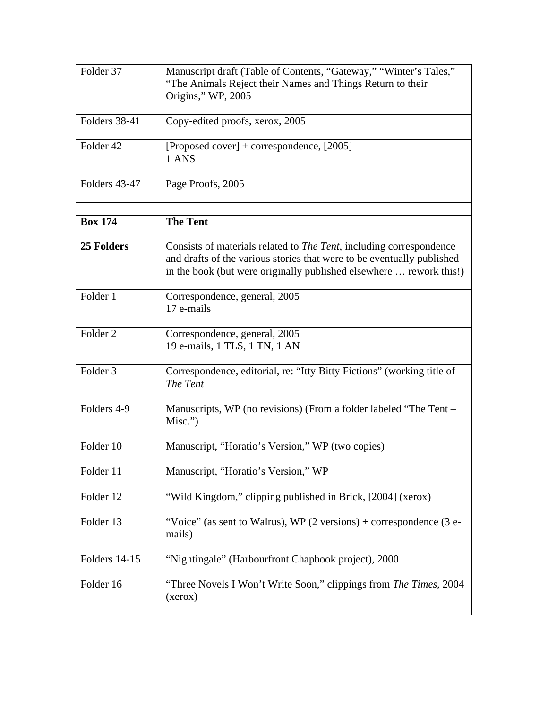| Folder 37           | Manuscript draft (Table of Contents, "Gateway," "Winter's Tales,"<br>"The Animals Reject their Names and Things Return to their<br>Origins," WP, 2005                                                                        |
|---------------------|------------------------------------------------------------------------------------------------------------------------------------------------------------------------------------------------------------------------------|
| Folders 38-41       | Copy-edited proofs, xerox, 2005                                                                                                                                                                                              |
| Folder 42           | [Proposed cover] + correspondence, $[2005]$<br>1 ANS                                                                                                                                                                         |
| Folders 43-47       | Page Proofs, 2005                                                                                                                                                                                                            |
| <b>Box 174</b>      | <b>The Tent</b>                                                                                                                                                                                                              |
| 25 Folders          | Consists of materials related to <i>The Tent</i> , including correspondence<br>and drafts of the various stories that were to be eventually published<br>in the book (but were originally published elsewhere  rework this!) |
| Folder 1            | Correspondence, general, 2005<br>17 e-mails                                                                                                                                                                                  |
| Folder <sub>2</sub> | Correspondence, general, 2005<br>19 e-mails, 1 TLS, 1 TN, 1 AN                                                                                                                                                               |
| Folder <sub>3</sub> | Correspondence, editorial, re: "Itty Bitty Fictions" (working title of<br>The Tent                                                                                                                                           |
| Folders 4-9         | Manuscripts, WP (no revisions) (From a folder labeled "The Tent –<br>Misc.")                                                                                                                                                 |
| Folder 10           | Manuscript, "Horatio's Version," WP (two copies)                                                                                                                                                                             |
| Folder 11           | Manuscript, "Horatio's Version," WP                                                                                                                                                                                          |
| Folder 12           | "Wild Kingdom," clipping published in Brick, [2004] (xerox)                                                                                                                                                                  |
| Folder 13           | "Voice" (as sent to Walrus), WP $(2 \text{ versions}) +$ correspondence $(3 e$ -<br>mails)                                                                                                                                   |
| Folders 14-15       | "Nightingale" (Harbourfront Chapbook project), 2000                                                                                                                                                                          |
| Folder 16           | "Three Novels I Won't Write Soon," clippings from The Times, 2004<br>(xerox)                                                                                                                                                 |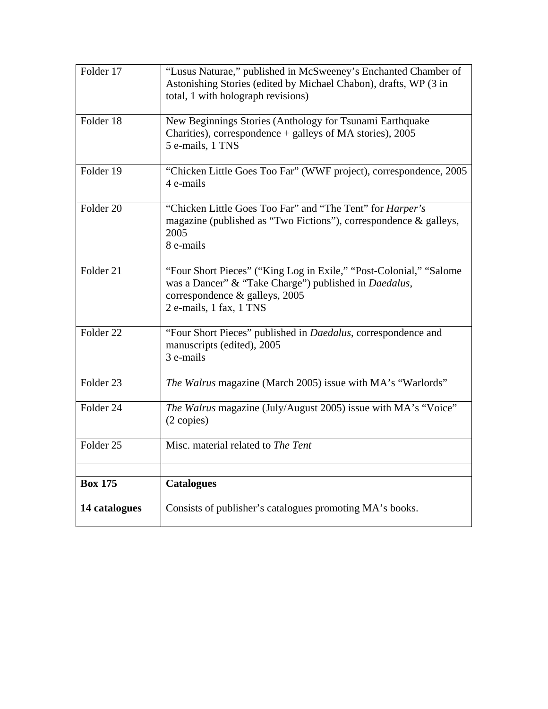| Folder 17            | "Lusus Naturae," published in McSweeney's Enchanted Chamber of<br>Astonishing Stories (edited by Michael Chabon), drafts, WP (3 in<br>total, 1 with holograph revisions)                 |
|----------------------|------------------------------------------------------------------------------------------------------------------------------------------------------------------------------------------|
| Folder 18            | New Beginnings Stories (Anthology for Tsunami Earthquake<br>Charities), correspondence + galleys of MA stories), 2005<br>5 e-mails, 1 TNS                                                |
| Folder $19$          | "Chicken Little Goes Too Far" (WWF project), correspondence, 2005<br>4 e-mails                                                                                                           |
| Folder <sub>20</sub> | "Chicken Little Goes Too Far" and "The Tent" for <i>Harper's</i><br>magazine (published as "Two Fictions"), correspondence & galleys,<br>2005<br>8 e-mails                               |
| Folder <sub>21</sub> | "Four Short Pieces" ("King Log in Exile," "Post-Colonial," "Salome<br>was a Dancer" & "Take Charge") published in Daedalus,<br>correspondence & galleys, 2005<br>2 e-mails, 1 fax, 1 TNS |
| Folder $22$          | "Four Short Pieces" published in Daedalus, correspondence and<br>manuscripts (edited), 2005<br>3 e-mails                                                                                 |
| Folder 23            | The Walrus magazine (March 2005) issue with MA's "Warlords"                                                                                                                              |
| Folder 24            | The Walrus magazine (July/August 2005) issue with MA's "Voice"<br>(2 copies)                                                                                                             |
| Folder <sub>25</sub> | Misc. material related to The Tent                                                                                                                                                       |
| <b>Box 175</b>       |                                                                                                                                                                                          |
|                      | <b>Catalogues</b>                                                                                                                                                                        |
| 14 catalogues        | Consists of publisher's catalogues promoting MA's books.                                                                                                                                 |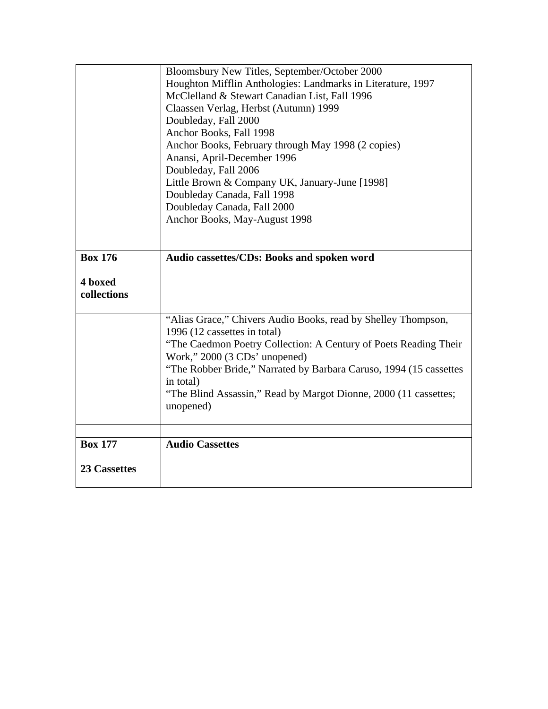|                     | Bloomsbury New Titles, September/October 2000                      |
|---------------------|--------------------------------------------------------------------|
|                     | Houghton Mifflin Anthologies: Landmarks in Literature, 1997        |
|                     | McClelland & Stewart Canadian List, Fall 1996                      |
|                     | Claassen Verlag, Herbst (Autumn) 1999                              |
|                     | Doubleday, Fall 2000                                               |
|                     | Anchor Books, Fall 1998                                            |
|                     | Anchor Books, February through May 1998 (2 copies)                 |
|                     | Anansi, April-December 1996                                        |
|                     | Doubleday, Fall 2006                                               |
|                     | Little Brown & Company UK, January-June [1998]                     |
|                     | Doubleday Canada, Fall 1998                                        |
|                     | Doubleday Canada, Fall 2000                                        |
|                     | Anchor Books, May-August 1998                                      |
|                     |                                                                    |
|                     |                                                                    |
| <b>Box 176</b>      | Audio cassettes/CDs: Books and spoken word                         |
|                     |                                                                    |
| 4 boxed             |                                                                    |
| collections         |                                                                    |
|                     |                                                                    |
|                     | "Alias Grace," Chivers Audio Books, read by Shelley Thompson,      |
|                     | 1996 (12 cassettes in total)                                       |
|                     | "The Caedmon Poetry Collection: A Century of Poets Reading Their   |
|                     | Work," 2000 (3 CDs' unopened)                                      |
|                     | "The Robber Bride," Narrated by Barbara Caruso, 1994 (15 cassettes |
|                     | in total)                                                          |
|                     | "The Blind Assassin," Read by Margot Dionne, 2000 (11 cassettes;   |
|                     | unopened)                                                          |
|                     |                                                                    |
| <b>Box 177</b>      | <b>Audio Cassettes</b>                                             |
|                     |                                                                    |
| <b>23 Cassettes</b> |                                                                    |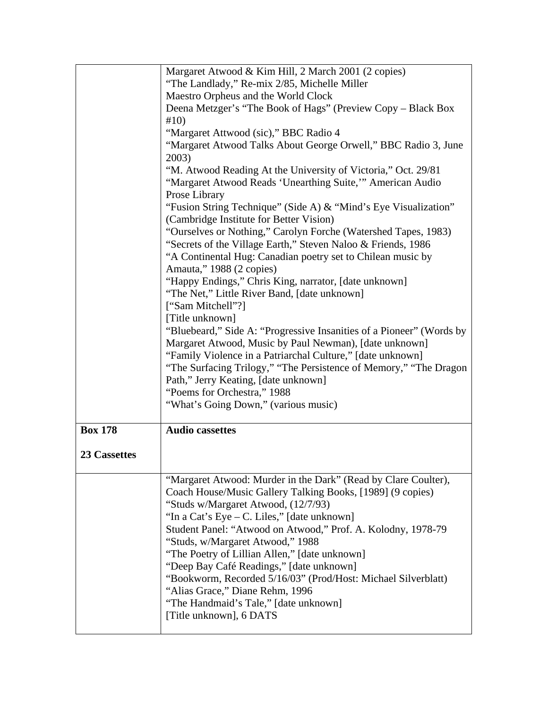|                     | Margaret Atwood & Kim Hill, 2 March 2001 (2 copies)                  |
|---------------------|----------------------------------------------------------------------|
|                     | "The Landlady," Re-mix 2/85, Michelle Miller                         |
|                     | Maestro Orpheus and the World Clock                                  |
|                     | Deena Metzger's "The Book of Hags" (Preview Copy – Black Box         |
|                     | #10)                                                                 |
|                     | "Margaret Attwood (sic)," BBC Radio 4                                |
|                     | "Margaret Atwood Talks About George Orwell," BBC Radio 3, June       |
|                     | 2003)                                                                |
|                     | "M. Atwood Reading At the University of Victoria," Oct. 29/81        |
|                     | "Margaret Atwood Reads 'Unearthing Suite," American Audio            |
|                     |                                                                      |
|                     | Prose Library                                                        |
|                     | "Fusion String Technique" (Side A) & "Mind's Eye Visualization"      |
|                     | (Cambridge Institute for Better Vision)                              |
|                     | "Ourselves or Nothing," Carolyn Forche (Watershed Tapes, 1983)       |
|                     | "Secrets of the Village Earth," Steven Naloo & Friends, 1986         |
|                     | "A Continental Hug: Canadian poetry set to Chilean music by          |
|                     | Amauta," 1988 (2 copies)                                             |
|                     | "Happy Endings," Chris King, narrator, [date unknown]                |
|                     | "The Net," Little River Band, [date unknown]                         |
|                     | ["Sam Mitchell"?]                                                    |
|                     | [Title unknown]                                                      |
|                     | "Bluebeard," Side A: "Progressive Insanities of a Pioneer" (Words by |
|                     | Margaret Atwood, Music by Paul Newman), [date unknown]               |
|                     | "Family Violence in a Patriarchal Culture," [date unknown]           |
|                     | "The Surfacing Trilogy," "The Persistence of Memory," "The Dragon    |
|                     | Path," Jerry Keating, [date unknown]                                 |
|                     | "Poems for Orchestra," 1988                                          |
|                     | "What's Going Down," (various music)                                 |
|                     |                                                                      |
| <b>Box 178</b>      | <b>Audio cassettes</b>                                               |
|                     |                                                                      |
| <b>23 Cassettes</b> |                                                                      |
|                     |                                                                      |
|                     | "Margaret Atwood: Murder in the Dark" (Read by Clare Coulter),       |
|                     | Coach House/Music Gallery Talking Books, [1989] (9 copies)           |
|                     | "Studs w/Margaret Atwood, (12/7/93)                                  |
|                     | "In a Cat's Eye – C. Liles," [date unknown]                          |
|                     | Student Panel: "Atwood on Atwood," Prof. A. Kolodny, 1978-79         |
|                     | "Studs, w/Margaret Atwood," 1988                                     |
|                     | "The Poetry of Lillian Allen," [date unknown]                        |
|                     | "Deep Bay Café Readings," [date unknown]                             |
|                     | "Bookworm, Recorded 5/16/03" (Prod/Host: Michael Silverblatt)        |
|                     | "Alias Grace," Diane Rehm, 1996                                      |
|                     | "The Handmaid's Tale," [date unknown]                                |
|                     |                                                                      |
|                     |                                                                      |
|                     | [Title unknown], 6 DATS                                              |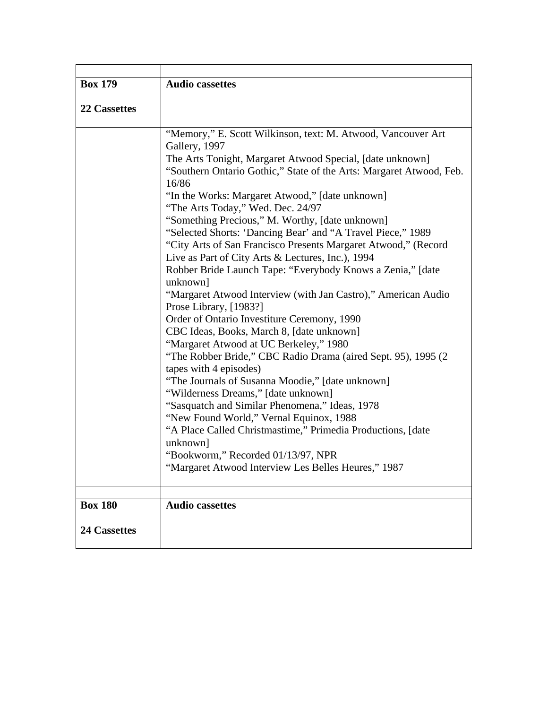| <b>Box 179</b>      | <b>Audio cassettes</b>                                                  |
|---------------------|-------------------------------------------------------------------------|
|                     |                                                                         |
| 22 Cassettes        |                                                                         |
|                     | "Memory," E. Scott Wilkinson, text: M. Atwood, Vancouver Art            |
|                     | Gallery, 1997                                                           |
|                     | The Arts Tonight, Margaret Atwood Special, [date unknown]               |
|                     | "Southern Ontario Gothic," State of the Arts: Margaret Atwood, Feb.     |
|                     | 16/86                                                                   |
|                     | "In the Works: Margaret Atwood," [date unknown]                         |
|                     | "The Arts Today," Wed. Dec. 24/97                                       |
|                     | "Something Precious," M. Worthy, [date unknown]                         |
|                     | "Selected Shorts: 'Dancing Bear' and "A Travel Piece," 1989             |
|                     | "City Arts of San Francisco Presents Margaret Atwood," (Record          |
|                     | Live as Part of City Arts & Lectures, Inc.), 1994                       |
|                     | Robber Bride Launch Tape: "Everybody Knows a Zenia," [date<br>unknown]  |
|                     | "Margaret Atwood Interview (with Jan Castro)," American Audio           |
|                     | Prose Library, [1983?]                                                  |
|                     | Order of Ontario Investiture Ceremony, 1990                             |
|                     | CBC Ideas, Books, March 8, [date unknown]                               |
|                     | "Margaret Atwood at UC Berkeley," 1980                                  |
|                     | "The Robber Bride," CBC Radio Drama (aired Sept. 95), 1995 (2)          |
|                     | tapes with 4 episodes)                                                  |
|                     | "The Journals of Susanna Moodie," [date unknown]                        |
|                     | "Wilderness Dreams," [date unknown]                                     |
|                     | "Sasquatch and Similar Phenomena," Ideas, 1978                          |
|                     | "New Found World," Vernal Equinox, 1988                                 |
|                     | "A Place Called Christmastime," Primedia Productions, [date<br>unknown] |
|                     | "Bookworm," Recorded 01/13/97, NPR                                      |
|                     | "Margaret Atwood Interview Les Belles Heures," 1987                     |
|                     |                                                                         |
|                     |                                                                         |
| <b>Box 180</b>      | <b>Audio cassettes</b>                                                  |
|                     |                                                                         |
| <b>24 Cassettes</b> |                                                                         |
|                     |                                                                         |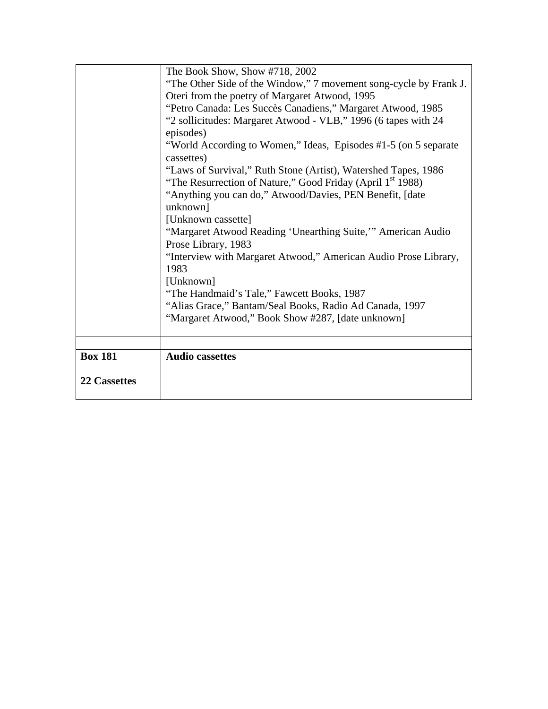|                     | The Book Show, Show #718, 2002                                         |
|---------------------|------------------------------------------------------------------------|
|                     | "The Other Side of the Window," 7 movement song-cycle by Frank J.      |
|                     | Oteri from the poetry of Margaret Atwood, 1995                         |
|                     | "Petro Canada: Les Succès Canadiens," Margaret Atwood, 1985            |
|                     | "2 sollicitudes: Margaret Atwood - VLB," 1996 (6 tapes with 24         |
|                     | episodes)                                                              |
|                     | "World According to Women," Ideas, Episodes #1-5 (on 5 separate        |
|                     | cassettes)                                                             |
|                     | "Laws of Survival," Ruth Stone (Artist), Watershed Tapes, 1986         |
|                     | "The Resurrection of Nature," Good Friday (April 1 <sup>st</sup> 1988) |
|                     | "Anything you can do," Atwood/Davies, PEN Benefit, [date               |
|                     | unknown]                                                               |
|                     | [Unknown cassette]                                                     |
|                     | "Margaret Atwood Reading 'Unearthing Suite," American Audio            |
|                     | Prose Library, 1983                                                    |
|                     | "Interview with Margaret Atwood," American Audio Prose Library,        |
|                     | 1983                                                                   |
|                     | [Unknown]                                                              |
|                     | "The Handmaid's Tale," Fawcett Books, 1987                             |
|                     | "Alias Grace," Bantam/Seal Books, Radio Ad Canada, 1997                |
|                     | "Margaret Atwood," Book Show #287, [date unknown]                      |
|                     |                                                                        |
|                     |                                                                        |
| <b>Box 181</b>      | <b>Audio cassettes</b>                                                 |
|                     |                                                                        |
| <b>22 Cassettes</b> |                                                                        |
|                     |                                                                        |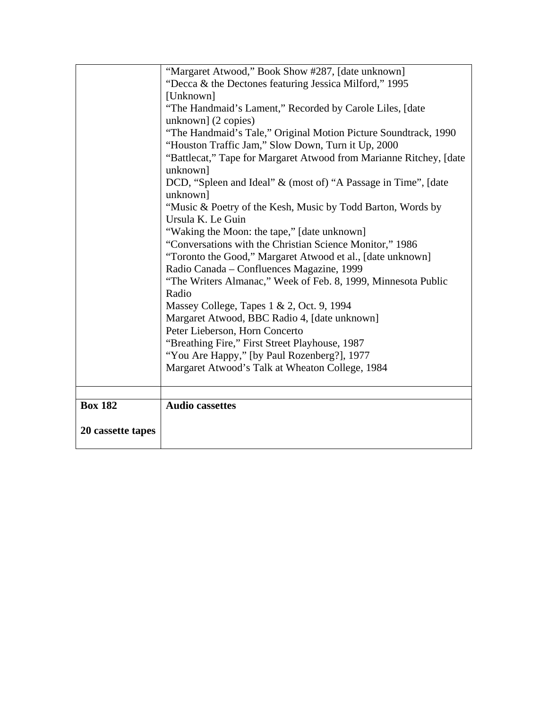|                   | "Margaret Atwood," Book Show #287, [date unknown]                  |
|-------------------|--------------------------------------------------------------------|
|                   | "Decca & the Dectones featuring Jessica Milford," 1995             |
|                   | [Unknown]                                                          |
|                   | "The Handmaid's Lament," Recorded by Carole Liles, [date           |
|                   | unknown] (2 copies)                                                |
|                   | "The Handmaid's Tale," Original Motion Picture Soundtrack, 1990    |
|                   | "Houston Traffic Jam," Slow Down, Turn it Up, 2000                 |
|                   | "Battlecat," Tape for Margaret Atwood from Marianne Ritchey, [date |
|                   | unknown]                                                           |
|                   | DCD, "Spleen and Ideal" & (most of) "A Passage in Time", [date     |
|                   | unknown]                                                           |
|                   | "Music & Poetry of the Kesh, Music by Todd Barton, Words by        |
|                   | Ursula K. Le Guin                                                  |
|                   | "Waking the Moon: the tape," [date unknown]                        |
|                   | "Conversations with the Christian Science Monitor," 1986           |
|                   | "Toronto the Good," Margaret Atwood et al., [date unknown]         |
|                   | Radio Canada – Confluences Magazine, 1999                          |
|                   | "The Writers Almanac," Week of Feb. 8, 1999, Minnesota Public      |
|                   | Radio                                                              |
|                   | Massey College, Tapes 1 & 2, Oct. 9, 1994                          |
|                   | Margaret Atwood, BBC Radio 4, [date unknown]                       |
|                   | Peter Lieberson, Horn Concerto                                     |
|                   | "Breathing Fire," First Street Playhouse, 1987                     |
|                   | "You Are Happy," [by Paul Rozenberg?], 1977                        |
|                   | Margaret Atwood's Talk at Wheaton College, 1984                    |
|                   |                                                                    |
|                   |                                                                    |
| <b>Box 182</b>    | <b>Audio cassettes</b>                                             |
|                   |                                                                    |
| 20 cassette tapes |                                                                    |
|                   |                                                                    |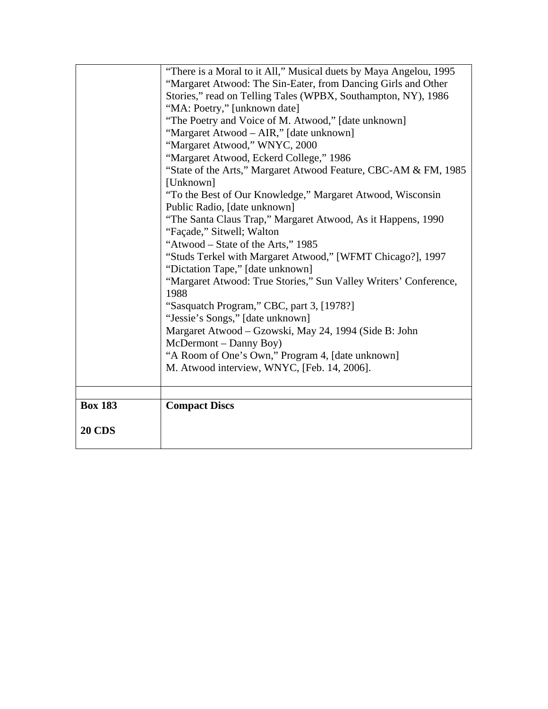| <b>20 CDS</b>  |                                                                                                      |
|----------------|------------------------------------------------------------------------------------------------------|
| <b>Box 183</b> | <b>Compact Discs</b>                                                                                 |
|                |                                                                                                      |
|                | M. Atwood interview, WNYC, [Feb. 14, 2006].                                                          |
|                | "A Room of One's Own," Program 4, [date unknown]                                                     |
|                | McDermont – Danny Boy)                                                                               |
|                | Margaret Atwood – Gzowski, May 24, 1994 (Side B: John                                                |
|                | "Jessie's Songs," [date unknown]                                                                     |
|                | "Sasquatch Program," CBC, part 3, [1978?]                                                            |
|                | 1988                                                                                                 |
|                | "Dictation Tape," [date unknown]<br>"Margaret Atwood: True Stories," Sun Valley Writers' Conference, |
|                | "Studs Terkel with Margaret Atwood," [WFMT Chicago?], 1997                                           |
|                | "Atwood – State of the Arts," 1985                                                                   |
|                | "Façade," Sitwell; Walton                                                                            |
|                | "The Santa Claus Trap," Margaret Atwood, As it Happens, 1990                                         |
|                | Public Radio, [date unknown]                                                                         |
|                | "To the Best of Our Knowledge," Margaret Atwood, Wisconsin                                           |
|                | [Unknown]                                                                                            |
|                | "State of the Arts," Margaret Atwood Feature, CBC-AM & FM, 1985                                      |
|                | "Margaret Atwood, Eckerd College," 1986                                                              |
|                | "Margaret Atwood," WNYC, 2000                                                                        |
|                | "Margaret Atwood - AIR," [date unknown]                                                              |
|                | "The Poetry and Voice of M. Atwood," [date unknown]                                                  |
|                | Stories," read on Telling Tales (WPBX, Southampton, NY), 1986<br>"MA: Poetry," [unknown date]        |
|                | "Margaret Atwood: The Sin-Eater, from Dancing Girls and Other                                        |
|                | "There is a Moral to it All," Musical duets by Maya Angelou, 1995                                    |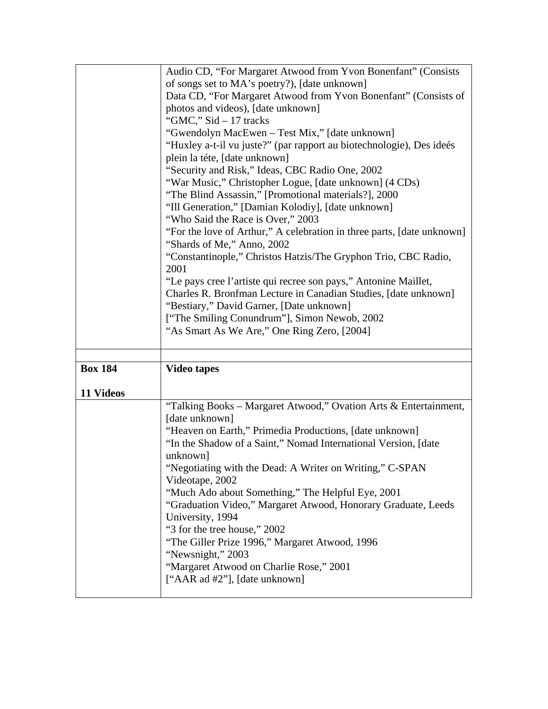|                | Audio CD, "For Margaret Atwood from Yvon Bonenfant" (Consists                                        |
|----------------|------------------------------------------------------------------------------------------------------|
|                | of songs set to MA's poetry?), [date unknown]                                                        |
|                | Data CD, "For Margaret Atwood from Yvon Bonenfant" (Consists of                                      |
|                |                                                                                                      |
|                | photos and videos), [date unknown]<br>"GMC," $Sid - 17$ tracks                                       |
|                |                                                                                                      |
|                | "Gwendolyn MacEwen - Test Mix," [date unknown]                                                       |
|                | "Huxley a-t-il vu juste?" (par rapport au biotechnologie), Des ideés                                 |
|                | plein la téte, [date unknown]                                                                        |
|                | "Security and Risk," Ideas, CBC Radio One, 2002                                                      |
|                | "War Music," Christopher Logue, [date unknown] (4 CDs)                                               |
|                | "The Blind Assassin," [Promotional materials?], 2000                                                 |
|                | "Ill Generation," [Damian Kolodiy], [date unknown]                                                   |
|                | "Who Said the Race is Over," 2003                                                                    |
|                | "For the love of Arthur," A celebration in three parts, [date unknown]<br>"Shards of Me," Anno, 2002 |
|                | "Constantinople," Christos Hatzis/The Gryphon Trio, CBC Radio,                                       |
|                | 2001                                                                                                 |
|                | "Le pays cree l'artiste qui recree son pays," Antonine Maillet,                                      |
|                | Charles R. Bronfman Lecture in Canadian Studies, [date unknown]                                      |
|                | "Bestiary," David Garner, [Date unknown]                                                             |
|                | ["The Smiling Conundrum"], Simon Newob, 2002                                                         |
|                | "As Smart As We Are," One Ring Zero, [2004]                                                          |
|                |                                                                                                      |
|                |                                                                                                      |
|                |                                                                                                      |
|                |                                                                                                      |
| <b>Box 184</b> | <b>Video tapes</b>                                                                                   |
|                |                                                                                                      |
| 11 Videos      |                                                                                                      |
|                | "Talking Books – Margaret Atwood," Ovation Arts & Entertainment,                                     |
|                | [date unknown]                                                                                       |
|                | "Heaven on Earth," Primedia Productions, [date unknown]                                              |
|                | "In the Shadow of a Saint," Nomad International Version, [date                                       |
|                | unknown]                                                                                             |
|                | "Negotiating with the Dead: A Writer on Writing," C-SPAN                                             |
|                | Videotape, 2002                                                                                      |
|                | "Much Ado about Something," The Helpful Eye, 2001                                                    |
|                | "Graduation Video," Margaret Atwood, Honorary Graduate, Leeds                                        |
|                | University, 1994                                                                                     |
|                | "3 for the tree house," 2002                                                                         |
|                | "The Giller Prize 1996," Margaret Atwood, 1996                                                       |
|                | "Newsnight," 2003                                                                                    |
|                | "Margaret Atwood on Charlie Rose," 2001                                                              |
|                | ["AAR ad #2"], [date unknown]                                                                        |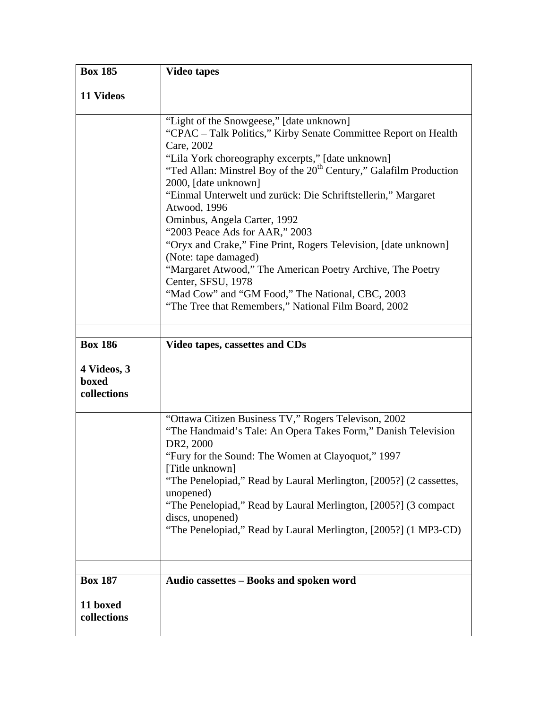| <b>Box 185</b>                                        | <b>Video tapes</b>                                                                                                                                                                                                                                                                                                                                                                                                                                                                                                                                                                                                                                                                                                                     |
|-------------------------------------------------------|----------------------------------------------------------------------------------------------------------------------------------------------------------------------------------------------------------------------------------------------------------------------------------------------------------------------------------------------------------------------------------------------------------------------------------------------------------------------------------------------------------------------------------------------------------------------------------------------------------------------------------------------------------------------------------------------------------------------------------------|
| 11 Videos                                             |                                                                                                                                                                                                                                                                                                                                                                                                                                                                                                                                                                                                                                                                                                                                        |
|                                                       | "Light of the Snowgeese," [date unknown]<br>"CPAC - Talk Politics," Kirby Senate Committee Report on Health<br>Care, 2002<br>"Lila York choreography excerpts," [date unknown]<br>"Ted Allan: Minstrel Boy of the 20 <sup>th</sup> Century," Galafilm Production<br>2000, [date unknown]<br>"Einmal Unterwelt und zurück: Die Schriftstellerin," Margaret<br>Atwood, 1996<br>Ominbus, Angela Carter, 1992<br>"2003 Peace Ads for AAR," 2003<br>"Oryx and Crake," Fine Print, Rogers Television, [date unknown]<br>(Note: tape damaged)<br>"Margaret Atwood," The American Poetry Archive, The Poetry<br>Center, SFSU, 1978<br>"Mad Cow" and "GM Food," The National, CBC, 2003<br>"The Tree that Remembers," National Film Board, 2002 |
| <b>Box 186</b><br>4 Videos, 3<br>boxed<br>collections | Video tapes, cassettes and CDs                                                                                                                                                                                                                                                                                                                                                                                                                                                                                                                                                                                                                                                                                                         |
|                                                       | "Ottawa Citizen Business TV," Rogers Televison, 2002<br>"The Handmaid's Tale: An Opera Takes Form," Danish Television<br>DR2, 2000<br>"Fury for the Sound: The Women at Clayoquot," 1997<br>[Title unknown]<br>"The Penelopiad," Read by Laural Merlington, [2005?] (2 cassettes,<br>unopened)<br>"The Penelopiad," Read by Laural Merlington, [2005?] (3 compact)<br>discs, unopened)<br>"The Penelopiad," Read by Laural Merlington, [2005?] (1 MP3-CD)                                                                                                                                                                                                                                                                              |
| <b>Box 187</b><br>11 boxed<br>collections             | Audio cassettes - Books and spoken word                                                                                                                                                                                                                                                                                                                                                                                                                                                                                                                                                                                                                                                                                                |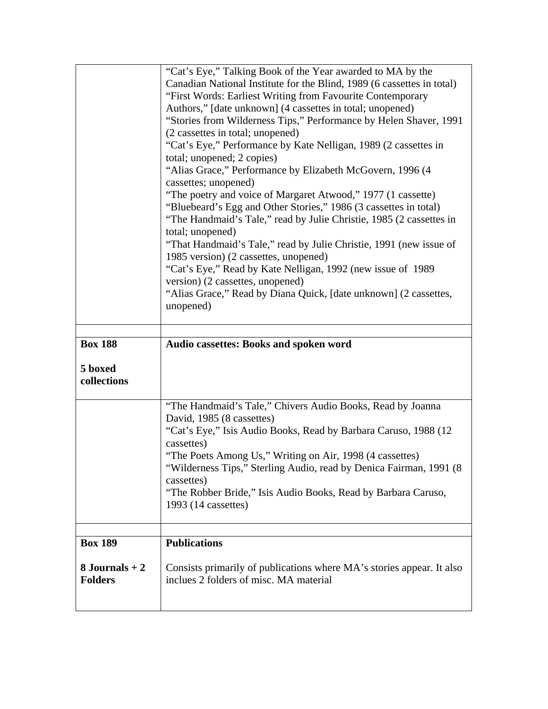|                                    | "Cat's Eye," Talking Book of the Year awarded to MA by the                                                      |
|------------------------------------|-----------------------------------------------------------------------------------------------------------------|
|                                    | Canadian National Institute for the Blind, 1989 (6 cassettes in total)                                          |
|                                    | "First Words: Earliest Writing from Favourite Contemporary                                                      |
|                                    | Authors," [date unknown] (4 cassettes in total; unopened)                                                       |
|                                    | "Stories from Wilderness Tips," Performance by Helen Shaver, 1991                                               |
|                                    | (2 cassettes in total; unopened)                                                                                |
|                                    | "Cat's Eye," Performance by Kate Nelligan, 1989 (2 cassettes in<br>total; unopened; 2 copies)                   |
|                                    | "Alias Grace," Performance by Elizabeth McGovern, 1996 (4                                                       |
|                                    | cassettes; unopened)                                                                                            |
|                                    | "The poetry and voice of Margaret Atwood," 1977 (1 cassette)                                                    |
|                                    | "Bluebeard's Egg and Other Stories," 1986 (3 cassettes in total)                                                |
|                                    | "The Handmaid's Tale," read by Julie Christie, 1985 (2 cassettes in                                             |
|                                    | total; unopened)                                                                                                |
|                                    | "That Handmaid's Tale," read by Julie Christie, 1991 (new issue of                                              |
|                                    | 1985 version) (2 cassettes, unopened)                                                                           |
|                                    | "Cat's Eye," Read by Kate Nelligan, 1992 (new issue of 1989)                                                    |
|                                    | version) (2 cassettes, unopened)                                                                                |
|                                    | "Alias Grace," Read by Diana Quick, [date unknown] (2 cassettes,                                                |
|                                    | unopened)                                                                                                       |
|                                    |                                                                                                                 |
|                                    |                                                                                                                 |
|                                    | Audio cassettes: Books and spoken word                                                                          |
| <b>Box 188</b>                     |                                                                                                                 |
|                                    |                                                                                                                 |
|                                    |                                                                                                                 |
| 5 boxed<br>collections             |                                                                                                                 |
|                                    | "The Handmaid's Tale," Chivers Audio Books, Read by Joanna                                                      |
|                                    | David, 1985 (8 cassettes)                                                                                       |
|                                    | "Cat's Eye," Isis Audio Books, Read by Barbara Caruso, 1988 (12)                                                |
|                                    | cassettes)<br>"The Poets Among Us," Writing on Air, 1998 (4 cassettes)                                          |
|                                    | "Wilderness Tips," Sterling Audio, read by Denica Fairman, 1991 (8)                                             |
|                                    | cassettes)                                                                                                      |
|                                    | "The Robber Bride," Isis Audio Books, Read by Barbara Caruso,                                                   |
|                                    | 1993 (14 cassettes)                                                                                             |
|                                    |                                                                                                                 |
| <b>Box 189</b>                     | <b>Publications</b>                                                                                             |
| $8$ Journals + 2<br><b>Folders</b> | Consists primarily of publications where MA's stories appear. It also<br>inclues 2 folders of misc. MA material |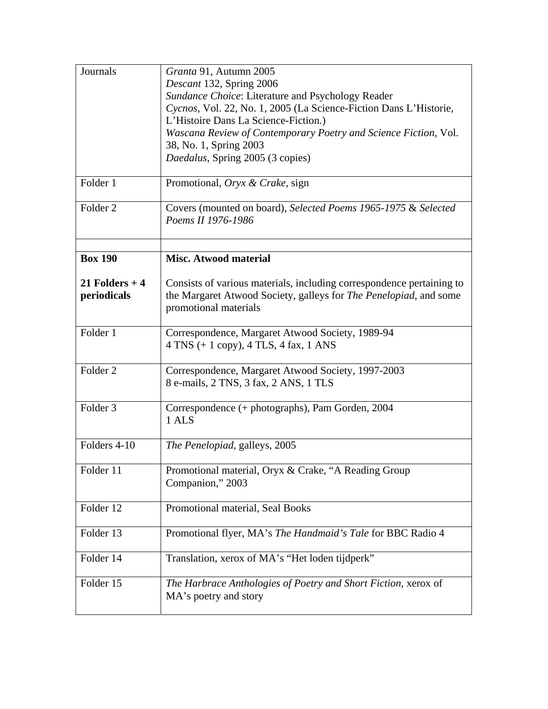| Journals                       | Granta 91, Autumn 2005<br>Descant 132, Spring 2006                                                                                         |
|--------------------------------|--------------------------------------------------------------------------------------------------------------------------------------------|
|                                | Sundance Choice: Literature and Psychology Reader                                                                                          |
|                                | Cycnos, Vol. 22, No. 1, 2005 (La Science-Fiction Dans L'Historie,                                                                          |
|                                | L'Histoire Dans La Science-Fiction.)                                                                                                       |
|                                | Wascana Review of Contemporary Poetry and Science Fiction, Vol.                                                                            |
|                                | 38, No. 1, Spring 2003                                                                                                                     |
|                                | Daedalus, Spring 2005 (3 copies)                                                                                                           |
| Folder 1                       | Promotional, Oryx & Crake, sign                                                                                                            |
| Folder 2                       | Covers (mounted on board), Selected Poems 1965-1975 & Selected<br>Poems II 1976-1986                                                       |
| <b>Box 190</b>                 | <b>Misc. Atwood material</b>                                                                                                               |
|                                |                                                                                                                                            |
| 21 Folders $+4$<br>periodicals | Consists of various materials, including correspondence pertaining to<br>the Margaret Atwood Society, galleys for The Penelopiad, and some |
|                                | promotional materials                                                                                                                      |
| Folder 1                       | Correspondence, Margaret Atwood Society, 1989-94                                                                                           |
|                                | $4$ TNS $(+ 1$ copy), $4$ TLS, $4$ fax, $1$ ANS                                                                                            |
| Folder <sub>2</sub>            | Correspondence, Margaret Atwood Society, 1997-2003                                                                                         |
|                                | 8 e-mails, 2 TNS, 3 fax, 2 ANS, 1 TLS                                                                                                      |
| Folder <sub>3</sub>            | Correspondence (+ photographs), Pam Gorden, 2004                                                                                           |
|                                | 1 ALS                                                                                                                                      |
| Folders 4-10                   | The Penelopiad, galleys, 2005                                                                                                              |
| Folder 11                      | Promotional material, Oryx & Crake, "A Reading Group                                                                                       |
|                                | Companion," 2003                                                                                                                           |
| Folder 12                      | Promotional material, Seal Books                                                                                                           |
| Folder 13                      | Promotional flyer, MA's The Handmaid's Tale for BBC Radio 4                                                                                |
| Folder 14                      | Translation, xerox of MA's "Het loden tijdperk"                                                                                            |
| Folder 15                      | The Harbrace Anthologies of Poetry and Short Fiction, xerox of<br>MA's poetry and story                                                    |